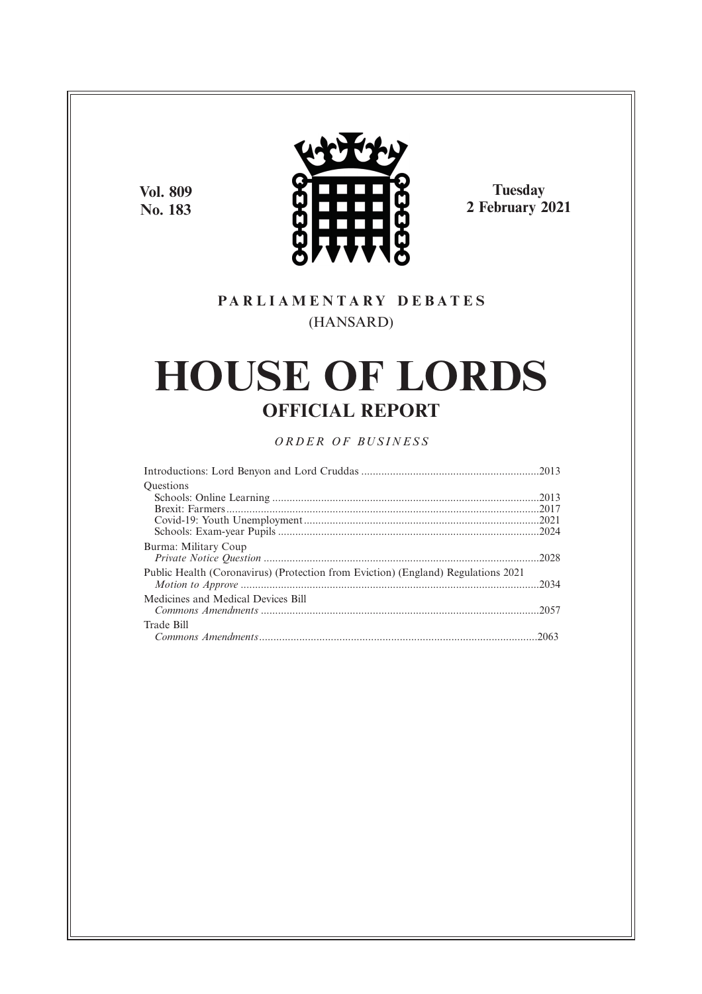**Vol. 809 No. 183**



**Tuesday 2 February 2021**

## **P A R L I A M E N T A R Y D E B A T E S** (HANSARD)

# **HOUSE OF LORDS OFFICIAL REPORT**

## *O R D E R O F BU S I N E S S*

| <b>Ouestions</b>                                                                  |  |
|-----------------------------------------------------------------------------------|--|
|                                                                                   |  |
|                                                                                   |  |
|                                                                                   |  |
|                                                                                   |  |
| Burma: Military Coup                                                              |  |
| Public Health (Coronavirus) (Protection from Eviction) (England) Regulations 2021 |  |
| Medicines and Medical Devices Bill                                                |  |
| Trade Bill                                                                        |  |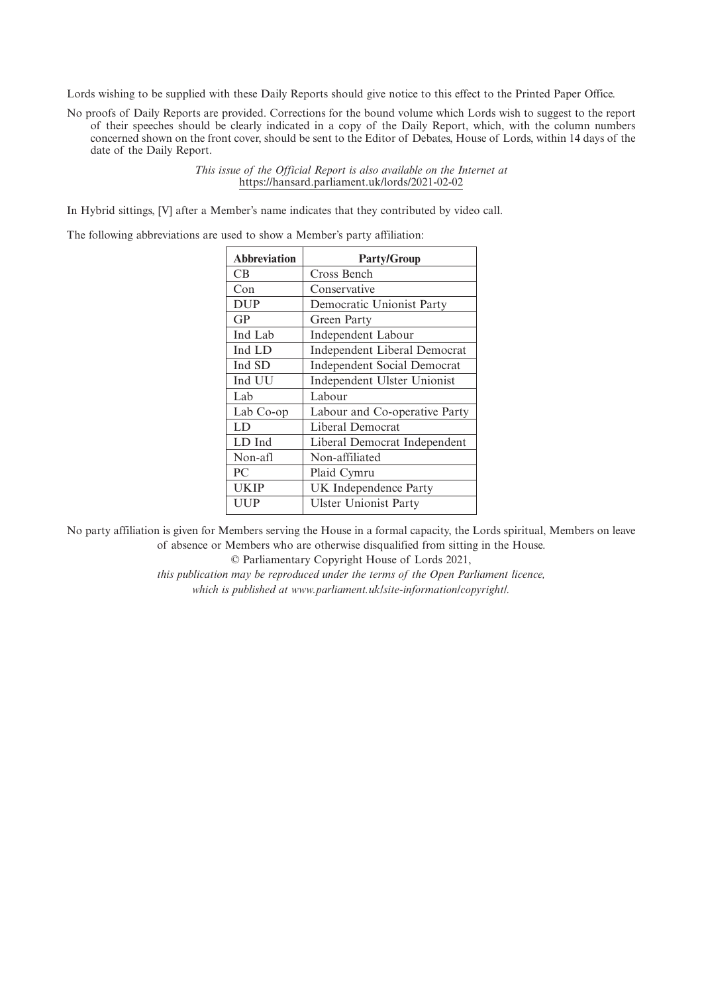Lords wishing to be supplied with these Daily Reports should give notice to this effect to the Printed Paper Office.

No proofs of Daily Reports are provided. Corrections for the bound volume which Lords wish to suggest to the report of their speeches should be clearly indicated in a copy of the Daily Report, which, with the column numbers concerned shown on the front cover, should be sent to the Editor of Debates, House of Lords, within 14 days of the date of the Daily Report.

> *This issue of the Official Report is also available on the Internet at* https://hansard.parliament.uk/lords/2021-02-02

In Hybrid sittings, [V] after a Member's name indicates that they contributed by video call.

The following abbreviations are used to show a Member's party affiliation:

| <b>Abbreviation</b> | <b>Party/Group</b>                  |
|---------------------|-------------------------------------|
| <b>CB</b>           | Cross Bench                         |
| Con                 | Conservative                        |
| <b>DUP</b>          | Democratic Unionist Party           |
| GP                  | Green Party                         |
| Ind Lab             | Independent Labour                  |
| Ind LD              | <b>Independent Liberal Democrat</b> |
| Ind SD              | <b>Independent Social Democrat</b>  |
| Ind UU              | Independent Ulster Unionist         |
| Lab                 | Labour                              |
| Lab Co-op           | Labour and Co-operative Party       |
| LD                  | Liberal Democrat                    |
| LD Ind              | Liberal Democrat Independent        |
| Non-afl             | Non-affiliated                      |
| PC                  | Plaid Cymru                         |
| <b>UKIP</b>         | UK Independence Party               |
| UUP                 | <b>Ulster Unionist Party</b>        |
|                     |                                     |

No party affiliation is given for Members serving the House in a formal capacity, the Lords spiritual, Members on leave of absence or Members who are otherwise disqualified from sitting in the House.

© Parliamentary Copyright House of Lords 2021,

*this publication may be reproduced under the terms of the Open Parliament licence, which is published at www.parliament.uk/site-information/copyright/.*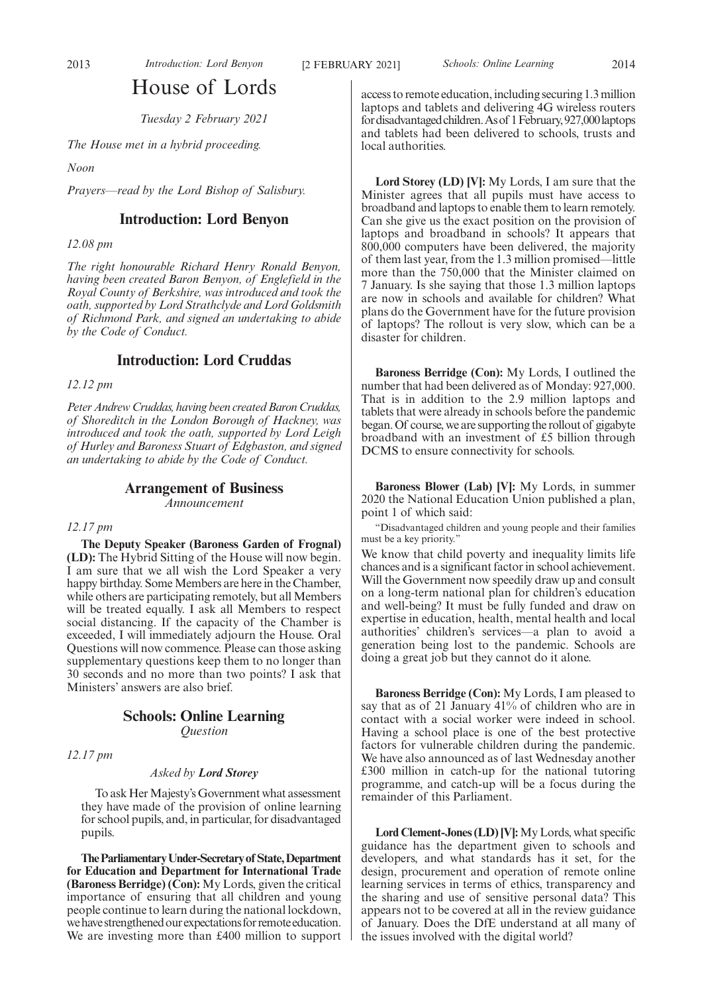## House of Lords

*Tuesday 2 February 2021*

*The House met in a hybrid proceeding.*

*Noon*

*Prayers—read by the Lord Bishop of Salisbury.*

### **Introduction: Lord Benyon**

*12.08 pm*

*The right honourable Richard Henry Ronald Benyon, having been created Baron Benyon, of Englefield in the Royal County of Berkshire, was introduced and took the oath, supported by Lord Strathclyde and Lord Goldsmith of Richmond Park, and signed an undertaking to abide by the Code of Conduct.*

### **Introduction: Lord Cruddas**

*12.12 pm*

*Peter Andrew Cruddas, having been created Baron Cruddas, of Shoreditch in the London Borough of Hackney, was introduced and took the oath, supported by Lord Leigh of Hurley and Baroness Stuart of Edgbaston, and signed an undertaking to abide by the Code of Conduct.*

## **Arrangement of Business**

*Announcement*

#### *12.17 pm*

**The Deputy Speaker (Baroness Garden of Frognal) (LD):** The Hybrid Sitting of the House will now begin. I am sure that we all wish the Lord Speaker a very happy birthday. Some Members are here in the Chamber, while others are participating remotely, but all Members will be treated equally. I ask all Members to respect social distancing. If the capacity of the Chamber is exceeded, I will immediately adjourn the House. Oral Questions will now commence. Please can those asking supplementary questions keep them to no longer than 30 seconds and no more than two points? I ask that Ministers' answers are also brief.

## **Schools: Online Learning**

*Question*

*12.17 pm*

#### *Asked by Lord Storey*

To ask Her Majesty's Government what assessment they have made of the provision of online learning for school pupils, and, in particular, for disadvantaged pupils.

**TheParliamentaryUnder-Secretaryof State,Department for Education and Department for International Trade (Baroness Berridge) (Con):** My Lords, given the critical importance of ensuring that all children and young people continue to learn during the national lockdown, we have strengthened our expectations for remote education. We are investing more than £400 million to support access to remote education, including securing 1.3 million laptops and tablets and delivering 4G wireless routers for disadvantaged children. As of 1 February, 927,000 laptops and tablets had been delivered to schools, trusts and local authorities.

**Lord Storey (LD) [V]:** My Lords, I am sure that the Minister agrees that all pupils must have access to broadband and laptops to enable them to learn remotely. Can she give us the exact position on the provision of laptops and broadband in schools? It appears that 800,000 computers have been delivered, the majority of them last year, from the 1.3 million promised—little more than the 750,000 that the Minister claimed on 7 January. Is she saying that those 1.3 million laptops are now in schools and available for children? What plans do the Government have for the future provision of laptops? The rollout is very slow, which can be a disaster for children.

**Baroness Berridge (Con):** My Lords, I outlined the number that had been delivered as of Monday: 927,000. That is in addition to the 2.9 million laptops and tablets that were already in schools before the pandemic began. Of course, we are supporting the rollout of gigabyte broadband with an investment of £5 billion through DCMS to ensure connectivity for schools.

**Baroness Blower (Lab) [V]:** My Lords, in summer 2020 the National Education Union published a plan, point 1 of which said:

"Disadvantaged children and young people and their families must be a key priority."

We know that child poverty and inequality limits life chances and is a significant factor in school achievement. Will the Government now speedily draw up and consult on a long-term national plan for children's education and well-being? It must be fully funded and draw on expertise in education, health, mental health and local authorities' children's services—a plan to avoid a generation being lost to the pandemic. Schools are doing a great job but they cannot do it alone.

**Baroness Berridge (Con):** My Lords, I am pleased to say that as of 21 January 41% of children who are in contact with a social worker were indeed in school. Having a school place is one of the best protective factors for vulnerable children during the pandemic. We have also announced as of last Wednesday another £300 million in catch-up for the national tutoring programme, and catch-up will be a focus during the remainder of this Parliament.

**Lord Clement-Jones (LD) [V]:**My Lords, what specific guidance has the department given to schools and developers, and what standards has it set, for the design, procurement and operation of remote online learning services in terms of ethics, transparency and the sharing and use of sensitive personal data? This appears not to be covered at all in the review guidance of January. Does the DfE understand at all many of the issues involved with the digital world?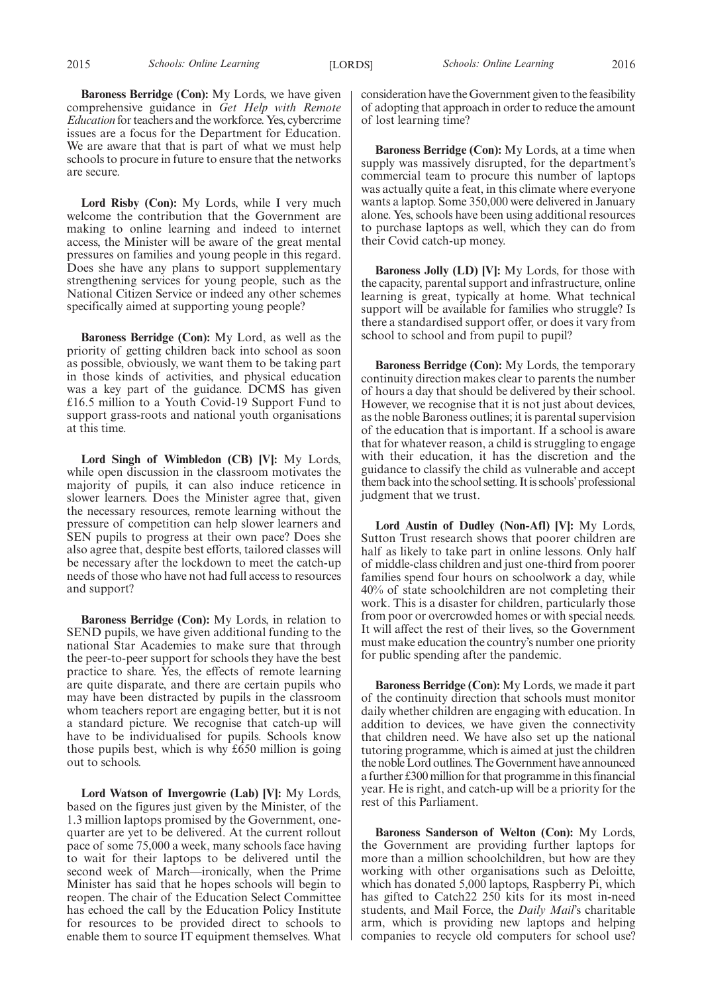**Lord Risby (Con):** My Lords, while I very much welcome the contribution that the Government are making to online learning and indeed to internet access, the Minister will be aware of the great mental pressures on families and young people in this regard. Does she have any plans to support supplementary strengthening services for young people, such as the National Citizen Service or indeed any other schemes specifically aimed at supporting young people?

**Baroness Berridge (Con):** My Lord, as well as the priority of getting children back into school as soon as possible, obviously, we want them to be taking part in those kinds of activities, and physical education was a key part of the guidance. DCMS has given £16.5 million to a Youth Covid-19 Support Fund to support grass-roots and national youth organisations at this time.

**Lord Singh of Wimbledon (CB) [V]:** My Lords, while open discussion in the classroom motivates the majority of pupils, it can also induce reticence in slower learners. Does the Minister agree that, given the necessary resources, remote learning without the pressure of competition can help slower learners and SEN pupils to progress at their own pace? Does she also agree that, despite best efforts, tailored classes will be necessary after the lockdown to meet the catch-up needs of those who have not had full access to resources and support?

**Baroness Berridge (Con):** My Lords, in relation to SEND pupils, we have given additional funding to the national Star Academies to make sure that through the peer-to-peer support for schools they have the best practice to share. Yes, the effects of remote learning are quite disparate, and there are certain pupils who may have been distracted by pupils in the classroom whom teachers report are engaging better, but it is not a standard picture. We recognise that catch-up will have to be individualised for pupils. Schools know those pupils best, which is why £650 million is going out to schools.

**Lord Watson of Invergowrie (Lab) [V]:** My Lords, based on the figures just given by the Minister, of the 1.3 million laptops promised by the Government, onequarter are yet to be delivered. At the current rollout pace of some 75,000 a week, many schools face having to wait for their laptops to be delivered until the second week of March—ironically, when the Prime Minister has said that he hopes schools will begin to reopen. The chair of the Education Select Committee has echoed the call by the Education Policy Institute for resources to be provided direct to schools to enable them to source IT equipment themselves. What

consideration have the Government given to the feasibility of adopting that approach in order to reduce the amount of lost learning time?

**Baroness Berridge (Con):** My Lords, at a time when supply was massively disrupted, for the department's commercial team to procure this number of laptops was actually quite a feat, in this climate where everyone wants a laptop. Some 350,000 were delivered in January alone. Yes, schools have been using additional resources to purchase laptops as well, which they can do from their Covid catch-up money.

**Baroness Jolly (LD) [V]:** My Lords, for those with the capacity, parental support and infrastructure, online learning is great, typically at home. What technical support will be available for families who struggle? Is there a standardised support offer, or does it vary from school to school and from pupil to pupil?

**Baroness Berridge (Con):** My Lords, the temporary continuity direction makes clear to parents the number of hours a day that should be delivered by their school. However, we recognise that it is not just about devices, as the noble Baroness outlines; it is parental supervision of the education that is important. If a school is aware that for whatever reason, a child is struggling to engage with their education, it has the discretion and the guidance to classify the child as vulnerable and accept them back into the school setting. It is schools'professional judgment that we trust.

**Lord Austin of Dudley (Non-Afl) [V]:** My Lords, Sutton Trust research shows that poorer children are half as likely to take part in online lessons. Only half of middle-class children and just one-third from poorer families spend four hours on schoolwork a day, while 40% of state schoolchildren are not completing their work. This is a disaster for children, particularly those from poor or overcrowded homes or with special needs. It will affect the rest of their lives, so the Government must make education the country's number one priority for public spending after the pandemic.

**Baroness Berridge (Con):** My Lords, we made it part of the continuity direction that schools must monitor daily whether children are engaging with education. In addition to devices, we have given the connectivity that children need. We have also set up the national tutoring programme, which is aimed at just the children the noble Lord outlines. The Government have announced a further £300 million for that programme in this financial year. He is right, and catch-up will be a priority for the rest of this Parliament.

**Baroness Sanderson of Welton (Con):** My Lords, the Government are providing further laptops for more than a million schoolchildren, but how are they working with other organisations such as Deloitte, which has donated 5,000 laptops, Raspberry Pi, which has gifted to Catch22 250 kits for its most in-need students, and Mail Force, the *Daily Mail*'s charitable arm, which is providing new laptops and helping companies to recycle old computers for school use?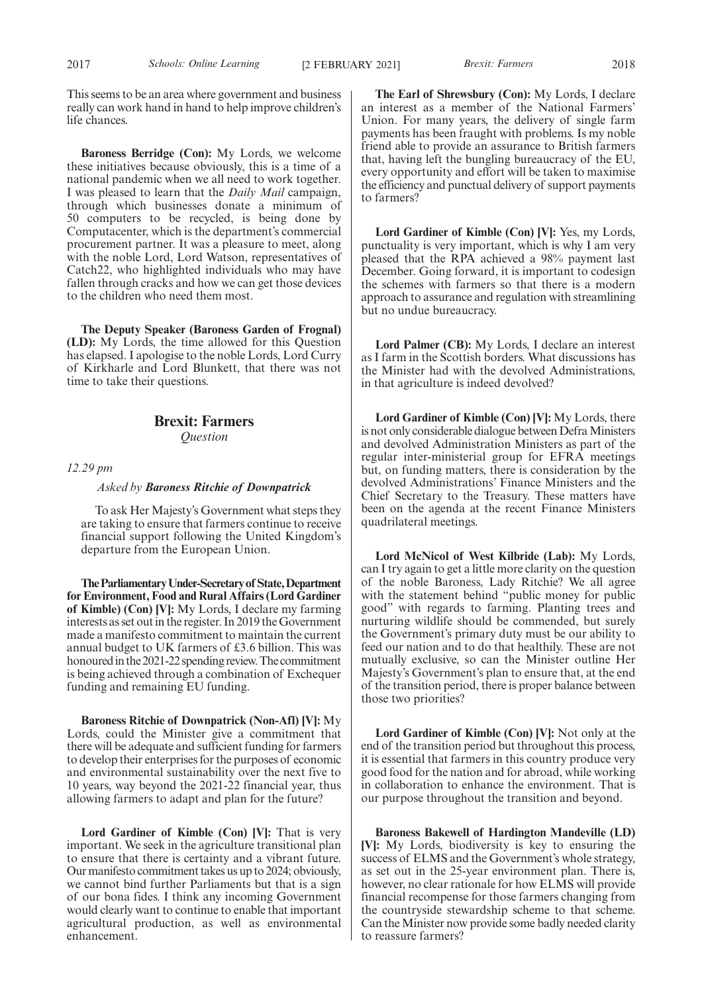This seems to be an area where government and business really can work hand in hand to help improve children's life chances.

**Baroness Berridge (Con):** My Lords, we welcome these initiatives because obviously, this is a time of a national pandemic when we all need to work together. I was pleased to learn that the *Daily Mail* campaign, through which businesses donate a minimum of 50 computers to be recycled, is being done by Computacenter, which is the department's commercial procurement partner. It was a pleasure to meet, along with the noble Lord, Lord Watson, representatives of Catch22, who highlighted individuals who may have fallen through cracks and how we can get those devices to the children who need them most.

**The Deputy Speaker (Baroness Garden of Frognal) (LD):** My Lords, the time allowed for this Question has elapsed. I apologise to the noble Lords, Lord Curry of Kirkharle and Lord Blunkett, that there was not time to take their questions.

## **Brexit: Farmers**

*Question*

*12.29 pm*

*Asked by Baroness Ritchie of Downpatrick*

To ask Her Majesty's Government what steps they are taking to ensure that farmers continue to receive financial support following the United Kingdom's departure from the European Union.

**TheParliamentaryUnder-Secretaryof State,Department for Environment, Food and Rural Affairs (Lord Gardiner of Kimble) (Con) [V]:** My Lords, I declare my farming interests as set out in the register. In 2019 the Government made a manifesto commitment to maintain the current annual budget to UK farmers of £3.6 billion. This was honoured in the 2021-22 spending review. The commitment is being achieved through a combination of Exchequer funding and remaining EU funding.

**Baroness Ritchie of Downpatrick (Non-Afl) [V]:** My Lords, could the Minister give a commitment that there will be adequate and sufficient funding for farmers to develop their enterprises for the purposes of economic and environmental sustainability over the next five to 10 years, way beyond the 2021-22 financial year, thus allowing farmers to adapt and plan for the future?

**Lord Gardiner of Kimble (Con) [V]:** That is very important. We seek in the agriculture transitional plan to ensure that there is certainty and a vibrant future. Our manifesto commitment takes us up to 2024; obviously, we cannot bind further Parliaments but that is a sign of our bona fides. I think any incoming Government would clearly want to continue to enable that important agricultural production, as well as environmental enhancement.

**The Earl of Shrewsbury (Con):** My Lords, I declare an interest as a member of the National Farmers' Union. For many years, the delivery of single farm payments has been fraught with problems. Is my noble friend able to provide an assurance to British farmers that, having left the bungling bureaucracy of the EU, every opportunity and effort will be taken to maximise the efficiency and punctual delivery of support payments to farmers?

**Lord Gardiner of Kimble (Con) [V]:** Yes, my Lords, punctuality is very important, which is why I am very pleased that the RPA achieved a 98% payment last December. Going forward, it is important to codesign the schemes with farmers so that there is a modern approach to assurance and regulation with streamlining but no undue bureaucracy.

**Lord Palmer (CB):** My Lords, I declare an interest as I farm in the Scottish borders. What discussions has the Minister had with the devolved Administrations, in that agriculture is indeed devolved?

**Lord Gardiner of Kimble (Con) [V]:** My Lords, there is not only considerable dialogue between Defra Ministers and devolved Administration Ministers as part of the regular inter-ministerial group for EFRA meetings but, on funding matters, there is consideration by the devolved Administrations' Finance Ministers and the Chief Secretary to the Treasury. These matters have been on the agenda at the recent Finance Ministers quadrilateral meetings.

**Lord McNicol of West Kilbride (Lab):** My Lords, can I try again to get a little more clarity on the question of the noble Baroness, Lady Ritchie? We all agree with the statement behind "public money for public good" with regards to farming. Planting trees and nurturing wildlife should be commended, but surely the Government's primary duty must be our ability to feed our nation and to do that healthily. These are not mutually exclusive, so can the Minister outline Her Majesty's Government's plan to ensure that, at the end of the transition period, there is proper balance between those two priorities?

**Lord Gardiner of Kimble (Con) [V]:** Not only at the end of the transition period but throughout this process, it is essential that farmers in this country produce very good food for the nation and for abroad, while working in collaboration to enhance the environment. That is our purpose throughout the transition and beyond.

**Baroness Bakewell of Hardington Mandeville (LD) [V]:** My Lords, biodiversity is key to ensuring the success of ELMS and the Government's whole strategy, as set out in the 25-year environment plan. There is, however, no clear rationale for how ELMS will provide financial recompense for those farmers changing from the countryside stewardship scheme to that scheme. Can the Minister now provide some badly needed clarity to reassure farmers?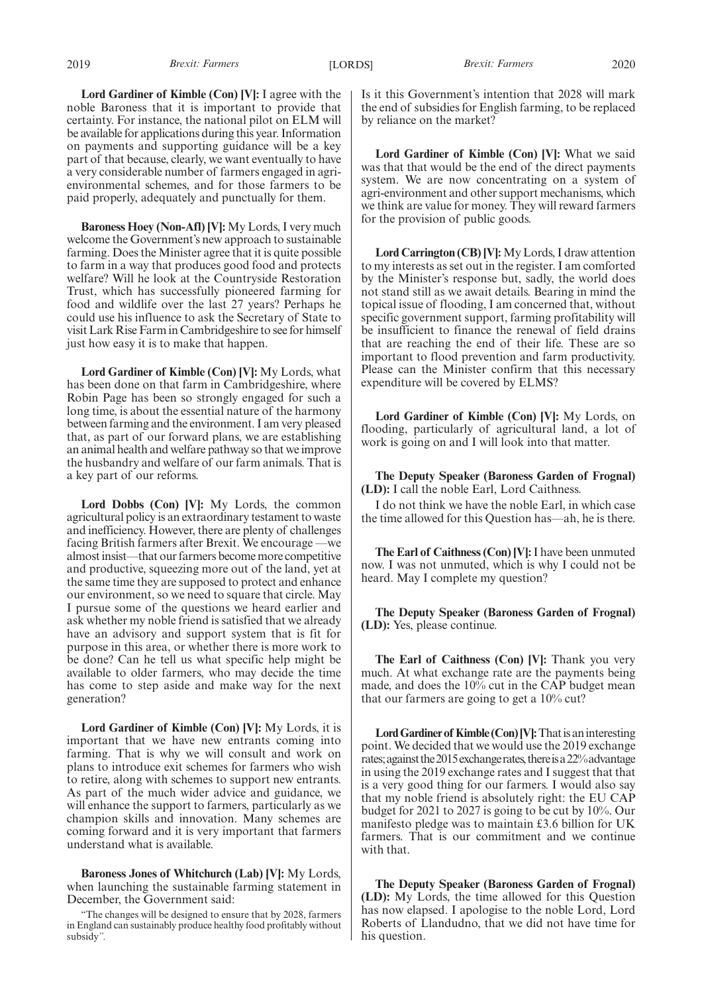**Lord Gardiner of Kimble (Con) [V]:** I agree with the noble Baroness that it is important to provide that certainty. For instance, the national pilot on ELM will be available for applications during this year. Information on payments and supporting guidance will be a key part of that because, clearly, we want eventually to have a very considerable number of farmers engaged in agrienvironmental schemes, and for those farmers to be paid properly, adequately and punctually for them.

**Baroness Hoey (Non-Afl) [V]:** My Lords, I very much welcome the Government's new approach to sustainable farming. Does the Minister agree that it is quite possible to farm in a way that produces good food and protects welfare? Will he look at the Countryside Restoration Trust, which has successfully pioneered farming for food and wildlife over the last 27 years? Perhaps he could use his influence to ask the Secretary of State to visit Lark Rise Farm in Cambridgeshire to see for himself just how easy it is to make that happen.

**Lord Gardiner of Kimble (Con) [V]:** My Lords, what has been done on that farm in Cambridgeshire, where Robin Page has been so strongly engaged for such a long time, is about the essential nature of the harmony between farming and the environment. I am very pleased that, as part of our forward plans, we are establishing an animal health and welfare pathway so that we improve the husbandry and welfare of our farm animals. That is a key part of our reforms.

**Lord Dobbs (Con) [V]:** My Lords, the common agricultural policy is an extraordinary testament to waste and inefficiency. However, there are plenty of challenges facing British farmers after Brexit. We encourage —we almost insist—that our farmers become more competitive and productive, squeezing more out of the land, yet at the same time they are supposed to protect and enhance our environment, so we need to square that circle. May I pursue some of the questions we heard earlier and ask whether my noble friend is satisfied that we already have an advisory and support system that is fit for purpose in this area, or whether there is more work to be done? Can he tell us what specific help might be available to older farmers, who may decide the time has come to step aside and make way for the next generation?

**Lord Gardiner of Kimble (Con) [V]:** My Lords, it is important that we have new entrants coming into farming. That is why we will consult and work on plans to introduce exit schemes for farmers who wish to retire, along with schemes to support new entrants. As part of the much wider advice and guidance, we will enhance the support to farmers, particularly as we champion skills and innovation. Many schemes are coming forward and it is very important that farmers understand what is available.

**Baroness Jones of Whitchurch (Lab) [V]:** My Lords, when launching the sustainable farming statement in December, the Government said:

"The changes will be designed to ensure that by 2028, farmers in England can sustainably produce healthy food profitably without subsidy*".*

Is it this Government's intention that 2028 will mark the end of subsidies for English farming, to be replaced by reliance on the market?

**Lord Gardiner of Kimble (Con) [V]:** What we said was that that would be the end of the direct payments system. We are now concentrating on a system of agri-environment and other support mechanisms, which we think are value for money. They will reward farmers for the provision of public goods.

**Lord Carrington (CB) [V]:** My Lords, I draw attention to my interests as set out in the register. I am comforted by the Minister's response but, sadly, the world does not stand still as we await details. Bearing in mind the topical issue of flooding, I am concerned that, without specific government support, farming profitability will be insufficient to finance the renewal of field drains that are reaching the end of their life. These are so important to flood prevention and farm productivity. Please can the Minister confirm that this necessary expenditure will be covered by ELMS?

**Lord Gardiner of Kimble (Con) [V]:** My Lords, on flooding, particularly of agricultural land, a lot of work is going on and I will look into that matter.

**The Deputy Speaker (Baroness Garden of Frognal) (LD):** I call the noble Earl, Lord Caithness.

I do not think we have the noble Earl, in which case the time allowed for this Question has—ah, he is there.

**The Earl of Caithness (Con) [V]:**I have been unmuted now. I was not unmuted, which is why I could not be heard. May I complete my question?

**The Deputy Speaker (Baroness Garden of Frognal) (LD):** Yes, please continue.

**The Earl of Caithness (Con) [V]:** Thank you very much. At what exchange rate are the payments being made, and does the 10% cut in the CAP budget mean that our farmers are going to get a 10% cut?

**Lord Gardiner of Kimble (Con) [V]:** That is an interesting point. We decided that we would use the 2019 exchange rates; against the 2015 exchange rates, there is a 22% advantage in using the 2019 exchange rates and I suggest that that is a very good thing for our farmers. I would also say that my noble friend is absolutely right: the EU CAP budget for 2021 to 2027 is going to be cut by 10%. Our manifesto pledge was to maintain £3.6 billion for UK farmers. That is our commitment and we continue with that.

**The Deputy Speaker (Baroness Garden of Frognal) (LD):** My Lords, the time allowed for this Question has now elapsed. I apologise to the noble Lord, Lord Roberts of Llandudno, that we did not have time for his question.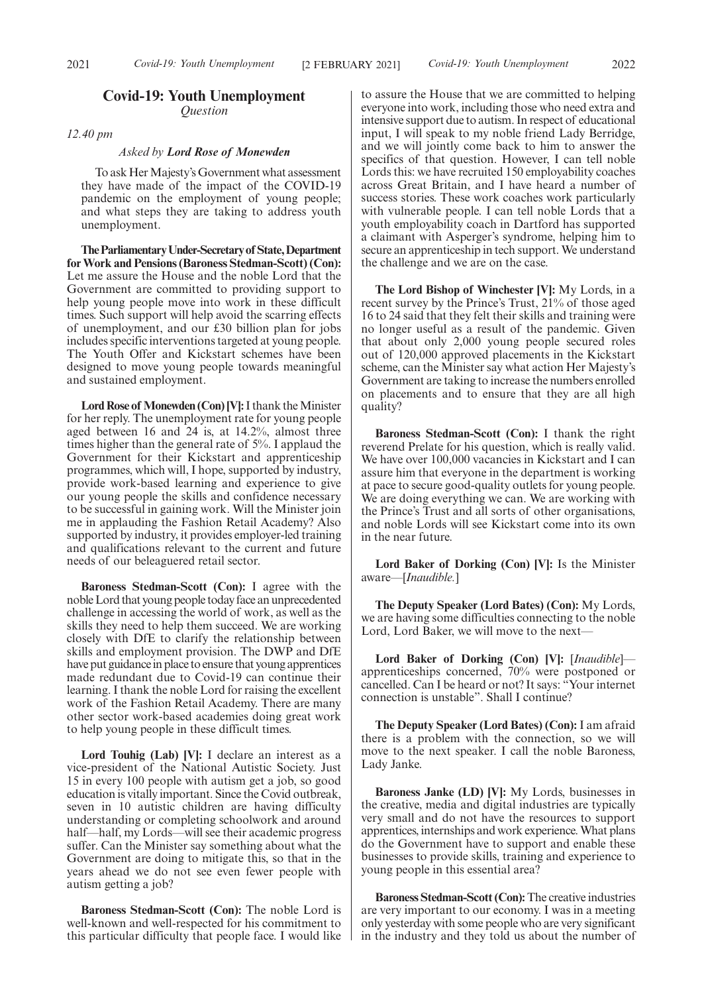### **Covid-19: Youth Unemployment** *Question*

*12.40 pm*

#### *Asked by Lord Rose of Monewden*

To ask Her Majesty's Government what assessment they have made of the impact of the COVID-19 pandemic on the employment of young people; and what steps they are taking to address youth unemployment.

**TheParliamentaryUnder-Secretaryof State,Department for Work and Pensions (Baroness Stedman-Scott) (Con):** Let me assure the House and the noble Lord that the Government are committed to providing support to help young people move into work in these difficult times. Such support will help avoid the scarring effects of unemployment, and our £30 billion plan for jobs includes specific interventions targeted at young people. The Youth Offer and Kickstart schemes have been designed to move young people towards meaningful and sustained employment.

**Lord Rose of Monewden (Con) [V]:**I thank the Minister for her reply. The unemployment rate for young people aged between 16 and 24 is, at 14.2%, almost three times higher than the general rate of 5%. I applaud the Government for their Kickstart and apprenticeship programmes, which will, I hope, supported by industry, provide work-based learning and experience to give our young people the skills and confidence necessary to be successful in gaining work. Will the Minister join me in applauding the Fashion Retail Academy? Also supported by industry, it provides employer-led training and qualifications relevant to the current and future needs of our beleaguered retail sector.

**Baroness Stedman-Scott (Con):** I agree with the noble Lord that young people today face an unprecedented challenge in accessing the world of work, as well as the skills they need to help them succeed. We are working closely with DfE to clarify the relationship between skills and employment provision. The DWP and DfE have put guidance in place to ensure that young apprentices made redundant due to Covid-19 can continue their learning. I thank the noble Lord for raising the excellent work of the Fashion Retail Academy. There are many other sector work-based academies doing great work to help young people in these difficult times.

**Lord Touhig (Lab) [V]:** I declare an interest as a vice-president of the National Autistic Society. Just 15 in every 100 people with autism get a job, so good education is vitally important. Since the Covid outbreak, seven in 10 autistic children are having difficulty understanding or completing schoolwork and around half—half, my Lords—will see their academic progress suffer. Can the Minister say something about what the Government are doing to mitigate this, so that in the years ahead we do not see even fewer people with autism getting a job?

**Baroness Stedman-Scott (Con):** The noble Lord is well-known and well-respected for his commitment to this particular difficulty that people face. I would like to assure the House that we are committed to helping everyone into work, including those who need extra and intensive support due to autism. In respect of educational input, I will speak to my noble friend Lady Berridge, and we will jointly come back to him to answer the specifics of that question. However, I can tell noble Lords this: we have recruited 150 employability coaches across Great Britain, and I have heard a number of success stories. These work coaches work particularly with vulnerable people. I can tell noble Lords that a youth employability coach in Dartford has supported a claimant with Asperger's syndrome, helping him to secure an apprenticeship in tech support. We understand the challenge and we are on the case.

**The Lord Bishop of Winchester [V]:** My Lords, in a recent survey by the Prince's Trust, 21% of those aged 16 to 24 said that they felt their skills and training were no longer useful as a result of the pandemic. Given that about only 2,000 young people secured roles out of 120,000 approved placements in the Kickstart scheme, can the Minister say what action Her Majesty's Government are taking to increase the numbers enrolled on placements and to ensure that they are all high quality?

**Baroness Stedman-Scott (Con):** I thank the right reverend Prelate for his question, which is really valid. We have over 100,000 vacancies in Kickstart and I can assure him that everyone in the department is working at pace to secure good-quality outlets for young people. We are doing everything we can. We are working with the Prince's Trust and all sorts of other organisations, and noble Lords will see Kickstart come into its own in the near future.

**Lord Baker of Dorking (Con) [V]:** Is the Minister aware—[*Inaudible.*]

**The Deputy Speaker (Lord Bates) (Con):** My Lords, we are having some difficulties connecting to the noble Lord, Lord Baker, we will move to the next—

**Lord Baker of Dorking (Con) [V]:** [*Inaudible*] apprenticeships concerned, 70% were postponed or cancelled. Can I be heard or not? It says: "Your internet connection is unstable". Shall I continue?

**The Deputy Speaker (Lord Bates) (Con):** I am afraid there is a problem with the connection, so we will move to the next speaker. I call the noble Baroness, Lady Janke.

**Baroness Janke (LD) [V]:** My Lords, businesses in the creative, media and digital industries are typically very small and do not have the resources to support apprentices, internships and work experience. What plans do the Government have to support and enable these businesses to provide skills, training and experience to young people in this essential area?

**Baroness Stedman-Scott (Con):**The creative industries are very important to our economy. I was in a meeting only yesterday with some people who are very significant in the industry and they told us about the number of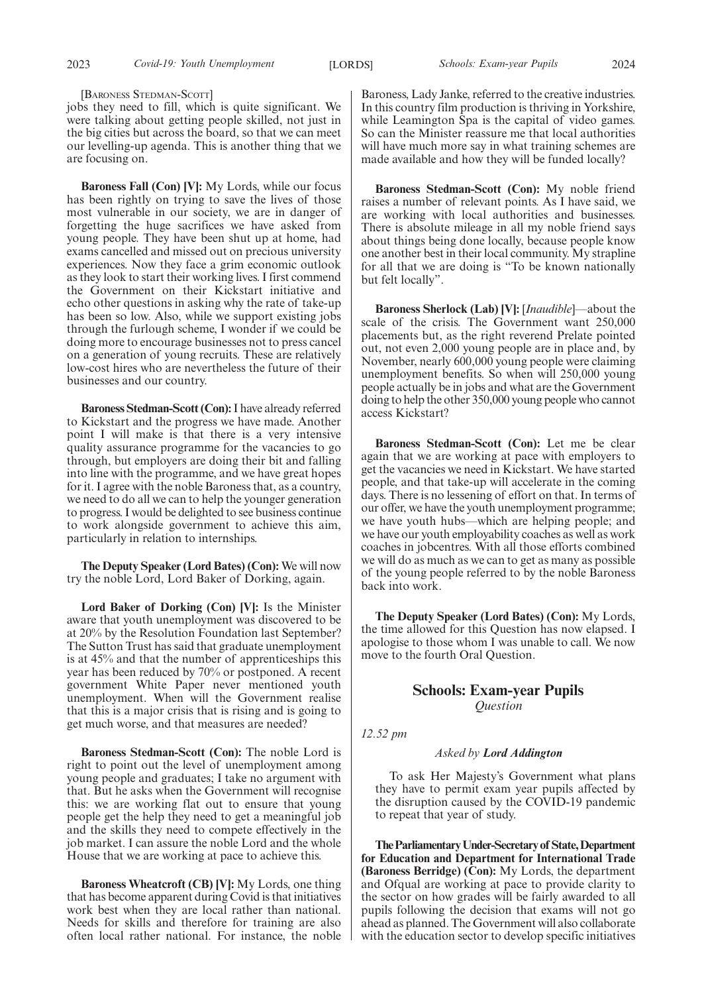[BARONESS STEDMAN-SCOTT]

jobs they need to fill, which is quite significant. We were talking about getting people skilled, not just in the big cities but across the board, so that we can meet our levelling-up agenda. This is another thing that we are focusing on.

**Baroness Fall (Con) [V]:** My Lords, while our focus has been rightly on trying to save the lives of those most vulnerable in our society, we are in danger of forgetting the huge sacrifices we have asked from young people. They have been shut up at home, had exams cancelled and missed out on precious university experiences. Now they face a grim economic outlook as they look to start their working lives. I first commend the Government on their Kickstart initiative and echo other questions in asking why the rate of take-up has been so low. Also, while we support existing jobs through the furlough scheme, I wonder if we could be doing more to encourage businesses not to press cancel on a generation of young recruits. These are relatively low-cost hires who are nevertheless the future of their businesses and our country.

**Baroness Stedman-Scott (Con):**I have already referred to Kickstart and the progress we have made. Another point I will make is that there is a very intensive quality assurance programme for the vacancies to go through, but employers are doing their bit and falling into line with the programme, and we have great hopes for it. I agree with the noble Baroness that, as a country, we need to do all we can to help the younger generation to progress. I would be delighted to see business continue to work alongside government to achieve this aim, particularly in relation to internships.

**The Deputy Speaker (Lord Bates) (Con):** We will now try the noble Lord, Lord Baker of Dorking, again.

**Lord Baker of Dorking (Con) [V]:** Is the Minister aware that youth unemployment was discovered to be at 20% by the Resolution Foundation last September? The Sutton Trust has said that graduate unemployment is at 45% and that the number of apprenticeships this year has been reduced by 70% or postponed. A recent government White Paper never mentioned youth unemployment. When will the Government realise that this is a major crisis that is rising and is going to get much worse, and that measures are needed?

**Baroness Stedman-Scott (Con):** The noble Lord is right to point out the level of unemployment among young people and graduates; I take no argument with that. But he asks when the Government will recognise this: we are working flat out to ensure that young people get the help they need to get a meaningful job and the skills they need to compete effectively in the job market. I can assure the noble Lord and the whole House that we are working at pace to achieve this.

**Baroness Wheatcroft (CB) [V]:** My Lords, one thing that has become apparent during Covid is that initiatives work best when they are local rather than national. Needs for skills and therefore for training are also often local rather national. For instance, the noble

Baroness, Lady Janke, referred to the creative industries. In this country film production is thriving in Yorkshire, while Leamington Spa is the capital of video games. So can the Minister reassure me that local authorities will have much more say in what training schemes are made available and how they will be funded locally?

**Baroness Stedman-Scott (Con):** My noble friend raises a number of relevant points. As I have said, we are working with local authorities and businesses. There is absolute mileage in all my noble friend says about things being done locally, because people know one another best in their local community. My strapline for all that we are doing is "To be known nationally but felt locally".

**Baroness Sherlock (Lab) [V]:** [*Inaudible*]—about the scale of the crisis. The Government want 250,000 placements but, as the right reverend Prelate pointed out, not even 2,000 young people are in place and, by November, nearly 600,000 young people were claiming unemployment benefits. So when will 250,000 young people actually be in jobs and what are the Government doing to help the other 350,000 young people who cannot access Kickstart?

**Baroness Stedman-Scott (Con):** Let me be clear again that we are working at pace with employers to get the vacancies we need in Kickstart. We have started people, and that take-up will accelerate in the coming days. There is no lessening of effort on that. In terms of our offer, we have the youth unemployment programme; we have youth hubs—which are helping people; and we have our youth employability coaches as well as work coaches in jobcentres. With all those efforts combined we will do as much as we can to get as many as possible of the young people referred to by the noble Baroness back into work.

**The Deputy Speaker (Lord Bates) (Con):** My Lords, the time allowed for this Question has now elapsed. I apologise to those whom I was unable to call. We now move to the fourth Oral Question.

## **Schools: Exam-year Pupils** *Question*

*12.52 pm*

#### *Asked by Lord Addington*

To ask Her Majesty's Government what plans they have to permit exam year pupils affected by the disruption caused by the COVID-19 pandemic to repeat that year of study.

**TheParliamentaryUnder-Secretaryof State,Department for Education and Department for International Trade (Baroness Berridge) (Con):** My Lords, the department and Ofqual are working at pace to provide clarity to the sector on how grades will be fairly awarded to all pupils following the decision that exams will not go ahead as planned. The Government will also collaborate with the education sector to develop specific initiatives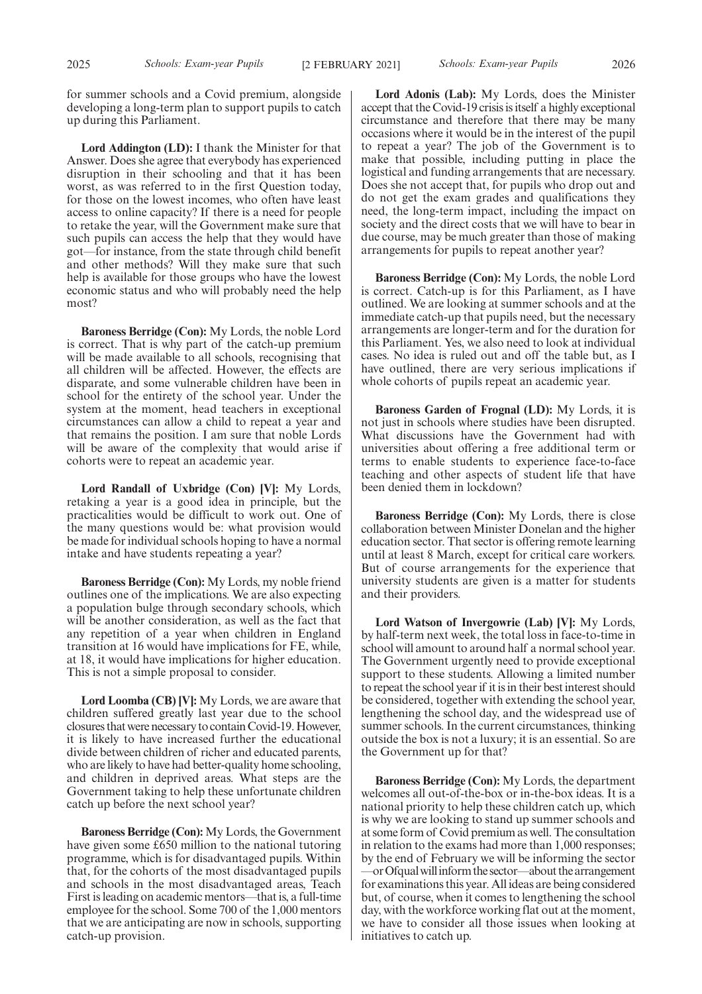for summer schools and a Covid premium, alongside developing a long-term plan to support pupils to catch up during this Parliament.

**Lord Addington (LD):** I thank the Minister for that Answer. Does she agree that everybody has experienced disruption in their schooling and that it has been worst, as was referred to in the first Question today, for those on the lowest incomes, who often have least access to online capacity? If there is a need for people to retake the year, will the Government make sure that such pupils can access the help that they would have got—for instance, from the state through child benefit and other methods? Will they make sure that such help is available for those groups who have the lowest economic status and who will probably need the help most?

**Baroness Berridge (Con):** My Lords, the noble Lord is correct. That is why part of the catch-up premium will be made available to all schools, recognising that all children will be affected. However, the effects are disparate, and some vulnerable children have been in school for the entirety of the school year. Under the system at the moment, head teachers in exceptional circumstances can allow a child to repeat a year and that remains the position. I am sure that noble Lords will be aware of the complexity that would arise if cohorts were to repeat an academic year.

**Lord Randall of Uxbridge (Con) [V]:** My Lords, retaking a year is a good idea in principle, but the practicalities would be difficult to work out. One of the many questions would be: what provision would be made for individual schools hoping to have a normal intake and have students repeating a year?

**Baroness Berridge (Con):** My Lords, my noble friend outlines one of the implications. We are also expecting a population bulge through secondary schools, which will be another consideration, as well as the fact that any repetition of a year when children in England transition at 16 would have implications for FE, while, at 18, it would have implications for higher education. This is not a simple proposal to consider.

**Lord Loomba (CB) [V]:** My Lords, we are aware that children suffered greatly last year due to the school closures that were necessary to contain Covid-19. However, it is likely to have increased further the educational divide between children of richer and educated parents, who are likely to have had better-quality home schooling, and children in deprived areas. What steps are the Government taking to help these unfortunate children catch up before the next school year?

**Baroness Berridge (Con):** My Lords, the Government have given some £650 million to the national tutoring programme, which is for disadvantaged pupils. Within that, for the cohorts of the most disadvantaged pupils and schools in the most disadvantaged areas, Teach First is leading on academic mentors—that is, a full-time employee for the school. Some 700 of the 1,000 mentors that we are anticipating are now in schools, supporting catch-up provision.

**Lord Adonis (Lab):** My Lords, does the Minister accept that the Covid-19 crisis is itself a highly exceptional circumstance and therefore that there may be many occasions where it would be in the interest of the pupil to repeat a year? The job of the Government is to make that possible, including putting in place the logistical and funding arrangements that are necessary. Does she not accept that, for pupils who drop out and do not get the exam grades and qualifications they need, the long-term impact, including the impact on society and the direct costs that we will have to bear in due course, may be much greater than those of making arrangements for pupils to repeat another year?

**Baroness Berridge (Con):** My Lords, the noble Lord is correct. Catch-up is for this Parliament, as I have outlined. We are looking at summer schools and at the immediate catch-up that pupils need, but the necessary arrangements are longer-term and for the duration for this Parliament. Yes, we also need to look at individual cases. No idea is ruled out and off the table but, as I have outlined, there are very serious implications if whole cohorts of pupils repeat an academic year.

**Baroness Garden of Frognal (LD):** My Lords, it is not just in schools where studies have been disrupted. What discussions have the Government had with universities about offering a free additional term or terms to enable students to experience face-to-face teaching and other aspects of student life that have been denied them in lockdown?

**Baroness Berridge (Con):** My Lords, there is close collaboration between Minister Donelan and the higher education sector. That sector is offering remote learning until at least 8 March, except for critical care workers. But of course arrangements for the experience that university students are given is a matter for students and their providers.

**Lord Watson of Invergowrie (Lab) [V]:** My Lords, by half-term next week, the total loss in face-to-time in school will amount to around half a normal school year. The Government urgently need to provide exceptional support to these students. Allowing a limited number to repeat the school year if it is in their best interest should be considered, together with extending the school year, lengthening the school day, and the widespread use of summer schools. In the current circumstances, thinking outside the box is not a luxury; it is an essential. So are the Government up for that?

**Baroness Berridge (Con):** My Lords, the department welcomes all out-of-the-box or in-the-box ideas. It is a national priority to help these children catch up, which is why we are looking to stand up summer schools and at some form of Covid premium as well. The consultation in relation to the exams had more than 1,000 responses; by the end of February we will be informing the sector —orOfqualwillinformthesector—aboutthearrangement for examinations this year. All ideas are being considered but, of course, when it comes to lengthening the school day, with the workforce working flat out at the moment, we have to consider all those issues when looking at initiatives to catch up.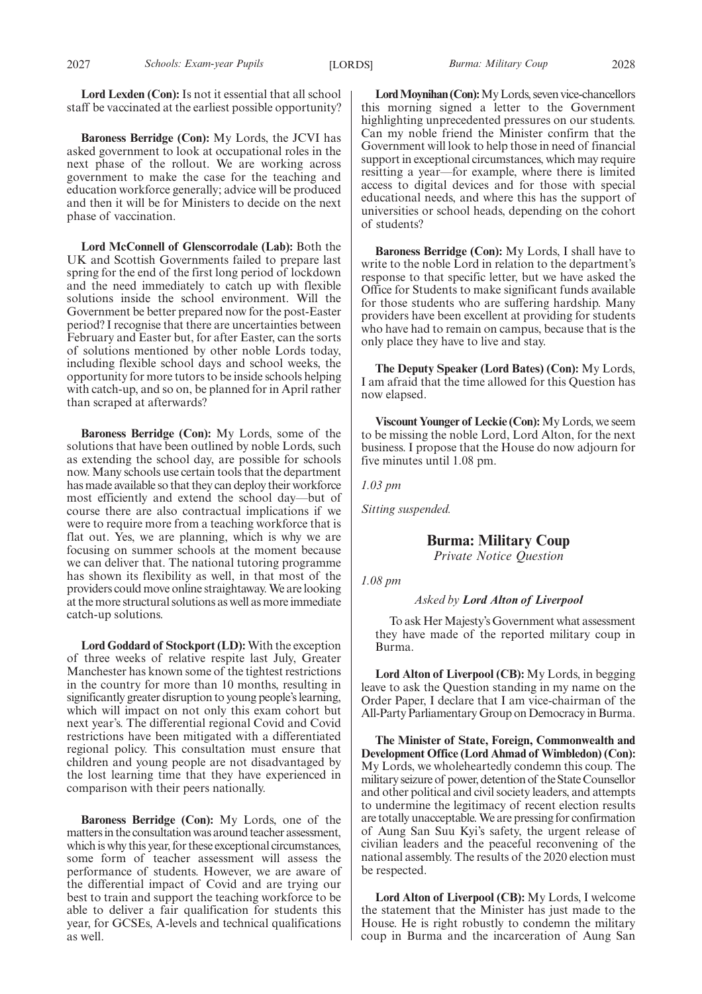**Lord Lexden (Con):** Is not it essential that all school staff be vaccinated at the earliest possible opportunity?

**Baroness Berridge (Con):** My Lords, the JCVI has asked government to look at occupational roles in the next phase of the rollout. We are working across government to make the case for the teaching and education workforce generally; advice will be produced and then it will be for Ministers to decide on the next phase of vaccination.

**Lord McConnell of Glenscorrodale (Lab):** Both the UK and Scottish Governments failed to prepare last spring for the end of the first long period of lockdown and the need immediately to catch up with flexible solutions inside the school environment. Will the Government be better prepared now for the post-Easter period? I recognise that there are uncertainties between February and Easter but, for after Easter, can the sorts of solutions mentioned by other noble Lords today, including flexible school days and school weeks, the opportunity for more tutors to be inside schools helping with catch-up, and so on, be planned for in April rather than scraped at afterwards?

**Baroness Berridge (Con):** My Lords, some of the solutions that have been outlined by noble Lords, such as extending the school day, are possible for schools now. Many schools use certain tools that the department has made available so that they can deploy their workforce most efficiently and extend the school day—but of course there are also contractual implications if we were to require more from a teaching workforce that is flat out. Yes, we are planning, which is why we are focusing on summer schools at the moment because we can deliver that. The national tutoring programme has shown its flexibility as well, in that most of the providers could move online straightaway. We are looking at the more structural solutions as well as more immediate catch-up solutions.

**Lord Goddard of Stockport (LD):** With the exception of three weeks of relative respite last July, Greater Manchester has known some of the tightest restrictions in the country for more than 10 months, resulting in significantly greater disruption to young people's learning, which will impact on not only this exam cohort but next year's. The differential regional Covid and Covid restrictions have been mitigated with a differentiated regional policy. This consultation must ensure that children and young people are not disadvantaged by the lost learning time that they have experienced in comparison with their peers nationally.

**Baroness Berridge (Con):** My Lords, one of the matters in the consultation was around teacher assessment, which is why this year, for these exceptional circumstances, some form of teacher assessment will assess the performance of students. However, we are aware of the differential impact of Covid and are trying our best to train and support the teaching workforce to be able to deliver a fair qualification for students this year, for GCSEs, A-levels and technical qualifications as well.

**Lord Moynihan (Con):**My Lords, seven vice-chancellors this morning signed a letter to the Government highlighting unprecedented pressures on our students. Can my noble friend the Minister confirm that the Government will look to help those in need of financial support in exceptional circumstances, which may require resitting a year—for example, where there is limited access to digital devices and for those with special educational needs, and where this has the support of universities or school heads, depending on the cohort of students?

**Baroness Berridge (Con):** My Lords, I shall have to write to the noble Lord in relation to the department's response to that specific letter, but we have asked the Office for Students to make significant funds available for those students who are suffering hardship. Many providers have been excellent at providing for students who have had to remain on campus, because that is the only place they have to live and stay.

**The Deputy Speaker (Lord Bates) (Con):** My Lords, I am afraid that the time allowed for this Question has now elapsed.

**Viscount Younger of Leckie (Con):**My Lords, we seem to be missing the noble Lord, Lord Alton, for the next business. I propose that the House do now adjourn for five minutes until 1.08 pm.

*1.03 pm*

*Sitting suspended.*

**Burma: Military Coup**

*Private Notice Question*

*1.08 pm*

*Asked by Lord Alton of Liverpool*

To ask Her Majesty's Government what assessment they have made of the reported military coup in Burma.

**Lord Alton of Liverpool (CB):** My Lords, in begging leave to ask the Question standing in my name on the Order Paper, I declare that I am vice-chairman of the All-Party Parliamentary Group on Democracy in Burma.

**The Minister of State, Foreign, Commonwealth and Development Office (Lord Ahmad of Wimbledon) (Con):** My Lords, we wholeheartedly condemn this coup. The military seizure of power, detention of the State Counsellor and other political and civil society leaders, and attempts to undermine the legitimacy of recent election results are totally unacceptable. We are pressing for confirmation of Aung San Suu Kyi's safety, the urgent release of civilian leaders and the peaceful reconvening of the national assembly. The results of the 2020 election must be respected.

**Lord Alton of Liverpool (CB):** My Lords, I welcome the statement that the Minister has just made to the House. He is right robustly to condemn the military coup in Burma and the incarceration of Aung San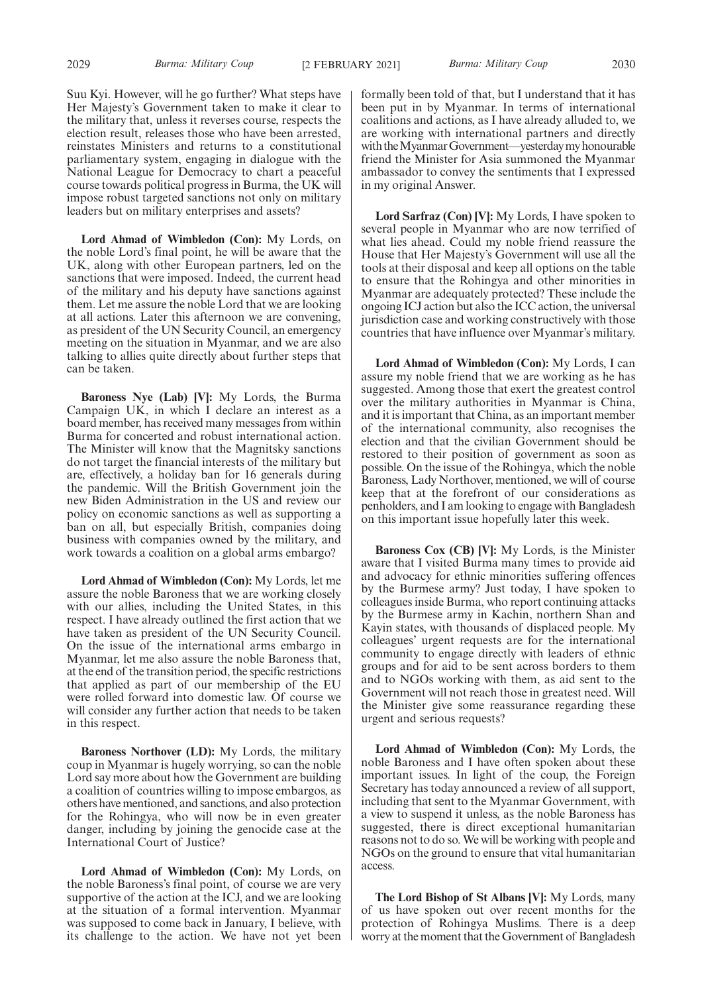Suu Kyi. However, will he go further? What steps have Her Majesty's Government taken to make it clear to the military that, unless it reverses course, respects the election result, releases those who have been arrested, reinstates Ministers and returns to a constitutional parliamentary system, engaging in dialogue with the National League for Democracy to chart a peaceful course towards political progress in Burma, the UK will impose robust targeted sanctions not only on military leaders but on military enterprises and assets?

**Lord Ahmad of Wimbledon (Con):** My Lords, on the noble Lord's final point, he will be aware that the UK, along with other European partners, led on the sanctions that were imposed. Indeed, the current head of the military and his deputy have sanctions against them. Let me assure the noble Lord that we are looking at all actions. Later this afternoon we are convening, as president of the UN Security Council, an emergency meeting on the situation in Myanmar, and we are also talking to allies quite directly about further steps that can be taken.

**Baroness Nye (Lab) [V]:** My Lords, the Burma Campaign UK, in which I declare an interest as a board member, has received many messages from within Burma for concerted and robust international action. The Minister will know that the Magnitsky sanctions do not target the financial interests of the military but are, effectively, a holiday ban for 16 generals during the pandemic. Will the British Government join the new Biden Administration in the US and review our policy on economic sanctions as well as supporting a ban on all, but especially British, companies doing business with companies owned by the military, and work towards a coalition on a global arms embargo?

**Lord Ahmad of Wimbledon (Con):** My Lords, let me assure the noble Baroness that we are working closely with our allies, including the United States, in this respect. I have already outlined the first action that we have taken as president of the UN Security Council. On the issue of the international arms embargo in Myanmar, let me also assure the noble Baroness that, at the end of the transition period, the specific restrictions that applied as part of our membership of the EU were rolled forward into domestic law. Of course we will consider any further action that needs to be taken in this respect.

**Baroness Northover (LD):** My Lords, the military coup in Myanmar is hugely worrying, so can the noble Lord say more about how the Government are building a coalition of countries willing to impose embargos, as others have mentioned, and sanctions, and also protection for the Rohingya, who will now be in even greater danger, including by joining the genocide case at the International Court of Justice?

**Lord Ahmad of Wimbledon (Con):** My Lords, on the noble Baroness's final point, of course we are very supportive of the action at the ICJ, and we are looking at the situation of a formal intervention. Myanmar was supposed to come back in January, I believe, with its challenge to the action. We have not yet been formally been told of that, but I understand that it has been put in by Myanmar. In terms of international coalitions and actions, as I have already alluded to, we are working with international partners and directly with the Myanmar Government—yesterday my honourable friend the Minister for Asia summoned the Myanmar ambassador to convey the sentiments that I expressed in my original Answer.

**Lord Sarfraz (Con) [V]:** My Lords, I have spoken to several people in Myanmar who are now terrified of what lies ahead. Could my noble friend reassure the House that Her Majesty's Government will use all the tools at their disposal and keep all options on the table to ensure that the Rohingya and other minorities in Myanmar are adequately protected? These include the ongoing ICJ action but also the ICC action, the universal jurisdiction case and working constructively with those countries that have influence over Myanmar's military.

**Lord Ahmad of Wimbledon (Con):** My Lords, I can assure my noble friend that we are working as he has suggested. Among those that exert the greatest control over the military authorities in Myanmar is China, and it is important that China, as an important member of the international community, also recognises the election and that the civilian Government should be restored to their position of government as soon as possible. On the issue of the Rohingya, which the noble Baroness, Lady Northover, mentioned, we will of course keep that at the forefront of our considerations as penholders, and I am looking to engage with Bangladesh on this important issue hopefully later this week.

**Baroness Cox (CB) [V]:** My Lords, is the Minister aware that I visited Burma many times to provide aid and advocacy for ethnic minorities suffering offences by the Burmese army? Just today, I have spoken to colleagues inside Burma, who report continuing attacks by the Burmese army in Kachin, northern Shan and Kayin states, with thousands of displaced people. My colleagues' urgent requests are for the international community to engage directly with leaders of ethnic groups and for aid to be sent across borders to them and to NGOs working with them, as aid sent to the Government will not reach those in greatest need. Will the Minister give some reassurance regarding these urgent and serious requests?

**Lord Ahmad of Wimbledon (Con):** My Lords, the noble Baroness and I have often spoken about these important issues. In light of the coup, the Foreign Secretary has today announced a review of all support, including that sent to the Myanmar Government, with a view to suspend it unless, as the noble Baroness has suggested, there is direct exceptional humanitarian reasons not to do so. We will be working with people and NGOs on the ground to ensure that vital humanitarian access.

**The Lord Bishop of St Albans [V]:** My Lords, many of us have spoken out over recent months for the protection of Rohingya Muslims. There is a deep worry at the moment that the Government of Bangladesh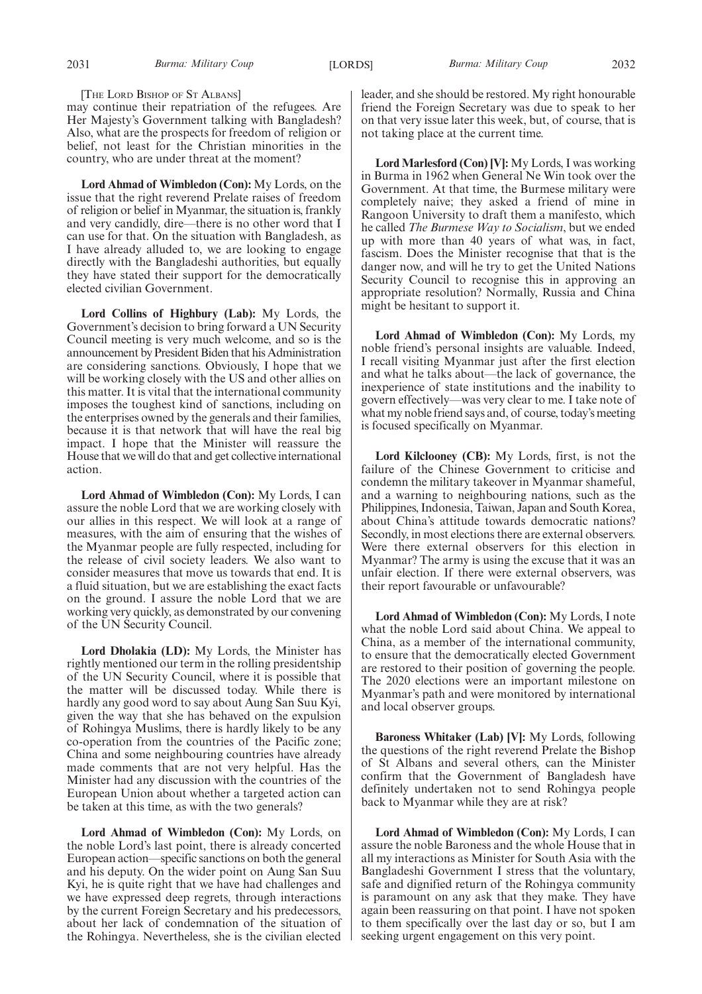[THE LORD BISHOP OF S<sup>T</sup> ALBANS]

may continue their repatriation of the refugees. Are Her Majesty's Government talking with Bangladesh? Also, what are the prospects for freedom of religion or belief, not least for the Christian minorities in the country, who are under threat at the moment?

**Lord Ahmad of Wimbledon (Con):** My Lords, on the issue that the right reverend Prelate raises of freedom of religion or belief in Myanmar, the situation is, frankly and very candidly, dire—there is no other word that I can use for that. On the situation with Bangladesh, as I have already alluded to, we are looking to engage directly with the Bangladeshi authorities, but equally they have stated their support for the democratically elected civilian Government.

**Lord Collins of Highbury (Lab):** My Lords, the Government's decision to bring forward a UN Security Council meeting is very much welcome, and so is the announcement by President Biden that his Administration are considering sanctions. Obviously, I hope that we will be working closely with the US and other allies on this matter. It is vital that the international community imposes the toughest kind of sanctions, including on the enterprises owned by the generals and their families, because it is that network that will have the real big impact. I hope that the Minister will reassure the House that we will do that and get collective international action.

**Lord Ahmad of Wimbledon (Con):** My Lords, I can assure the noble Lord that we are working closely with our allies in this respect. We will look at a range of measures, with the aim of ensuring that the wishes of the Myanmar people are fully respected, including for the release of civil society leaders. We also want to consider measures that move us towards that end. It is a fluid situation, but we are establishing the exact facts on the ground. I assure the noble Lord that we are working very quickly, as demonstrated by our convening of the UN Security Council.

**Lord Dholakia (LD):** My Lords, the Minister has rightly mentioned our term in the rolling presidentship of the UN Security Council, where it is possible that the matter will be discussed today. While there is hardly any good word to say about Aung San Suu Kyi, given the way that she has behaved on the expulsion of Rohingya Muslims, there is hardly likely to be any co-operation from the countries of the Pacific zone; China and some neighbouring countries have already made comments that are not very helpful. Has the Minister had any discussion with the countries of the European Union about whether a targeted action can be taken at this time, as with the two generals?

**Lord Ahmad of Wimbledon (Con):** My Lords, on the noble Lord's last point, there is already concerted European action—specific sanctions on both the general and his deputy. On the wider point on Aung San Suu Kyi, he is quite right that we have had challenges and we have expressed deep regrets, through interactions by the current Foreign Secretary and his predecessors, about her lack of condemnation of the situation of the Rohingya. Nevertheless, she is the civilian elected leader, and she should be restored. My right honourable friend the Foreign Secretary was due to speak to her on that very issue later this week, but, of course, that is not taking place at the current time.

**Lord Marlesford (Con) [V]:** My Lords, I was working in Burma in 1962 when General Ne Win took over the Government. At that time, the Burmese military were completely naive; they asked a friend of mine in Rangoon University to draft them a manifesto, which he called *The Burmese Way to Socialism*, but we ended up with more than 40 years of what was, in fact, fascism. Does the Minister recognise that that is the danger now, and will he try to get the United Nations Security Council to recognise this in approving an appropriate resolution? Normally, Russia and China might be hesitant to support it.

**Lord Ahmad of Wimbledon (Con):** My Lords, my noble friend's personal insights are valuable. Indeed, I recall visiting Myanmar just after the first election and what he talks about—the lack of governance, the inexperience of state institutions and the inability to govern effectively—was very clear to me. I take note of what my noble friend says and, of course, today's meeting is focused specifically on Myanmar.

**Lord Kilclooney (CB):** My Lords, first, is not the failure of the Chinese Government to criticise and condemn the military takeover in Myanmar shameful, and a warning to neighbouring nations, such as the Philippines, Indonesia, Taiwan, Japan and South Korea, about China's attitude towards democratic nations? Secondly, in most elections there are external observers. Were there external observers for this election in Myanmar? The army is using the excuse that it was an unfair election. If there were external observers, was their report favourable or unfavourable?

**Lord Ahmad of Wimbledon (Con):** My Lords, I note what the noble Lord said about China. We appeal to China, as a member of the international community, to ensure that the democratically elected Government are restored to their position of governing the people. The 2020 elections were an important milestone on Myanmar's path and were monitored by international and local observer groups.

**Baroness Whitaker (Lab) [V]:** My Lords, following the questions of the right reverend Prelate the Bishop of St Albans and several others, can the Minister confirm that the Government of Bangladesh have definitely undertaken not to send Rohingya people back to Myanmar while they are at risk?

**Lord Ahmad of Wimbledon (Con):** My Lords, I can assure the noble Baroness and the whole House that in all my interactions as Minister for South Asia with the Bangladeshi Government I stress that the voluntary, safe and dignified return of the Rohingya community is paramount on any ask that they make. They have again been reassuring on that point. I have not spoken to them specifically over the last day or so, but I am seeking urgent engagement on this very point.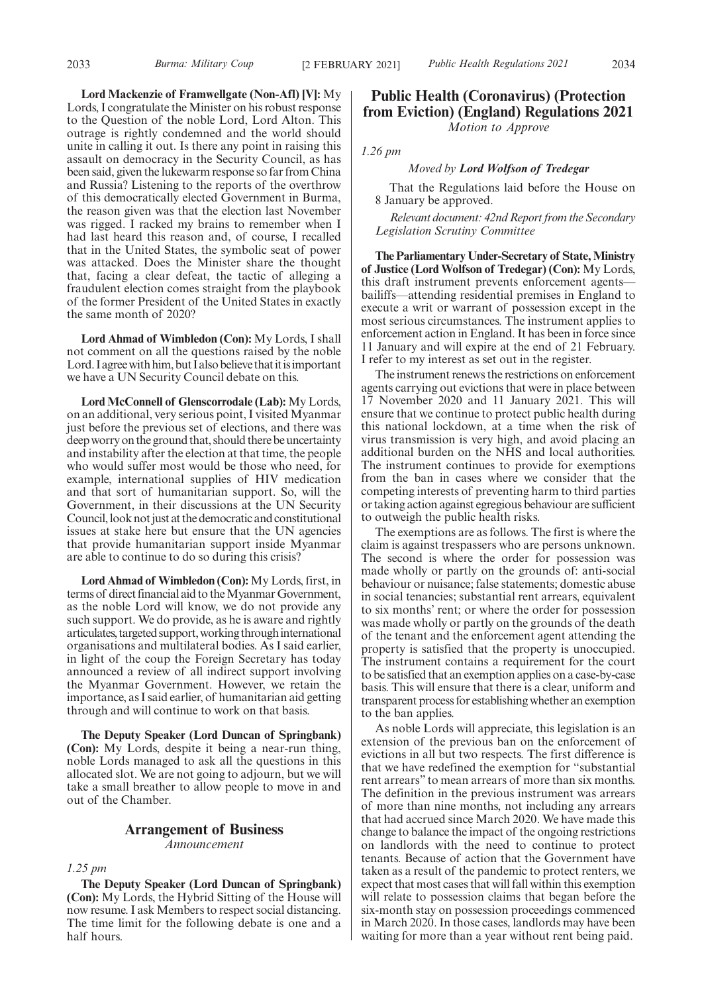**Lord Mackenzie of Framwellgate (Non-Afl) [V]:** My Lords, I congratulate the Minister on his robust response to the Question of the noble Lord, Lord Alton. This outrage is rightly condemned and the world should unite in calling it out. Is there any point in raising this assault on democracy in the Security Council, as has been said, given the lukewarm response so far from China and Russia? Listening to the reports of the overthrow of this democratically elected Government in Burma, the reason given was that the election last November was rigged. I racked my brains to remember when I had last heard this reason and, of course, I recalled that in the United States, the symbolic seat of power was attacked. Does the Minister share the thought that, facing a clear defeat, the tactic of alleging a fraudulent election comes straight from the playbook of the former President of the United States in exactly the same month of 2020?

**Lord Ahmad of Wimbledon (Con):** My Lords, I shall not comment on all the questions raised by the noble Lord. I agree with him, but I also believe that it is important we have a UN Security Council debate on this.

**Lord McConnell of Glenscorrodale (Lab):** My Lords, on an additional, very serious point, I visited Myanmar just before the previous set of elections, and there was deep worry on the ground that, should there be uncertainty and instability after the election at that time, the people who would suffer most would be those who need, for example, international supplies of HIV medication and that sort of humanitarian support. So, will the Government, in their discussions at the UN Security Council, look not just at the democratic and constitutional issues at stake here but ensure that the UN agencies that provide humanitarian support inside Myanmar are able to continue to do so during this crisis?

**Lord Ahmad of Wimbledon (Con):** My Lords, first, in terms of direct financial aid to the Myanmar Government, as the noble Lord will know, we do not provide any such support. We do provide, as he is aware and rightly articulates, targeted support, working through international organisations and multilateral bodies. As I said earlier, in light of the coup the Foreign Secretary has today announced a review of all indirect support involving the Myanmar Government. However, we retain the importance, as I said earlier, of humanitarian aid getting through and will continue to work on that basis.

**The Deputy Speaker (Lord Duncan of Springbank) (Con):** My Lords, despite it being a near-run thing, noble Lords managed to ask all the questions in this allocated slot. We are not going to adjourn, but we will take a small breather to allow people to move in and out of the Chamber.

## **Arrangement of Business**

*Announcement*

#### *1.25 pm*

**The Deputy Speaker (Lord Duncan of Springbank) (Con):** My Lords, the Hybrid Sitting of the House will now resume. I ask Members to respect social distancing. The time limit for the following debate is one and a half hours.

## **Public Health (Coronavirus) (Protection from Eviction) (England) Regulations 2021** *Motion to Approve*

*1.26 pm*

#### *Moved by Lord Wolfson of Tredegar*

That the Regulations laid before the House on 8 January be approved.

*Relevant document: 42nd Report from the Secondary Legislation Scrutiny Committee*

**The Parliamentary Under-Secretary of State, Ministry of Justice (Lord Wolfson of Tredegar) (Con):** My Lords, this draft instrument prevents enforcement agents bailiffs—attending residential premises in England to execute a writ or warrant of possession except in the most serious circumstances. The instrument applies to enforcement action in England. It has been in force since 11 January and will expire at the end of 21 February. I refer to my interest as set out in the register.

The instrument renews the restrictions on enforcement agents carrying out evictions that were in place between 17 November 2020 and 11 January 2021. This will ensure that we continue to protect public health during this national lockdown, at a time when the risk of virus transmission is very high, and avoid placing an additional burden on the NHS and local authorities. The instrument continues to provide for exemptions from the ban in cases where we consider that the competing interests of preventing harm to third parties or taking action against egregious behaviour are sufficient to outweigh the public health risks.

The exemptions are as follows. The first is where the claim is against trespassers who are persons unknown. The second is where the order for possession was made wholly or partly on the grounds of: anti-social behaviour or nuisance; false statements; domestic abuse in social tenancies; substantial rent arrears, equivalent to six months' rent; or where the order for possession was made wholly or partly on the grounds of the death of the tenant and the enforcement agent attending the property is satisfied that the property is unoccupied. The instrument contains a requirement for the court to be satisfied that an exemption applies on a case-by-case basis. This will ensure that there is a clear, uniform and transparent process for establishing whether an exemption to the ban applies.

As noble Lords will appreciate, this legislation is an extension of the previous ban on the enforcement of evictions in all but two respects. The first difference is that we have redefined the exemption for "substantial rent arrears" to mean arrears of more than six months. The definition in the previous instrument was arrears of more than nine months, not including any arrears that had accrued since March 2020. We have made this change to balance the impact of the ongoing restrictions on landlords with the need to continue to protect tenants. Because of action that the Government have taken as a result of the pandemic to protect renters, we expect that most cases that will fall within this exemption will relate to possession claims that began before the six-month stay on possession proceedings commenced in March 2020. In those cases, landlords may have been waiting for more than a year without rent being paid.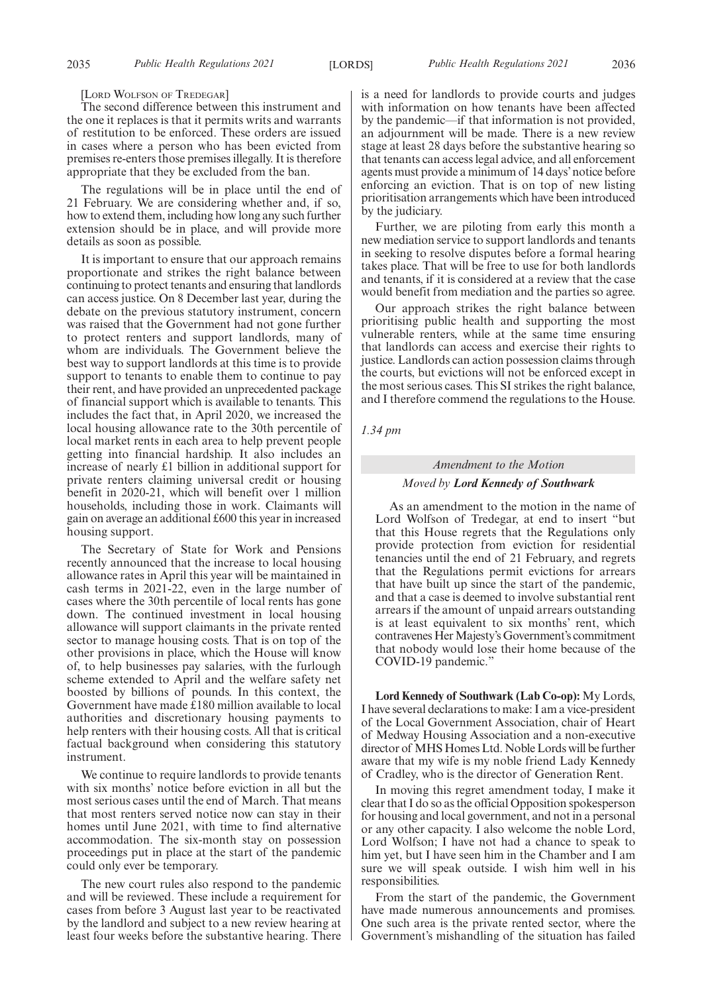[LORD WOLFSON OF TREDEGAR]

The second difference between this instrument and the one it replaces is that it permits writs and warrants of restitution to be enforced. These orders are issued in cases where a person who has been evicted from premises re-enters those premises illegally. It is therefore appropriate that they be excluded from the ban.

The regulations will be in place until the end of 21 February. We are considering whether and, if so, how to extend them, including how long any such further extension should be in place, and will provide more details as soon as possible.

It is important to ensure that our approach remains proportionate and strikes the right balance between continuing to protect tenants and ensuring that landlords can access justice. On 8 December last year, during the debate on the previous statutory instrument, concern was raised that the Government had not gone further to protect renters and support landlords, many of whom are individuals. The Government believe the best way to support landlords at this time is to provide support to tenants to enable them to continue to pay their rent, and have provided an unprecedented package of financial support which is available to tenants. This includes the fact that, in April 2020, we increased the local housing allowance rate to the 30th percentile of local market rents in each area to help prevent people getting into financial hardship. It also includes an increase of nearly £1 billion in additional support for private renters claiming universal credit or housing benefit in 2020-21, which will benefit over 1 million households, including those in work. Claimants will gain on average an additional £600 this year in increased housing support.

The Secretary of State for Work and Pensions recently announced that the increase to local housing allowance rates in April this year will be maintained in cash terms in 2021-22, even in the large number of cases where the 30th percentile of local rents has gone down. The continued investment in local housing allowance will support claimants in the private rented sector to manage housing costs. That is on top of the other provisions in place, which the House will know of, to help businesses pay salaries, with the furlough scheme extended to April and the welfare safety net boosted by billions of pounds. In this context, the Government have made £180 million available to local authorities and discretionary housing payments to help renters with their housing costs. All that is critical factual background when considering this statutory instrument.

We continue to require landlords to provide tenants with six months' notice before eviction in all but the most serious cases until the end of March. That means that most renters served notice now can stay in their homes until June 2021, with time to find alternative accommodation. The six-month stay on possession proceedings put in place at the start of the pandemic could only ever be temporary.

The new court rules also respond to the pandemic and will be reviewed. These include a requirement for cases from before 3 August last year to be reactivated by the landlord and subject to a new review hearing at least four weeks before the substantive hearing. There is a need for landlords to provide courts and judges with information on how tenants have been affected by the pandemic—if that information is not provided, an adjournment will be made. There is a new review stage at least 28 days before the substantive hearing so that tenants can access legal advice, and all enforcement agents must provide a minimum of 14 days'notice before enforcing an eviction. That is on top of new listing prioritisation arrangements which have been introduced by the judiciary.

Further, we are piloting from early this month a new mediation service to support landlords and tenants in seeking to resolve disputes before a formal hearing takes place. That will be free to use for both landlords and tenants, if it is considered at a review that the case would benefit from mediation and the parties so agree.

Our approach strikes the right balance between prioritising public health and supporting the most vulnerable renters, while at the same time ensuring that landlords can access and exercise their rights to justice. Landlords can action possession claims through the courts, but evictions will not be enforced except in the most serious cases. This SI strikes the right balance, and I therefore commend the regulations to the House.

*1.34 pm*

### *Amendment to the Motion*

#### *Moved by Lord Kennedy of Southwark*

As an amendment to the motion in the name of Lord Wolfson of Tredegar, at end to insert "but that this House regrets that the Regulations only provide protection from eviction for residential tenancies until the end of 21 February, and regrets that the Regulations permit evictions for arrears that have built up since the start of the pandemic, and that a case is deemed to involve substantial rent arrears if the amount of unpaid arrears outstanding is at least equivalent to six months' rent, which contravenes Her Majesty's Government's commitment that nobody would lose their home because of the COVID-19 pandemic.

**Lord Kennedy of Southwark (Lab Co-op):** My Lords, I have several declarations to make: I am a vice-president of the Local Government Association, chair of Heart of Medway Housing Association and a non-executive director of MHS Homes Ltd. Noble Lords will be further aware that my wife is my noble friend Lady Kennedy of Cradley, who is the director of Generation Rent.

In moving this regret amendment today, I make it clear that I do so as the official Opposition spokesperson for housing and local government, and not in a personal or any other capacity. I also welcome the noble Lord, Lord Wolfson; I have not had a chance to speak to him yet, but I have seen him in the Chamber and I am sure we will speak outside. I wish him well in his responsibilities.

From the start of the pandemic, the Government have made numerous announcements and promises. One such area is the private rented sector, where the Government's mishandling of the situation has failed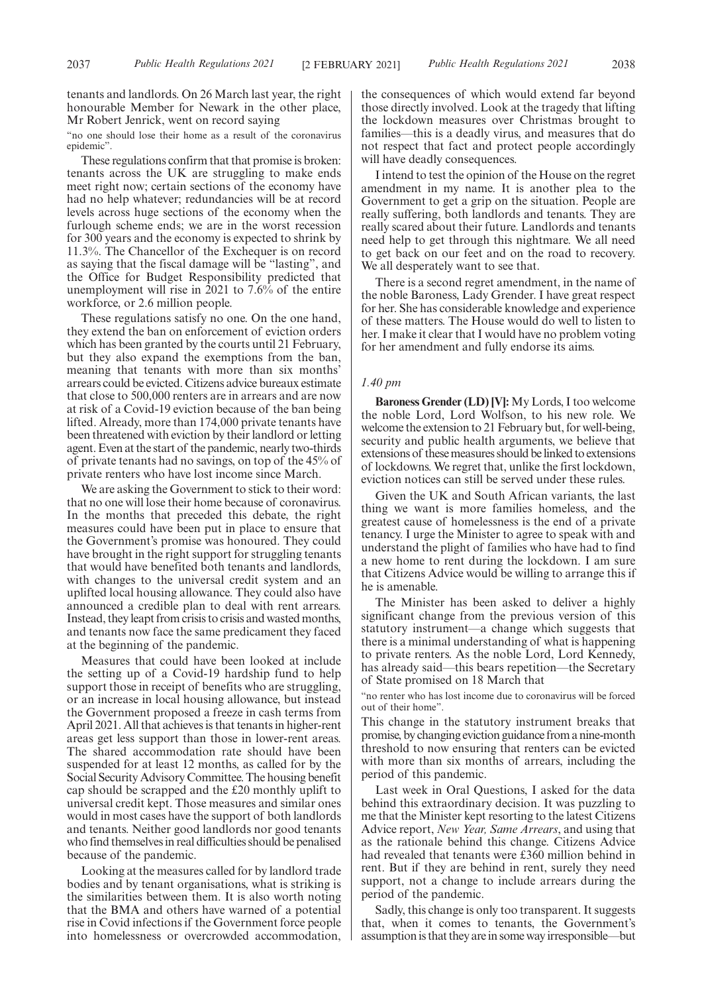"no one should lose their home as a result of the coronavirus epidemic".

These regulations confirm that that promise is broken: tenants across the UK are struggling to make ends meet right now; certain sections of the economy have had no help whatever; redundancies will be at record levels across huge sections of the economy when the furlough scheme ends; we are in the worst recession for 300 years and the economy is expected to shrink by 11.3%. The Chancellor of the Exchequer is on record as saying that the fiscal damage will be "lasting", and the Office for Budget Responsibility predicted that unemployment will rise in 2021 to 7.6% of the entire workforce, or 2.6 million people.

These regulations satisfy no one. On the one hand, they extend the ban on enforcement of eviction orders which has been granted by the courts until 21 February, but they also expand the exemptions from the ban, meaning that tenants with more than six months' arrears could be evicted. Citizens advice bureaux estimate that close to 500,000 renters are in arrears and are now at risk of a Covid-19 eviction because of the ban being lifted. Already, more than 174,000 private tenants have been threatened with eviction by their landlord or letting agent. Even at the start of the pandemic, nearly two-thirds of private tenants had no savings, on top of the 45% of private renters who have lost income since March.

We are asking the Government to stick to their word: that no one will lose their home because of coronavirus. In the months that preceded this debate, the right measures could have been put in place to ensure that the Government's promise was honoured. They could have brought in the right support for struggling tenants that would have benefited both tenants and landlords, with changes to the universal credit system and an uplifted local housing allowance. They could also have announced a credible plan to deal with rent arrears. Instead, they leapt from crisis to crisis and wasted months, and tenants now face the same predicament they faced at the beginning of the pandemic.

Measures that could have been looked at include the setting up of a Covid-19 hardship fund to help support those in receipt of benefits who are struggling, or an increase in local housing allowance, but instead the Government proposed a freeze in cash terms from April 2021. All that achieves is that tenants in higher-rent areas get less support than those in lower-rent areas. The shared accommodation rate should have been suspended for at least 12 months, as called for by the Social Security Advisory Committee. The housing benefit cap should be scrapped and the £20 monthly uplift to universal credit kept. Those measures and similar ones would in most cases have the support of both landlords and tenants. Neither good landlords nor good tenants who find themselves in real difficulties should be penalised because of the pandemic.

Looking at the measures called for by landlord trade bodies and by tenant organisations, what is striking is the similarities between them. It is also worth noting that the BMA and others have warned of a potential rise in Covid infections if the Government force people into homelessness or overcrowded accommodation,

the consequences of which would extend far beyond those directly involved. Look at the tragedy that lifting the lockdown measures over Christmas brought to families—this is a deadly virus, and measures that do not respect that fact and protect people accordingly will have deadly consequences.

I intend to test the opinion of the House on the regret amendment in my name. It is another plea to the Government to get a grip on the situation. People are really suffering, both landlords and tenants. They are really scared about their future. Landlords and tenants need help to get through this nightmare. We all need to get back on our feet and on the road to recovery. We all desperately want to see that.

There is a second regret amendment, in the name of the noble Baroness, Lady Grender. I have great respect for her. She has considerable knowledge and experience of these matters. The House would do well to listen to her. I make it clear that I would have no problem voting for her amendment and fully endorse its aims.

#### *1.40 pm*

**Baroness Grender (LD) [V]:** My Lords, I too welcome the noble Lord, Lord Wolfson, to his new role. We welcome the extension to 21 February but, for well-being, security and public health arguments, we believe that extensions of these measures should be linked to extensions of lockdowns. We regret that, unlike the first lockdown, eviction notices can still be served under these rules.

Given the UK and South African variants, the last thing we want is more families homeless, and the greatest cause of homelessness is the end of a private tenancy. I urge the Minister to agree to speak with and understand the plight of families who have had to find a new home to rent during the lockdown. I am sure that Citizens Advice would be willing to arrange this if he is amenable.

The Minister has been asked to deliver a highly significant change from the previous version of this statutory instrument—a change which suggests that there is a minimal understanding of what is happening to private renters. As the noble Lord, Lord Kennedy, has already said—this bears repetition—the Secretary of State promised on 18 March that

"no renter who has lost income due to coronavirus will be forced out of their home".

This change in the statutory instrument breaks that promise, by changing eviction guidance from a nine-month threshold to now ensuring that renters can be evicted with more than six months of arrears, including the period of this pandemic.

Last week in Oral Questions, I asked for the data behind this extraordinary decision. It was puzzling to me that the Minister kept resorting to the latest Citizens Advice report, *New Year, Same Arrears*, and using that as the rationale behind this change. Citizens Advice had revealed that tenants were £360 million behind in rent. But if they are behind in rent, surely they need support, not a change to include arrears during the period of the pandemic.

Sadly, this change is only too transparent. It suggests that, when it comes to tenants, the Government's assumption is that they are in some way irresponsible—but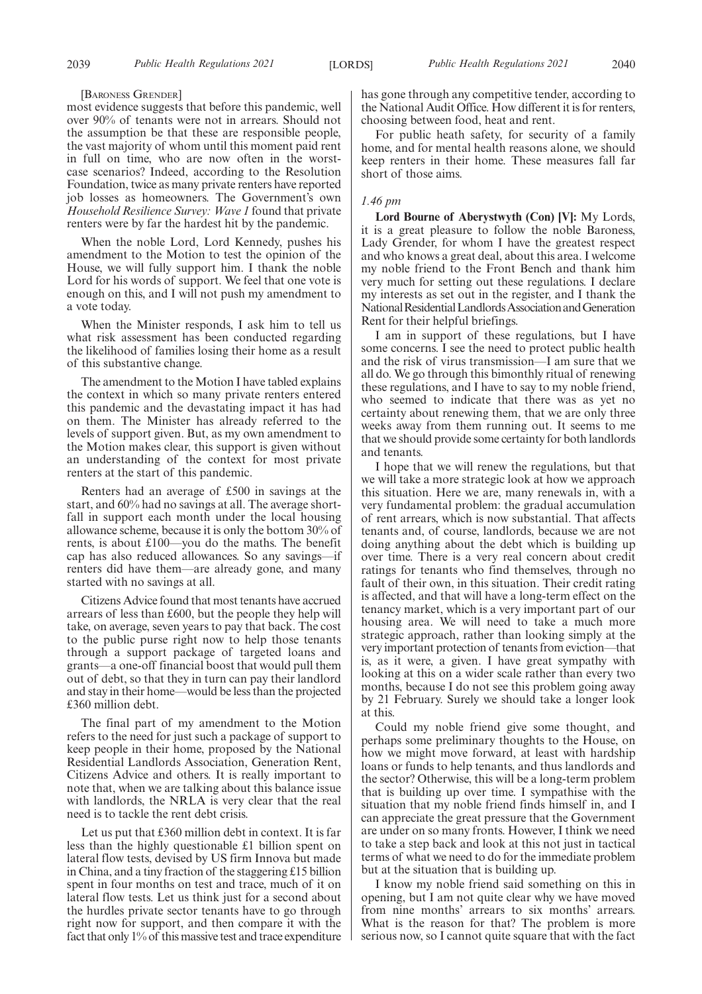#### [BARONESS GRENDER]

most evidence suggests that before this pandemic, well over 90% of tenants were not in arrears. Should not the assumption be that these are responsible people, the vast majority of whom until this moment paid rent in full on time, who are now often in the worstcase scenarios? Indeed, according to the Resolution Foundation, twice as many private renters have reported job losses as homeowners. The Government's own *Household Resilience Survey: Wave 1* found that private renters were by far the hardest hit by the pandemic.

When the noble Lord, Lord Kennedy, pushes his amendment to the Motion to test the opinion of the House, we will fully support him. I thank the noble Lord for his words of support. We feel that one vote is enough on this, and I will not push my amendment to a vote today.

When the Minister responds, I ask him to tell us what risk assessment has been conducted regarding the likelihood of families losing their home as a result of this substantive change.

The amendment to the Motion I have tabled explains the context in which so many private renters entered this pandemic and the devastating impact it has had on them. The Minister has already referred to the levels of support given. But, as my own amendment to the Motion makes clear, this support is given without an understanding of the context for most private renters at the start of this pandemic.

Renters had an average of £500 in savings at the start, and 60% had no savings at all. The average shortfall in support each month under the local housing allowance scheme, because it is only the bottom 30% of rents, is about £100—you do the maths. The benefit cap has also reduced allowances. So any savings—if renters did have them—are already gone, and many started with no savings at all.

Citizens Advice found that most tenants have accrued arrears of less than £600, but the people they help will take, on average, seven years to pay that back. The cost to the public purse right now to help those tenants through a support package of targeted loans and grants—a one-off financial boost that would pull them out of debt, so that they in turn can pay their landlord and stay in their home—would be less than the projected £360 million debt.

The final part of my amendment to the Motion refers to the need for just such a package of support to keep people in their home, proposed by the National Residential Landlords Association, Generation Rent, Citizens Advice and others. It is really important to note that, when we are talking about this balance issue with landlords, the NRLA is very clear that the real need is to tackle the rent debt crisis.

Let us put that £360 million debt in context. It is far less than the highly questionable £1 billion spent on lateral flow tests, devised by US firm Innova but made in China, and a tiny fraction of the staggering £15 billion spent in four months on test and trace, much of it on lateral flow tests. Let us think just for a second about the hurdles private sector tenants have to go through right now for support, and then compare it with the fact that only 1% of this massive test and trace expenditure

has gone through any competitive tender, according to the National Audit Office. How different it is for renters, choosing between food, heat and rent.

For public heath safety, for security of a family home, and for mental health reasons alone, we should keep renters in their home. These measures fall far short of those aims.

#### *1.46 pm*

**Lord Bourne of Aberystwyth (Con) [V]:** My Lords, it is a great pleasure to follow the noble Baroness, Lady Grender, for whom I have the greatest respect and who knows a great deal, about this area. I welcome my noble friend to the Front Bench and thank him very much for setting out these regulations. I declare my interests as set out in the register, and I thank the National Residential Landlords Association and Generation Rent for their helpful briefings.

I am in support of these regulations, but I have some concerns. I see the need to protect public health and the risk of virus transmission—I am sure that we all do. We go through this bimonthly ritual of renewing these regulations, and I have to say to my noble friend, who seemed to indicate that there was as yet no certainty about renewing them, that we are only three weeks away from them running out. It seems to me that we should provide some certainty for both landlords and tenants.

I hope that we will renew the regulations, but that we will take a more strategic look at how we approach this situation. Here we are, many renewals in, with a very fundamental problem: the gradual accumulation of rent arrears, which is now substantial. That affects tenants and, of course, landlords, because we are not doing anything about the debt which is building up over time. There is a very real concern about credit ratings for tenants who find themselves, through no fault of their own, in this situation. Their credit rating is affected, and that will have a long-term effect on the tenancy market, which is a very important part of our housing area. We will need to take a much more strategic approach, rather than looking simply at the very important protection of tenants from eviction—that is, as it were, a given. I have great sympathy with looking at this on a wider scale rather than every two months, because I do not see this problem going away by 21 February. Surely we should take a longer look at this.

Could my noble friend give some thought, and perhaps some preliminary thoughts to the House, on how we might move forward, at least with hardship loans or funds to help tenants, and thus landlords and the sector? Otherwise, this will be a long-term problem that is building up over time. I sympathise with the situation that my noble friend finds himself in, and I can appreciate the great pressure that the Government are under on so many fronts. However, I think we need to take a step back and look at this not just in tactical terms of what we need to do for the immediate problem but at the situation that is building up.

I know my noble friend said something on this in opening, but I am not quite clear why we have moved from nine months' arrears to six months' arrears. What is the reason for that? The problem is more serious now, so I cannot quite square that with the fact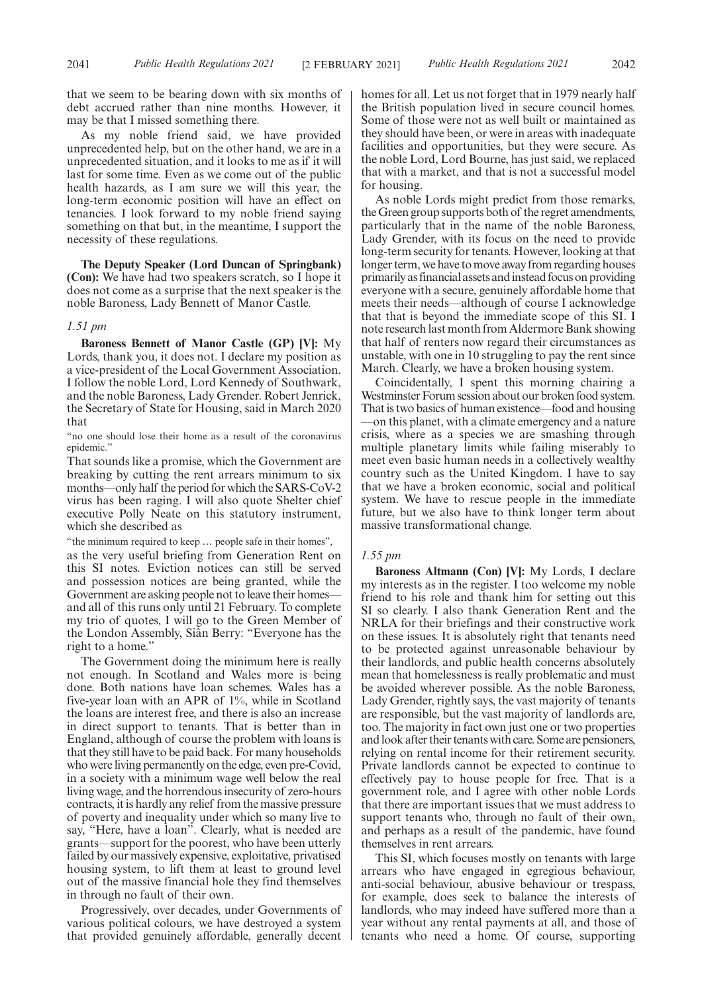that we seem to be bearing down with six months of debt accrued rather than nine months. However, it may be that I missed something there.

As my noble friend said, we have provided unprecedented help, but on the other hand, we are in a unprecedented situation, and it looks to me as if it will last for some time. Even as we come out of the public health hazards, as I am sure we will this year, the long-term economic position will have an effect on tenancies. I look forward to my noble friend saying something on that but, in the meantime, I support the necessity of these regulations.

**The Deputy Speaker (Lord Duncan of Springbank) (Con):** We have had two speakers scratch, so I hope it does not come as a surprise that the next speaker is the noble Baroness, Lady Bennett of Manor Castle.

#### *1.51 pm*

**Baroness Bennett of Manor Castle (GP) [V]:** My Lords, thank you, it does not. I declare my position as a vice-president of the Local Government Association. I follow the noble Lord, Lord Kennedy of Southwark, and the noble Baroness, Lady Grender. Robert Jenrick, the Secretary of State for Housing, said in March 2020 that

"no one should lose their home as a result of the coronavirus epidemic.'

That sounds like a promise, which the Government are breaking by cutting the rent arrears minimum to six months—only half the period for which the SARS-CoV-2 virus has been raging. I will also quote Shelter chief executive Polly Neate on this statutory instrument, which she described as

"the minimum required to keep … people safe in their homes",

as the very useful briefing from Generation Rent on this SI notes. Eviction notices can still be served and possession notices are being granted, while the Government are asking people not to leave their homes and all of this runs only until 21 February. To complete my trio of quotes, I will go to the Green Member of the London Assembly, Siân Berry: "Everyone has the right to a home."

The Government doing the minimum here is really not enough. In Scotland and Wales more is being done. Both nations have loan schemes. Wales has a five-year loan with an APR of 1%, while in Scotland the loans are interest free, and there is also an increase in direct support to tenants. That is better than in England, although of course the problem with loans is that they still have to be paid back. For many households who were living permanently on the edge, even pre-Covid, in a society with a minimum wage well below the real living wage, and the horrendous insecurity of zero-hours contracts, it is hardly any relief from the massive pressure of poverty and inequality under which so many live to say, "Here, have a loan". Clearly, what is needed are grants—support for the poorest, who have been utterly failed by our massively expensive, exploitative, privatised housing system, to lift them at least to ground level out of the massive financial hole they find themselves in through no fault of their own.

Progressively, over decades, under Governments of various political colours, we have destroyed a system that provided genuinely affordable, generally decent homes for all. Let us not forget that in 1979 nearly half the British population lived in secure council homes. Some of those were not as well built or maintained as they should have been, or were in areas with inadequate facilities and opportunities, but they were secure. As the noble Lord, Lord Bourne, has just said, we replaced that with a market, and that is not a successful model for housing.

As noble Lords might predict from those remarks, the Green group supports both of the regret amendments, particularly that in the name of the noble Baroness, Lady Grender, with its focus on the need to provide long-term security for tenants. However, looking at that longer term, we have to move away from regarding houses primarily as financial assets and instead focus on providing everyone with a secure, genuinely affordable home that meets their needs—although of course I acknowledge that that is beyond the immediate scope of this SI. I note research last month from Aldermore Bank showing that half of renters now regard their circumstances as unstable, with one in 10 struggling to pay the rent since March. Clearly, we have a broken housing system.

Coincidentally, I spent this morning chairing a Westminster Forum session about our broken food system. That is two basics of human existence—food and housing —on this planet, with a climate emergency and a nature crisis, where as a species we are smashing through multiple planetary limits while failing miserably to meet even basic human needs in a collectively wealthy country such as the United Kingdom. I have to say that we have a broken economic, social and political system. We have to rescue people in the immediate future, but we also have to think longer term about massive transformational change.

#### *1.55 pm*

**Baroness Altmann (Con) [V]:** My Lords, I declare my interests as in the register. I too welcome my noble friend to his role and thank him for setting out this SI so clearly. I also thank Generation Rent and the NRLA for their briefings and their constructive work on these issues. It is absolutely right that tenants need to be protected against unreasonable behaviour by their landlords, and public health concerns absolutely mean that homelessness is really problematic and must be avoided wherever possible. As the noble Baroness, Lady Grender, rightly says, the vast majority of tenants are responsible, but the vast majority of landlords are, too. The majority in fact own just one or two properties and look after their tenants with care. Some are pensioners, relying on rental income for their retirement security. Private landlords cannot be expected to continue to effectively pay to house people for free. That is a government role, and I agree with other noble Lords that there are important issues that we must address to support tenants who, through no fault of their own, and perhaps as a result of the pandemic, have found themselves in rent arrears.

This SI, which focuses mostly on tenants with large arrears who have engaged in egregious behaviour, anti-social behaviour, abusive behaviour or trespass, for example, does seek to balance the interests of landlords, who may indeed have suffered more than a year without any rental payments at all, and those of tenants who need a home. Of course, supporting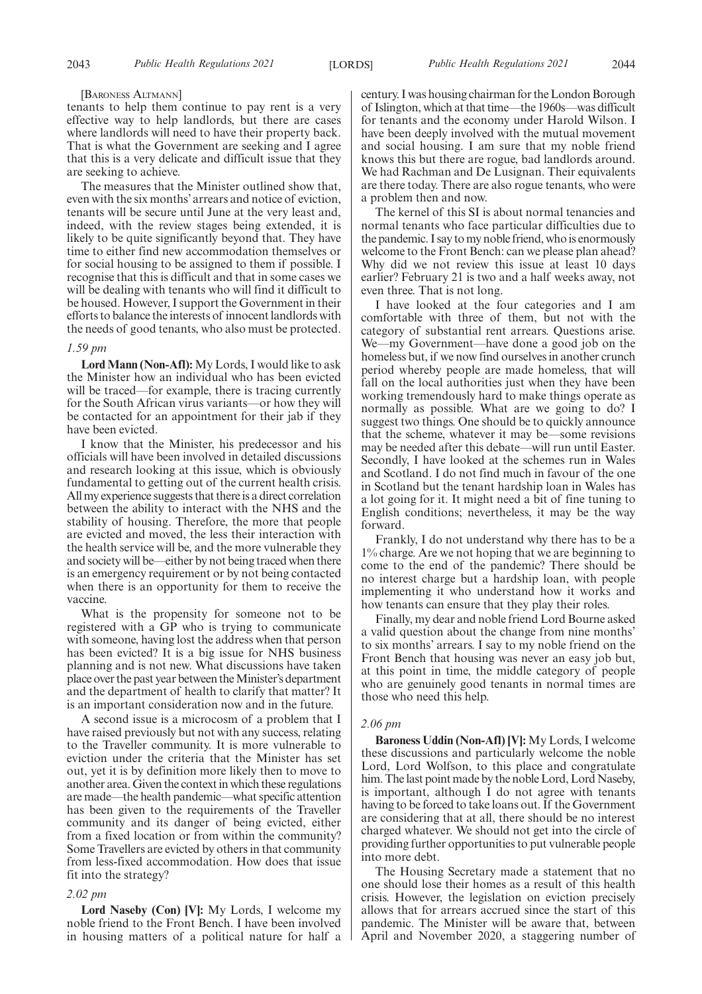#### [BARONESS ALTMANN]

tenants to help them continue to pay rent is a very effective way to help landlords, but there are cases where landlords will need to have their property back. That is what the Government are seeking and I agree that this is a very delicate and difficult issue that they are seeking to achieve.

The measures that the Minister outlined show that, even with the six months' arrears and notice of eviction, tenants will be secure until June at the very least and, indeed, with the review stages being extended, it is likely to be quite significantly beyond that. They have time to either find new accommodation themselves or for social housing to be assigned to them if possible. I recognise that this is difficult and that in some cases we will be dealing with tenants who will find it difficult to be housed. However, I support the Government in their efforts to balance the interests of innocent landlords with the needs of good tenants, who also must be protected.

#### *1.59 pm*

**Lord Mann (Non-Afl):** My Lords, I would like to ask the Minister how an individual who has been evicted will be traced—for example, there is tracing currently for the South African virus variants—or how they will be contacted for an appointment for their jab if they have been evicted.

I know that the Minister, his predecessor and his officials will have been involved in detailed discussions and research looking at this issue, which is obviously fundamental to getting out of the current health crisis. All my experience suggests that there is a direct correlation between the ability to interact with the NHS and the stability of housing. Therefore, the more that people are evicted and moved, the less their interaction with the health service will be, and the more vulnerable they and society will be—either by not being traced when there is an emergency requirement or by not being contacted when there is an opportunity for them to receive the vaccine.

What is the propensity for someone not to be registered with a GP who is trying to communicate with someone, having lost the address when that person has been evicted? It is a big issue for NHS business planning and is not new. What discussions have taken place over the past year between the Minister's department and the department of health to clarify that matter? It is an important consideration now and in the future.

A second issue is a microcosm of a problem that I have raised previously but not with any success, relating to the Traveller community. It is more vulnerable to eviction under the criteria that the Minister has set out, yet it is by definition more likely then to move to another area. Given the context in which these regulations are made—the health pandemic—what specific attention has been given to the requirements of the Traveller community and its danger of being evicted, either from a fixed location or from within the community? Some Travellers are evicted by others in that community from less-fixed accommodation. How does that issue fit into the strategy?

#### *2.02 pm*

**Lord Naseby (Con) [V]:** My Lords, I welcome my noble friend to the Front Bench. I have been involved in housing matters of a political nature for half a century. I was housing chairman for the London Borough of Islington, which at that time—the 1960s—was difficult for tenants and the economy under Harold Wilson. I have been deeply involved with the mutual movement and social housing. I am sure that my noble friend knows this but there are rogue, bad landlords around. We had Rachman and De Lusignan. Their equivalents are there today. There are also rogue tenants, who were a problem then and now.

The kernel of this SI is about normal tenancies and normal tenants who face particular difficulties due to the pandemic. I say to my noble friend, who is enormously welcome to the Front Bench: can we please plan ahead? Why did we not review this issue at least 10 days earlier? February 21 is two and a half weeks away, not even three. That is not long.

I have looked at the four categories and I am comfortable with three of them, but not with the category of substantial rent arrears. Questions arise. We—my Government—have done a good job on the homeless but, if we now find ourselves in another crunch period whereby people are made homeless, that will fall on the local authorities just when they have been working tremendously hard to make things operate as normally as possible. What are we going to do? I suggest two things. One should be to quickly announce that the scheme, whatever it may be—some revisions may be needed after this debate—will run until Easter. Secondly, I have looked at the schemes run in Wales and Scotland. I do not find much in favour of the one in Scotland but the tenant hardship loan in Wales has a lot going for it. It might need a bit of fine tuning to English conditions; nevertheless, it may be the way forward.

Frankly, I do not understand why there has to be a 1% charge. Are we not hoping that we are beginning to come to the end of the pandemic? There should be no interest charge but a hardship loan, with people implementing it who understand how it works and how tenants can ensure that they play their roles.

Finally, my dear and noble friend Lord Bourne asked a valid question about the change from nine months' to six months' arrears. I say to my noble friend on the Front Bench that housing was never an easy job but, at this point in time, the middle category of people who are genuinely good tenants in normal times are those who need this help.

#### *2.06 pm*

**Baroness Uddin (Non-Afl) [V]:** My Lords, I welcome these discussions and particularly welcome the noble Lord, Lord Wolfson, to this place and congratulate him. The last point made by the noble Lord, Lord Naseby, is important, although I do not agree with tenants having to be forced to take loans out. If the Government are considering that at all, there should be no interest charged whatever. We should not get into the circle of providing further opportunities to put vulnerable people into more debt.

The Housing Secretary made a statement that no one should lose their homes as a result of this health crisis. However, the legislation on eviction precisely allows that for arrears accrued since the start of this pandemic. The Minister will be aware that, between April and November 2020, a staggering number of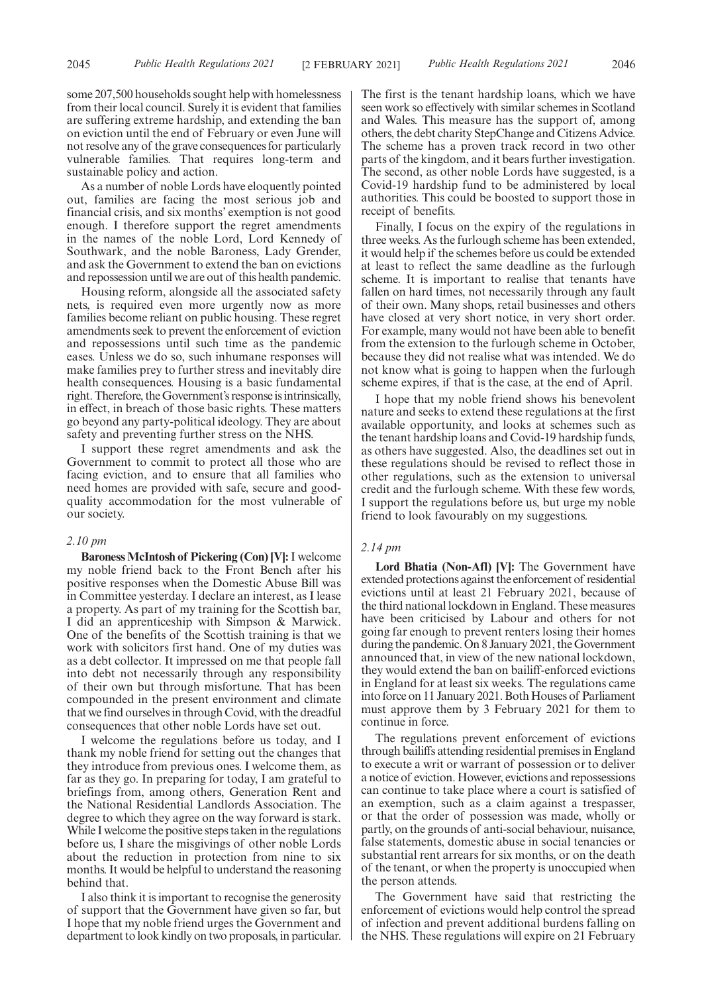some 207,500 households sought help with homelessness from their local council. Surely it is evident that families are suffering extreme hardship, and extending the ban on eviction until the end of February or even June will not resolve any of the grave consequences for particularly vulnerable families. That requires long-term and sustainable policy and action.

As a number of noble Lords have eloquently pointed out, families are facing the most serious job and financial crisis, and six months' exemption is not good enough. I therefore support the regret amendments in the names of the noble Lord, Lord Kennedy of Southwark, and the noble Baroness, Lady Grender, and ask the Government to extend the ban on evictions and repossession until we are out of this health pandemic.

Housing reform, alongside all the associated safety nets, is required even more urgently now as more families become reliant on public housing. These regret amendments seek to prevent the enforcement of eviction and repossessions until such time as the pandemic eases. Unless we do so, such inhumane responses will make families prey to further stress and inevitably dire health consequences. Housing is a basic fundamental right. Therefore, the Government's response is intrinsically, in effect, in breach of those basic rights. These matters go beyond any party-political ideology. They are about safety and preventing further stress on the NHS.

I support these regret amendments and ask the Government to commit to protect all those who are facing eviction, and to ensure that all families who need homes are provided with safe, secure and goodquality accommodation for the most vulnerable of our society.

#### *2.10 pm*

**Baroness McIntosh of Pickering (Con) [V]:**I welcome my noble friend back to the Front Bench after his positive responses when the Domestic Abuse Bill was in Committee yesterday. I declare an interest, as I lease a property. As part of my training for the Scottish bar, I did an apprenticeship with Simpson & Marwick. One of the benefits of the Scottish training is that we work with solicitors first hand. One of my duties was as a debt collector. It impressed on me that people fall into debt not necessarily through any responsibility of their own but through misfortune. That has been compounded in the present environment and climate that we find ourselves in through Covid, with the dreadful consequences that other noble Lords have set out.

I welcome the regulations before us today, and I thank my noble friend for setting out the changes that they introduce from previous ones. I welcome them, as far as they go. In preparing for today, I am grateful to briefings from, among others, Generation Rent and the National Residential Landlords Association. The degree to which they agree on the way forward is stark. While I welcome the positive steps taken in the regulations before us, I share the misgivings of other noble Lords about the reduction in protection from nine to six months. It would be helpful to understand the reasoning behind that.

I also think it is important to recognise the generosity of support that the Government have given so far, but I hope that my noble friend urges the Government and department to look kindly on two proposals, in particular. The first is the tenant hardship loans, which we have seen work so effectively with similar schemes in Scotland and Wales. This measure has the support of, among others, the debt charity StepChange and Citizens Advice. The scheme has a proven track record in two other parts of the kingdom, and it bears further investigation. The second, as other noble Lords have suggested, is a Covid-19 hardship fund to be administered by local authorities. This could be boosted to support those in receipt of benefits.

Finally, I focus on the expiry of the regulations in three weeks. As the furlough scheme has been extended, it would help if the schemes before us could be extended at least to reflect the same deadline as the furlough scheme. It is important to realise that tenants have fallen on hard times, not necessarily through any fault of their own. Many shops, retail businesses and others have closed at very short notice, in very short order. For example, many would not have been able to benefit from the extension to the furlough scheme in October, because they did not realise what was intended. We do not know what is going to happen when the furlough scheme expires, if that is the case, at the end of April.

I hope that my noble friend shows his benevolent nature and seeks to extend these regulations at the first available opportunity, and looks at schemes such as the tenant hardship loans and Covid-19 hardship funds, as others have suggested. Also, the deadlines set out in these regulations should be revised to reflect those in other regulations, such as the extension to universal credit and the furlough scheme. With these few words, I support the regulations before us, but urge my noble friend to look favourably on my suggestions.

#### *2.14 pm*

**Lord Bhatia (Non-Afl) [V]:** The Government have extended protections against the enforcement of residential evictions until at least 21 February 2021, because of the third national lockdown in England. These measures have been criticised by Labour and others for not going far enough to prevent renters losing their homes during the pandemic. On 8 January 2021, the Government announced that, in view of the new national lockdown, they would extend the ban on bailiff-enforced evictions in England for at least six weeks. The regulations came into force on 11 January 2021. Both Houses of Parliament must approve them by 3 February 2021 for them to continue in force.

The regulations prevent enforcement of evictions through bailiffs attending residential premises in England to execute a writ or warrant of possession or to deliver a notice of eviction. However, evictions and repossessions can continue to take place where a court is satisfied of an exemption, such as a claim against a trespasser, or that the order of possession was made, wholly or partly, on the grounds of anti-social behaviour, nuisance, false statements, domestic abuse in social tenancies or substantial rent arrears for six months, or on the death of the tenant, or when the property is unoccupied when the person attends.

The Government have said that restricting the enforcement of evictions would help control the spread of infection and prevent additional burdens falling on the NHS. These regulations will expire on 21 February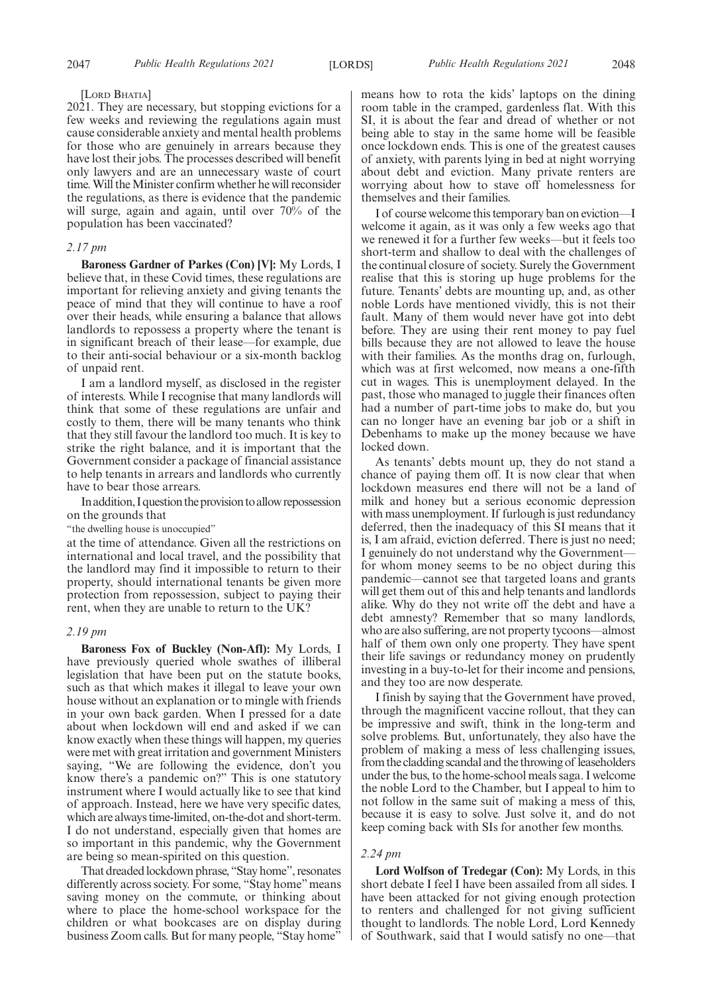#### [LORD BHATIA]

 $20\overline{2}1$ . They are necessary, but stopping evictions for a few weeks and reviewing the regulations again must cause considerable anxiety and mental health problems for those who are genuinely in arrears because they have lost their jobs. The processes described will benefit only lawyers and are an unnecessary waste of court time. Will the Minister confirm whether he will reconsider the regulations, as there is evidence that the pandemic will surge, again and again, until over 70% of the population has been vaccinated?

#### *2.17 pm*

**Baroness Gardner of Parkes (Con) [V]:** My Lords, I believe that, in these Covid times, these regulations are important for relieving anxiety and giving tenants the peace of mind that they will continue to have a roof over their heads, while ensuring a balance that allows landlords to repossess a property where the tenant is in significant breach of their lease—for example, due to their anti-social behaviour or a six-month backlog of unpaid rent.

I am a landlord myself, as disclosed in the register of interests. While I recognise that many landlords will think that some of these regulations are unfair and costly to them, there will be many tenants who think that they still favour the landlord too much. It is key to strike the right balance, and it is important that the Government consider a package of financial assistance to help tenants in arrears and landlords who currently have to bear those arrears.

In addition, I question the provision to allow repossession on the grounds that

"the dwelling house is unoccupied"

at the time of attendance. Given all the restrictions on international and local travel, and the possibility that the landlord may find it impossible to return to their property, should international tenants be given more protection from repossession, subject to paying their rent, when they are unable to return to the UK?

#### *2.19 pm*

**Baroness Fox of Buckley (Non-Afl):** My Lords, I have previously queried whole swathes of illiberal legislation that have been put on the statute books, such as that which makes it illegal to leave your own house without an explanation or to mingle with friends in your own back garden. When I pressed for a date about when lockdown will end and asked if we can know exactly when these things will happen, my queries were met with great irritation and government Ministers saying, "We are following the evidence, don't you know there's a pandemic on?" This is one statutory instrument where I would actually like to see that kind of approach. Instead, here we have very specific dates, which are always time-limited, on-the-dot and short-term. I do not understand, especially given that homes are so important in this pandemic, why the Government are being so mean-spirited on this question.

That dreaded lockdown phrase, "Stay home", resonates differently across society. For some, "Stay home" means saving money on the commute, or thinking about where to place the home-school workspace for the children or what bookcases are on display during business Zoom calls. But for many people, "Stay home"

means how to rota the kids' laptops on the dining room table in the cramped, gardenless flat. With this SI, it is about the fear and dread of whether or not being able to stay in the same home will be feasible once lockdown ends. This is one of the greatest causes of anxiety, with parents lying in bed at night worrying about debt and eviction. Many private renters are worrying about how to stave off homelessness for themselves and their families.

I of course welcome this temporary ban on eviction—I welcome it again, as it was only a few weeks ago that we renewed it for a further few weeks—but it feels too short-term and shallow to deal with the challenges of the continual closure of society. Surely the Government realise that this is storing up huge problems for the future. Tenants' debts are mounting up, and, as other noble Lords have mentioned vividly, this is not their fault. Many of them would never have got into debt before. They are using their rent money to pay fuel bills because they are not allowed to leave the house with their families. As the months drag on, furlough, which was at first welcomed, now means a one-fifth cut in wages. This is unemployment delayed. In the past, those who managed to juggle their finances often had a number of part-time jobs to make do, but you can no longer have an evening bar job or a shift in Debenhams to make up the money because we have locked down.

As tenants' debts mount up, they do not stand a chance of paying them off. It is now clear that when lockdown measures end there will not be a land of milk and honey but a serious economic depression with mass unemployment. If furlough is just redundancy deferred, then the inadequacy of this SI means that it is, I am afraid, eviction deferred. There is just no need; I genuinely do not understand why the Government for whom money seems to be no object during this pandemic—cannot see that targeted loans and grants will get them out of this and help tenants and landlords alike. Why do they not write off the debt and have a debt amnesty? Remember that so many landlords, who are also suffering, are not property tycoons—almost half of them own only one property. They have spent their life savings or redundancy money on prudently investing in a buy-to-let for their income and pensions, and they too are now desperate.

I finish by saying that the Government have proved, through the magnificent vaccine rollout, that they can be impressive and swift, think in the long-term and solve problems. But, unfortunately, they also have the problem of making a mess of less challenging issues, from the cladding scandal and the throwing of leaseholders under the bus, to the home-school meals saga. I welcome the noble Lord to the Chamber, but I appeal to him to not follow in the same suit of making a mess of this, because it is easy to solve. Just solve it, and do not keep coming back with SIs for another few months.

#### *2.24 pm*

**Lord Wolfson of Tredegar (Con):** My Lords, in this short debate I feel I have been assailed from all sides. I have been attacked for not giving enough protection to renters and challenged for not giving sufficient thought to landlords. The noble Lord, Lord Kennedy of Southwark, said that I would satisfy no one—that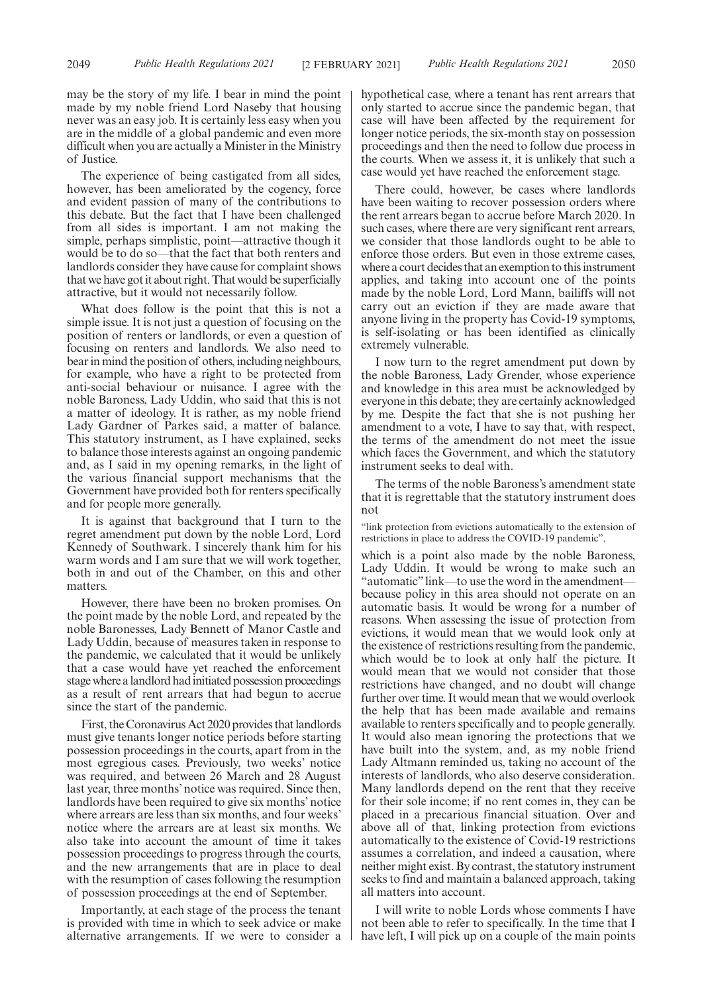The experience of being castigated from all sides, however, has been ameliorated by the cogency, force and evident passion of many of the contributions to this debate. But the fact that I have been challenged from all sides is important. I am not making the simple, perhaps simplistic, point—attractive though it would be to do so—that the fact that both renters and landlords consider they have cause for complaint shows that we have got it about right. That would be superficially attractive, but it would not necessarily follow.

What does follow is the point that this is not a simple issue. It is not just a question of focusing on the position of renters or landlords, or even a question of focusing on renters and landlords. We also need to bear in mind the position of others, including neighbours, for example, who have a right to be protected from anti-social behaviour or nuisance. I agree with the noble Baroness, Lady Uddin, who said that this is not a matter of ideology. It is rather, as my noble friend Lady Gardner of Parkes said, a matter of balance. This statutory instrument, as I have explained, seeks to balance those interests against an ongoing pandemic and, as I said in my opening remarks, in the light of the various financial support mechanisms that the Government have provided both for renters specifically and for people more generally.

It is against that background that I turn to the regret amendment put down by the noble Lord, Lord Kennedy of Southwark. I sincerely thank him for his warm words and I am sure that we will work together, both in and out of the Chamber, on this and other matters.

However, there have been no broken promises. On the point made by the noble Lord, and repeated by the noble Baronesses, Lady Bennett of Manor Castle and Lady Uddin, because of measures taken in response to the pandemic, we calculated that it would be unlikely that a case would have yet reached the enforcement stage where a landlord had initiated possession proceedings as a result of rent arrears that had begun to accrue since the start of the pandemic.

First, the Coronavirus Act 2020 provides that landlords must give tenants longer notice periods before starting possession proceedings in the courts, apart from in the most egregious cases. Previously, two weeks' notice was required, and between 26 March and 28 August last year, three months' notice was required. Since then, landlords have been required to give six months' notice where arrears are less than six months, and four weeks' notice where the arrears are at least six months. We also take into account the amount of time it takes possession proceedings to progress through the courts, and the new arrangements that are in place to deal with the resumption of cases following the resumption of possession proceedings at the end of September.

Importantly, at each stage of the process the tenant is provided with time in which to seek advice or make alternative arrangements. If we were to consider a hypothetical case, where a tenant has rent arrears that only started to accrue since the pandemic began, that case will have been affected by the requirement for longer notice periods, the six-month stay on possession proceedings and then the need to follow due process in the courts. When we assess it, it is unlikely that such a case would yet have reached the enforcement stage.

There could, however, be cases where landlords have been waiting to recover possession orders where the rent arrears began to accrue before March 2020. In such cases, where there are very significant rent arrears, we consider that those landlords ought to be able to enforce those orders. But even in those extreme cases, where a court decides that an exemption to this instrument applies, and taking into account one of the points made by the noble Lord, Lord Mann, bailiffs will not carry out an eviction if they are made aware that anyone living in the property has Covid-19 symptoms, is self-isolating or has been identified as clinically extremely vulnerable.

I now turn to the regret amendment put down by the noble Baroness, Lady Grender, whose experience and knowledge in this area must be acknowledged by everyone in this debate; they are certainly acknowledged by me. Despite the fact that she is not pushing her amendment to a vote, I have to say that, with respect, the terms of the amendment do not meet the issue which faces the Government, and which the statutory instrument seeks to deal with.

The terms of the noble Baroness's amendment state that it is regrettable that the statutory instrument does not

"link protection from evictions automatically to the extension of restrictions in place to address the COVID-19 pandemic",

which is a point also made by the noble Baroness, Lady Uddin. It would be wrong to make such an "automatic" link—to use the word in the amendmentbecause policy in this area should not operate on an automatic basis. It would be wrong for a number of reasons. When assessing the issue of protection from evictions, it would mean that we would look only at the existence of restrictions resulting from the pandemic, which would be to look at only half the picture. It would mean that we would not consider that those restrictions have changed, and no doubt will change further over time. It would mean that we would overlook the help that has been made available and remains available to renters specifically and to people generally. It would also mean ignoring the protections that we have built into the system, and, as my noble friend Lady Altmann reminded us, taking no account of the interests of landlords, who also deserve consideration. Many landlords depend on the rent that they receive for their sole income; if no rent comes in, they can be placed in a precarious financial situation. Over and above all of that, linking protection from evictions automatically to the existence of Covid-19 restrictions assumes a correlation, and indeed a causation, where neither might exist. By contrast, the statutory instrument seeks to find and maintain a balanced approach, taking all matters into account.

I will write to noble Lords whose comments I have not been able to refer to specifically. In the time that I have left, I will pick up on a couple of the main points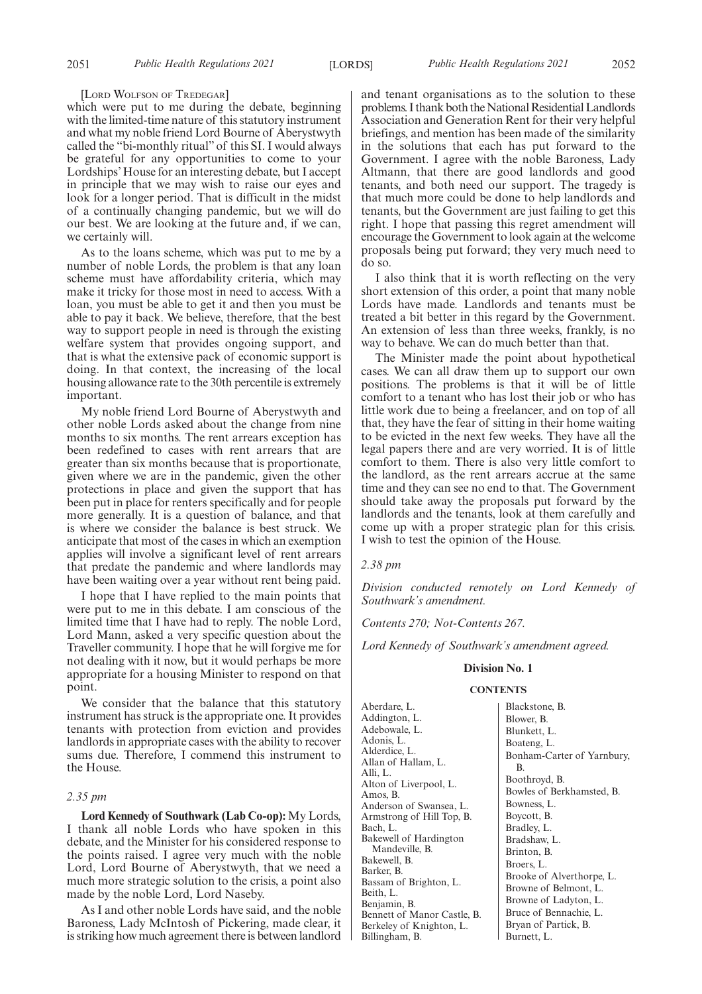#### [LORD WOLFSON OF TREDEGAR]

which were put to me during the debate, beginning with the limited-time nature of this statutory instrument and what my noble friend Lord Bourne of Aberystwyth called the "bi-monthly ritual" of this SI. I would always be grateful for any opportunities to come to your Lordships' House for an interesting debate, but I accept in principle that we may wish to raise our eyes and look for a longer period. That is difficult in the midst of a continually changing pandemic, but we will do our best. We are looking at the future and, if we can, we certainly will.

As to the loans scheme, which was put to me by a number of noble Lords, the problem is that any loan scheme must have affordability criteria, which may make it tricky for those most in need to access. With a loan, you must be able to get it and then you must be able to pay it back. We believe, therefore, that the best way to support people in need is through the existing welfare system that provides ongoing support, and that is what the extensive pack of economic support is doing. In that context, the increasing of the local housing allowance rate to the 30th percentile is extremely important.

My noble friend Lord Bourne of Aberystwyth and other noble Lords asked about the change from nine months to six months. The rent arrears exception has been redefined to cases with rent arrears that are greater than six months because that is proportionate, given where we are in the pandemic, given the other protections in place and given the support that has been put in place for renters specifically and for people more generally. It is a question of balance, and that is where we consider the balance is best struck. We anticipate that most of the cases in which an exemption applies will involve a significant level of rent arrears that predate the pandemic and where landlords may have been waiting over a year without rent being paid.

I hope that I have replied to the main points that were put to me in this debate. I am conscious of the limited time that I have had to reply. The noble Lord, Lord Mann, asked a very specific question about the Traveller community. I hope that he will forgive me for not dealing with it now, but it would perhaps be more appropriate for a housing Minister to respond on that point.

We consider that the balance that this statutory instrument has struck is the appropriate one. It provides tenants with protection from eviction and provides landlords in appropriate cases with the ability to recover sums due. Therefore, I commend this instrument to the House.

#### *2.35 pm*

**Lord Kennedy of Southwark (Lab Co-op):** My Lords, I thank all noble Lords who have spoken in this debate, and the Minister for his considered response to the points raised. I agree very much with the noble Lord, Lord Bourne of Aberystwyth, that we need a much more strategic solution to the crisis, a point also made by the noble Lord, Lord Naseby.

As I and other noble Lords have said, and the noble Baroness, Lady McIntosh of Pickering, made clear, it is striking how much agreement there is between landlord and tenant organisations as to the solution to these problems. I thank both the National Residential Landlords Association and Generation Rent for their very helpful briefings, and mention has been made of the similarity in the solutions that each has put forward to the Government. I agree with the noble Baroness, Lady Altmann, that there are good landlords and good tenants, and both need our support. The tragedy is that much more could be done to help landlords and tenants, but the Government are just failing to get this right. I hope that passing this regret amendment will encourage the Government to look again at the welcome proposals being put forward; they very much need to do so.

I also think that it is worth reflecting on the very short extension of this order, a point that many noble Lords have made. Landlords and tenants must be treated a bit better in this regard by the Government. An extension of less than three weeks, frankly, is no way to behave. We can do much better than that.

The Minister made the point about hypothetical cases. We can all draw them up to support our own positions. The problems is that it will be of little comfort to a tenant who has lost their job or who has little work due to being a freelancer, and on top of all that, they have the fear of sitting in their home waiting to be evicted in the next few weeks. They have all the legal papers there and are very worried. It is of little comfort to them. There is also very little comfort to the landlord, as the rent arrears accrue at the same time and they can see no end to that. The Government should take away the proposals put forward by the landlords and the tenants, look at them carefully and come up with a proper strategic plan for this crisis. I wish to test the opinion of the House.

#### *2.38 pm*

*Division conducted remotely on Lord Kennedy of Southwark's amendment.*

*Contents 270; Not-Contents 267.*

*Lord Kennedy of Southwark's amendment agreed.*

#### **Division No. 1**

#### **CONTENTS**

Aberdare, L. Addington, L. Adebowale, L. Adonis, L. Alderdice, L. Allan of Hallam, L. Alli, L. Alton of Liverpool, L. Amos, B. Anderson of Swansea, L. Armstrong of Hill Top, B. Bach, L. Bakewell of Hardington Mandeville, B. Bakewell, B. Barker, B. Bassam of Brighton, L. Beith, L. Benjamin, B. Bennett of Manor Castle, B. Berkeley of Knighton, L. Billingham, B.

Blackstone, B. Blower, B. Blunkett, L. Boateng, L. Bonham-Carter of Yarnbury, B. Boothroyd, B. Bowles of Berkhamsted, B. Bowness, L. Boycott, B. Bradley, L. Bradshaw, L. Brinton, B. Broers, L. Brooke of Alverthorpe, L. Browne of Belmont, L. Browne of Ladyton, L. Bruce of Bennachie, L. Bryan of Partick, B. Burnett, L.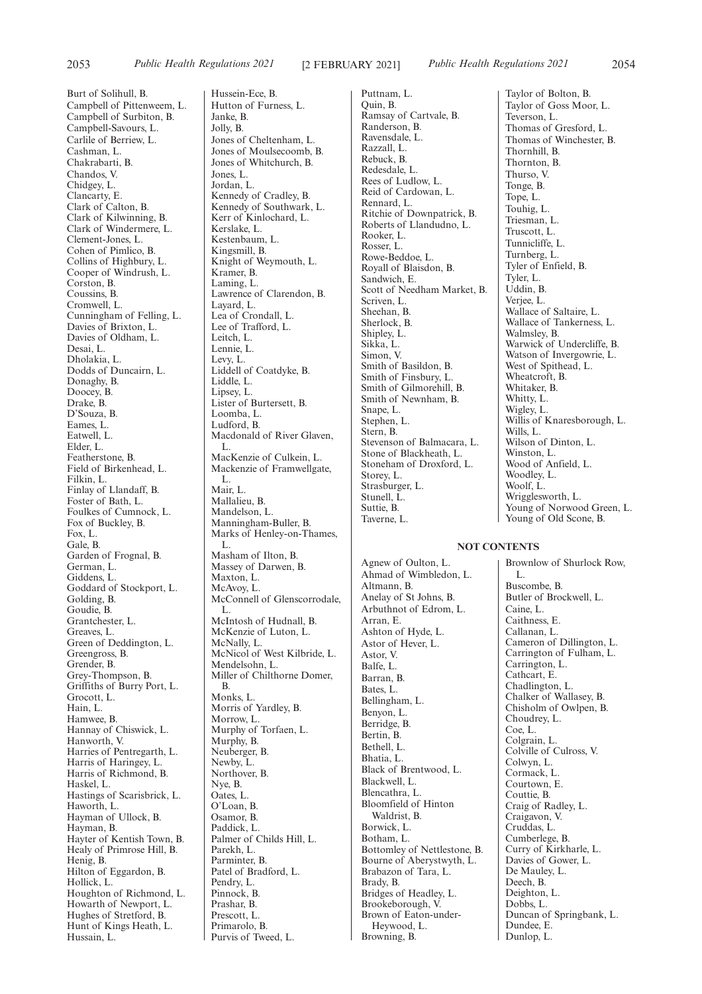Burt of Solihull, B. Campbell of Pittenweem, L. Campbell of Surbiton, B. Campbell-Savours, L. Carlile of Berriew, L. Cashman, L. Chakrabarti, B. Chandos, V. Chidgey, L. Clancarty, E. Clark of Calton, B. Clark of Kilwinning, B. Clark of Windermere, L. Clement-Jones, L. Cohen of Pimlico, B. Collins of Highbury, L. Cooper of Windrush, L. Corston, B. Coussins, B. Cromwell, L. Cunningham of Felling, L. Davies of Brixton, L. Davies of Oldham, L. Desai, L. Dholakia, L. Dodds of Duncairn, L. Donaghy, B. Doocey, B. Drake, B. D'Souza, B. Eames, L. Eatwell, L. Elder, L. Featherstone, B. Field of Birkenhead, L. Filkin, L. Finlay of Llandaff, B. Foster of Bath, L. Foulkes of Cumnock, L. Fox of Buckley, B. Fox, L. Gale, B. Garden of Frognal, B. German, L. Giddens, L. Goddard of Stockport, L. Golding, B. Goudie, B. Grantchester, L. Greaves, L. Green of Deddington, L. Greengross, B. Grender, B. Grey-Thompson, B. Griffiths of Burry Port, L. Grocott, L. Hain, L. Hamwee, B. Hannay of Chiswick, L. Hanworth, V. Harries of Pentregarth, L. Harris of Haringey, L. Harris of Richmond, B. Haskel, L. Hastings of Scarisbrick, L. Haworth, L. Hayman of Ullock, B. Hayman, B. Hayter of Kentish Town, B. Healy of Primrose Hill, B. Henig, B. Hilton of Eggardon, B. Hollick, L. Houghton of Richmond, L. Howarth of Newport, L. Hughes of Stretford, B. Hunt of Kings Heath, L. Hussain, L.

Hussein-Ece, B. Hutton of Furness, L. Janke, B. Jolly, B. Jones of Cheltenham, L. Jones of Moulsecoomb, B. Jones of Whitchurch, B. Jones, L. Jordan, L. Kennedy of Cradley, B. Kennedy of Southwark, L. Kerr of Kinlochard, L. Kerslake, L. Kestenbaum, L. Kingsmill, B. Knight of Weymouth, L. Kramer, B. Laming, L. Lawrence of Clarendon, B. Layard, L. Lea of Crondall, L. Lee of Trafford, L. Leitch, L. Lennie, L. Levy, L. Liddell of Coatdyke, B. Liddle, L. Lipsey, L. Lister of Burtersett, B. Loomba, L. Ludford, B. Macdonald of River Glaven.  $L$ MacKenzie of Culkein, L. Mackenzie of Framwellgate, L. Mair, L. Mallalieu, B. Mandelson, L. Manningham-Buller, B. Marks of Henley-on-Thames, L. Masham of Ilton, B. Massey of Darwen, B. Maxton, L. McAvoy, L. McConnell of Glenscorrodale, L. McIntosh of Hudnall, B. McKenzie of Luton, L. McNally, L. McNicol of West Kilbride, L. Mendelsohn, L. Miller of Chilthorne Domer, B. Monks, L. Morris of Yardley, B. Morrow, L. Murphy of Torfaen, L. Murphy, B. Neuberger, B. Newby, L. Northover, B. Nye, B. Oates, L. O'Loan, B. Osamor, B. Paddick, L. Palmer of Childs Hill, L. Parekh, L. Parminter, B. Patel of Bradford, L. Pendry, L. Pinnock, B. Prashar, B. Prescott, L. Primarolo, B. Purvis of Tweed, L.

Puttnam, L. Quin, B. Ramsay of Cartvale, B. Randerson, B. Ravensdale, L. Razzall, L. Rebuck, B. Redesdale, L. Rees of Ludlow, L. Reid of Cardowan, L. Rennard, L. Ritchie of Downpatrick, B. Roberts of Llandudno, L. Rooker, L. Rosser, L. Rowe-Beddoe, L. Royall of Blaisdon, B. Sandwich, E. Scott of Needham Market, B. Scriven, L. Sheehan, B. Sherlock, B. Shipley, L. Sikka, L. Simon, V. Smith of Basildon, B. Smith of Finsbury, L. Smith of Gilmorehill, B. Smith of Newnham, B. Snape, L. Stephen, L. Stern, B. Stevenson of Balmacara, L. Stone of Blackheath, L. Stoneham of Droxford, L. Storey, L. Strasburger, L. Stunell, L. Suttie, B. Taverne, L.

Taylor of Bolton, B. Taylor of Goss Moor, L. Teverson, L. Thomas of Gresford, L. Thomas of Winchester, B. Thornhill, B. Thornton, B. Thurso, V. Tonge, B. Tope, L. Touhig, L. Triesman, L. Truscott, L. Tunnicliffe, L. Turnberg, L. Tyler of Enfield, B. Tyler, L. Uddin, B. Verjee, L. Wallace of Saltaire, L. Wallace of Tankerness, L. Walmsley, B. Warwick of Undercliffe, B. Watson of Invergowrie, L. West of Spithead, L. Wheatcroft, B. Whitaker, B. Whitty, L. Wigley, L. Willis of Knaresborough, L. Wills, L. Wilson of Dinton, L. Winston, L. Wood of Anfield, L. Woodley, L. Woolf, L. Wrigglesworth, L. Young of Norwood Green, L. Young of Old Scone, B.

### **NOT CONTENTS**

Agnew of Oulton, L. Ahmad of Wimbledon, L. Altmann, B. Anelay of St Johns, B. Arbuthnot of Edrom, L. Arran, E. Ashton of Hyde, L. Astor of Hever, L. Astor, V. Balfe, L. Barran, B. Bates, L. Bellingham, L. Benyon, L. Berridge, B. Bertin, B. Bethell, L. Bhatia, L. Black of Brentwood, L. Blackwell, L. Blencathra, L. Bloomfield of Hinton Waldrist, B. Borwick, L. Botham, L. Bottomley of Nettlestone, B. Bourne of Aberystwyth, L. Brabazon of Tara, L. Brady, B. Bridges of Headley, L. Brookeborough, V. Brown of Eaton-under-Heywood, L. Browning, B.

Brownlow of Shurlock Row, L. Buscombe, B. Butler of Brockwell, L. Caine, L. Caithness, E. Callanan, L. Cameron of Dillington, L. Carrington of Fulham, L. Carrington, L. Cathcart, E. Chadlington, L. Chalker of Wallasey, B. Chisholm of Owlpen, B. Choudrey, L. Coe, L. Colgrain, L. Colville of Culross, V. Colwyn, L. Cormack, L. Courtown, E. Couttie, B. Craig of Radley, L. Craigavon, V. Cruddas, L. Cumberlege, B. Curry of Kirkharle, L. Davies of Gower, L. De Mauley, L. Deech, B. Deighton, L. Dobbs, L. Duncan of Springbank, L. Dundee, E. Dunlop, L.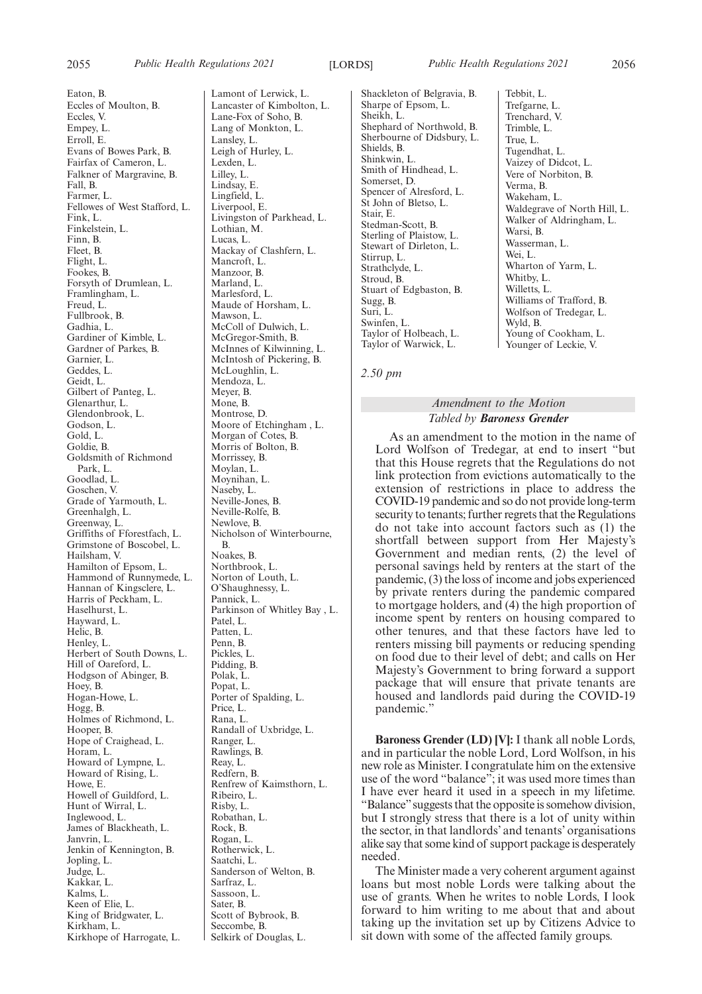Eaton, B. Eccles of Moulton, B. Eccles, V. Empey, L. Erroll, E. Evans of Bowes Park, B. Fairfax of Cameron, L. Falkner of Margravine, B. Fall, B. Farmer, L. Fellowes of West Stafford, L. Fink, L. Finkelstein, L. Finn, B. Fleet, B. Flight, L. Fookes, B. Forsyth of Drumlean, L. Framlingham, L. Freud, L. Fullbrook, B. Gadhia, L. Gardiner of Kimble, L. Gardner of Parkes, B. Garnier, L. Geddes, L. Geidt, L. Gilbert of Panteg, L. Glenarthur, L. Glendonbrook, L. Godson, L. Gold<sub>I</sub>. Goldie, B. Goldsmith of Richmond Park, L. Goodlad, L. Goschen, V. Grade of Yarmouth, L. Greenhalgh, L. Greenway, L. Griffiths of Fforestfach, L. Grimstone of Boscobel, L. Hailsham, V. Hamilton of Epsom, L. Hammond of Runnymede, L. Hannan of Kingsclere, L. Harris of Peckham, L. Haselhurst, L. Hayward, L. Helic, B. Henley, L. Herbert of South Downs, L. Hill of Oareford, L. Hodgson of Abinger, B. Hoey, B. Hogan-Howe, L. Hogg, B. Holmes of Richmond, L. Hooper, B. Hope of Craighead, L. Horam, L. Howard of Lympne, L. Howard of Rising, L. Howe, E. Howell of Guildford, L. Hunt of Wirral, L. Inglewood, L. James of Blackheath, L. Janvrin, L. Jenkin of Kennington, B. Jopling, L. Judge, L. Kakkar, L. Kalms, L. Keen of Elie, L. King of Bridgwater, L. Kirkham, L.

Kirkhope of Harrogate, L.

Lamont of Lerwick, L. Lancaster of Kimbolton, L. Lane-Fox of Soho, B. Lang of Monkton, L. Lansley, L. Leigh of Hurley, L. Lexden, L. Lilley, L. Lindsay, E. Lingfield, L. Liverpool, E. Livingston of Parkhead, L. Lothian, M. Lucas, L. Mackay of Clashfern, L. Mancroft, L. Manzoor, B. Marland, L. Marlesford, L. Maude of Horsham, L. Mawson, L. McColl of Dulwich, L. McGregor-Smith, B. McInnes of Kilwinning, L. McIntosh of Pickering, B. McLoughlin, L. Mendoza, L. Meyer, B. Mone, B. Montrose, D. Moore of Etchingham , L. Morgan of Cotes, B. Morris of Bolton, B. Morrissey, B. Moylan, L. Moynihan, L. Naseby, L. Neville-Jones, B. Neville-Rolfe, B. Newlove, B. Nicholson of Winterbourne, B. Noakes, B. Northbrook, L. Norton of Louth, L. O'Shaughnessy, L. Pannick, L. Parkinson of Whitley Bay , L. Patel, L. Patten, L. Penn, B. Pickles, L. Pidding, B. Polak, L. Popat, L. Porter of Spalding, L. Price, L. Rana, L. Randall of Uxbridge, L. Ranger, L. Rawlings, B. Reay, L. Redfern, B. Renfrew of Kaimsthorn, L. Ribeiro, L. Risby, L. Robathan, L. Rock, B. Rogan, L. Rotherwick, L. Saatchi, L. Sanderson of Welton, B. Sarfraz, L. Sassoon, L. Sater, B. Scott of Bybrook, B. Seccombe, B. Selkirk of Douglas, L.

Shackleton of Belgravia, B. Sharpe of Epsom, L. Sheikh, L. Shephard of Northwold, B. Sherbourne of Didsbury, L. Shields, B. Shinkwin, L. Smith of Hindhead, L. Somerset, D. Spencer of Alresford, L. St John of Bletso, L. Stair, E. Stedman-Scott, B. Sterling of Plaistow, L. Stewart of Dirleton, L. Stirrup, L. Strathclyde, L. Stroud, B. Stuart of Edgbaston, B. Sugg, B. Suri, L. Swinfen, L. Taylor of Holbeach, L. Taylor of Warwick, L.

Tebbit, L. Trefgarne, L. Trenchard, V. Trimble, L. True, L. Tugendhat, L. Vaizey of Didcot, L. Vere of Norbiton, B. Verma, B. Wakeham, L. Waldegrave of North Hill, L. Walker of Aldringham, L. Warsi, B. Wasserman, L. Wei, L. Wharton of Yarm, L. Whitby, L. Willetts, L. Williams of Trafford, B. Wolfson of Tredegar, L. Wyld, B. Young of Cookham, L. Younger of Leckie, V.

*2.50 pm*

#### *Amendment to the Motion Tabled by Baroness Grender*

As an amendment to the motion in the name of Lord Wolfson of Tredegar, at end to insert "but that this House regrets that the Regulations do not link protection from evictions automatically to the extension of restrictions in place to address the COVID-19 pandemic and so do not provide long-term security to tenants; further regrets that the Regulations do not take into account factors such as (1) the shortfall between support from Her Majesty's Government and median rents, (2) the level of personal savings held by renters at the start of the pandemic, (3) the loss of income and jobs experienced by private renters during the pandemic compared to mortgage holders, and (4) the high proportion of income spent by renters on housing compared to other tenures, and that these factors have led to renters missing bill payments or reducing spending on food due to their level of debt; and calls on Her Majesty's Government to bring forward a support package that will ensure that private tenants are housed and landlords paid during the COVID-19 pandemic."

**Baroness Grender (LD) [V]:** I thank all noble Lords, and in particular the noble Lord, Lord Wolfson, in his new role as Minister. I congratulate him on the extensive use of the word "balance"; it was used more times than I have ever heard it used in a speech in my lifetime. "Balance"suggests that the opposite is somehow division, but I strongly stress that there is a lot of unity within the sector, in that landlords' and tenants' organisations alike say that some kind of support package is desperately needed.

The Minister made a very coherent argument against loans but most noble Lords were talking about the use of grants. When he writes to noble Lords, I look forward to him writing to me about that and about taking up the invitation set up by Citizens Advice to sit down with some of the affected family groups.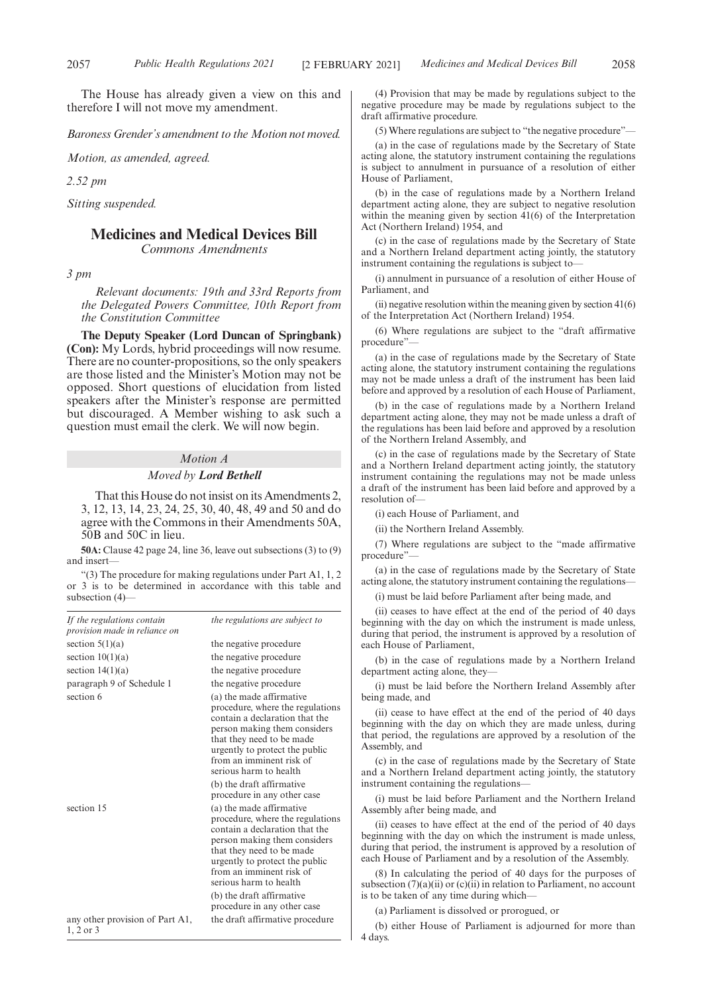The House has already given a view on this and therefore I will not move my amendment.

*Baroness Grender's amendment to the Motion not moved.*

*Motion, as amended, agreed.*

*2.52 pm*

*Sitting suspended.*

## **Medicines and Medical Devices Bill**

*Commons Amendments*

*3 pm*

*Relevant documents: 19th and 33rd Reports from the Delegated Powers Committee, 10th Report from the Constitution Committee*

**The Deputy Speaker (Lord Duncan of Springbank) (Con):** My Lords, hybrid proceedings will now resume. There are no counter-propositions, so the only speakers are those listed and the Minister's Motion may not be opposed. Short questions of elucidation from listed speakers after the Minister's response are permitted but discouraged. A Member wishing to ask such a question must email the clerk. We will now begin.

## *Motion A*

#### *Moved by Lord Bethell*

That this House do not insist on its Amendments 2, 3, 12, 13, 14, 23, 24, 25, 30, 40, 48, 49 and 50 and do agree with the Commons in their Amendments 50A, 50B and 50C in lieu.

**50A:** Clause 42 page 24, line 36, leave out subsections (3) to (9) and insert—

"(3) The procedure for making regulations under Part A1, 1, 2 or 3 is to be determined in accordance with this table and subsection (4)—

| If the regulations contain<br>provision made in reliance on | the regulations are subject to                                                                                                                                                                                                                      |
|-------------------------------------------------------------|-----------------------------------------------------------------------------------------------------------------------------------------------------------------------------------------------------------------------------------------------------|
| section $5(1)(a)$                                           | the negative procedure                                                                                                                                                                                                                              |
| section $10(1)(a)$                                          | the negative procedure                                                                                                                                                                                                                              |
| section $14(1)(a)$                                          | the negative procedure                                                                                                                                                                                                                              |
| paragraph 9 of Schedule 1                                   | the negative procedure                                                                                                                                                                                                                              |
| section 6                                                   | (a) the made affirmative<br>procedure, where the regulations<br>contain a declaration that the<br>person making them considers<br>that they need to be made<br>urgently to protect the public<br>from an imminent risk of<br>serious harm to health |
|                                                             | (b) the draft affirmative<br>procedure in any other case                                                                                                                                                                                            |
| section 15                                                  | (a) the made affirmative<br>procedure, where the regulations<br>contain a declaration that the<br>person making them considers<br>that they need to be made<br>urgently to protect the public<br>from an imminent risk of<br>serious harm to health |
|                                                             | (b) the draft affirmative<br>procedure in any other case                                                                                                                                                                                            |
| any other provision of Part A1,<br>$1, 2$ or $3$            | the draft affirmative procedure                                                                                                                                                                                                                     |

(4) Provision that may be made by regulations subject to the negative procedure may be made by regulations subject to the draft affirmative procedure.

(5) Where regulations are subject to "the negative procedure"—

(a) in the case of regulations made by the Secretary of State acting alone, the statutory instrument containing the regulations is subject to annulment in pursuance of a resolution of either House of Parliament,

(b) in the case of regulations made by a Northern Ireland department acting alone, they are subject to negative resolution within the meaning given by section  $41(6)$  of the Interpretation Act (Northern Ireland) 1954, and

(c) in the case of regulations made by the Secretary of State and a Northern Ireland department acting jointly, the statutory instrument containing the regulations is subject to—

(i) annulment in pursuance of a resolution of either House of Parliament, and

 $(ii)$  negative resolution within the meaning given by section  $41(6)$ of the Interpretation Act (Northern Ireland) 1954.

(6) Where regulations are subject to the "draft affirmative procedure"

(a) in the case of regulations made by the Secretary of State acting alone, the statutory instrument containing the regulations may not be made unless a draft of the instrument has been laid before and approved by a resolution of each House of Parliament,

(b) in the case of regulations made by a Northern Ireland department acting alone, they may not be made unless a draft of the regulations has been laid before and approved by a resolution of the Northern Ireland Assembly, and

(c) in the case of regulations made by the Secretary of State and a Northern Ireland department acting jointly, the statutory instrument containing the regulations may not be made unless a draft of the instrument has been laid before and approved by a resolution of—

(i) each House of Parliament, and

(ii) the Northern Ireland Assembly.

(7) Where regulations are subject to the "made affirmative procedure"

(a) in the case of regulations made by the Secretary of State acting alone, the statutory instrument containing the regulations—

(i) must be laid before Parliament after being made, and

(ii) ceases to have effect at the end of the period of 40 days beginning with the day on which the instrument is made unless, during that period, the instrument is approved by a resolution of each House of Parliament,

(b) in the case of regulations made by a Northern Ireland department acting alone, they—

(i) must be laid before the Northern Ireland Assembly after being made, and

(ii) cease to have effect at the end of the period of 40 days beginning with the day on which they are made unless, during that period, the regulations are approved by a resolution of the Assembly, and

(c) in the case of regulations made by the Secretary of State and a Northern Ireland department acting jointly, the statutory instrument containing the regulations—

(i) must be laid before Parliament and the Northern Ireland Assembly after being made, and

(ii) ceases to have effect at the end of the period of 40 days beginning with the day on which the instrument is made unless, during that period, the instrument is approved by a resolution of each House of Parliament and by a resolution of the Assembly.

(8) In calculating the period of 40 days for the purposes of subsection  $(7)(a)(ii)$  or  $(c)(ii)$  in relation to Parliament, no account is to be taken of any time during which—

(a) Parliament is dissolved or prorogued, or

(b) either House of Parliament is adjourned for more than 4 days.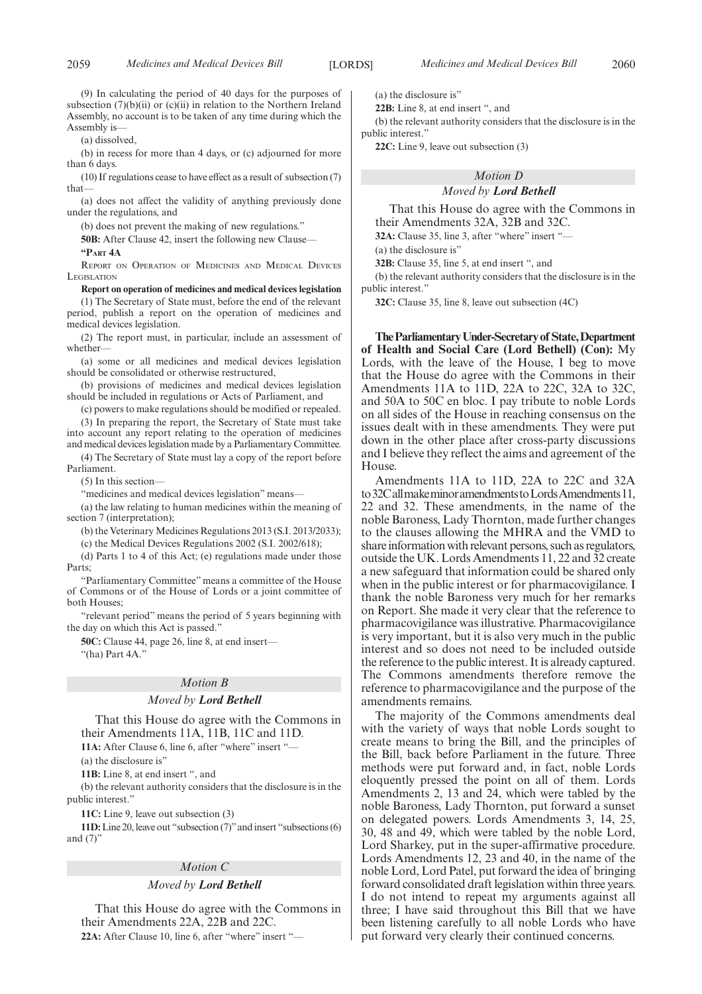(9) In calculating the period of 40 days for the purposes of subsection  $(7)(b)(ii)$  or  $(c)(ii)$  in relation to the Northern Ireland Assembly, no account is to be taken of any time during which the Assembly is—

(a) dissolved,

(b) in recess for more than 4 days, or (c) adjourned for more than 6 days.

(10) If regulations cease to have effect as a result of subsection (7) that—

(a) does not affect the validity of anything previously done under the regulations, and

(b) does not prevent the making of new regulations."

**50B:** After Clause 42, insert the following new Clause—

**"PART 4A**

REPORT ON OPERATION OF MEDICINES AND MEDICAL DEVICES LEGISLATION

**Report on operation of medicines and medical devices legislation** (1) The Secretary of State must, before the end of the relevant period, publish a report on the operation of medicines and medical devices legislation.

(2) The report must, in particular, include an assessment of whether—

(a) some or all medicines and medical devices legislation should be consolidated or otherwise restructured,

(b) provisions of medicines and medical devices legislation should be included in regulations or Acts of Parliament, and

(c) powers to make regulations should be modified or repealed. (3) In preparing the report, the Secretary of State must take into account any report relating to the operation of medicines and medical devices legislation made by a Parliamentary Committee.

(4) The Secretary of State must lay a copy of the report before Parliament.

(5) In this section—

"medicines and medical devices legislation" means—

(a) the law relating to human medicines within the meaning of section 7 (interpretation);

(b) the Veterinary Medicines Regulations 2013 (S.I. 2013/2033);

(c) the Medical Devices Regulations 2002 (S.I. 2002/618);

(d) Parts 1 to 4 of this Act; (e) regulations made under those Parts;

"Parliamentary Committee" means a committee of the House of Commons or of the House of Lords or a joint committee of both Houses;

"relevant period" means the period of 5 years beginning with the day on which this Act is passed."

**50C:** Clause 44, page 26, line 8, at end insert—

"(ha) Part 4A."

#### *Motion B*

#### *Moved by Lord Bethell*

That this House do agree with the Commons in their Amendments 11A, 11B, 11C and 11D.

**11A:** After Clause 6, line 6, after "where" insert "—

(a) the disclosure is'

**11B:** Line 8, at end insert ", and

(b) the relevant authority considers that the disclosure is in the public interest."

**11C:** Line 9, leave out subsection (3)

**11D:**Line 20, leave out "subsection (7)"and insert "subsections(6) and  $(7)$ "

#### *Motion C*

#### *Moved by Lord Bethell*

That this House do agree with the Commons in their Amendments 22A, 22B and 22C.

**22A:** After Clause 10, line 6, after "where" insert "—

(a) the disclosure is"

**22B:** Line 8, at end insert ", and

(b) the relevant authority considers that the disclosure is in the public interest."

**22C:** Line 9, leave out subsection (3)

## *Motion D*

#### *Moved by Lord Bethell*

That this House do agree with the Commons in their Amendments 32A, 32B and 32C.

**32A:** Clause 35, line 3, after "where" insert "—

(a) the disclosure is"

**32B:** Clause 35, line 5, at end insert ", and

(b) the relevant authority considers that the disclosure is in the public interest."

**32C:** Clause 35, line 8, leave out subsection (4C)

**TheParliamentaryUnder-Secretaryof State,Department of Health and Social Care (Lord Bethell) (Con):** My Lords, with the leave of the House, I beg to move that the House do agree with the Commons in their Amendments 11A to 11D, 22A to 22C, 32A to 32C, and 50A to 50C en bloc. I pay tribute to noble Lords on all sides of the House in reaching consensus on the issues dealt with in these amendments. They were put down in the other place after cross-party discussions and I believe they reflect the aims and agreement of the House.

Amendments 11A to 11D, 22A to 22C and 32A to32CallmakeminoramendmentstoLordsAmendments11, 22 and 32. These amendments, in the name of the noble Baroness, Lady Thornton, made further changes to the clauses allowing the MHRA and the VMD to share information with relevant persons, such as regulators, outside the UK. Lords Amendments 11, 22 and 32 create a new safeguard that information could be shared only when in the public interest or for pharmacovigilance. I thank the noble Baroness very much for her remarks on Report. She made it very clear that the reference to pharmacovigilance was illustrative. Pharmacovigilance is very important, but it is also very much in the public interest and so does not need to be included outside the reference to the public interest. It is already captured. The Commons amendments therefore remove the reference to pharmacovigilance and the purpose of the amendments remains.

The majority of the Commons amendments deal with the variety of ways that noble Lords sought to create means to bring the Bill, and the principles of the Bill, back before Parliament in the future. Three methods were put forward and, in fact, noble Lords eloquently pressed the point on all of them. Lords Amendments 2, 13 and 24, which were tabled by the noble Baroness, Lady Thornton, put forward a sunset on delegated powers. Lords Amendments 3, 14, 25, 30, 48 and 49, which were tabled by the noble Lord, Lord Sharkey, put in the super-affirmative procedure. Lords Amendments 12, 23 and 40, in the name of the noble Lord, Lord Patel, put forward the idea of bringing forward consolidated draft legislation within three years. I do not intend to repeat my arguments against all three; I have said throughout this Bill that we have been listening carefully to all noble Lords who have put forward very clearly their continued concerns.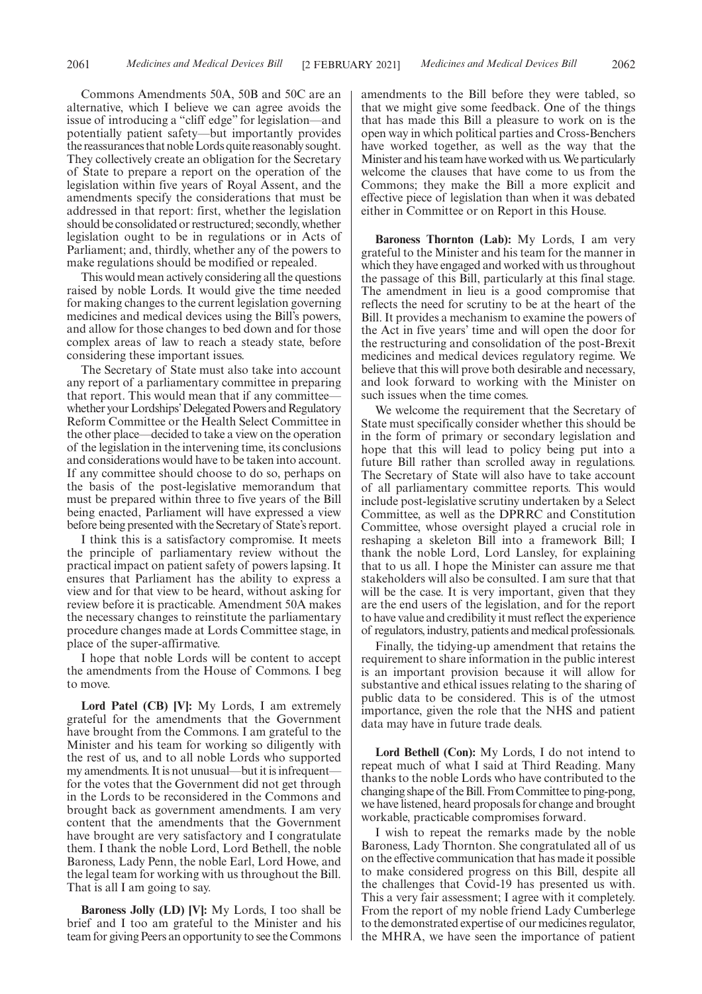Commons Amendments 50A, 50B and 50C are an alternative, which I believe we can agree avoids the issue of introducing a "cliff edge" for legislation—and potentially patient safety—but importantly provides the reassurances that noble Lords quite reasonably sought. They collectively create an obligation for the Secretary of State to prepare a report on the operation of the legislation within five years of Royal Assent, and the amendments specify the considerations that must be addressed in that report: first, whether the legislation should be consolidated or restructured; secondly, whether legislation ought to be in regulations or in Acts of Parliament; and, thirdly, whether any of the powers to make regulations should be modified or repealed.

This would mean actively considering all the questions raised by noble Lords. It would give the time needed for making changes to the current legislation governing medicines and medical devices using the Bill's powers, and allow for those changes to bed down and for those complex areas of law to reach a steady state, before considering these important issues.

The Secretary of State must also take into account any report of a parliamentary committee in preparing that report. This would mean that if any committee whether your Lordships'Delegated Powers and Regulatory Reform Committee or the Health Select Committee in the other place—decided to take a view on the operation of the legislation in the intervening time, its conclusions and considerations would have to be taken into account. If any committee should choose to do so, perhaps on the basis of the post-legislative memorandum that must be prepared within three to five years of the Bill being enacted, Parliament will have expressed a view before being presented with the Secretary of State's report.

I think this is a satisfactory compromise. It meets the principle of parliamentary review without the practical impact on patient safety of powers lapsing. It ensures that Parliament has the ability to express a view and for that view to be heard, without asking for review before it is practicable. Amendment 50A makes the necessary changes to reinstitute the parliamentary procedure changes made at Lords Committee stage, in place of the super-affirmative.

I hope that noble Lords will be content to accept the amendments from the House of Commons. I beg to move.

**Lord Patel (CB) [V]:** My Lords, I am extremely grateful for the amendments that the Government have brought from the Commons. I am grateful to the Minister and his team for working so diligently with the rest of us, and to all noble Lords who supported my amendments. It is not unusual—but it is infrequent for the votes that the Government did not get through in the Lords to be reconsidered in the Commons and brought back as government amendments. I am very content that the amendments that the Government have brought are very satisfactory and I congratulate them. I thank the noble Lord, Lord Bethell, the noble Baroness, Lady Penn, the noble Earl, Lord Howe, and the legal team for working with us throughout the Bill. That is all I am going to say.

**Baroness Jolly (LD) [V]:** My Lords, I too shall be brief and I too am grateful to the Minister and his team for giving Peers an opportunity to see the Commons amendments to the Bill before they were tabled, so that we might give some feedback. One of the things that has made this Bill a pleasure to work on is the open way in which political parties and Cross-Benchers have worked together, as well as the way that the Minister and his team have worked with us. We particularly welcome the clauses that have come to us from the Commons; they make the Bill a more explicit and effective piece of legislation than when it was debated either in Committee or on Report in this House.

**Baroness Thornton (Lab):** My Lords, I am very grateful to the Minister and his team for the manner in which they have engaged and worked with us throughout the passage of this Bill, particularly at this final stage. The amendment in lieu is a good compromise that reflects the need for scrutiny to be at the heart of the Bill. It provides a mechanism to examine the powers of the Act in five years' time and will open the door for the restructuring and consolidation of the post-Brexit medicines and medical devices regulatory regime. We believe that this will prove both desirable and necessary, and look forward to working with the Minister on such issues when the time comes.

We welcome the requirement that the Secretary of State must specifically consider whether this should be in the form of primary or secondary legislation and hope that this will lead to policy being put into a future Bill rather than scrolled away in regulations. The Secretary of State will also have to take account of all parliamentary committee reports. This would include post-legislative scrutiny undertaken by a Select Committee, as well as the DPRRC and Constitution Committee, whose oversight played a crucial role in reshaping a skeleton Bill into a framework Bill; I thank the noble Lord, Lord Lansley, for explaining that to us all. I hope the Minister can assure me that stakeholders will also be consulted. I am sure that that will be the case. It is very important, given that they are the end users of the legislation, and for the report to have value and credibility it must reflect the experience of regulators, industry, patients and medical professionals.

Finally, the tidying-up amendment that retains the requirement to share information in the public interest is an important provision because it will allow for substantive and ethical issues relating to the sharing of public data to be considered. This is of the utmost importance, given the role that the NHS and patient data may have in future trade deals.

**Lord Bethell (Con):** My Lords, I do not intend to repeat much of what I said at Third Reading. Many thanks to the noble Lords who have contributed to the changing shape of the Bill. From Committee to ping-pong, we have listened, heard proposals for change and brought workable, practicable compromises forward.

I wish to repeat the remarks made by the noble Baroness, Lady Thornton. She congratulated all of us on the effective communication that has made it possible to make considered progress on this Bill, despite all the challenges that Covid-19 has presented us with. This a very fair assessment; I agree with it completely. From the report of my noble friend Lady Cumberlege to the demonstrated expertise of our medicines regulator, the MHRA, we have seen the importance of patient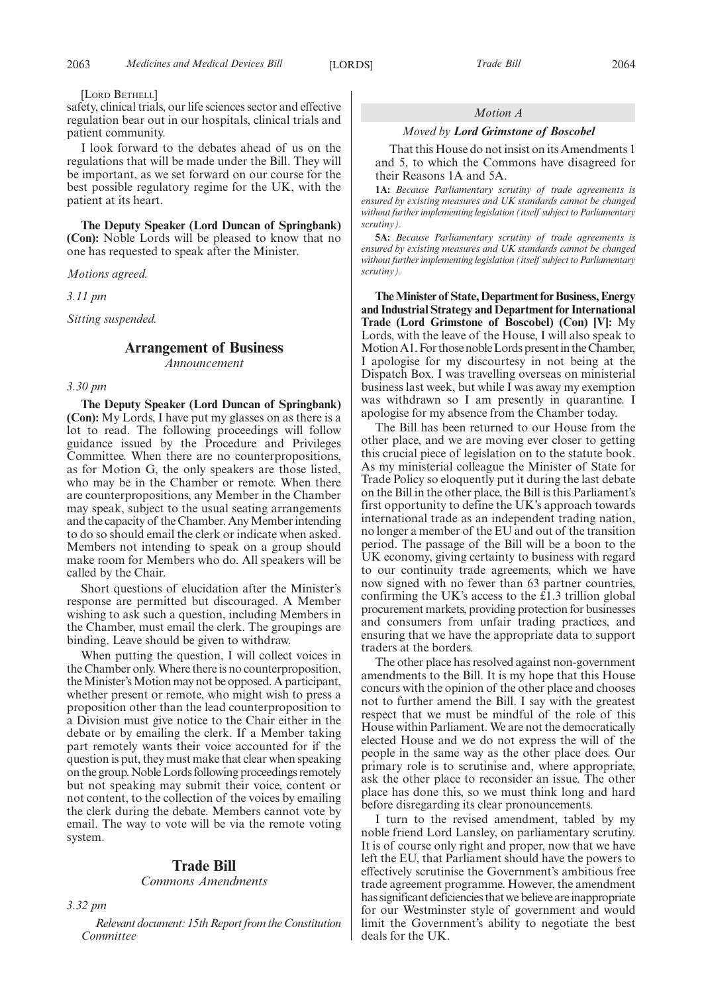#### [LORD BETHELL]

safety, clinical trials, our life sciences sector and effective regulation bear out in our hospitals, clinical trials and patient community.

I look forward to the debates ahead of us on the regulations that will be made under the Bill. They will be important, as we set forward on our course for the best possible regulatory regime for the UK, with the patient at its heart.

**The Deputy Speaker (Lord Duncan of Springbank) (Con):** Noble Lords will be pleased to know that no one has requested to speak after the Minister.

*Motions agreed.*

*3.11 pm*

*Sitting suspended.*

## **Arrangement of Business**

*Announcement*

#### *3.30 pm*

**The Deputy Speaker (Lord Duncan of Springbank) (Con):** My Lords, I have put my glasses on as there is a lot to read. The following proceedings will follow guidance issued by the Procedure and Privileges Committee. When there are no counterpropositions, as for Motion G, the only speakers are those listed, who may be in the Chamber or remote. When there are counterpropositions, any Member in the Chamber may speak, subject to the usual seating arrangements and the capacity of the Chamber. Any Member intending to do so should email the clerk or indicate when asked. Members not intending to speak on a group should make room for Members who do. All speakers will be called by the Chair.

Short questions of elucidation after the Minister's response are permitted but discouraged. A Member wishing to ask such a question, including Members in the Chamber, must email the clerk. The groupings are binding. Leave should be given to withdraw.

When putting the question, I will collect voices in the Chamber only. Where there is no counterproposition, the Minister's Motion may not be opposed. A participant, whether present or remote, who might wish to press a proposition other than the lead counterproposition to a Division must give notice to the Chair either in the debate or by emailing the clerk. If a Member taking part remotely wants their voice accounted for if the question is put, they must make that clear when speaking on the group. Noble Lords following proceedings remotely but not speaking may submit their voice, content or not content, to the collection of the voices by emailing the clerk during the debate. Members cannot vote by email. The way to vote will be via the remote voting system.

#### **Trade Bill**

#### *Commons Amendments*

*3.32 pm*

*Relevant document: 15th Report from the Constitution Committee*

#### *Motion A*

#### *Moved by Lord Grimstone of Boscobel*

That this House do not insist on its Amendments 1 and 5, to which the Commons have disagreed for their Reasons 1A and 5A.

**1A:** *Because Parliamentary scrutiny of trade agreements is ensured by existing measures and UK standards cannot be changed* without further implementing legislation (itself subject to Parliamentary *scrutiny).*

**5A:** *Because Parliamentary scrutiny of trade agreements is ensured by existing measures and UK standards cannot be changed without further implementing legislation (itself subject to Parliamentary scrutiny).*

**The Minister of State, Department for Business, Energy and Industrial Strategy and Department for International Trade (Lord Grimstone of Boscobel) (Con) [V]:** My Lords, with the leave of the House, I will also speak to Motion A1. For those noble Lords present in the Chamber, I apologise for my discourtesy in not being at the Dispatch Box. I was travelling overseas on ministerial business last week, but while I was away my exemption was withdrawn so I am presently in quarantine. I apologise for my absence from the Chamber today.

The Bill has been returned to our House from the other place, and we are moving ever closer to getting this crucial piece of legislation on to the statute book. As my ministerial colleague the Minister of State for Trade Policy so eloquently put it during the last debate on the Bill in the other place, the Bill is this Parliament's first opportunity to define the UK's approach towards international trade as an independent trading nation, no longer a member of the EU and out of the transition period. The passage of the Bill will be a boon to the UK economy, giving certainty to business with regard to our continuity trade agreements, which we have now signed with no fewer than 63 partner countries, confirming the UK's access to the £1.3 trillion global procurement markets, providing protection for businesses and consumers from unfair trading practices, and ensuring that we have the appropriate data to support traders at the borders.

The other place has resolved against non-government amendments to the Bill. It is my hope that this House concurs with the opinion of the other place and chooses not to further amend the Bill. I say with the greatest respect that we must be mindful of the role of this House within Parliament. We are not the democratically elected House and we do not express the will of the people in the same way as the other place does. Our primary role is to scrutinise and, where appropriate, ask the other place to reconsider an issue. The other place has done this, so we must think long and hard before disregarding its clear pronouncements.

I turn to the revised amendment, tabled by my noble friend Lord Lansley, on parliamentary scrutiny. It is of course only right and proper, now that we have left the EU, that Parliament should have the powers to effectively scrutinise the Government's ambitious free trade agreement programme. However, the amendment has significant deficiencies that we believe are inappropriate for our Westminster style of government and would limit the Government's ability to negotiate the best deals for the UK.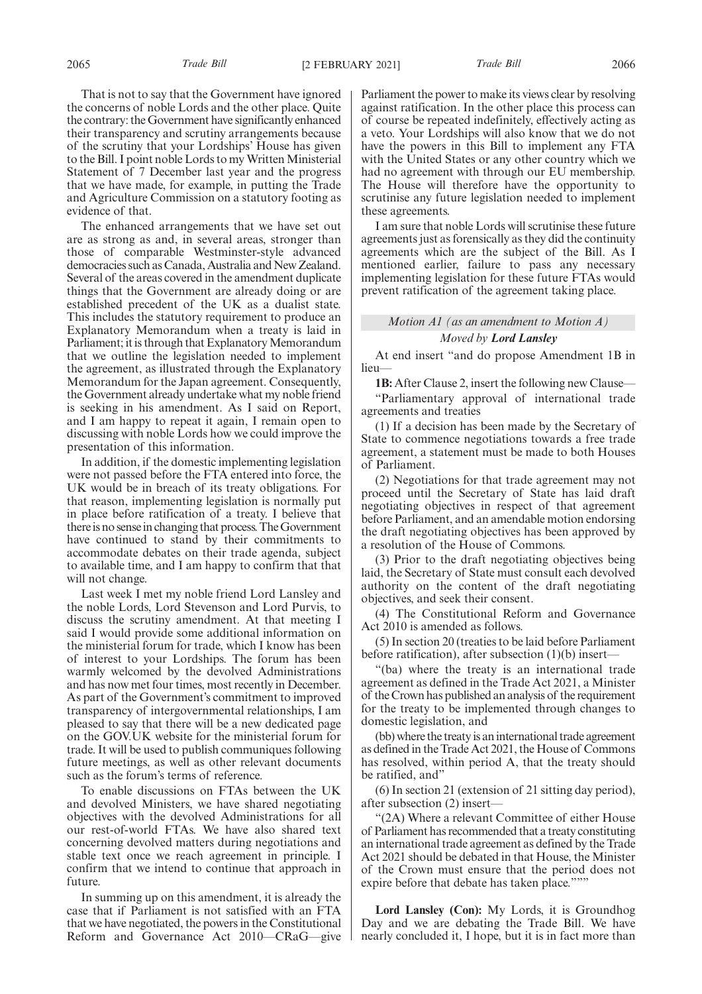That is not to say that the Government have ignored the concerns of noble Lords and the other place. Quite the contrary: the Government have significantly enhanced their transparency and scrutiny arrangements because of the scrutiny that your Lordships' House has given to the Bill. I point noble Lords to my Written Ministerial Statement of 7 December last year and the progress that we have made, for example, in putting the Trade and Agriculture Commission on a statutory footing as evidence of that.

The enhanced arrangements that we have set out are as strong as and, in several areas, stronger than those of comparable Westminster-style advanced democracies such as Canada, Australia and New Zealand. Several of the areas covered in the amendment duplicate things that the Government are already doing or are established precedent of the UK as a dualist state. This includes the statutory requirement to produce an Explanatory Memorandum when a treaty is laid in Parliament; it is through that Explanatory Memorandum that we outline the legislation needed to implement the agreement, as illustrated through the Explanatory Memorandum for the Japan agreement. Consequently, the Government already undertake what my noble friend is seeking in his amendment. As I said on Report, and I am happy to repeat it again, I remain open to discussing with noble Lords how we could improve the presentation of this information.

In addition, if the domestic implementing legislation were not passed before the FTA entered into force, the UK would be in breach of its treaty obligations. For that reason, implementing legislation is normally put in place before ratification of a treaty. I believe that there is no sense in changing that process. The Government have continued to stand by their commitments to accommodate debates on their trade agenda, subject to available time, and I am happy to confirm that that will not change.

Last week I met my noble friend Lord Lansley and the noble Lords, Lord Stevenson and Lord Purvis, to discuss the scrutiny amendment. At that meeting I said I would provide some additional information on the ministerial forum for trade, which I know has been of interest to your Lordships. The forum has been warmly welcomed by the devolved Administrations and has now met four times, most recently in December. As part of the Government's commitment to improved transparency of intergovernmental relationships, I am pleased to say that there will be a new dedicated page on the GOV.UK website for the ministerial forum for trade. It will be used to publish communiques following future meetings, as well as other relevant documents such as the forum's terms of reference.

To enable discussions on FTAs between the UK and devolved Ministers, we have shared negotiating objectives with the devolved Administrations for all our rest-of-world FTAs. We have also shared text concerning devolved matters during negotiations and stable text once we reach agreement in principle. I confirm that we intend to continue that approach in future.

In summing up on this amendment, it is already the case that if Parliament is not satisfied with an FTA that we have negotiated, the powers in the Constitutional Reform and Governance Act 2010—CRaG—give Parliament the power to make its views clear by resolving against ratification. In the other place this process can of course be repeated indefinitely, effectively acting as a veto. Your Lordships will also know that we do not have the powers in this Bill to implement any FTA with the United States or any other country which we had no agreement with through our EU membership. The House will therefore have the opportunity to scrutinise any future legislation needed to implement these agreements.

I am sure that noble Lords will scrutinise these future agreements just as forensically as they did the continuity agreements which are the subject of the Bill. As I mentioned earlier, failure to pass any necessary implementing legislation for these future FTAs would prevent ratification of the agreement taking place.

### *Motion A1 (as an amendment to Motion A) Moved by Lord Lansley*

At end insert "and do propose Amendment 1B in lieu

**1B:** After Clause 2, insert the following new Clause—

"Parliamentary approval of international trade agreements and treaties

(1) If a decision has been made by the Secretary of State to commence negotiations towards a free trade agreement, a statement must be made to both Houses of Parliament.

(2) Negotiations for that trade agreement may not proceed until the Secretary of State has laid draft negotiating objectives in respect of that agreement before Parliament, and an amendable motion endorsing the draft negotiating objectives has been approved by a resolution of the House of Commons.

(3) Prior to the draft negotiating objectives being laid, the Secretary of State must consult each devolved authority on the content of the draft negotiating objectives, and seek their consent.

(4) The Constitutional Reform and Governance Act 2010 is amended as follows.

(5) In section 20 (treaties to be laid before Parliament before ratification), after subsection (1)(b) insert—

"(ba) where the treaty is an international trade agreement as defined in the Trade Act 2021, a Minister of the Crown has published an analysis of the requirement for the treaty to be implemented through changes to domestic legislation, and

(bb) where the treaty is an international trade agreement as defined in the Trade Act 2021, the House of Commons has resolved, within period A, that the treaty should be ratified, and'

(6) In section 21 (extension of 21 sitting day period), after subsection (2) insert—

"(2A) Where a relevant Committee of either House of Parliament has recommended that a treaty constituting an international trade agreement as defined by the Trade Act 2021 should be debated in that House, the Minister of the Crown must ensure that the period does not expire before that debate has taken place."""

**Lord Lansley (Con):** My Lords, it is Groundhog Day and we are debating the Trade Bill. We have nearly concluded it, I hope, but it is in fact more than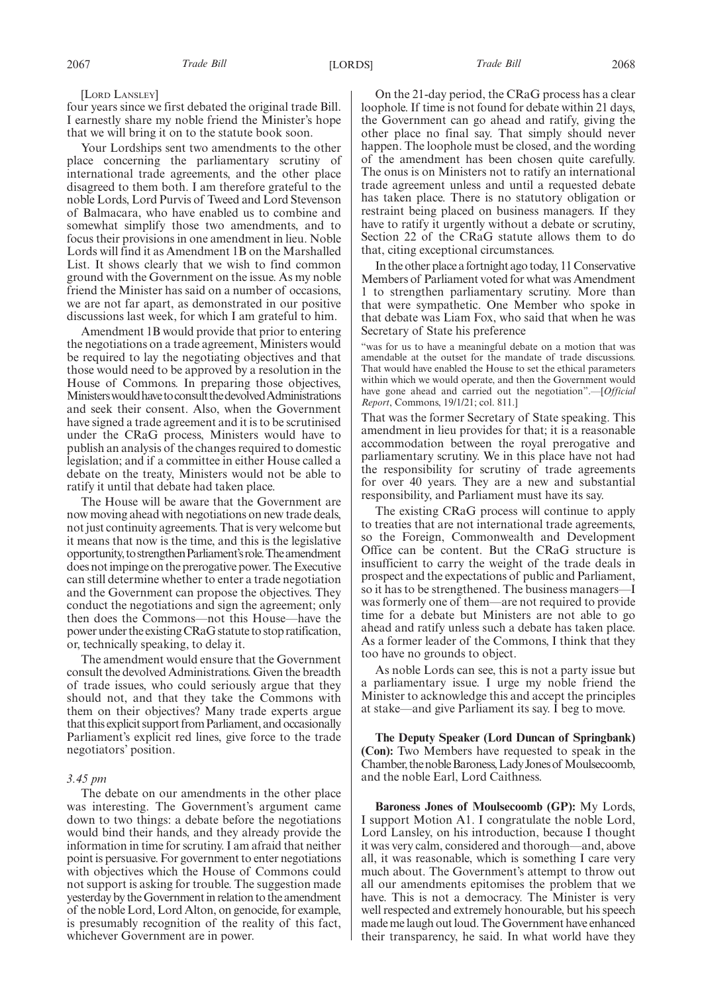four years since we first debated the original trade Bill. I earnestly share my noble friend the Minister's hope that we will bring it on to the statute book soon.

Your Lordships sent two amendments to the other place concerning the parliamentary scrutiny of international trade agreements, and the other place disagreed to them both. I am therefore grateful to the noble Lords, Lord Purvis of Tweed and Lord Stevenson of Balmacara, who have enabled us to combine and somewhat simplify those two amendments, and to focus their provisions in one amendment in lieu. Noble Lords will find it as Amendment 1B on the Marshalled List. It shows clearly that we wish to find common ground with the Government on the issue. As my noble friend the Minister has said on a number of occasions, we are not far apart, as demonstrated in our positive discussions last week, for which I am grateful to him.

Amendment 1B would provide that prior to entering the negotiations on a trade agreement, Ministers would be required to lay the negotiating objectives and that those would need to be approved by a resolution in the House of Commons. In preparing those objectives, Ministers would have to consult the devolved Administrations and seek their consent. Also, when the Government have signed a trade agreement and it is to be scrutinised under the CRaG process, Ministers would have to publish an analysis of the changes required to domestic legislation; and if a committee in either House called a debate on the treaty, Ministers would not be able to ratify it until that debate had taken place.

The House will be aware that the Government are now moving ahead with negotiations on new trade deals, not just continuity agreements. That is very welcome but it means that now is the time, and this is the legislative opportunity, to strengthen Parliament's role. The amendment does not impinge on the prerogative power. The Executive can still determine whether to enter a trade negotiation and the Government can propose the objectives. They conduct the negotiations and sign the agreement; only then does the Commons—not this House—have the power under the existing CRaG statute to stop ratification, or, technically speaking, to delay it.

The amendment would ensure that the Government consult the devolved Administrations. Given the breadth of trade issues, who could seriously argue that they should not, and that they take the Commons with them on their objectives? Many trade experts argue that this explicit support from Parliament, and occasionally Parliament's explicit red lines, give force to the trade negotiators' position.

#### *3.45 pm*

The debate on our amendments in the other place was interesting. The Government's argument came down to two things: a debate before the negotiations would bind their hands, and they already provide the information in time for scrutiny. I am afraid that neither point is persuasive. For government to enter negotiations with objectives which the House of Commons could not support is asking for trouble. The suggestion made yesterday by the Government in relation to the amendment of the noble Lord, Lord Alton, on genocide, for example, is presumably recognition of the reality of this fact, whichever Government are in power.

On the 21-day period, the CRaG process has a clear loophole. If time is not found for debate within 21 days, the Government can go ahead and ratify, giving the other place no final say. That simply should never happen. The loophole must be closed, and the wording of the amendment has been chosen quite carefully. The onus is on Ministers not to ratify an international trade agreement unless and until a requested debate has taken place. There is no statutory obligation or restraint being placed on business managers. If they have to ratify it urgently without a debate or scrutiny, Section 22 of the CRaG statute allows them to do that, citing exceptional circumstances.

In the other place a fortnight ago today, 11 Conservative Members of Parliament voted for what was Amendment 1 to strengthen parliamentary scrutiny. More than that were sympathetic. One Member who spoke in that debate was Liam Fox, who said that when he was Secretary of State his preference

"was for us to have a meaningful debate on a motion that was amendable at the outset for the mandate of trade discussions. That would have enabled the House to set the ethical parameters within which we would operate, and then the Government would have gone ahead and carried out the negotiation".—[*Official Report*, Commons, 19/1/21; col. 811.]

That was the former Secretary of State speaking. This amendment in lieu provides for that; it is a reasonable accommodation between the royal prerogative and parliamentary scrutiny. We in this place have not had the responsibility for scrutiny of trade agreements for over 40 years. They are a new and substantial responsibility, and Parliament must have its say.

The existing CRaG process will continue to apply to treaties that are not international trade agreements, so the Foreign, Commonwealth and Development Office can be content. But the CRaG structure is insufficient to carry the weight of the trade deals in prospect and the expectations of public and Parliament, so it has to be strengthened. The business managers—I was formerly one of them—are not required to provide time for a debate but Ministers are not able to go ahead and ratify unless such a debate has taken place. As a former leader of the Commons, I think that they too have no grounds to object.

As noble Lords can see, this is not a party issue but a parliamentary issue. I urge my noble friend the Minister to acknowledge this and accept the principles at stake—and give Parliament its say. I beg to move.

**The Deputy Speaker (Lord Duncan of Springbank) (Con):** Two Members have requested to speak in the Chamber, the noble Baroness, Lady Jones of Moulsecoomb, and the noble Earl, Lord Caithness.

**Baroness Jones of Moulsecoomb (GP):** My Lords, I support Motion A1. I congratulate the noble Lord, Lord Lansley, on his introduction, because I thought it was very calm, considered and thorough—and, above all, it was reasonable, which is something I care very much about. The Government's attempt to throw out all our amendments epitomises the problem that we have. This is not a democracy. The Minister is very well respected and extremely honourable, but his speech made me laugh out loud. The Government have enhanced their transparency, he said. In what world have they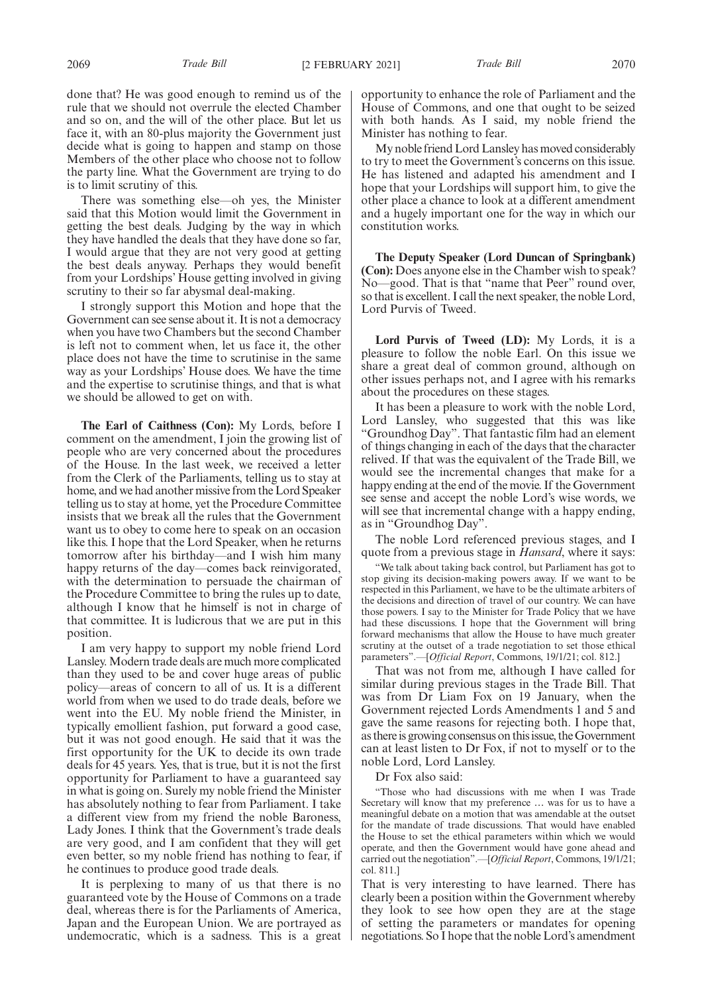done that? He was good enough to remind us of the rule that we should not overrule the elected Chamber and so on, and the will of the other place. But let us face it, with an 80-plus majority the Government just decide what is going to happen and stamp on those Members of the other place who choose not to follow the party line. What the Government are trying to do is to limit scrutiny of this.

There was something else—oh yes, the Minister said that this Motion would limit the Government in getting the best deals. Judging by the way in which they have handled the deals that they have done so far, I would argue that they are not very good at getting the best deals anyway. Perhaps they would benefit from your Lordships' House getting involved in giving scrutiny to their so far abysmal deal-making.

I strongly support this Motion and hope that the Government can see sense about it. It is not a democracy when you have two Chambers but the second Chamber is left not to comment when, let us face it, the other place does not have the time to scrutinise in the same way as your Lordships' House does. We have the time and the expertise to scrutinise things, and that is what we should be allowed to get on with.

**The Earl of Caithness (Con):** My Lords, before I comment on the amendment, I join the growing list of people who are very concerned about the procedures of the House. In the last week, we received a letter from the Clerk of the Parliaments, telling us to stay at home, and we had another missive from the Lord Speaker telling us to stay at home, yet the Procedure Committee insists that we break all the rules that the Government want us to obey to come here to speak on an occasion like this. I hope that the Lord Speaker, when he returns tomorrow after his birthday—and I wish him many happy returns of the day—comes back reinvigorated, with the determination to persuade the chairman of the Procedure Committee to bring the rules up to date, although I know that he himself is not in charge of that committee. It is ludicrous that we are put in this position.

I am very happy to support my noble friend Lord Lansley. Modern trade deals are much more complicated than they used to be and cover huge areas of public policy—areas of concern to all of us. It is a different world from when we used to do trade deals, before we went into the EU. My noble friend the Minister, in typically emollient fashion, put forward a good case, but it was not good enough. He said that it was the first opportunity for the UK to decide its own trade deals for 45 years. Yes, that is true, but it is not the first opportunity for Parliament to have a guaranteed say in what is going on. Surely my noble friend the Minister has absolutely nothing to fear from Parliament. I take a different view from my friend the noble Baroness, Lady Jones. I think that the Government's trade deals are very good, and I am confident that they will get even better, so my noble friend has nothing to fear, if he continues to produce good trade deals.

It is perplexing to many of us that there is no guaranteed vote by the House of Commons on a trade deal, whereas there is for the Parliaments of America, Japan and the European Union. We are portrayed as undemocratic, which is a sadness. This is a great opportunity to enhance the role of Parliament and the House of Commons, and one that ought to be seized with both hands. As I said, my noble friend the Minister has nothing to fear.

My noble friend Lord Lansley has moved considerably to try to meet the Government's concerns on this issue. He has listened and adapted his amendment and I hope that your Lordships will support him, to give the other place a chance to look at a different amendment and a hugely important one for the way in which our constitution works.

**The Deputy Speaker (Lord Duncan of Springbank) (Con):** Does anyone else in the Chamber wish to speak? No—good. That is that "name that Peer" round over, so that is excellent. I call the next speaker, the noble Lord, Lord Purvis of Tweed.

**Lord Purvis of Tweed (LD):** My Lords, it is a pleasure to follow the noble Earl. On this issue we share a great deal of common ground, although on other issues perhaps not, and I agree with his remarks about the procedures on these stages.

It has been a pleasure to work with the noble Lord, Lord Lansley, who suggested that this was like "Groundhog Day". That fantastic film had an element of things changing in each of the days that the character relived. If that was the equivalent of the Trade Bill, we would see the incremental changes that make for a happy ending at the end of the movie. If the Government see sense and accept the noble Lord's wise words, we will see that incremental change with a happy ending, as in "Groundhog Day".

The noble Lord referenced previous stages, and I quote from a previous stage in *Hansard*, where it says:

"We talk about taking back control, but Parliament has got to stop giving its decision-making powers away. If we want to be respected in this Parliament, we have to be the ultimate arbiters of the decisions and direction of travel of our country. We can have those powers. I say to the Minister for Trade Policy that we have had these discussions. I hope that the Government will bring forward mechanisms that allow the House to have much greater scrutiny at the outset of a trade negotiation to set those ethical parameters".—[*Official Report*, Commons, 19/1/21; col. 812.]

That was not from me, although I have called for similar during previous stages in the Trade Bill. That was from Dr Liam Fox on 19 January, when the Government rejected Lords Amendments 1 and 5 and gave the same reasons for rejecting both. I hope that, as there is growing consensus on this issue, the Government can at least listen to Dr Fox, if not to myself or to the noble Lord, Lord Lansley.

Dr Fox also said:

"Those who had discussions with me when I was Trade Secretary will know that my preference … was for us to have a meaningful debate on a motion that was amendable at the outset for the mandate of trade discussions. That would have enabled the House to set the ethical parameters within which we would operate, and then the Government would have gone ahead and carried out the negotiation".—[*Official Report*, Commons, 19/1/21; col. 811.]

That is very interesting to have learned. There has clearly been a position within the Government whereby they look to see how open they are at the stage of setting the parameters or mandates for opening negotiations. So I hope that the noble Lord's amendment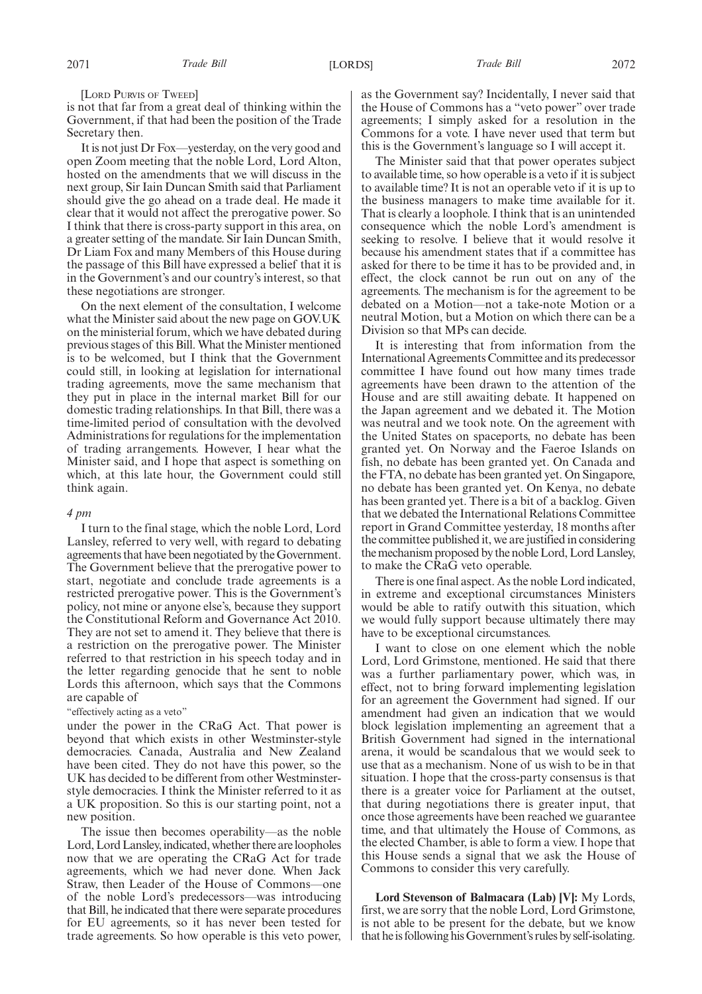[LORD PURVIS OF TWEED]

is not that far from a great deal of thinking within the Government, if that had been the position of the Trade Secretary then.

It is not just Dr Fox—yesterday, on the very good and open Zoom meeting that the noble Lord, Lord Alton, hosted on the amendments that we will discuss in the next group, Sir Iain Duncan Smith said that Parliament should give the go ahead on a trade deal. He made it clear that it would not affect the prerogative power. So I think that there is cross-party support in this area, on a greater setting of the mandate. Sir Iain Duncan Smith, Dr Liam Fox and many Members of this House during the passage of this Bill have expressed a belief that it is in the Government's and our country's interest, so that these negotiations are stronger.

On the next element of the consultation, I welcome what the Minister said about the new page on GOV.UK on the ministerial forum, which we have debated during previous stages of this Bill. What the Minister mentioned is to be welcomed, but I think that the Government could still, in looking at legislation for international trading agreements, move the same mechanism that they put in place in the internal market Bill for our domestic trading relationships. In that Bill, there was a time-limited period of consultation with the devolved Administrations for regulations for the implementation of trading arrangements. However, I hear what the Minister said, and I hope that aspect is something on which, at this late hour, the Government could still think again.

#### *4 pm*

I turn to the final stage, which the noble Lord, Lord Lansley, referred to very well, with regard to debating agreements that have been negotiated by the Government. The Government believe that the prerogative power to start, negotiate and conclude trade agreements is a restricted prerogative power. This is the Government's policy, not mine or anyone else's, because they support the Constitutional Reform and Governance Act 2010. They are not set to amend it. They believe that there is a restriction on the prerogative power. The Minister referred to that restriction in his speech today and in the letter regarding genocide that he sent to noble Lords this afternoon, which says that the Commons are capable of

#### "effectively acting as a veto"

under the power in the CRaG Act. That power is beyond that which exists in other Westminster-style democracies. Canada, Australia and New Zealand have been cited. They do not have this power, so the UK has decided to be different from other Westminsterstyle democracies. I think the Minister referred to it as a UK proposition. So this is our starting point, not a new position.

The issue then becomes operability—as the noble Lord, Lord Lansley, indicated, whether there are loopholes now that we are operating the CRaG Act for trade agreements, which we had never done. When Jack Straw, then Leader of the House of Commons—one of the noble Lord's predecessors—was introducing that Bill, he indicated that there were separate procedures for EU agreements, so it has never been tested for trade agreements. So how operable is this veto power,

as the Government say? Incidentally, I never said that the House of Commons has a "veto power" over trade agreements; I simply asked for a resolution in the Commons for a vote. I have never used that term but this is the Government's language so I will accept it.

The Minister said that that power operates subject to available time, so how operable is a veto if it is subject to available time? It is not an operable veto if it is up to the business managers to make time available for it. That is clearly a loophole. I think that is an unintended consequence which the noble Lord's amendment is seeking to resolve. I believe that it would resolve it because his amendment states that if a committee has asked for there to be time it has to be provided and, in effect, the clock cannot be run out on any of the agreements. The mechanism is for the agreement to be debated on a Motion—not a take-note Motion or a neutral Motion, but a Motion on which there can be a Division so that MPs can decide.

It is interesting that from information from the International Agreements Committee and its predecessor committee I have found out how many times trade agreements have been drawn to the attention of the House and are still awaiting debate. It happened on the Japan agreement and we debated it. The Motion was neutral and we took note. On the agreement with the United States on spaceports, no debate has been granted yet. On Norway and the Faeroe Islands on fish, no debate has been granted yet. On Canada and the FTA, no debate has been granted yet. On Singapore, no debate has been granted yet. On Kenya, no debate has been granted yet. There is a bit of a backlog. Given that we debated the International Relations Committee report in Grand Committee yesterday, 18 months after the committee published it, we are justified in considering the mechanism proposed by the noble Lord, Lord Lansley, to make the CRaG veto operable.

There is one final aspect. As the noble Lord indicated, in extreme and exceptional circumstances Ministers would be able to ratify outwith this situation, which we would fully support because ultimately there may have to be exceptional circumstances.

I want to close on one element which the noble Lord, Lord Grimstone, mentioned. He said that there was a further parliamentary power, which was, in effect, not to bring forward implementing legislation for an agreement the Government had signed. If our amendment had given an indication that we would block legislation implementing an agreement that a British Government had signed in the international arena, it would be scandalous that we would seek to use that as a mechanism. None of us wish to be in that situation. I hope that the cross-party consensus is that there is a greater voice for Parliament at the outset, that during negotiations there is greater input, that once those agreements have been reached we guarantee time, and that ultimately the House of Commons, as the elected Chamber, is able to form a view. I hope that this House sends a signal that we ask the House of Commons to consider this very carefully.

**Lord Stevenson of Balmacara (Lab) [V]:** My Lords, first, we are sorry that the noble Lord, Lord Grimstone, is not able to be present for the debate, but we know that he is following his Government's rules by self-isolating.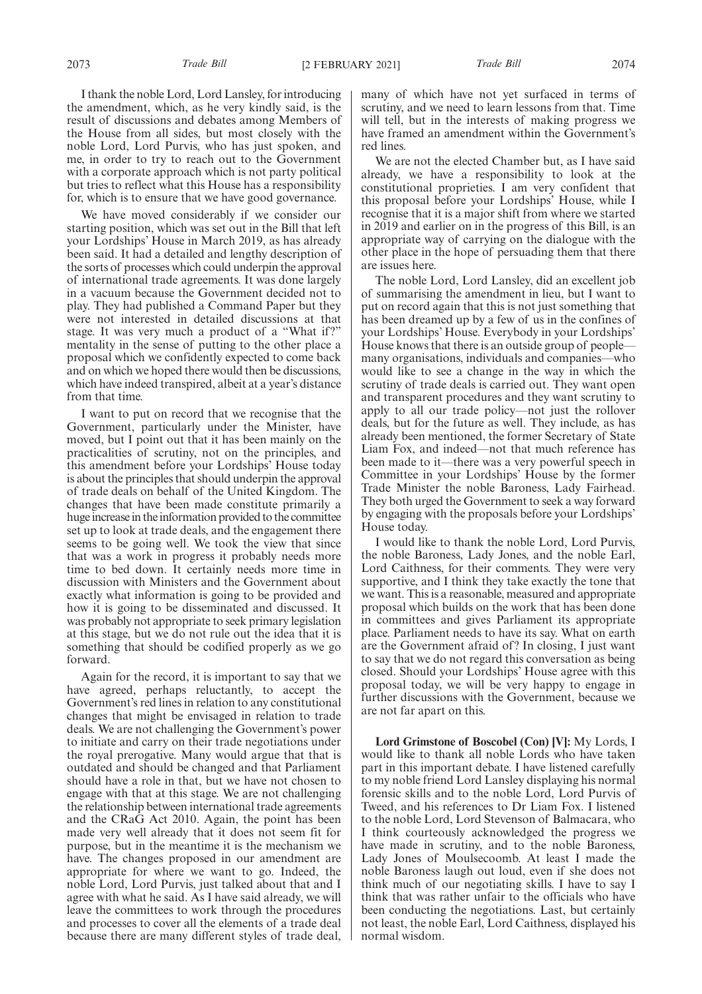I thank the noble Lord, Lord Lansley, for introducing the amendment, which, as he very kindly said, is the result of discussions and debates among Members of the House from all sides, but most closely with the noble Lord, Lord Purvis, who has just spoken, and me, in order to try to reach out to the Government with a corporate approach which is not party political but tries to reflect what this House has a responsibility for, which is to ensure that we have good governance.

We have moved considerably if we consider our starting position, which was set out in the Bill that left your Lordships' House in March 2019, as has already been said. It had a detailed and lengthy description of the sorts of processes which could underpin the approval of international trade agreements. It was done largely in a vacuum because the Government decided not to play. They had published a Command Paper but they were not interested in detailed discussions at that stage. It was very much a product of a "What if?" mentality in the sense of putting to the other place a proposal which we confidently expected to come back and on which we hoped there would then be discussions, which have indeed transpired, albeit at a year's distance from that time.

I want to put on record that we recognise that the Government, particularly under the Minister, have moved, but I point out that it has been mainly on the practicalities of scrutiny, not on the principles, and this amendment before your Lordships' House today is about the principles that should underpin the approval of trade deals on behalf of the United Kingdom. The changes that have been made constitute primarily a huge increase in the information provided to the committee set up to look at trade deals, and the engagement there seems to be going well. We took the view that since that was a work in progress it probably needs more time to bed down. It certainly needs more time in discussion with Ministers and the Government about exactly what information is going to be provided and how it is going to be disseminated and discussed. It was probably not appropriate to seek primary legislation at this stage, but we do not rule out the idea that it is something that should be codified properly as we go forward.

Again for the record, it is important to say that we have agreed, perhaps reluctantly, to accept the Government's red lines in relation to any constitutional changes that might be envisaged in relation to trade deals. We are not challenging the Government's power to initiate and carry on their trade negotiations under the royal prerogative. Many would argue that that is outdated and should be changed and that Parliament should have a role in that, but we have not chosen to engage with that at this stage. We are not challenging the relationship between international trade agreements and the CRaG Act 2010. Again, the point has been made very well already that it does not seem fit for purpose, but in the meantime it is the mechanism we have. The changes proposed in our amendment are appropriate for where we want to go. Indeed, the noble Lord, Lord Purvis, just talked about that and I agree with what he said. As I have said already, we will leave the committees to work through the procedures and processes to cover all the elements of a trade deal because there are many different styles of trade deal, many of which have not yet surfaced in terms of scrutiny, and we need to learn lessons from that. Time will tell, but in the interests of making progress we have framed an amendment within the Government's red lines.

We are not the elected Chamber but, as I have said already, we have a responsibility to look at the constitutional proprieties. I am very confident that this proposal before your Lordships' House, while I recognise that it is a major shift from where we started in 2019 and earlier on in the progress of this Bill, is an appropriate way of carrying on the dialogue with the other place in the hope of persuading them that there are issues here.

The noble Lord, Lord Lansley, did an excellent job of summarising the amendment in lieu, but I want to put on record again that this is not just something that has been dreamed up by a few of us in the confines of your Lordships' House. Everybody in your Lordships' House knows that there is an outside group of people many organisations, individuals and companies—who would like to see a change in the way in which the scrutiny of trade deals is carried out. They want open and transparent procedures and they want scrutiny to apply to all our trade policy—not just the rollover deals, but for the future as well. They include, as has already been mentioned, the former Secretary of State Liam Fox, and indeed—not that much reference has been made to it—there was a very powerful speech in Committee in your Lordships' House by the former Trade Minister the noble Baroness, Lady Fairhead. They both urged the Government to seek a way forward by engaging with the proposals before your Lordships' House today.

I would like to thank the noble Lord, Lord Purvis, the noble Baroness, Lady Jones, and the noble Earl, Lord Caithness, for their comments. They were very supportive, and I think they take exactly the tone that we want. This is a reasonable, measured and appropriate proposal which builds on the work that has been done in committees and gives Parliament its appropriate place. Parliament needs to have its say. What on earth are the Government afraid of? In closing, I just want to say that we do not regard this conversation as being closed. Should your Lordships' House agree with this proposal today, we will be very happy to engage in further discussions with the Government, because we are not far apart on this.

**Lord Grimstone of Boscobel (Con) [V]:** My Lords, I would like to thank all noble Lords who have taken part in this important debate. I have listened carefully to my noble friend Lord Lansley displaying his normal forensic skills and to the noble Lord, Lord Purvis of Tweed, and his references to Dr Liam Fox. I listened to the noble Lord, Lord Stevenson of Balmacara, who I think courteously acknowledged the progress we have made in scrutiny, and to the noble Baroness, Lady Jones of Moulsecoomb. At least I made the noble Baroness laugh out loud, even if she does not think much of our negotiating skills. I have to say I think that was rather unfair to the officials who have been conducting the negotiations. Last, but certainly not least, the noble Earl, Lord Caithness, displayed his normal wisdom.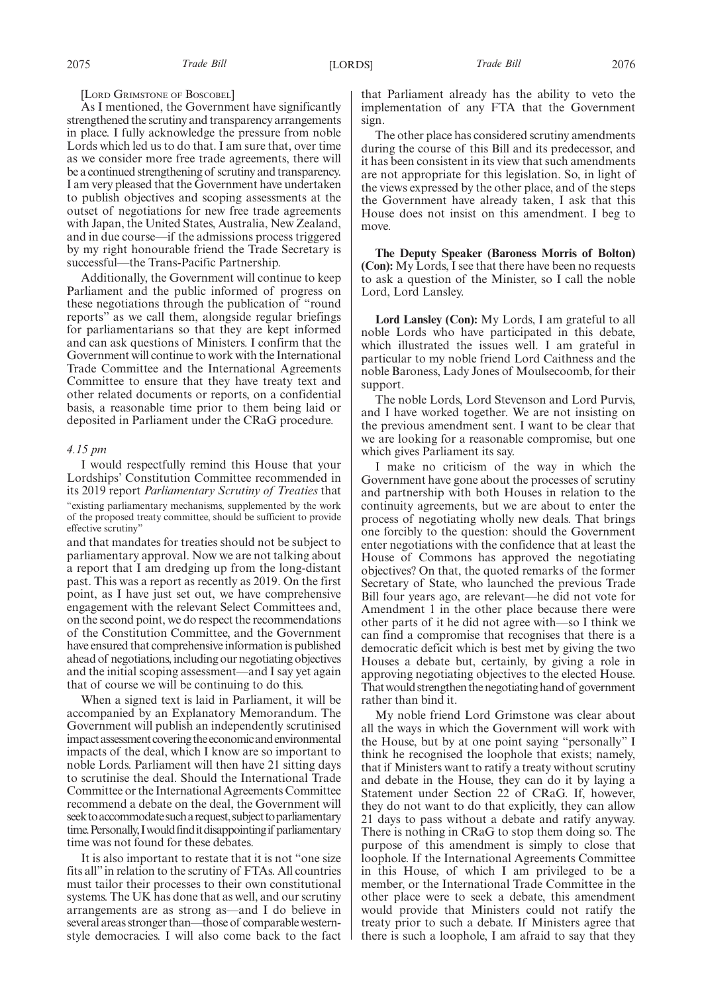[LORD GRIMSTONE OF BOSCOBEL]

As I mentioned, the Government have significantly strengthened the scrutiny and transparency arrangements in place. I fully acknowledge the pressure from noble Lords which led us to do that. I am sure that, over time as we consider more free trade agreements, there will be a continued strengthening of scrutiny and transparency. I am very pleased that the Government have undertaken to publish objectives and scoping assessments at the outset of negotiations for new free trade agreements with Japan, the United States, Australia, New Zealand, and in due course—if the admissions process triggered by my right honourable friend the Trade Secretary is successful—the Trans-Pacific Partnership.

Additionally, the Government will continue to keep Parliament and the public informed of progress on these negotiations through the publication of "round reports" as we call them, alongside regular briefings for parliamentarians so that they are kept informed and can ask questions of Ministers. I confirm that the Government will continue to work with the International Trade Committee and the International Agreements Committee to ensure that they have treaty text and other related documents or reports, on a confidential basis, a reasonable time prior to them being laid or deposited in Parliament under the CRaG procedure.

#### *4.15 pm*

I would respectfully remind this House that your Lordships' Constitution Committee recommended in its 2019 report *Parliamentary Scrutiny of Treaties* that "existing parliamentary mechanisms, supplemented by the work of the proposed treaty committee, should be sufficient to provide effective scrutiny"

and that mandates for treaties should not be subject to parliamentary approval. Now we are not talking about a report that I am dredging up from the long-distant past. This was a report as recently as 2019. On the first point, as I have just set out, we have comprehensive engagement with the relevant Select Committees and, on the second point, we do respect the recommendations of the Constitution Committee, and the Government have ensured that comprehensive information is published ahead of negotiations, including our negotiating objectives and the initial scoping assessment—and I say yet again that of course we will be continuing to do this.

When a signed text is laid in Parliament, it will be accompanied by an Explanatory Memorandum. The Government will publish an independently scrutinised impact assessment covering the economic and environmental impacts of the deal, which I know are so important to noble Lords. Parliament will then have 21 sitting days to scrutinise the deal. Should the International Trade Committee or the International Agreements Committee recommend a debate on the deal, the Government will seek to accommodate such a request, subject to parliamentary time. Personally, I would find it disappointing if parliamentary time was not found for these debates.

It is also important to restate that it is not "one size fits all" in relation to the scrutiny of FTAs. All countries must tailor their processes to their own constitutional systems. The UK has done that as well, and our scrutiny arrangements are as strong as—and I do believe in several areas stronger than—those of comparable westernstyle democracies. I will also come back to the fact that Parliament already has the ability to veto the implementation of any FTA that the Government sign.

The other place has considered scrutiny amendments during the course of this Bill and its predecessor, and it has been consistent in its view that such amendments are not appropriate for this legislation. So, in light of the views expressed by the other place, and of the steps the Government have already taken, I ask that this House does not insist on this amendment. I beg to move.

**The Deputy Speaker (Baroness Morris of Bolton) (Con):** My Lords, I see that there have been no requests to ask a question of the Minister, so I call the noble Lord, Lord Lansley.

**Lord Lansley (Con):** My Lords, I am grateful to all noble Lords who have participated in this debate, which illustrated the issues well. I am grateful in particular to my noble friend Lord Caithness and the noble Baroness, Lady Jones of Moulsecoomb, for their support.

The noble Lords, Lord Stevenson and Lord Purvis, and I have worked together. We are not insisting on the previous amendment sent. I want to be clear that we are looking for a reasonable compromise, but one which gives Parliament its say.

I make no criticism of the way in which the Government have gone about the processes of scrutiny and partnership with both Houses in relation to the continuity agreements, but we are about to enter the process of negotiating wholly new deals. That brings one forcibly to the question: should the Government enter negotiations with the confidence that at least the House of Commons has approved the negotiating objectives? On that, the quoted remarks of the former Secretary of State, who launched the previous Trade Bill four years ago, are relevant—he did not vote for Amendment 1 in the other place because there were other parts of it he did not agree with—so I think we can find a compromise that recognises that there is a democratic deficit which is best met by giving the two Houses a debate but, certainly, by giving a role in approving negotiating objectives to the elected House. That would strengthen the negotiating hand of government rather than bind it.

My noble friend Lord Grimstone was clear about all the ways in which the Government will work with the House, but by at one point saying "personally" I think he recognised the loophole that exists; namely, that if Ministers want to ratify a treaty without scrutiny and debate in the House, they can do it by laying a Statement under Section 22 of CRaG. If, however, they do not want to do that explicitly, they can allow 21 days to pass without a debate and ratify anyway. There is nothing in CRaG to stop them doing so. The purpose of this amendment is simply to close that loophole. If the International Agreements Committee in this House, of which I am privileged to be a member, or the International Trade Committee in the other place were to seek a debate, this amendment would provide that Ministers could not ratify the treaty prior to such a debate. If Ministers agree that there is such a loophole, I am afraid to say that they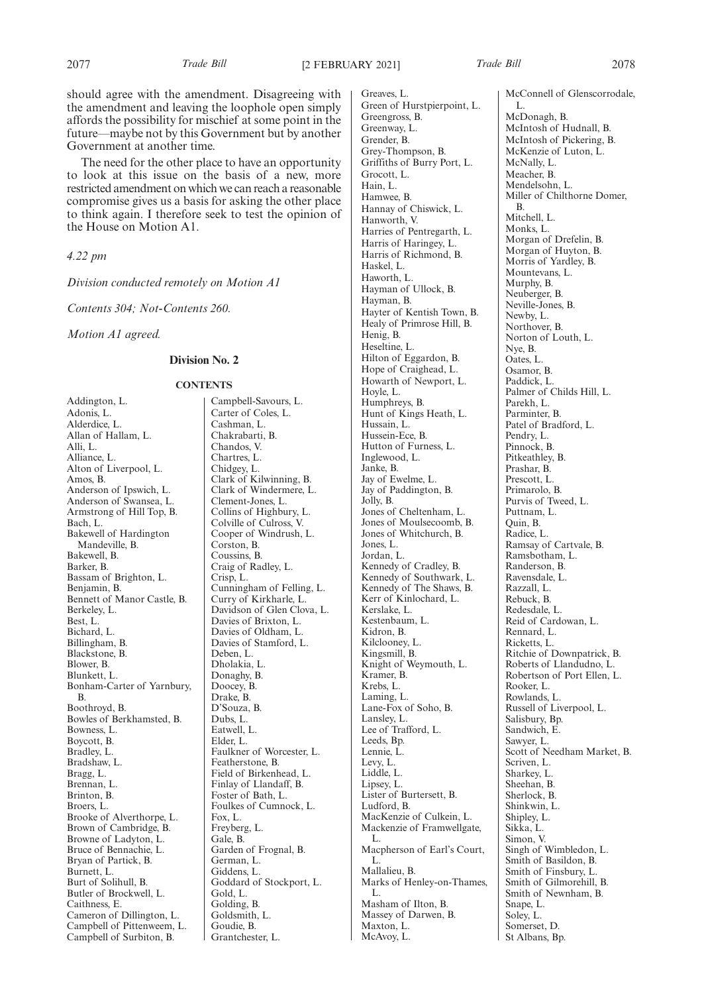should agree with the amendment. Disagreeing with the amendment and leaving the loophole open simply affords the possibility for mischief at some point in the future—maybe not by this Government but by another Government at another time.

The need for the other place to have an opportunity to look at this issue on the basis of a new, more restricted amendment on which we can reach a reasonable compromise gives us a basis for asking the other place to think again. I therefore seek to test the opinion of the House on Motion A1.

*4.22 pm*

*Division conducted remotely on Motion A1*

*Contents 304; Not-Contents 260.*

*Motion A1 agreed.*

#### **Division No. 2**

#### **CONTENTS**

Addington, L. Adonis, L. Alderdice, L. Allan of Hallam, L. Alli, L. Alliance, L. Alton of Liverpool, L. Amos, B. Anderson of Ipswich, L. Anderson of Swansea, L. Armstrong of Hill Top, B. Bach, L. Bakewell of Hardington Mandeville, B. Bakewell, B. Barker, B. Bassam of Brighton, L. Benjamin, B. Bennett of Manor Castle, B. Berkeley, L. Best, L. Bichard, L. Billingham, B. Blackstone, B. Blower, B. Blunkett, L. Bonham-Carter of Yarnbury, B. Boothroyd, B. Bowles of Berkhamsted, B. Bowness, L. Boycott, B. Bradley, L. Bradshaw, L. Bragg, L. Brennan, L. Brinton, B. Broers, L. Brooke of Alverthorpe, L. Brown of Cambridge, B. Browne of Ladyton, L. Bruce of Bennachie, L. Bryan of Partick, B. Burnett, L. Burt of Solihull, B. Butler of Brockwell, L. Caithness, E. Cameron of Dillington, L. Campbell of Pittenweem, L. Campbell of Surbiton, B.

Campbell-Savours, L. Carter of Coles, L. Cashman, L. Chakrabarti, B. Chandos, V. Chartres, L. Chidgey, L. Clark of Kilwinning, B. Clark of Windermere, L. Clement-Jones, L. Collins of Highbury, L. Colville of Culross, V. Cooper of Windrush, L. Corston, B. Coussins, R. Craig of Radley, L. Crisp, L. Cunningham of Felling, L. Curry of Kirkharle, L. Davidson of Glen Clova, L. Davies of Brixton, L. Davies of Oldham, L. Davies of Stamford, L. Deben, L. Dholakia, L. Donaghy, B. Doocey, B. Drake, B. D'Souza, B. Dubs, L. Eatwell, L. Elder, L. Faulkner of Worcester, L. Featherstone, B. Field of Birkenhead, L. Finlay of Llandaff, B. Foster of Bath, L. Foulkes of Cumnock, L. Fox, L. Freyberg, L. Gale, B. Garden of Frognal, B. German, L. Giddens, L. Goddard of Stockport, L. Gold, L. Golding, B. Goldsmith, L. Goudie, B. Grantchester, L.

Greaves, L. Green of Hurstpierpoint, L. Greengross, B. Greenway, L. Grender, B. Grey-Thompson, B. Griffiths of Burry Port, L. Grocott, L. Hain, L. Hamwee, B. Hannay of Chiswick, L. Hanworth, V. Harries of Pentregarth, L. Harris of Haringey, L. Harris of Richmond, B. Haskel, L. Haworth, L. Hayman of Ullock, B. Hayman, B. Hayter of Kentish Town, B. Healy of Primrose Hill, B. Henig, B. Heseltine, L. Hilton of Eggardon, B. Hope of Craighead, L. Howarth of Newport, L. Hoyle, L. Humphreys, B. Hunt of Kings Heath, L. Hussain, L. Hussein-Ece, B. Hutton of Furness, L. Inglewood, L. Janke, B. Jay of Ewelme, L. Jay of Paddington, B. Jolly, B. Jones of Cheltenham, L. Jones of Moulsecoomb, B. Jones of Whitchurch, B. Jones, L. Jordan, L. Kennedy of Cradley, B. Kennedy of Southwark, L. Kennedy of The Shaws, B. Kerr of Kinlochard, L. Kerslake, L. Kestenbaum, L. Kidron, B. Kilclooney, L. Kingsmill, B. Knight of Weymouth, L. Kramer, B. Krebs, L. Laming, L. Lane-Fox of Soho, B. Lansley, L. Lee of Trafford, L. Leeds, Bp. Lennie, L. Levy, L. Liddle, L. Lipsey, L. Lister of Burtersett, B. Ludford, B. MacKenzie of Culkein, L. Mackenzie of Framwellgate, L. Macpherson of Earl's Court, L. Mallalieu, B. Marks of Henley-on-Thames, L. Masham of Ilton, B. Massey of Darwen, B. Maxton, L. McAvoy, L.

L.

McNally, L. Meacher, B.

B. Mitchell, L. Monks, L.

Murphy, B. Neuberger, B.

Newby, L. Northover, B.

Nye, B. Oates, L. Osamor, B. Paddick, L.

Parekh, L. Parminter, B.

Pendry, L. Pinnock, B. Pitkeathley, B. Prashar, B. Prescott, L. Primarolo, B. Purvis of Tweed, L. Puttnam, L. Quin, B. Radice, L.

Ramsay of Cartvale, B. Ramsbotham, L. Randerson, B. Ravensdale, L. Razzall, L. Rebuck, B. Redesdale, L. Reid of Cardowan, L.

Ritchie of Downpatrick, B. Roberts of Llandudno, L. Robertson of Port Ellen, L.

Russell of Liverpool, L.

Singh of Wimbledon, L. Smith of Basildon, B. Smith of Finsbury, L. Smith of Gilmorehill, B. Smith of Newnham, B.

Scott of Needham Market, B.

Rennard, L. Ricketts, L.

Rooker, L. Rowlands, L.

Salisbury, Bp. Sandwich, E. Sawyer, L.

Scriven, L. Sharkey, L. Sheehan, B. Sherlock, B. Shinkwin, L. Shipley, L. Sikka, L. Simon, V.

Snape, L. Soley, L. Somerset, D. St Albans, Bp.

McConnell of Glenscorrodale, McDonagh, B. McIntosh of Hudnall, B. McIntosh of Pickering, B. McKenzie of Luton, L. Mendelsohn, L. Miller of Chilthorne Domer, Morgan of Drefelin, B. Morgan of Huyton, B. Morris of Yardley, B. Mountevans, L. Neville-Jones, B. Norton of Louth, L. Palmer of Childs Hill, L. Patel of Bradford, L.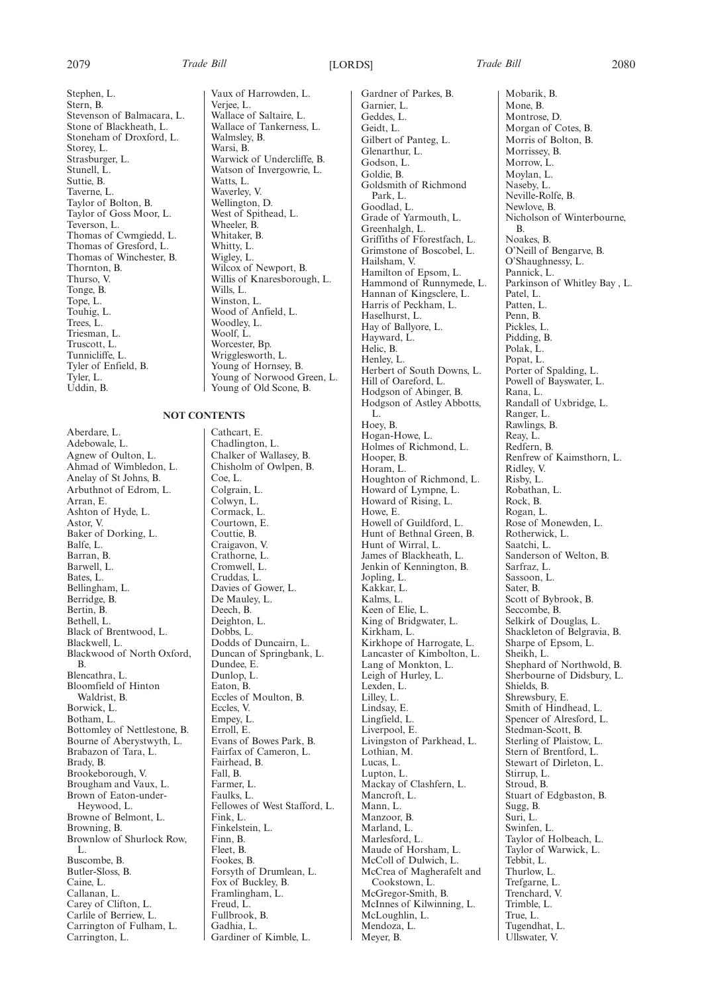2079 *Trade Bill* [LORDS] *Trade Bill* 2080

Stephen, L. Stern, B. Stevenson of Balmacara, L. Stone of Blackheath, L. Stoneham of Droxford, L. Storey, L. Strasburger, L. Stunell, L. Suttie, B. Taverne, L. Taylor of Bolton, B. Taylor of Goss Moor, L. Teverson, L. Thomas of Cwmgiedd, L. Thomas of Gresford, L. Thomas of Winchester, B. Thornton, B. Thurso, V. Tonge, B. Tope, L. Touhig, L. Trees, L. Triesman, L. Truscott, L. Tunnicliffe, L. Tyler of Enfield, B. Tyler, L. Uddin, B.

#### **NOT CONTENTS**

Aberdare, L. Adebowale, L. Agnew of Oulton, L. Ahmad of Wimbledon, L. Anelay of St Johns, B. Arbuthnot of Edrom, L. Arran, E. Ashton of Hyde, L. Astor, V. Baker of Dorking, L. Balfe, L. Barran, B. Barwell, L. Bates, L. Bellingham, L. Berridge, B. Bertin, B. Bethell, L. Black of Brentwood, L. Blackwell, L. Blackwood of North Oxford, B. Blencathra, L. Bloomfield of Hinton Waldrist, B. Borwick, L. Botham, L. Bottomley of Nettlestone, B. Bourne of Aberystwyth, L. Brabazon of Tara, L. Brady, B. Brookeborough, V. Brougham and Vaux, L. Brown of Eaton-under-Heywood, L. Browne of Belmont, L. Browning, B. Brownlow of Shurlock Row, L. Buscombe, B. Butler-Sloss, B. Caine, L. Callanan, L. Carey of Clifton, L. Carlile of Berriew, L. Carrington of Fulham, L. Carrington, L.

Vaux of Harrowden, L. Verjee, L. Wallace of Saltaire, L. Wallace of Tankerness, L. Walmsley, B. Warsi, B. Warwick of Undercliffe, B. Watson of Invergowrie, L. Watts, L. Waverley, V. Wellington, D. West of Spithead, L. Wheeler,  $\hat{B}$ . Whitaker, B. Whitty, L. Wigley, L. Wilcox of Newport, B. Willis of Knaresborough, L. Wills<sub>I.</sub> Winston, L. Wood of Anfield, L. Woodley, L. Woolf, L. Worcester, Bp. Wrigglesworth, L. Young of Hornsey, B. Young of Norwood Green, L. Young of Old Scone, B.

Cathcart, E. Chadlington, L. Chalker of Wallasey, B. Chisholm of Owlpen, B. Coe, L. Colgrain, L. Colwyn, L. Cormack, L. Courtown, E. Couttie, B. Craigavon, V. Crathorne, L. Cromwell, L. Cruddas, L. Davies of Gower, L. De Mauley, L. Deech, B. Deighton, L. Dobbs, L. Dodds of Duncairn, L. Duncan of Springbank, L. Dundee, E. Dunlop, L. Eaton, B. Eccles of Moulton, B. Eccles, V. Empey, L. Erroll, E. Evans of Bowes Park, B. Fairfax of Cameron, L. Fairhead, B. Fall, B. Farmer, L. Faulks, L. Fellowes of West Stafford, L. Fink, L. Finkelstein, L. Finn, B. Fleet, B. Fookes, B. Forsyth of Drumlean, L. Fox of Buckley, B. Framlingham, L. Freud, L. Fullbrook, B. Gadhia, L. Gardiner of Kimble, L.

Gardner of Parkes, B. Garnier, L. Geddes, L. Geidt, L. Gilbert of Panteg, L. Glenarthur, L. Godson, L. Goldie, B. Goldsmith of Richmond Park, L. Goodlad, L. Grade of Yarmouth, L. Greenhalgh, L. Griffiths of Fforestfach, L. Grimstone of Boscobel, L. Hailsham, V. Hamilton of Epsom, L. Hammond of Runnymede, L. Hannan of Kingsclere, L. Harris of Peckham, L. Haselhurst, L. Hay of Ballyore, L. Hayward, L. Helic, B. Henley, L. Herbert of South Downs, L. Hill of Oareford, L. Hodgson of Abinger, B. Hodgson of Astley Abbotts, L. Hoey, B. Hogan-Howe, L. Holmes of Richmond, L. Hooper, B. Horam, L. Houghton of Richmond, L. Howard of Lympne, L. Howard of Rising, L. Howe, E. Howell of Guildford, L. Hunt of Bethnal Green, B. Hunt of Wirral, L. James of Blackheath, L. Jenkin of Kennington, B. Jopling, L. Kakkar, L. Kalms, L. Keen of Elie, L. King of Bridgwater, L. Kirkham, L. Kirkhope of Harrogate, L. Lancaster of Kimbolton, L. Lang of Monkton, L. Leigh of Hurley, L. Lexden, L. Lilley, L. Lindsay, E. Lingfield, L. Liverpool, E. Livingston of Parkhead, L. Lothian, M. Lucas, L. Lupton, L. Mackay of Clashfern, L. Mancroft, L. Mann, L. Manzoor, B. Marland, L. Marlesford, L. Maude of Horsham, L. McColl of Dulwich, L. McCrea of Magherafelt and Cookstown, L. McGregor-Smith, B. McInnes of Kilwinning, L. McLoughlin, L. Mendoza, L. Meyer, B.

Mobarik, B. Mone, B. Montrose, D. Morgan of Cotes, B. Morris of Bolton, B. Morrissey, B. Morrow, L. Moylan, L. Naseby, L. Neville-Rolfe, B. Newlove, B. Nicholson of Winterbourne, B. Noakes, B. O'Neill of Bengarve, B. O'Shaughnessy, L. Pannick, L. Parkinson of Whitley Bay , L. Patel, L. Patten, L. Penn, B. Pickles, L. Pidding, B. Polak, L. Popat, L. Porter of Spalding, L. Powell of Bayswater, L. Rana, L. Randall of Uxbridge, L. Ranger, L. Rawlings, B. Reay, L. Redfern, B. Renfrew of Kaimsthorn, L. Ridley, V. Risby, L. Robathan, L. Rock, B. Rogan, L. Rose of Monewden, L. Rotherwick, L. Saatchi, L. Sanderson of Welton, B. Sarfraz, L. Sassoon, L. Sater, B. Scott of Bybrook, B. Seccombe, B. Selkirk of Douglas, L. Shackleton of Belgravia, B. Sharpe of Epsom, L. Sheikh, L. Shephard of Northwold, B. Sherbourne of Didsbury, L. Shields, B. Shrewsbury, E. Smith of Hindhead, L. Spencer of Alresford, L. Stedman-Scott, B. Sterling of Plaistow, L. Stern of Brentford, L. Stewart of Dirleton, L. Stirrup, L. Stroud, B. Stuart of Edgbaston, B. Sugg, B. Suri, L. Swinfen, L. Taylor of Holbeach, L. Taylor of Warwick, L. Tebbit, L. Thurlow, L. Trefgarne, L. Trenchard, V. Trimble, L. True, L. Tugendhat, L. Ullswater, V.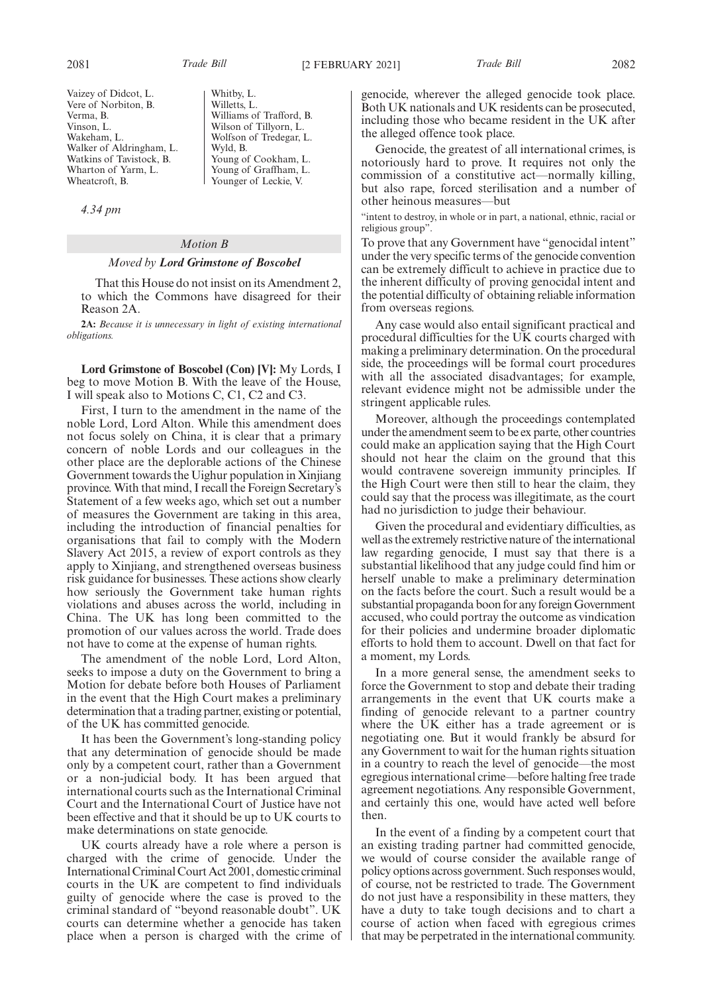Vaizey of Didcot, L. Vere of Norbiton, B. Verma, B. Vinson, L. Wakeham, L. Walker of Aldringham, L. Watkins of Tavistock, B. Wharton of Yarm, L. Wheatcroft, B.

*4.34 pm*

Whitby, L. Willetts, L. Williams of Trafford, B. Wilson of Tillyorn, L. Wolfson of Tredegar, L. Wyld, B. Young of Cookham, L. Young of Graffham, L. Younger of Leckie, V.

## *Motion B*

### *Moved by Lord Grimstone of Boscobel*

That this House do not insist on its Amendment 2, to which the Commons have disagreed for their Reason 2A.

**2A:** *Because it is unnecessary in light of existing international obligations.*

**Lord Grimstone of Boscobel (Con) [V]:** My Lords, I beg to move Motion B. With the leave of the House, I will speak also to Motions C, C1, C2 and C3.

First, I turn to the amendment in the name of the noble Lord, Lord Alton. While this amendment does not focus solely on China, it is clear that a primary concern of noble Lords and our colleagues in the other place are the deplorable actions of the Chinese Government towards the Uighur population in Xinjiang province. With that mind, I recall the Foreign Secretary's Statement of a few weeks ago, which set out a number of measures the Government are taking in this area, including the introduction of financial penalties for organisations that fail to comply with the Modern Slavery Act 2015, a review of export controls as they apply to Xinjiang, and strengthened overseas business risk guidance for businesses. These actions show clearly how seriously the Government take human rights violations and abuses across the world, including in China. The UK has long been committed to the promotion of our values across the world. Trade does not have to come at the expense of human rights.

The amendment of the noble Lord, Lord Alton, seeks to impose a duty on the Government to bring a Motion for debate before both Houses of Parliament in the event that the High Court makes a preliminary determination that a trading partner, existing or potential, of the UK has committed genocide.

It has been the Government's long-standing policy that any determination of genocide should be made only by a competent court, rather than a Government or a non-judicial body. It has been argued that international courts such as the International Criminal Court and the International Court of Justice have not been effective and that it should be up to UK courts to make determinations on state genocide.

UK courts already have a role where a person is charged with the crime of genocide. Under the International Criminal Court Act 2001, domestic criminal courts in the UK are competent to find individuals guilty of genocide where the case is proved to the criminal standard of "beyond reasonable doubt". UK courts can determine whether a genocide has taken place when a person is charged with the crime of genocide, wherever the alleged genocide took place. Both UK nationals and UK residents can be prosecuted, including those who became resident in the UK after the alleged offence took place.

Genocide, the greatest of all international crimes, is notoriously hard to prove. It requires not only the commission of a constitutive act—normally killing, but also rape, forced sterilisation and a number of other heinous measures—but

"intent to destroy, in whole or in part, a national, ethnic, racial or religious group".

To prove that any Government have "genocidal intent" under the very specific terms of the genocide convention can be extremely difficult to achieve in practice due to the inherent difficulty of proving genocidal intent and the potential difficulty of obtaining reliable information from overseas regions.

Any case would also entail significant practical and procedural difficulties for the UK courts charged with making a preliminary determination. On the procedural side, the proceedings will be formal court procedures with all the associated disadvantages; for example, relevant evidence might not be admissible under the stringent applicable rules.

Moreover, although the proceedings contemplated under the amendment seem to be ex parte, other countries could make an application saying that the High Court should not hear the claim on the ground that this would contravene sovereign immunity principles. If the High Court were then still to hear the claim, they could say that the process was illegitimate, as the court had no jurisdiction to judge their behaviour.

Given the procedural and evidentiary difficulties, as well as the extremely restrictive nature of the international law regarding genocide, I must say that there is a substantial likelihood that any judge could find him or herself unable to make a preliminary determination on the facts before the court. Such a result would be a substantial propaganda boon for any foreign Government accused, who could portray the outcome as vindication for their policies and undermine broader diplomatic efforts to hold them to account. Dwell on that fact for a moment, my Lords.

In a more general sense, the amendment seeks to force the Government to stop and debate their trading arrangements in the event that UK courts make a finding of genocide relevant to a partner country where the UK either has a trade agreement or is negotiating one. But it would frankly be absurd for any Government to wait for the human rights situation in a country to reach the level of genocide—the most egregious international crime—before halting free trade agreement negotiations. Any responsible Government, and certainly this one, would have acted well before then.

In the event of a finding by a competent court that an existing trading partner had committed genocide, we would of course consider the available range of policy options across government. Such responses would, of course, not be restricted to trade. The Government do not just have a responsibility in these matters, they have a duty to take tough decisions and to chart a course of action when faced with egregious crimes that may be perpetrated in the international community.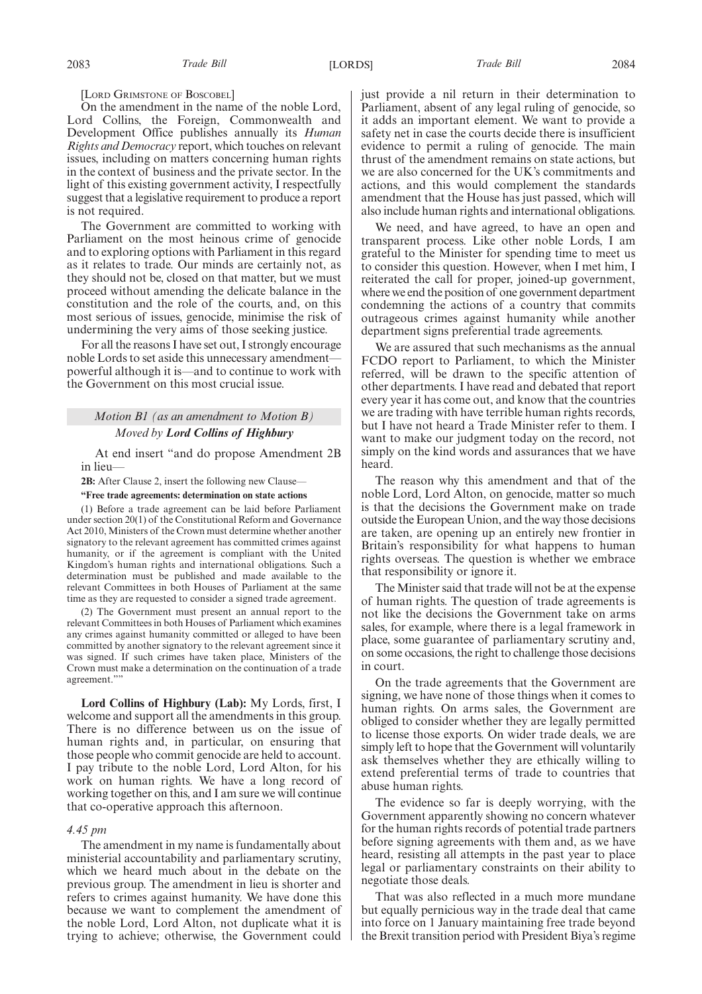[LORD GRIMSTONE OF BOSCOBEL]

On the amendment in the name of the noble Lord, Lord Collins, the Foreign, Commonwealth and Development Office publishes annually its *Human Rights and Democracy* report, which touches on relevant issues, including on matters concerning human rights in the context of business and the private sector. In the light of this existing government activity, I respectfully suggest that a legislative requirement to produce a report is not required.

The Government are committed to working with Parliament on the most heinous crime of genocide and to exploring options with Parliament in this regard as it relates to trade. Our minds are certainly not, as they should not be, closed on that matter, but we must proceed without amending the delicate balance in the constitution and the role of the courts, and, on this most serious of issues, genocide, minimise the risk of undermining the very aims of those seeking justice.

For all the reasons I have set out, I strongly encourage noble Lords to set aside this unnecessary amendment powerful although it is—and to continue to work with the Government on this most crucial issue.

# *Motion B1 (as an amendment to Motion B) Moved by Lord Collins of Highbury*

At end insert "and do propose Amendment 2B in lieu—

**2B:** After Clause 2, insert the following new Clause—

**"Free trade agreements: determination on state actions**

(1) Before a trade agreement can be laid before Parliament under section 20(1) of the Constitutional Reform and Governance Act 2010, Ministers of the Crown must determine whether another signatory to the relevant agreement has committed crimes against humanity, or if the agreement is compliant with the United Kingdom's human rights and international obligations. Such a determination must be published and made available to the relevant Committees in both Houses of Parliament at the same time as they are requested to consider a signed trade agreement.

(2) The Government must present an annual report to the relevant Committees in both Houses of Parliament which examines any crimes against humanity committed or alleged to have been committed by another signatory to the relevant agreement since it was signed. If such crimes have taken place, Ministers of the Crown must make a determination on the continuation of a trade agreement.""

**Lord Collins of Highbury (Lab):** My Lords, first, I welcome and support all the amendments in this group. There is no difference between us on the issue of human rights and, in particular, on ensuring that those people who commit genocide are held to account. I pay tribute to the noble Lord, Lord Alton, for his work on human rights. We have a long record of working together on this, and I am sure we will continue that co-operative approach this afternoon.

### *4.45 pm*

The amendment in my name is fundamentally about ministerial accountability and parliamentary scrutiny, which we heard much about in the debate on the previous group. The amendment in lieu is shorter and refers to crimes against humanity. We have done this because we want to complement the amendment of the noble Lord, Lord Alton, not duplicate what it is trying to achieve; otherwise, the Government could just provide a nil return in their determination to Parliament, absent of any legal ruling of genocide, so it adds an important element. We want to provide a safety net in case the courts decide there is insufficient evidence to permit a ruling of genocide. The main thrust of the amendment remains on state actions, but we are also concerned for the UK's commitments and actions, and this would complement the standards amendment that the House has just passed, which will also include human rights and international obligations.

We need, and have agreed, to have an open and transparent process. Like other noble Lords, I am grateful to the Minister for spending time to meet us to consider this question. However, when I met him, I reiterated the call for proper, joined-up government, where we end the position of one government department condemning the actions of a country that commits outrageous crimes against humanity while another department signs preferential trade agreements.

We are assured that such mechanisms as the annual FCDO report to Parliament, to which the Minister referred, will be drawn to the specific attention of other departments. I have read and debated that report every year it has come out, and know that the countries we are trading with have terrible human rights records, but I have not heard a Trade Minister refer to them. I want to make our judgment today on the record, not simply on the kind words and assurances that we have heard.

The reason why this amendment and that of the noble Lord, Lord Alton, on genocide, matter so much is that the decisions the Government make on trade outside the European Union, and the way those decisions are taken, are opening up an entirely new frontier in Britain's responsibility for what happens to human rights overseas. The question is whether we embrace that responsibility or ignore it.

The Minister said that trade will not be at the expense of human rights. The question of trade agreements is not like the decisions the Government take on arms sales, for example, where there is a legal framework in place, some guarantee of parliamentary scrutiny and, on some occasions, the right to challenge those decisions in court.

On the trade agreements that the Government are signing, we have none of those things when it comes to human rights. On arms sales, the Government are obliged to consider whether they are legally permitted to license those exports. On wider trade deals, we are simply left to hope that the Government will voluntarily ask themselves whether they are ethically willing to extend preferential terms of trade to countries that abuse human rights.

The evidence so far is deeply worrying, with the Government apparently showing no concern whatever for the human rights records of potential trade partners before signing agreements with them and, as we have heard, resisting all attempts in the past year to place legal or parliamentary constraints on their ability to negotiate those deals.

That was also reflected in a much more mundane but equally pernicious way in the trade deal that came into force on 1 January maintaining free trade beyond the Brexit transition period with President Biya's regime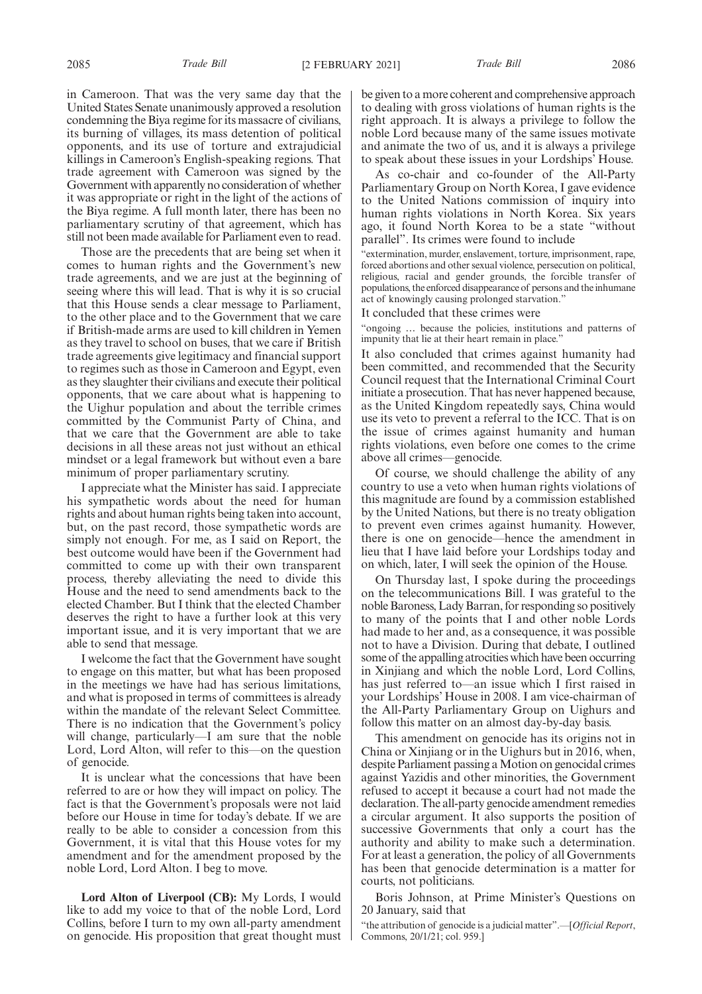in Cameroon. That was the very same day that the United States Senate unanimously approved a resolution condemning the Biya regime for its massacre of civilians, its burning of villages, its mass detention of political opponents, and its use of torture and extrajudicial killings in Cameroon's English-speaking regions. That trade agreement with Cameroon was signed by the Government with apparently no consideration of whether it was appropriate or right in the light of the actions of the Biya regime. A full month later, there has been no parliamentary scrutiny of that agreement, which has still not been made available for Parliament even to read.

Those are the precedents that are being set when it comes to human rights and the Government's new trade agreements, and we are just at the beginning of seeing where this will lead. That is why it is so crucial that this House sends a clear message to Parliament, to the other place and to the Government that we care if British-made arms are used to kill children in Yemen as they travel to school on buses, that we care if British trade agreements give legitimacy and financial support to regimes such as those in Cameroon and Egypt, even as they slaughter their civilians and execute their political opponents, that we care about what is happening to the Uighur population and about the terrible crimes committed by the Communist Party of China, and that we care that the Government are able to take decisions in all these areas not just without an ethical mindset or a legal framework but without even a bare minimum of proper parliamentary scrutiny.

I appreciate what the Minister has said. I appreciate his sympathetic words about the need for human rights and about human rights being taken into account, but, on the past record, those sympathetic words are simply not enough. For me, as I said on Report, the best outcome would have been if the Government had committed to come up with their own transparent process, thereby alleviating the need to divide this House and the need to send amendments back to the elected Chamber. But I think that the elected Chamber deserves the right to have a further look at this very important issue, and it is very important that we are able to send that message.

I welcome the fact that the Government have sought to engage on this matter, but what has been proposed in the meetings we have had has serious limitations, and what is proposed in terms of committees is already within the mandate of the relevant Select Committee. There is no indication that the Government's policy will change, particularly—I am sure that the noble Lord, Lord Alton, will refer to this—on the question of genocide.

It is unclear what the concessions that have been referred to are or how they will impact on policy. The fact is that the Government's proposals were not laid before our House in time for today's debate. If we are really to be able to consider a concession from this Government, it is vital that this House votes for my amendment and for the amendment proposed by the noble Lord, Lord Alton. I beg to move.

**Lord Alton of Liverpool (CB):** My Lords, I would like to add my voice to that of the noble Lord, Lord Collins, before I turn to my own all-party amendment on genocide. His proposition that great thought must be given to a more coherent and comprehensive approach to dealing with gross violations of human rights is the right approach. It is always a privilege to follow the noble Lord because many of the same issues motivate and animate the two of us, and it is always a privilege to speak about these issues in your Lordships' House.

As co-chair and co-founder of the All-Party Parliamentary Group on North Korea, I gave evidence to the United Nations commission of inquiry into human rights violations in North Korea. Six years ago, it found North Korea to be a state "without parallel". Its crimes were found to include

"extermination, murder, enslavement, torture, imprisonment, rape, forced abortions and other sexual violence, persecution on political, religious, racial and gender grounds, the forcible transfer of populations, the enforced disappearance of persons and the inhumane act of knowingly causing prolonged starvation."

It concluded that these crimes were

"ongoing … because the policies, institutions and patterns of impunity that lie at their heart remain in place."

It also concluded that crimes against humanity had been committed, and recommended that the Security Council request that the International Criminal Court initiate a prosecution. That has never happened because, as the United Kingdom repeatedly says, China would use its veto to prevent a referral to the ICC. That is on the issue of crimes against humanity and human rights violations, even before one comes to the crime above all crimes—genocide.

Of course, we should challenge the ability of any country to use a veto when human rights violations of this magnitude are found by a commission established by the United Nations, but there is no treaty obligation to prevent even crimes against humanity. However, there is one on genocide—hence the amendment in lieu that I have laid before your Lordships today and on which, later, I will seek the opinion of the House.

On Thursday last, I spoke during the proceedings on the telecommunications Bill. I was grateful to the noble Baroness, Lady Barran, for responding so positively to many of the points that I and other noble Lords had made to her and, as a consequence, it was possible not to have a Division. During that debate, I outlined some of the appalling atrocities which have been occurring in Xinjiang and which the noble Lord, Lord Collins, has just referred to—an issue which I first raised in your Lordships' House in 2008. I am vice-chairman of the All-Party Parliamentary Group on Uighurs and follow this matter on an almost day-by-day basis.

This amendment on genocide has its origins not in China or Xinjiang or in the Uighurs but in 2016, when, despite Parliament passing a Motion on genocidal crimes against Yazidis and other minorities, the Government refused to accept it because a court had not made the declaration. The all-party genocide amendment remedies a circular argument. It also supports the position of successive Governments that only a court has the authority and ability to make such a determination. For at least a generation, the policy of all Governments has been that genocide determination is a matter for courts, not politicians.

Boris Johnson, at Prime Minister's Questions on 20 January, said that

"the attribution of genocide is a judicial matter".—[*Official Report*, Commons, 20/1/21; col. 959.]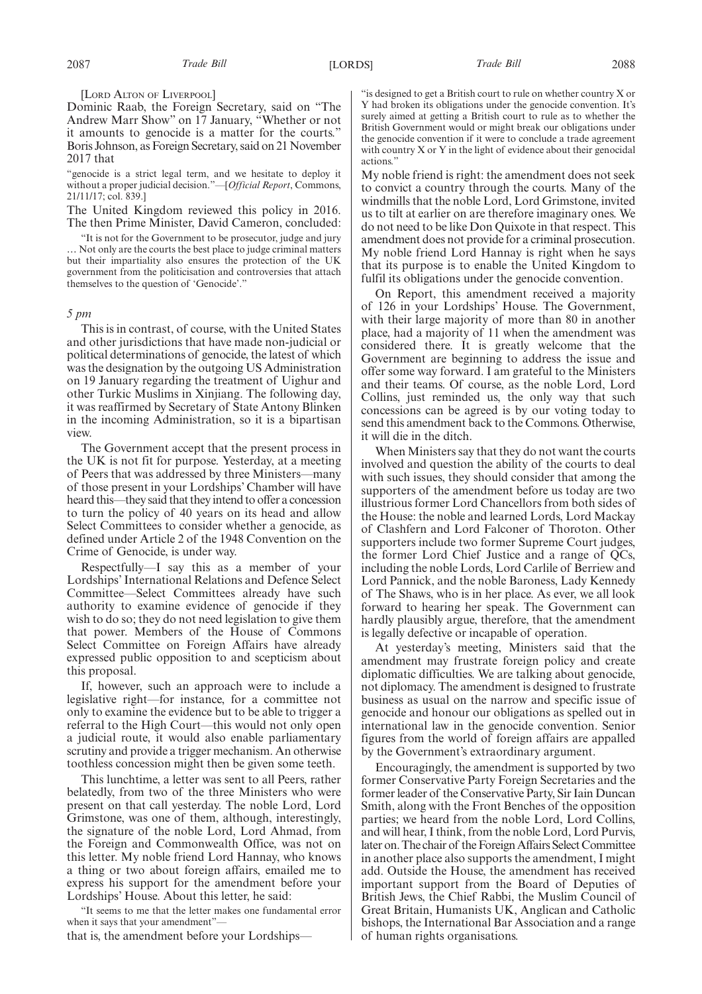[LORD ALTON OF LIVERPOOL]

Dominic Raab, the Foreign Secretary, said on "The Andrew Marr Show" on 17 January, "Whether or not it amounts to genocide is a matter for the courts." Boris Johnson, as Foreign Secretary, said on 21 November 2017 that

"genocide is a strict legal term, and we hesitate to deploy it without a proper judicial decision."—[*Official Report*, Commons, 21/11/17; col. 839.]

The United Kingdom reviewed this policy in 2016. The then Prime Minister, David Cameron, concluded:

"It is not for the Government to be prosecutor, judge and jury … Not only are the courts the best place to judge criminal matters but their impartiality also ensures the protection of the UK government from the politicisation and controversies that attach themselves to the question of 'Genocide'."

#### *5 pm*

This is in contrast, of course, with the United States and other jurisdictions that have made non-judicial or political determinations of genocide, the latest of which was the designation by the outgoing US Administration on 19 January regarding the treatment of Uighur and other Turkic Muslims in Xinjiang. The following day, it was reaffirmed by Secretary of State Antony Blinken in the incoming Administration, so it is a bipartisan view.

The Government accept that the present process in the UK is not fit for purpose. Yesterday, at a meeting of Peers that was addressed by three Ministers—many of those present in your Lordships' Chamber will have heard this—they said that they intend to offer a concession to turn the policy of 40 years on its head and allow Select Committees to consider whether a genocide, as defined under Article 2 of the 1948 Convention on the Crime of Genocide, is under way.

Respectfully—I say this as a member of your Lordships' International Relations and Defence Select Committee—Select Committees already have such authority to examine evidence of genocide if they wish to do so; they do not need legislation to give them that power. Members of the House of Commons Select Committee on Foreign Affairs have already expressed public opposition to and scepticism about this proposal.

If, however, such an approach were to include a legislative right—for instance, for a committee not only to examine the evidence but to be able to trigger a referral to the High Court—this would not only open a judicial route, it would also enable parliamentary scrutiny and provide a trigger mechanism. An otherwise toothless concession might then be given some teeth.

This lunchtime, a letter was sent to all Peers, rather belatedly, from two of the three Ministers who were present on that call yesterday. The noble Lord, Lord Grimstone, was one of them, although, interestingly, the signature of the noble Lord, Lord Ahmad, from the Foreign and Commonwealth Office, was not on this letter. My noble friend Lord Hannay, who knows a thing or two about foreign affairs, emailed me to express his support for the amendment before your Lordships' House. About this letter, he said:

"It seems to me that the letter makes one fundamental error when it says that your amendment"—

that is, the amendment before your Lordships—

"is designed to get a British court to rule on whether country X or Y had broken its obligations under the genocide convention. It's surely aimed at getting a British court to rule as to whether the British Government would or might break our obligations under the genocide convention if it were to conclude a trade agreement with country X or Y in the light of evidence about their genocidal actions."

My noble friend is right: the amendment does not seek to convict a country through the courts. Many of the windmills that the noble Lord, Lord Grimstone, invited us to tilt at earlier on are therefore imaginary ones. We do not need to be like Don Quixote in that respect. This amendment does not provide for a criminal prosecution. My noble friend Lord Hannay is right when he says that its purpose is to enable the United Kingdom to fulfil its obligations under the genocide convention.

On Report, this amendment received a majority of 126 in your Lordships' House. The Government, with their large majority of more than 80 in another place, had a majority of 11 when the amendment was considered there. It is greatly welcome that the Government are beginning to address the issue and offer some way forward. I am grateful to the Ministers and their teams. Of course, as the noble Lord, Lord Collins, just reminded us, the only way that such concessions can be agreed is by our voting today to send this amendment back to the Commons. Otherwise, it will die in the ditch.

When Ministers say that they do not want the courts involved and question the ability of the courts to deal with such issues, they should consider that among the supporters of the amendment before us today are two illustrious former Lord Chancellors from both sides of the House: the noble and learned Lords, Lord Mackay of Clashfern and Lord Falconer of Thoroton. Other supporters include two former Supreme Court judges, the former Lord Chief Justice and a range of QCs, including the noble Lords, Lord Carlile of Berriew and Lord Pannick, and the noble Baroness, Lady Kennedy of The Shaws, who is in her place. As ever, we all look forward to hearing her speak. The Government can hardly plausibly argue, therefore, that the amendment is legally defective or incapable of operation.

At yesterday's meeting, Ministers said that the amendment may frustrate foreign policy and create diplomatic difficulties. We are talking about genocide, not diplomacy. The amendment is designed to frustrate business as usual on the narrow and specific issue of genocide and honour our obligations as spelled out in international law in the genocide convention. Senior figures from the world of foreign affairs are appalled by the Government's extraordinary argument.

Encouragingly, the amendment is supported by two former Conservative Party Foreign Secretaries and the former leader of the Conservative Party, Sir Iain Duncan Smith, along with the Front Benches of the opposition parties; we heard from the noble Lord, Lord Collins, and will hear, I think, from the noble Lord, Lord Purvis, later on. The chair of the Foreign Affairs Select Committee in another place also supports the amendment, I might add. Outside the House, the amendment has received important support from the Board of Deputies of British Jews, the Chief Rabbi, the Muslim Council of Great Britain, Humanists UK, Anglican and Catholic bishops, the International Bar Association and a range of human rights organisations.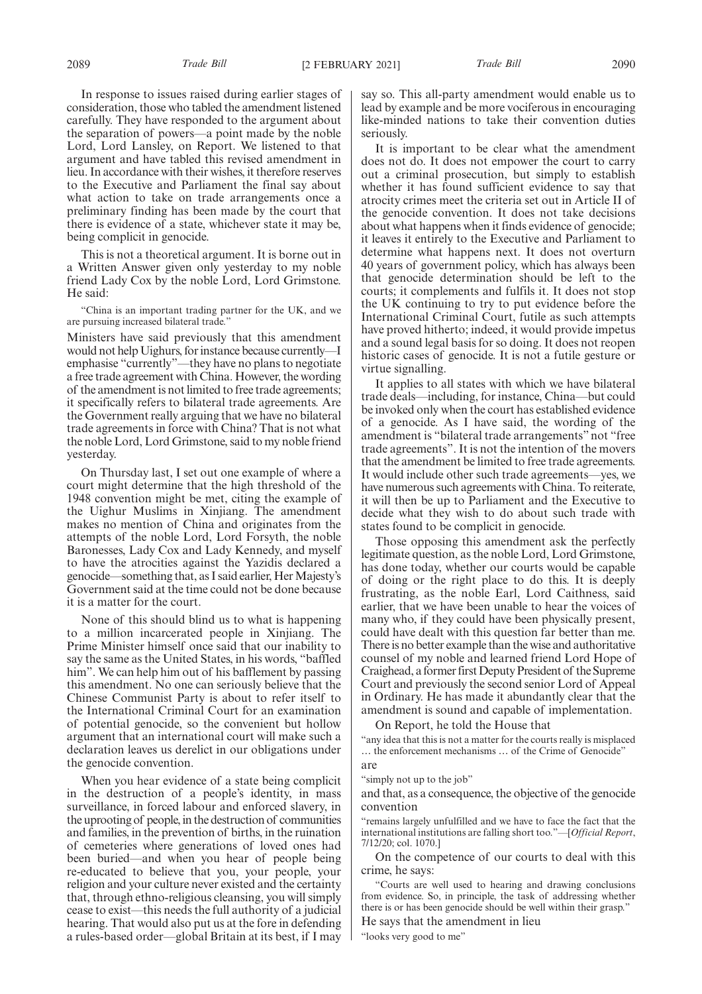In response to issues raised during earlier stages of consideration, those who tabled the amendment listened carefully. They have responded to the argument about the separation of powers—a point made by the noble Lord, Lord Lansley, on Report. We listened to that argument and have tabled this revised amendment in lieu. In accordance with their wishes, it therefore reserves to the Executive and Parliament the final say about what action to take on trade arrangements once a preliminary finding has been made by the court that there is evidence of a state, whichever state it may be, being complicit in genocide.

This is not a theoretical argument. It is borne out in a Written Answer given only yesterday to my noble friend Lady Cox by the noble Lord, Lord Grimstone. He said:

"China is an important trading partner for the UK, and we are pursuing increased bilateral trade."

Ministers have said previously that this amendment would not help Uighurs, for instance because currently—I emphasise "currently"—they have no plans to negotiate a free trade agreement with China. However, the wording of the amendment is not limited to free trade agreements; it specifically refers to bilateral trade agreements. Are the Government really arguing that we have no bilateral trade agreements in force with China? That is not what the noble Lord, Lord Grimstone, said to my noble friend yesterday.

On Thursday last, I set out one example of where a court might determine that the high threshold of the 1948 convention might be met, citing the example of the Uighur Muslims in Xinjiang. The amendment makes no mention of China and originates from the attempts of the noble Lord, Lord Forsyth, the noble Baronesses, Lady Cox and Lady Kennedy, and myself to have the atrocities against the Yazidis declared a genocide—something that, as I said earlier, Her Majesty's Government said at the time could not be done because it is a matter for the court.

None of this should blind us to what is happening to a million incarcerated people in Xinjiang. The Prime Minister himself once said that our inability to say the same as the United States, in his words, "baffled him". We can help him out of his bafflement by passing this amendment. No one can seriously believe that the Chinese Communist Party is about to refer itself to the International Criminal Court for an examination of potential genocide, so the convenient but hollow argument that an international court will make such a declaration leaves us derelict in our obligations under the genocide convention.

When you hear evidence of a state being complicit in the destruction of a people's identity, in mass surveillance, in forced labour and enforced slavery, in the uprooting of people, in the destruction of communities and families, in the prevention of births, in the ruination of cemeteries where generations of loved ones had been buried—and when you hear of people being re-educated to believe that you, your people, your religion and your culture never existed and the certainty that, through ethno-religious cleansing, you will simply cease to exist—this needs the full authority of a judicial hearing. That would also put us at the fore in defending a rules-based order—global Britain at its best, if I may say so. This all-party amendment would enable us to lead by example and be more vociferous in encouraging like-minded nations to take their convention duties seriously.

It is important to be clear what the amendment does not do. It does not empower the court to carry out a criminal prosecution, but simply to establish whether it has found sufficient evidence to say that atrocity crimes meet the criteria set out in Article II of the genocide convention. It does not take decisions about what happens when it finds evidence of genocide; it leaves it entirely to the Executive and Parliament to determine what happens next. It does not overturn 40 years of government policy, which has always been that genocide determination should be left to the courts; it complements and fulfils it. It does not stop the UK continuing to try to put evidence before the International Criminal Court, futile as such attempts have proved hitherto; indeed, it would provide impetus and a sound legal basis for so doing. It does not reopen historic cases of genocide. It is not a futile gesture or virtue signalling.

It applies to all states with which we have bilateral trade deals—including, for instance, China—but could be invoked only when the court has established evidence of a genocide. As I have said, the wording of the amendment is "bilateral trade arrangements" not "free trade agreements". It is not the intention of the movers that the amendment be limited to free trade agreements. It would include other such trade agreements—yes, we have numerous such agreements with China. To reiterate, it will then be up to Parliament and the Executive to decide what they wish to do about such trade with states found to be complicit in genocide.

Those opposing this amendment ask the perfectly legitimate question, as the noble Lord, Lord Grimstone, has done today, whether our courts would be capable of doing or the right place to do this. It is deeply frustrating, as the noble Earl, Lord Caithness, said earlier, that we have been unable to hear the voices of many who, if they could have been physically present, could have dealt with this question far better than me. There is no better example than the wise and authoritative counsel of my noble and learned friend Lord Hope of Craighead, a former first Deputy President of the Supreme Court and previously the second senior Lord of Appeal in Ordinary. He has made it abundantly clear that the amendment is sound and capable of implementation.

On Report, he told the House that

"any idea that this is not a matter for the courts really is misplaced … the enforcement mechanisms … of the Crime of Genocide" are

"simply not up to the job"

and that, as a consequence, the objective of the genocide convention

"remains largely unfulfilled and we have to face the fact that the international institutions are falling short too."—[*Official Report*, 7/12/20; col. 1070.]

On the competence of our courts to deal with this crime, he says:

"Courts are well used to hearing and drawing conclusions from evidence. So, in principle, the task of addressing whether there is or has been genocide should be well within their grasp." He says that the amendment in lieu

"looks very good to me"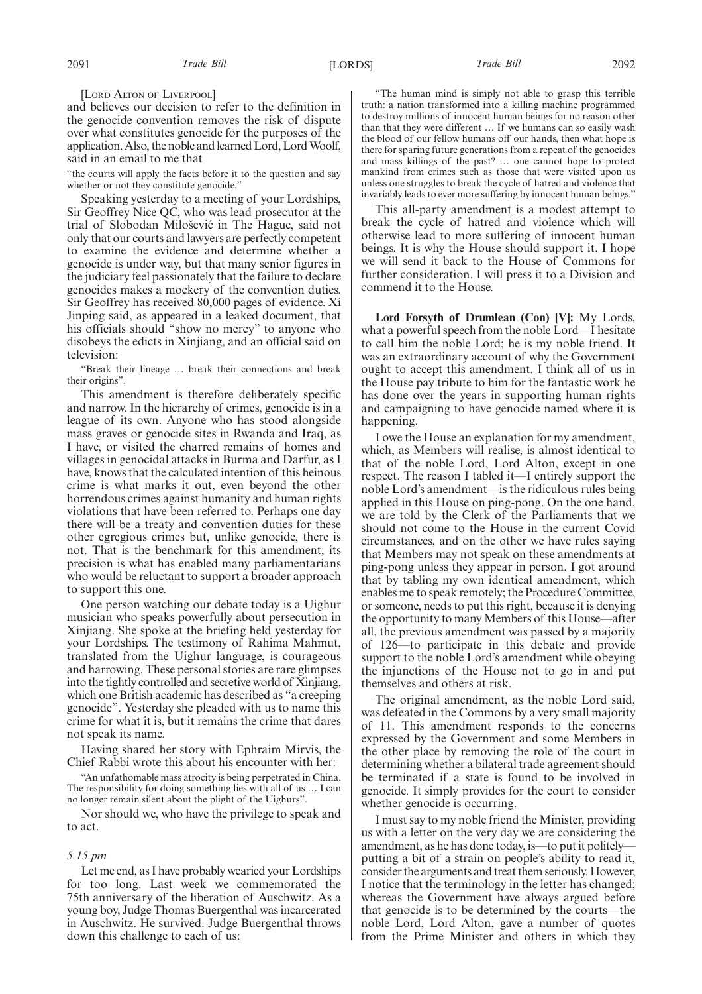[LORD ALTON OF LIVERPOOL]

and believes our decision to refer to the definition in the genocide convention removes the risk of dispute over what constitutes genocide for the purposes of the application. Also, the noble and learned Lord, Lord Woolf, said in an email to me that

"the courts will apply the facts before it to the question and say whether or not they constitute genocide."

Speaking yesterday to a meeting of your Lordships, Sir Geoffrey Nice QC, who was lead prosecutor at the trial of Slobodan Miloševic´ in The Hague, said not only that our courts and lawyers are perfectly competent to examine the evidence and determine whether a genocide is under way, but that many senior figures in the judiciary feel passionately that the failure to declare genocides makes a mockery of the convention duties. Sir Geoffrey has received 80,000 pages of evidence. Xi Jinping said, as appeared in a leaked document, that his officials should "show no mercy" to anyone who disobeys the edicts in Xinjiang, and an official said on television:

"Break their lineage … break their connections and break their origins".

This amendment is therefore deliberately specific and narrow. In the hierarchy of crimes, genocide is in a league of its own. Anyone who has stood alongside mass graves or genocide sites in Rwanda and Iraq, as I have, or visited the charred remains of homes and villages in genocidal attacks in Burma and Darfur, as I have, knows that the calculated intention of this heinous crime is what marks it out, even beyond the other horrendous crimes against humanity and human rights violations that have been referred to. Perhaps one day there will be a treaty and convention duties for these other egregious crimes but, unlike genocide, there is not. That is the benchmark for this amendment; its precision is what has enabled many parliamentarians who would be reluctant to support a broader approach to support this one.

One person watching our debate today is a Uighur musician who speaks powerfully about persecution in Xinjiang. She spoke at the briefing held yesterday for your Lordships. The testimony of Rahima Mahmut, translated from the Uighur language, is courageous and harrowing. These personal stories are rare glimpses into the tightly controlled and secretive world of Xinjiang, which one British academic has described as "a creeping genocide". Yesterday she pleaded with us to name this crime for what it is, but it remains the crime that dares not speak its name.

Having shared her story with Ephraim Mirvis, the Chief Rabbi wrote this about his encounter with her:

"An unfathomable mass atrocity is being perpetrated in China. The responsibility for doing something lies with all of us … I can no longer remain silent about the plight of the Uighurs".

Nor should we, who have the privilege to speak and to act.

### *5.15 pm*

Let me end, as I have probably wearied your Lordships for too long. Last week we commemorated the 75th anniversary of the liberation of Auschwitz. As a young boy, Judge Thomas Buergenthal was incarcerated in Auschwitz. He survived. Judge Buergenthal throws down this challenge to each of us:

"The human mind is simply not able to grasp this terrible truth: a nation transformed into a killing machine programmed to destroy millions of innocent human beings for no reason other than that they were different … If we humans can so easily wash the blood of our fellow humans off our hands, then what hope is there for sparing future generations from a repeat of the genocides and mass killings of the past? … one cannot hope to protect mankind from crimes such as those that were visited upon us unless one struggles to break the cycle of hatred and violence that invariably leads to ever more suffering by innocent human beings."

This all-party amendment is a modest attempt to break the cycle of hatred and violence which will otherwise lead to more suffering of innocent human beings. It is why the House should support it. I hope we will send it back to the House of Commons for further consideration. I will press it to a Division and commend it to the House.

**Lord Forsyth of Drumlean (Con) [V]:** My Lords, what a powerful speech from the noble Lord—I hesitate to call him the noble Lord; he is my noble friend. It was an extraordinary account of why the Government ought to accept this amendment. I think all of us in the House pay tribute to him for the fantastic work he has done over the years in supporting human rights and campaigning to have genocide named where it is happening.

I owe the House an explanation for my amendment, which, as Members will realise, is almost identical to that of the noble Lord, Lord Alton, except in one respect. The reason I tabled it—I entirely support the noble Lord's amendment—is the ridiculous rules being applied in this House on ping-pong. On the one hand, we are told by the Clerk of the Parliaments that we should not come to the House in the current Covid circumstances, and on the other we have rules saying that Members may not speak on these amendments at ping-pong unless they appear in person. I got around that by tabling my own identical amendment, which enables me to speak remotely; the Procedure Committee, or someone, needs to put this right, because it is denying the opportunity to many Members of this House—after all, the previous amendment was passed by a majority of 126—to participate in this debate and provide support to the noble Lord's amendment while obeying the injunctions of the House not to go in and put themselves and others at risk.

The original amendment, as the noble Lord said, was defeated in the Commons by a very small majority of 11. This amendment responds to the concerns expressed by the Government and some Members in the other place by removing the role of the court in determining whether a bilateral trade agreement should be terminated if a state is found to be involved in genocide. It simply provides for the court to consider whether genocide is occurring.

I must say to my noble friend the Minister, providing us with a letter on the very day we are considering the amendment, as he has done today, is—to put it politely putting a bit of a strain on people's ability to read it, consider the arguments and treat them seriously. However, I notice that the terminology in the letter has changed; whereas the Government have always argued before that genocide is to be determined by the courts—the noble Lord, Lord Alton, gave a number of quotes from the Prime Minister and others in which they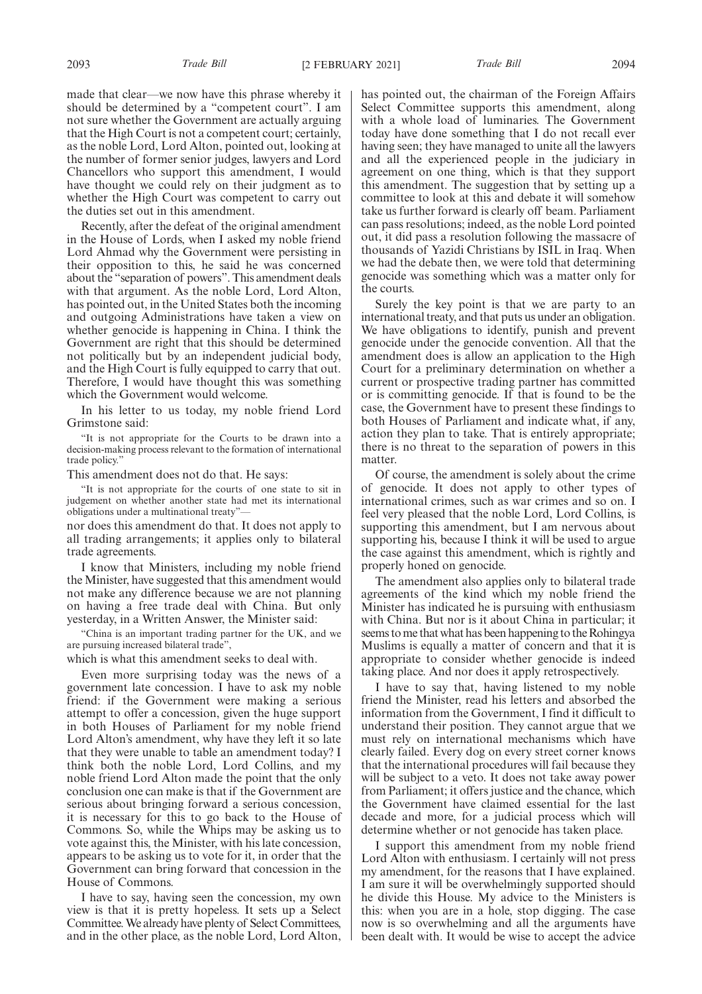made that clear—we now have this phrase whereby it should be determined by a "competent court". I am not sure whether the Government are actually arguing that the High Court is not a competent court; certainly, as the noble Lord, Lord Alton, pointed out, looking at the number of former senior judges, lawyers and Lord Chancellors who support this amendment, I would have thought we could rely on their judgment as to whether the High Court was competent to carry out the duties set out in this amendment.

Recently, after the defeat of the original amendment in the House of Lords, when I asked my noble friend Lord Ahmad why the Government were persisting in their opposition to this, he said he was concerned about the "separation of powers". This amendment deals with that argument. As the noble Lord, Lord Alton, has pointed out, in the United States both the incoming and outgoing Administrations have taken a view on whether genocide is happening in China. I think the Government are right that this should be determined not politically but by an independent judicial body, and the High Court is fully equipped to carry that out. Therefore, I would have thought this was something which the Government would welcome.

In his letter to us today, my noble friend Lord Grimstone said:

"It is not appropriate for the Courts to be drawn into a decision-making process relevant to the formation of international trade policy."

This amendment does not do that. He says:

"It is not appropriate for the courts of one state to sit in judgement on whether another state had met its international obligations under a multinational treaty"—

nor does this amendment do that. It does not apply to all trading arrangements; it applies only to bilateral trade agreements.

I know that Ministers, including my noble friend the Minister, have suggested that this amendment would not make any difference because we are not planning on having a free trade deal with China. But only yesterday, in a Written Answer, the Minister said:

"China is an important trading partner for the UK, and we are pursuing increased bilateral trade",

which is what this amendment seeks to deal with.

Even more surprising today was the news of a government late concession. I have to ask my noble friend: if the Government were making a serious attempt to offer a concession, given the huge support in both Houses of Parliament for my noble friend Lord Alton's amendment, why have they left it so late that they were unable to table an amendment today? I think both the noble Lord, Lord Collins, and my noble friend Lord Alton made the point that the only conclusion one can make is that if the Government are serious about bringing forward a serious concession, it is necessary for this to go back to the House of Commons. So, while the Whips may be asking us to vote against this, the Minister, with his late concession, appears to be asking us to vote for it, in order that the Government can bring forward that concession in the House of Commons.

I have to say, having seen the concession, my own view is that it is pretty hopeless. It sets up a Select Committee. We already have plenty of Select Committees, and in the other place, as the noble Lord, Lord Alton, has pointed out, the chairman of the Foreign Affairs Select Committee supports this amendment, along with a whole load of luminaries. The Government today have done something that I do not recall ever having seen; they have managed to unite all the lawyers and all the experienced people in the judiciary in agreement on one thing, which is that they support this amendment. The suggestion that by setting up a committee to look at this and debate it will somehow take us further forward is clearly off beam. Parliament can pass resolutions; indeed, as the noble Lord pointed out, it did pass a resolution following the massacre of thousands of Yazidi Christians by ISIL in Iraq. When we had the debate then, we were told that determining genocide was something which was a matter only for the courts.

Surely the key point is that we are party to an international treaty, and that puts us under an obligation. We have obligations to identify, punish and prevent genocide under the genocide convention. All that the amendment does is allow an application to the High Court for a preliminary determination on whether a current or prospective trading partner has committed or is committing genocide. If that is found to be the case, the Government have to present these findings to both Houses of Parliament and indicate what, if any, action they plan to take. That is entirely appropriate; there is no threat to the separation of powers in this matter.

Of course, the amendment is solely about the crime of genocide. It does not apply to other types of international crimes, such as war crimes and so on. I feel very pleased that the noble Lord, Lord Collins, is supporting this amendment, but I am nervous about supporting his, because I think it will be used to argue the case against this amendment, which is rightly and properly honed on genocide.

The amendment also applies only to bilateral trade agreements of the kind which my noble friend the Minister has indicated he is pursuing with enthusiasm with China. But nor is it about China in particular; it seems to me that what has been happening to the Rohingya Muslims is equally a matter of concern and that it is appropriate to consider whether genocide is indeed taking place. And nor does it apply retrospectively.

I have to say that, having listened to my noble friend the Minister, read his letters and absorbed the information from the Government, I find it difficult to understand their position. They cannot argue that we must rely on international mechanisms which have clearly failed. Every dog on every street corner knows that the international procedures will fail because they will be subject to a veto. It does not take away power from Parliament; it offers justice and the chance, which the Government have claimed essential for the last decade and more, for a judicial process which will determine whether or not genocide has taken place.

I support this amendment from my noble friend Lord Alton with enthusiasm. I certainly will not press my amendment, for the reasons that I have explained. I am sure it will be overwhelmingly supported should he divide this House. My advice to the Ministers is this: when you are in a hole, stop digging. The case now is so overwhelming and all the arguments have been dealt with. It would be wise to accept the advice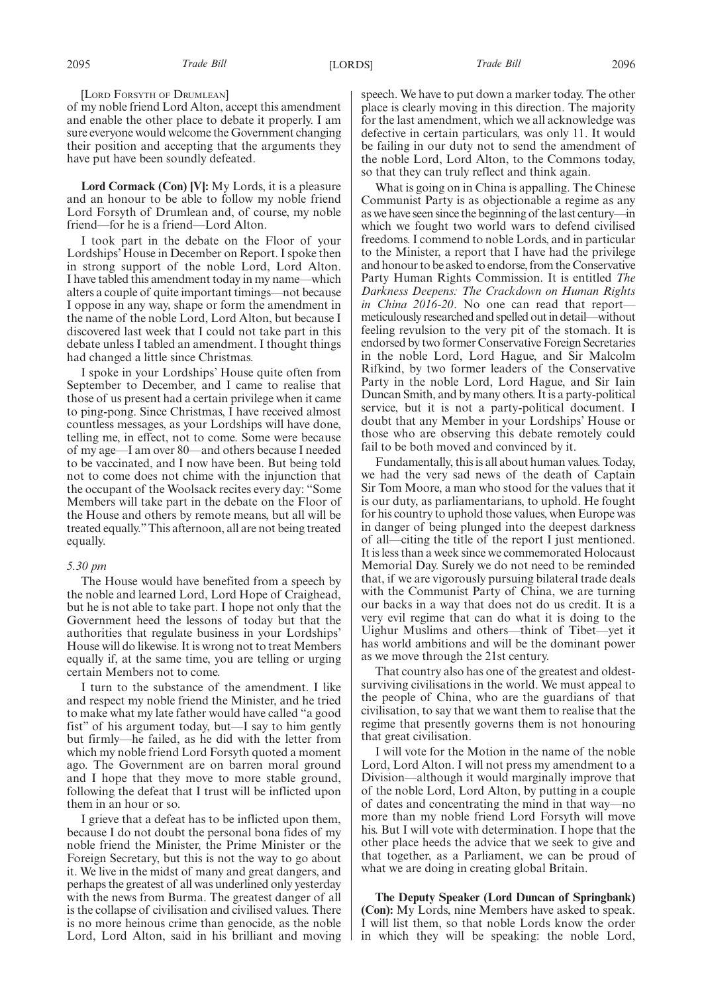[LORD FORSYTH OF DRUMLEAN]

of my noble friend Lord Alton, accept this amendment and enable the other place to debate it properly. I am sure everyone would welcome the Government changing their position and accepting that the arguments they have put have been soundly defeated.

**Lord Cormack (Con) [V]:** My Lords, it is a pleasure and an honour to be able to follow my noble friend Lord Forsyth of Drumlean and, of course, my noble friend—for he is a friend—Lord Alton.

I took part in the debate on the Floor of your Lordships' House in December on Report. I spoke then in strong support of the noble Lord, Lord Alton. I have tabled this amendment today in my name—which alters a couple of quite important timings—not because I oppose in any way, shape or form the amendment in the name of the noble Lord, Lord Alton, but because I discovered last week that I could not take part in this debate unless I tabled an amendment. I thought things had changed a little since Christmas.

I spoke in your Lordships' House quite often from September to December, and I came to realise that those of us present had a certain privilege when it came to ping-pong. Since Christmas, I have received almost countless messages, as your Lordships will have done, telling me, in effect, not to come. Some were because of my age—I am over 80—and others because I needed to be vaccinated, and I now have been. But being told not to come does not chime with the injunction that the occupant of the Woolsack recites every day: "Some Members will take part in the debate on the Floor of the House and others by remote means, but all will be treated equally."This afternoon, all are not being treated equally.

### *5.30 pm*

The House would have benefited from a speech by the noble and learned Lord, Lord Hope of Craighead, but he is not able to take part. I hope not only that the Government heed the lessons of today but that the authorities that regulate business in your Lordships' House will do likewise. It is wrong not to treat Members equally if, at the same time, you are telling or urging certain Members not to come.

I turn to the substance of the amendment. I like and respect my noble friend the Minister, and he tried to make what my late father would have called "a good fist" of his argument today, but—I say to him gently but firmly—he failed, as he did with the letter from which my noble friend Lord Forsyth quoted a moment ago. The Government are on barren moral ground and I hope that they move to more stable ground, following the defeat that I trust will be inflicted upon them in an hour or so.

I grieve that a defeat has to be inflicted upon them, because I do not doubt the personal bona fides of my noble friend the Minister, the Prime Minister or the Foreign Secretary, but this is not the way to go about it. We live in the midst of many and great dangers, and perhaps the greatest of all was underlined only yesterday with the news from Burma. The greatest danger of all is the collapse of civilisation and civilised values. There is no more heinous crime than genocide, as the noble Lord, Lord Alton, said in his brilliant and moving speech. We have to put down a marker today. The other place is clearly moving in this direction. The majority for the last amendment, which we all acknowledge was defective in certain particulars, was only 11. It would be failing in our duty not to send the amendment of the noble Lord, Lord Alton, to the Commons today, so that they can truly reflect and think again.

What is going on in China is appalling. The Chinese Communist Party is as objectionable a regime as any as we have seen since the beginning of the last century—in which we fought two world wars to defend civilised freedoms. I commend to noble Lords, and in particular to the Minister, a report that I have had the privilege and honour to be asked to endorse, from the Conservative Party Human Rights Commission. It is entitled *The Darkness Deepens: The Crackdown on Human Rights in China 2016-20*. No one can read that reportmeticulously researched and spelled out in detail—without feeling revulsion to the very pit of the stomach. It is endorsed by two former Conservative Foreign Secretaries in the noble Lord, Lord Hague, and Sir Malcolm Rifkind, by two former leaders of the Conservative Party in the noble Lord, Lord Hague, and Sir Iain Duncan Smith, and by many others. It is a party-political service, but it is not a party-political document. I doubt that any Member in your Lordships' House or those who are observing this debate remotely could fail to be both moved and convinced by it.

Fundamentally, this is all about human values. Today, we had the very sad news of the death of Captain Sir Tom Moore, a man who stood for the values that it is our duty, as parliamentarians, to uphold. He fought for his country to uphold those values, when Europe was in danger of being plunged into the deepest darkness of all—citing the title of the report I just mentioned. It is less than a week since we commemorated Holocaust Memorial Day. Surely we do not need to be reminded that, if we are vigorously pursuing bilateral trade deals with the Communist Party of China, we are turning our backs in a way that does not do us credit. It is a very evil regime that can do what it is doing to the Uighur Muslims and others—think of Tibet—yet it has world ambitions and will be the dominant power as we move through the 21st century.

That country also has one of the greatest and oldestsurviving civilisations in the world. We must appeal to the people of China, who are the guardians of that civilisation, to say that we want them to realise that the regime that presently governs them is not honouring that great civilisation.

I will vote for the Motion in the name of the noble Lord, Lord Alton. I will not press my amendment to a Division—although it would marginally improve that of the noble Lord, Lord Alton, by putting in a couple of dates and concentrating the mind in that way—no more than my noble friend Lord Forsyth will move his. But I will vote with determination. I hope that the other place heeds the advice that we seek to give and that together, as a Parliament, we can be proud of what we are doing in creating global Britain.

**The Deputy Speaker (Lord Duncan of Springbank) (Con):** My Lords, nine Members have asked to speak. I will list them, so that noble Lords know the order in which they will be speaking: the noble Lord,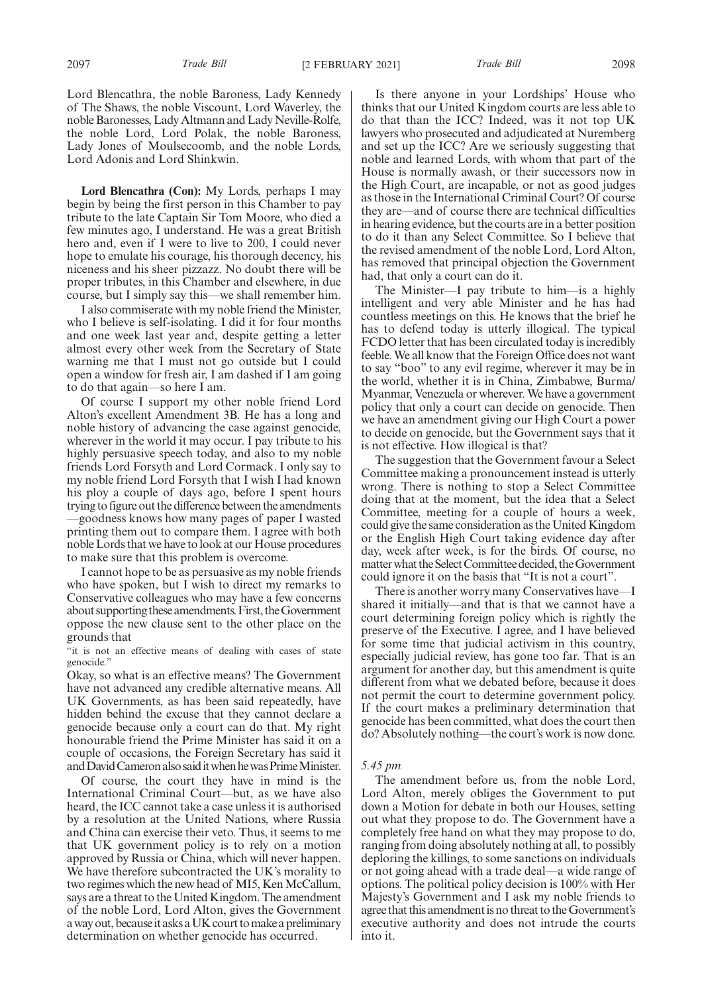Lord Blencathra, the noble Baroness, Lady Kennedy of The Shaws, the noble Viscount, Lord Waverley, the noble Baronesses, Lady Altmann and Lady Neville-Rolfe, the noble Lord, Lord Polak, the noble Baroness, Lady Jones of Moulsecoomb, and the noble Lords, Lord Adonis and Lord Shinkwin.

**Lord Blencathra (Con):** My Lords, perhaps I may begin by being the first person in this Chamber to pay tribute to the late Captain Sir Tom Moore, who died a few minutes ago, I understand. He was a great British hero and, even if I were to live to 200, I could never hope to emulate his courage, his thorough decency, his niceness and his sheer pizzazz. No doubt there will be proper tributes, in this Chamber and elsewhere, in due course, but I simply say this—we shall remember him.

I also commiserate with my noble friend the Minister, who I believe is self-isolating. I did it for four months and one week last year and, despite getting a letter almost every other week from the Secretary of State warning me that I must not go outside but I could open a window for fresh air, I am dashed if I am going to do that again—so here I am.

Of course I support my other noble friend Lord Alton's excellent Amendment 3B. He has a long and noble history of advancing the case against genocide, wherever in the world it may occur. I pay tribute to his highly persuasive speech today, and also to my noble friends Lord Forsyth and Lord Cormack. I only say to my noble friend Lord Forsyth that I wish I had known his ploy a couple of days ago, before I spent hours trying to figure out the difference between the amendments —goodness knows how many pages of paper I wasted printing them out to compare them. I agree with both noble Lords that we have to look at our House procedures to make sure that this problem is overcome.

I cannot hope to be as persuasive as my noble friends who have spoken, but I wish to direct my remarks to Conservative colleagues who may have a few concerns about supporting these amendments. First, the Government oppose the new clause sent to the other place on the grounds that

"it is not an effective means of dealing with cases of state genocide.'

Okay, so what is an effective means? The Government have not advanced any credible alternative means. All UK Governments, as has been said repeatedly, have hidden behind the excuse that they cannot declare a genocide because only a court can do that. My right honourable friend the Prime Minister has said it on a couple of occasions, the Foreign Secretary has said it andDavidCameronalsosaiditwhenhewasPrimeMinister.

Of course, the court they have in mind is the International Criminal Court—but, as we have also heard, the ICC cannot take a case unless it is authorised by a resolution at the United Nations, where Russia and China can exercise their veto. Thus, it seems to me that UK government policy is to rely on a motion approved by Russia or China, which will never happen. We have therefore subcontracted the UK's morality to two regimes which the new head of MI5, Ken McCallum, says are a threat to the United Kingdom. The amendment of the noble Lord, Lord Alton, gives the Government a way out, because it asks a UK court to make a preliminary determination on whether genocide has occurred.

Is there anyone in your Lordships' House who thinks that our United Kingdom courts are less able to do that than the ICC? Indeed, was it not top UK lawyers who prosecuted and adjudicated at Nuremberg and set up the ICC? Are we seriously suggesting that noble and learned Lords, with whom that part of the House is normally awash, or their successors now in the High Court, are incapable, or not as good judges as those in the International Criminal Court? Of course they are—and of course there are technical difficulties in hearing evidence, but the courts are in a better position to do it than any Select Committee. So I believe that the revised amendment of the noble Lord, Lord Alton, has removed that principal objection the Government had, that only a court can do it.

The Minister—I pay tribute to him—is a highly intelligent and very able Minister and he has had countless meetings on this. He knows that the brief he has to defend today is utterly illogical. The typical FCDO letter that has been circulated today is incredibly feeble. We all know that the Foreign Office does not want to say "boo" to any evil regime, wherever it may be in the world, whether it is in China, Zimbabwe, Burma/ Myanmar, Venezuela or wherever. We have a government policy that only a court can decide on genocide. Then we have an amendment giving our High Court a power to decide on genocide, but the Government says that it is not effective. How illogical is that?

The suggestion that the Government favour a Select Committee making a pronouncement instead is utterly wrong. There is nothing to stop a Select Committee doing that at the moment, but the idea that a Select Committee, meeting for a couple of hours a week, could give the same consideration as the United Kingdom or the English High Court taking evidence day after day, week after week, is for the birds. Of course, no matter what the Select Committee decided, the Government could ignore it on the basis that "It is not a court".

There is another worry many Conservatives have—I shared it initially—and that is that we cannot have a court determining foreign policy which is rightly the preserve of the Executive. I agree, and I have believed for some time that judicial activism in this country, especially judicial review, has gone too far. That is an argument for another day, but this amendment is quite different from what we debated before, because it does not permit the court to determine government policy. If the court makes a preliminary determination that genocide has been committed, what does the court then do? Absolutely nothing—the court's work is now done.

## *5.45 pm*

The amendment before us, from the noble Lord, Lord Alton, merely obliges the Government to put down a Motion for debate in both our Houses, setting out what they propose to do. The Government have a completely free hand on what they may propose to do, ranging from doing absolutely nothing at all, to possibly deploring the killings, to some sanctions on individuals or not going ahead with a trade deal—a wide range of options. The political policy decision is 100% with Her Majesty's Government and I ask my noble friends to agree that this amendment is no threat to the Government's executive authority and does not intrude the courts into it.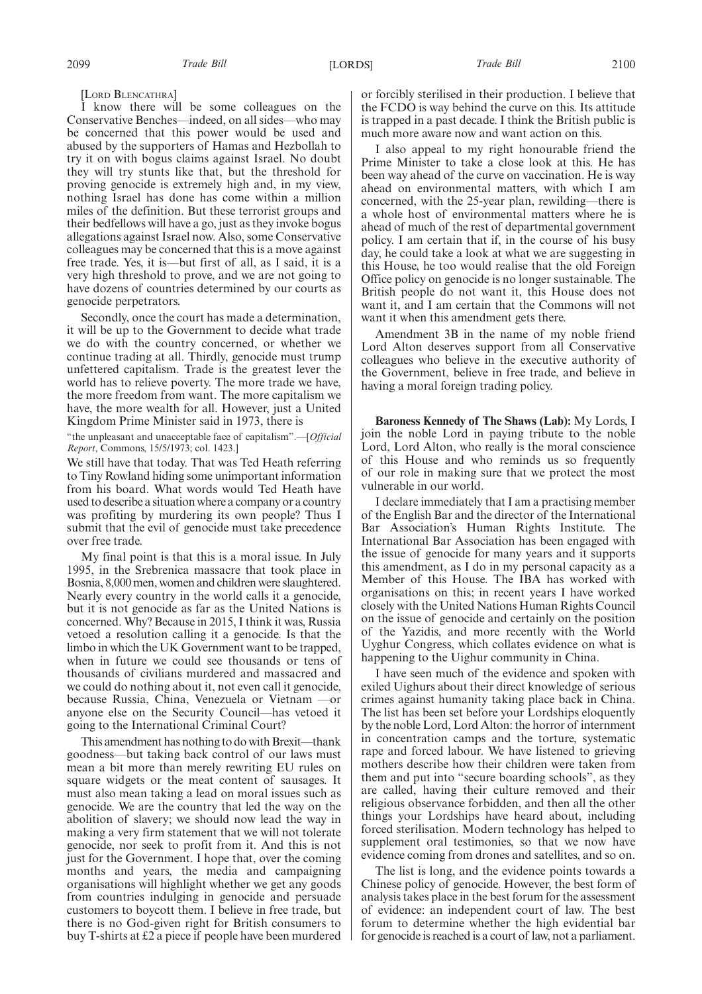[LORD BLENCATHRA]

I know there will be some colleagues on the Conservative Benches—indeed, on all sides—who may be concerned that this power would be used and abused by the supporters of Hamas and Hezbollah to try it on with bogus claims against Israel. No doubt they will try stunts like that, but the threshold for proving genocide is extremely high and, in my view, nothing Israel has done has come within a million miles of the definition. But these terrorist groups and their bedfellows will have a go, just as they invoke bogus allegations against Israel now. Also, some Conservative colleagues may be concerned that this is a move against free trade. Yes, it is—but first of all, as I said, it is a very high threshold to prove, and we are not going to have dozens of countries determined by our courts as genocide perpetrators.

Secondly, once the court has made a determination, it will be up to the Government to decide what trade we do with the country concerned, or whether we continue trading at all. Thirdly, genocide must trump unfettered capitalism. Trade is the greatest lever the world has to relieve poverty. The more trade we have, the more freedom from want. The more capitalism we have, the more wealth for all. However, just a United Kingdom Prime Minister said in 1973, there is

"the unpleasant and unacceptable face of capitalism".—[*Official Report*, Commons, 15/5/1973; col. 1423.]

We still have that today. That was Ted Heath referring to Tiny Rowland hiding some unimportant information from his board. What words would Ted Heath have used to describe a situation where a company or a country was profiting by murdering its own people? Thus I submit that the evil of genocide must take precedence over free trade.

My final point is that this is a moral issue. In July 1995, in the Srebrenica massacre that took place in Bosnia, 8,000 men, women and children were slaughtered. Nearly every country in the world calls it a genocide, but it is not genocide as far as the United Nations is concerned. Why? Because in 2015, I think it was, Russia vetoed a resolution calling it a genocide. Is that the limbo in which the UK Government want to be trapped, when in future we could see thousands or tens of thousands of civilians murdered and massacred and we could do nothing about it, not even call it genocide, because Russia, China, Venezuela or Vietnam —or anyone else on the Security Council—has vetoed it going to the International Criminal Court?

This amendment has nothing to do with Brexit—thank goodness—but taking back control of our laws must mean a bit more than merely rewriting EU rules on square widgets or the meat content of sausages. It must also mean taking a lead on moral issues such as genocide. We are the country that led the way on the abolition of slavery; we should now lead the way in making a very firm statement that we will not tolerate genocide, nor seek to profit from it. And this is not just for the Government. I hope that, over the coming months and years, the media and campaigning organisations will highlight whether we get any goods from countries indulging in genocide and persuade customers to boycott them. I believe in free trade, but there is no God-given right for British consumers to buy T-shirts at £2 a piece if people have been murdered or forcibly sterilised in their production. I believe that the FCDO is way behind the curve on this. Its attitude is trapped in a past decade. I think the British public is much more aware now and want action on this.

I also appeal to my right honourable friend the Prime Minister to take a close look at this. He has been way ahead of the curve on vaccination. He is way ahead on environmental matters, with which I am concerned, with the 25-year plan, rewilding—there is a whole host of environmental matters where he is ahead of much of the rest of departmental government policy. I am certain that if, in the course of his busy day, he could take a look at what we are suggesting in this House, he too would realise that the old Foreign Office policy on genocide is no longer sustainable. The British people do not want it, this House does not want it, and I am certain that the Commons will not want it when this amendment gets there.

Amendment 3B in the name of my noble friend Lord Alton deserves support from all Conservative colleagues who believe in the executive authority of the Government, believe in free trade, and believe in having a moral foreign trading policy.

**Baroness Kennedy of The Shaws (Lab):** My Lords, I join the noble Lord in paying tribute to the noble Lord, Lord Alton, who really is the moral conscience of this House and who reminds us so frequently of our role in making sure that we protect the most vulnerable in our world.

I declare immediately that I am a practising member of the English Bar and the director of the International Bar Association's Human Rights Institute. The International Bar Association has been engaged with the issue of genocide for many years and it supports this amendment, as I do in my personal capacity as a Member of this House. The IBA has worked with organisations on this; in recent years I have worked closely with the United Nations Human Rights Council on the issue of genocide and certainly on the position of the Yazidis, and more recently with the World Uyghur Congress, which collates evidence on what is happening to the Uighur community in China.

I have seen much of the evidence and spoken with exiled Uighurs about their direct knowledge of serious crimes against humanity taking place back in China. The list has been set before your Lordships eloquently by the noble Lord, Lord Alton: the horror of internment in concentration camps and the torture, systematic rape and forced labour. We have listened to grieving mothers describe how their children were taken from them and put into "secure boarding schools", as they are called, having their culture removed and their religious observance forbidden, and then all the other things your Lordships have heard about, including forced sterilisation. Modern technology has helped to supplement oral testimonies, so that we now have evidence coming from drones and satellites, and so on.

The list is long, and the evidence points towards a Chinese policy of genocide. However, the best form of analysis takes place in the best forum for the assessment of evidence: an independent court of law. The best forum to determine whether the high evidential bar for genocide is reached is a court of law, not a parliament.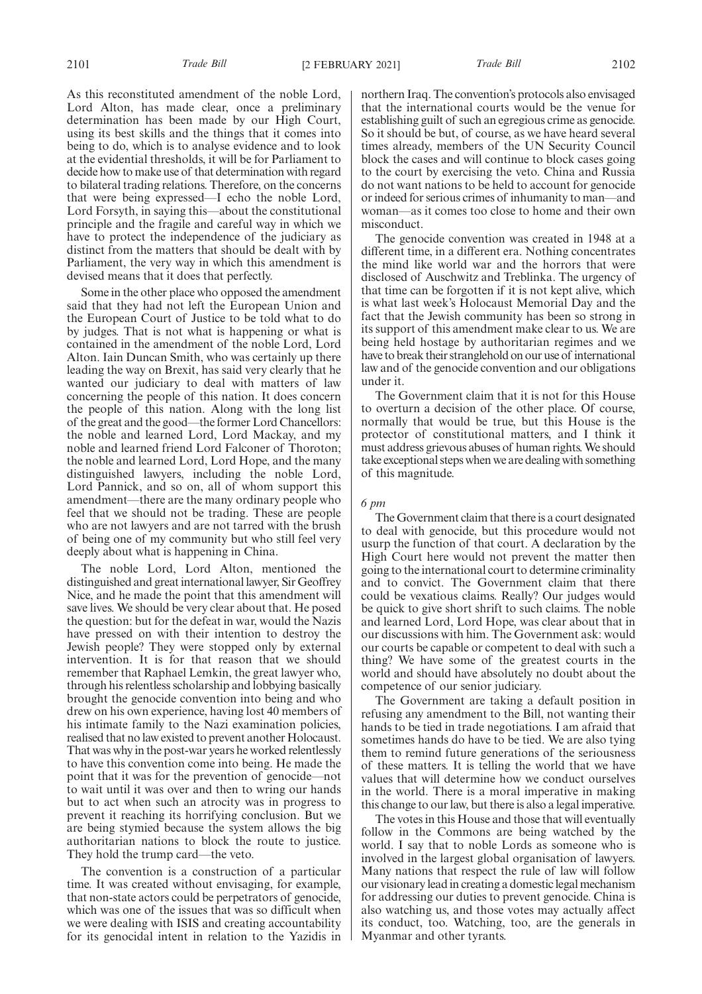As this reconstituted amendment of the noble Lord, Lord Alton, has made clear, once a preliminary determination has been made by our High Court, using its best skills and the things that it comes into being to do, which is to analyse evidence and to look at the evidential thresholds, it will be for Parliament to decide how to make use of that determination with regard to bilateral trading relations. Therefore, on the concerns that were being expressed—I echo the noble Lord, Lord Forsyth, in saying this—about the constitutional principle and the fragile and careful way in which we have to protect the independence of the judiciary as distinct from the matters that should be dealt with by Parliament, the very way in which this amendment is devised means that it does that perfectly.

Some in the other place who opposed the amendment said that they had not left the European Union and the European Court of Justice to be told what to do by judges. That is not what is happening or what is contained in the amendment of the noble Lord, Lord Alton. Iain Duncan Smith, who was certainly up there leading the way on Brexit, has said very clearly that he wanted our judiciary to deal with matters of law concerning the people of this nation. It does concern the people of this nation. Along with the long list of the great and the good—the former Lord Chancellors: the noble and learned Lord, Lord Mackay, and my noble and learned friend Lord Falconer of Thoroton; the noble and learned Lord, Lord Hope, and the many distinguished lawyers, including the noble Lord, Lord Pannick, and so on, all of whom support this amendment—there are the many ordinary people who feel that we should not be trading. These are people who are not lawyers and are not tarred with the brush of being one of my community but who still feel very deeply about what is happening in China.

The noble Lord, Lord Alton, mentioned the distinguished and great international lawyer, Sir Geoffrey Nice, and he made the point that this amendment will save lives. We should be very clear about that. He posed the question: but for the defeat in war, would the Nazis have pressed on with their intention to destroy the Jewish people? They were stopped only by external intervention. It is for that reason that we should remember that Raphael Lemkin, the great lawyer who, through his relentless scholarship and lobbying basically brought the genocide convention into being and who drew on his own experience, having lost 40 members of his intimate family to the Nazi examination policies, realised that no law existed to prevent another Holocaust. That was why in the post-war years he worked relentlessly to have this convention come into being. He made the point that it was for the prevention of genocide—not to wait until it was over and then to wring our hands but to act when such an atrocity was in progress to prevent it reaching its horrifying conclusion. But we are being stymied because the system allows the big authoritarian nations to block the route to justice. They hold the trump card—the veto.

The convention is a construction of a particular time. It was created without envisaging, for example, that non-state actors could be perpetrators of genocide, which was one of the issues that was so difficult when we were dealing with ISIS and creating accountability for its genocidal intent in relation to the Yazidis in northern Iraq. The convention's protocols also envisaged that the international courts would be the venue for establishing guilt of such an egregious crime as genocide. So it should be but, of course, as we have heard several times already, members of the UN Security Council block the cases and will continue to block cases going to the court by exercising the veto. China and Russia do not want nations to be held to account for genocide or indeed for serious crimes of inhumanity to man—and woman—as it comes too close to home and their own misconduct.

The genocide convention was created in 1948 at a different time, in a different era. Nothing concentrates the mind like world war and the horrors that were disclosed of Auschwitz and Treblinka. The urgency of that time can be forgotten if it is not kept alive, which is what last week's Holocaust Memorial Day and the fact that the Jewish community has been so strong in its support of this amendment make clear to us. We are being held hostage by authoritarian regimes and we have to break their stranglehold on our use of international law and of the genocide convention and our obligations under it.

The Government claim that it is not for this House to overturn a decision of the other place. Of course, normally that would be true, but this House is the protector of constitutional matters, and I think it must address grievous abuses of human rights. We should take exceptional steps when we are dealing with something of this magnitude.

### *6 pm*

The Government claim that there is a court designated to deal with genocide, but this procedure would not usurp the function of that court. A declaration by the High Court here would not prevent the matter then going to the international court to determine criminality and to convict. The Government claim that there could be vexatious claims. Really? Our judges would be quick to give short shrift to such claims. The noble and learned Lord, Lord Hope, was clear about that in our discussions with him. The Government ask: would our courts be capable or competent to deal with such a thing? We have some of the greatest courts in the world and should have absolutely no doubt about the competence of our senior judiciary.

The Government are taking a default position in refusing any amendment to the Bill, not wanting their hands to be tied in trade negotiations. I am afraid that sometimes hands do have to be tied. We are also tying them to remind future generations of the seriousness of these matters. It is telling the world that we have values that will determine how we conduct ourselves in the world. There is a moral imperative in making this change to our law, but there is also a legal imperative.

The votes in this House and those that will eventually follow in the Commons are being watched by the world. I say that to noble Lords as someone who is involved in the largest global organisation of lawyers. Many nations that respect the rule of law will follow our visionary lead in creating a domestic legal mechanism for addressing our duties to prevent genocide. China is also watching us, and those votes may actually affect its conduct, too. Watching, too, are the generals in Myanmar and other tyrants.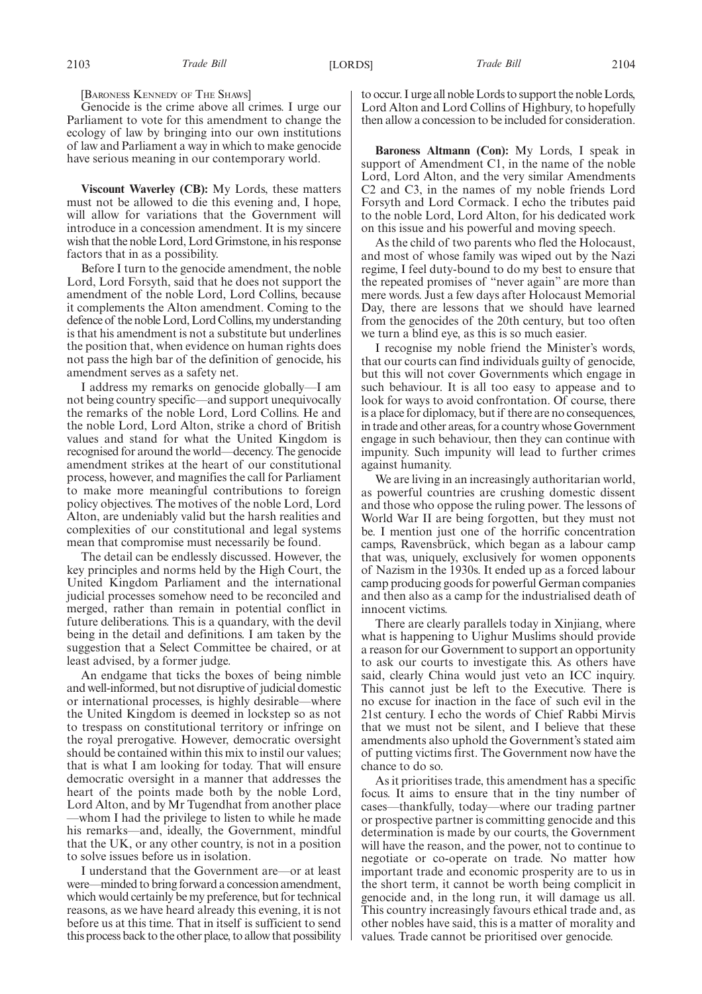[BARONESS KENNEDY OF THE SHAWS]

Genocide is the crime above all crimes. I urge our Parliament to vote for this amendment to change the ecology of law by bringing into our own institutions of law and Parliament a way in which to make genocide have serious meaning in our contemporary world.

**Viscount Waverley (CB):** My Lords, these matters must not be allowed to die this evening and, I hope, will allow for variations that the Government will introduce in a concession amendment. It is my sincere wish that the noble Lord, Lord Grimstone, in his response factors that in as a possibility.

Before I turn to the genocide amendment, the noble Lord, Lord Forsyth, said that he does not support the amendment of the noble Lord, Lord Collins, because it complements the Alton amendment. Coming to the defence of the noble Lord, Lord Collins, my understanding is that his amendment is not a substitute but underlines the position that, when evidence on human rights does not pass the high bar of the definition of genocide, his amendment serves as a safety net.

I address my remarks on genocide globally—I am not being country specific—and support unequivocally the remarks of the noble Lord, Lord Collins. He and the noble Lord, Lord Alton, strike a chord of British values and stand for what the United Kingdom is recognised for around the world—decency. The genocide amendment strikes at the heart of our constitutional process, however, and magnifies the call for Parliament to make more meaningful contributions to foreign policy objectives. The motives of the noble Lord, Lord Alton, are undeniably valid but the harsh realities and complexities of our constitutional and legal systems mean that compromise must necessarily be found.

The detail can be endlessly discussed. However, the key principles and norms held by the High Court, the United Kingdom Parliament and the international judicial processes somehow need to be reconciled and merged, rather than remain in potential conflict in future deliberations. This is a quandary, with the devil being in the detail and definitions. I am taken by the suggestion that a Select Committee be chaired, or at least advised, by a former judge.

An endgame that ticks the boxes of being nimble and well-informed, but not disruptive of judicial domestic or international processes, is highly desirable—where the United Kingdom is deemed in lockstep so as not to trespass on constitutional territory or infringe on the royal prerogative. However, democratic oversight should be contained within this mix to instil our values; that is what I am looking for today. That will ensure democratic oversight in a manner that addresses the heart of the points made both by the noble Lord, Lord Alton, and by Mr Tugendhat from another place —whom I had the privilege to listen to while he made his remarks—and, ideally, the Government, mindful that the UK, or any other country, is not in a position to solve issues before us in isolation.

I understand that the Government are—or at least were—minded to bring forward a concession amendment, which would certainly be my preference, but for technical reasons, as we have heard already this evening, it is not before us at this time. That in itself is sufficient to send this process back to the other place, to allow that possibility to occur. I urge all noble Lords to support the noble Lords, Lord Alton and Lord Collins of Highbury, to hopefully then allow a concession to be included for consideration.

**Baroness Altmann (Con):** My Lords, I speak in support of Amendment C1, in the name of the noble Lord, Lord Alton, and the very similar Amendments C2 and C3, in the names of my noble friends Lord Forsyth and Lord Cormack. I echo the tributes paid to the noble Lord, Lord Alton, for his dedicated work on this issue and his powerful and moving speech.

As the child of two parents who fled the Holocaust, and most of whose family was wiped out by the Nazi regime, I feel duty-bound to do my best to ensure that the repeated promises of "never again" are more than mere words. Just a few days after Holocaust Memorial Day, there are lessons that we should have learned from the genocides of the 20th century, but too often we turn a blind eye, as this is so much easier.

I recognise my noble friend the Minister's words, that our courts can find individuals guilty of genocide, but this will not cover Governments which engage in such behaviour. It is all too easy to appease and to look for ways to avoid confrontation. Of course, there is a place for diplomacy, but if there are no consequences, in trade and other areas, for a country whose Government engage in such behaviour, then they can continue with impunity. Such impunity will lead to further crimes against humanity.

We are living in an increasingly authoritarian world, as powerful countries are crushing domestic dissent and those who oppose the ruling power. The lessons of World War II are being forgotten, but they must not be. I mention just one of the horrific concentration camps, Ravensbrück, which began as a labour camp that was, uniquely, exclusively for women opponents of Nazism in the 1930s. It ended up as a forced labour camp producing goods for powerful German companies and then also as a camp for the industrialised death of innocent victims.

There are clearly parallels today in Xinjiang, where what is happening to Uighur Muslims should provide a reason for our Government to support an opportunity to ask our courts to investigate this. As others have said, clearly China would just veto an ICC inquiry. This cannot just be left to the Executive. There is no excuse for inaction in the face of such evil in the 21st century. I echo the words of Chief Rabbi Mirvis that we must not be silent, and I believe that these amendments also uphold the Government's stated aim of putting victims first. The Government now have the chance to do so.

As it prioritises trade, this amendment has a specific focus. It aims to ensure that in the tiny number of cases—thankfully, today—where our trading partner or prospective partner is committing genocide and this determination is made by our courts, the Government will have the reason, and the power, not to continue to negotiate or co-operate on trade. No matter how important trade and economic prosperity are to us in the short term, it cannot be worth being complicit in genocide and, in the long run, it will damage us all. This country increasingly favours ethical trade and, as other nobles have said, this is a matter of morality and values. Trade cannot be prioritised over genocide.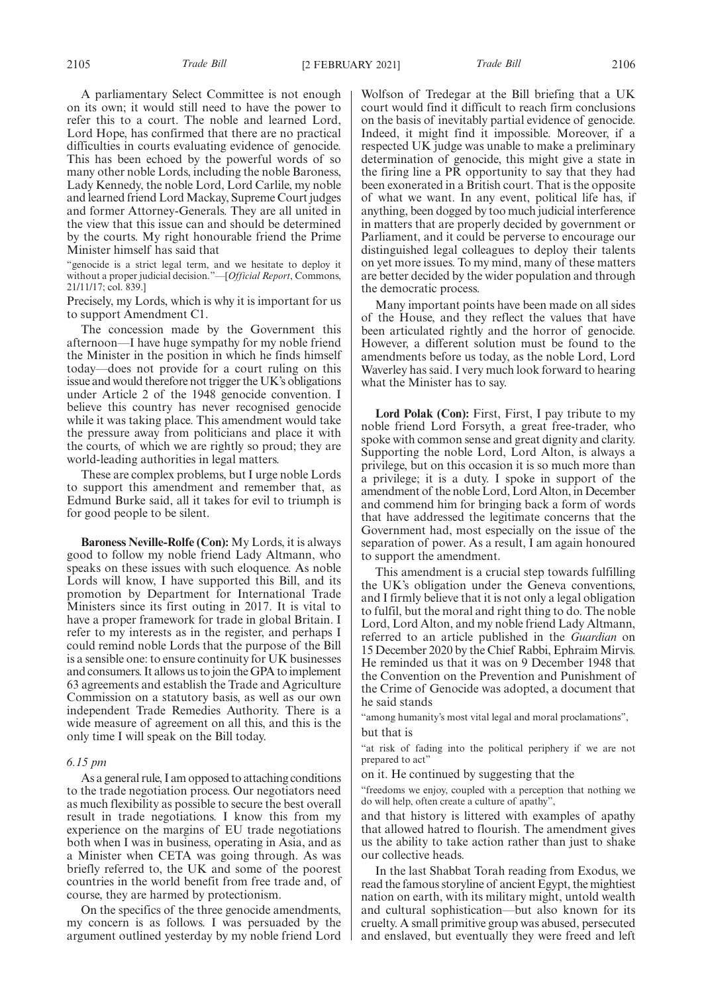A parliamentary Select Committee is not enough on its own; it would still need to have the power to refer this to a court. The noble and learned Lord, Lord Hope, has confirmed that there are no practical difficulties in courts evaluating evidence of genocide. This has been echoed by the powerful words of so many other noble Lords, including the noble Baroness, Lady Kennedy, the noble Lord, Lord Carlile, my noble and learned friend Lord Mackay, Supreme Court judges and former Attorney-Generals. They are all united in the view that this issue can and should be determined by the courts. My right honourable friend the Prime Minister himself has said that

"genocide is a strict legal term, and we hesitate to deploy it without a proper judicial decision."—[*Official Report*, Commons, 21/11/17; col. 839.]

Precisely, my Lords, which is why it is important for us to support Amendment C1.

The concession made by the Government this afternoon—I have huge sympathy for my noble friend the Minister in the position in which he finds himself today—does not provide for a court ruling on this issue and would therefore not trigger the UK's obligations under Article 2 of the 1948 genocide convention. I believe this country has never recognised genocide while it was taking place. This amendment would take the pressure away from politicians and place it with the courts, of which we are rightly so proud; they are world-leading authorities in legal matters.

These are complex problems, but I urge noble Lords to support this amendment and remember that, as Edmund Burke said, all it takes for evil to triumph is for good people to be silent.

**Baroness Neville-Rolfe (Con):** My Lords, it is always good to follow my noble friend Lady Altmann, who speaks on these issues with such eloquence. As noble Lords will know, I have supported this Bill, and its promotion by Department for International Trade Ministers since its first outing in 2017. It is vital to have a proper framework for trade in global Britain. I refer to my interests as in the register, and perhaps I could remind noble Lords that the purpose of the Bill is a sensible one: to ensure continuity for UK businesses and consumers. It allows us to join the GPA to implement 63 agreements and establish the Trade and Agriculture Commission on a statutory basis, as well as our own independent Trade Remedies Authority. There is a wide measure of agreement on all this, and this is the only time I will speak on the Bill today.

#### *6.15 pm*

As a general rule, I am opposed to attaching conditions to the trade negotiation process. Our negotiators need as much flexibility as possible to secure the best overall result in trade negotiations. I know this from my experience on the margins of EU trade negotiations both when I was in business, operating in Asia, and as a Minister when CETA was going through. As was briefly referred to, the UK and some of the poorest countries in the world benefit from free trade and, of course, they are harmed by protectionism.

On the specifics of the three genocide amendments, my concern is as follows. I was persuaded by the argument outlined yesterday by my noble friend Lord

Wolfson of Tredegar at the Bill briefing that a UK court would find it difficult to reach firm conclusions on the basis of inevitably partial evidence of genocide. Indeed, it might find it impossible. Moreover, if a respected UK judge was unable to make a preliminary determination of genocide, this might give a state in the firing line a PR opportunity to say that they had been exonerated in a British court. That is the opposite of what we want. In any event, political life has, if anything, been dogged by too much judicial interference in matters that are properly decided by government or Parliament, and it could be perverse to encourage our distinguished legal colleagues to deploy their talents on yet more issues. To my mind, many of these matters are better decided by the wider population and through the democratic process.

Many important points have been made on all sides of the House, and they reflect the values that have been articulated rightly and the horror of genocide. However, a different solution must be found to the amendments before us today, as the noble Lord, Lord Waverley has said. I very much look forward to hearing what the Minister has to say.

**Lord Polak (Con):** First, First, I pay tribute to my noble friend Lord Forsyth, a great free-trader, who spoke with common sense and great dignity and clarity. Supporting the noble Lord, Lord Alton, is always a privilege, but on this occasion it is so much more than a privilege; it is a duty. I spoke in support of the amendment of the noble Lord, Lord Alton, in December and commend him for bringing back a form of words that have addressed the legitimate concerns that the Government had, most especially on the issue of the separation of power. As a result, I am again honoured to support the amendment.

This amendment is a crucial step towards fulfilling the UK's obligation under the Geneva conventions, and I firmly believe that it is not only a legal obligation to fulfil, but the moral and right thing to do. The noble Lord, Lord Alton, and my noble friend Lady Altmann, referred to an article published in the *Guardian* on 15 December 2020 by the Chief Rabbi, Ephraim Mirvis. He reminded us that it was on 9 December 1948 that the Convention on the Prevention and Punishment of the Crime of Genocide was adopted, a document that he said stands

"among humanity's most vital legal and moral proclamations", but that is

"at risk of fading into the political periphery if we are not prepared to act"

on it. He continued by suggesting that the

"freedoms we enjoy, coupled with a perception that nothing we do will help, often create a culture of apathy",

and that history is littered with examples of apathy that allowed hatred to flourish. The amendment gives us the ability to take action rather than just to shake our collective heads.

In the last Shabbat Torah reading from Exodus, we read the famous storyline of ancient Egypt, the mightiest nation on earth, with its military might, untold wealth and cultural sophistication—but also known for its cruelty. A small primitive group was abused, persecuted and enslaved, but eventually they were freed and left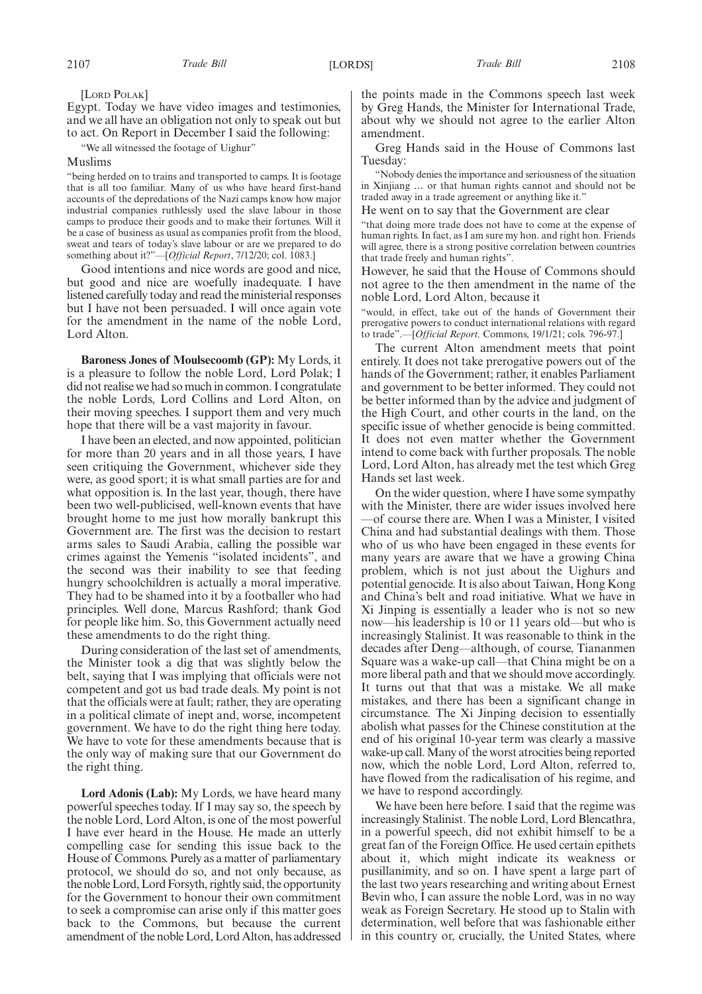[LORD POLAK]

Egypt. Today we have video images and testimonies, and we all have an obligation not only to speak out but to act. On Report in December I said the following:

"We all witnessed the footage of Uighur"

Muslims

"being herded on to trains and transported to camps. It is footage that is all too familiar. Many of us who have heard first-hand accounts of the depredations of the Nazi camps know how major industrial companies ruthlessly used the slave labour in those camps to produce their goods and to make their fortunes. Will it be a case of business as usual as companies profit from the blood, sweat and tears of today's slave labour or are we prepared to do something about it?"—[*Official Report*, 7/12/20; col. 1083.]

Good intentions and nice words are good and nice, but good and nice are woefully inadequate. I have listened carefully today and read the ministerial responses but I have not been persuaded. I will once again vote for the amendment in the name of the noble Lord, Lord Alton.

**Baroness Jones of Moulsecoomb (GP):** My Lords, it is a pleasure to follow the noble Lord, Lord Polak; I did not realise we had so much in common. I congratulate the noble Lords, Lord Collins and Lord Alton, on their moving speeches. I support them and very much hope that there will be a vast majority in favour.

I have been an elected, and now appointed, politician for more than 20 years and in all those years, I have seen critiquing the Government, whichever side they were, as good sport; it is what small parties are for and what opposition is. In the last year, though, there have been two well-publicised, well-known events that have brought home to me just how morally bankrupt this Government are. The first was the decision to restart arms sales to Saudi Arabia, calling the possible war crimes against the Yemenis "isolated incidents", and the second was their inability to see that feeding hungry schoolchildren is actually a moral imperative. They had to be shamed into it by a footballer who had principles. Well done, Marcus Rashford; thank God for people like him. So, this Government actually need these amendments to do the right thing.

During consideration of the last set of amendments, the Minister took a dig that was slightly below the belt, saying that I was implying that officials were not competent and got us bad trade deals. My point is not that the officials were at fault; rather, they are operating in a political climate of inept and, worse, incompetent government. We have to do the right thing here today. We have to vote for these amendments because that is the only way of making sure that our Government do the right thing.

**Lord Adonis (Lab):** My Lords, we have heard many powerful speeches today. If I may say so, the speech by the noble Lord, Lord Alton, is one of the most powerful I have ever heard in the House. He made an utterly compelling case for sending this issue back to the House of Commons. Purely as a matter of parliamentary protocol, we should do so, and not only because, as the noble Lord, Lord Forsyth, rightly said, the opportunity for the Government to honour their own commitment to seek a compromise can arise only if this matter goes back to the Commons, but because the current amendment of the noble Lord, Lord Alton, has addressed

the points made in the Commons speech last week by Greg Hands, the Minister for International Trade, about why we should not agree to the earlier Alton amendment.

Greg Hands said in the House of Commons last Tuesday:

"Nobody denies the importance and seriousness of the situation in Xinjiang … or that human rights cannot and should not be traded away in a trade agreement or anything like it."

He went on to say that the Government are clear

"that doing more trade does not have to come at the expense of human rights. In fact, as I am sure my hon. and right hon. Friends will agree, there is a strong positive correlation between countries that trade freely and human rights".

However, he said that the House of Commons should not agree to the then amendment in the name of the noble Lord, Lord Alton, because it

"would, in effect, take out of the hands of Government their prerogative powers to conduct international relations with regard to trade".—[*Official Report,* Commons, 19/1/21; cols. 796-97.]

The current Alton amendment meets that point entirely. It does not take prerogative powers out of the hands of the Government; rather, it enables Parliament and government to be better informed. They could not be better informed than by the advice and judgment of the High Court, and other courts in the land, on the specific issue of whether genocide is being committed. It does not even matter whether the Government intend to come back with further proposals. The noble Lord, Lord Alton, has already met the test which Greg Hands set last week.

On the wider question, where I have some sympathy with the Minister, there are wider issues involved here —of course there are. When I was a Minister, I visited China and had substantial dealings with them. Those who of us who have been engaged in these events for many years are aware that we have a growing China problem, which is not just about the Uighurs and potential genocide. It is also about Taiwan, Hong Kong and China's belt and road initiative. What we have in Xi Jinping is essentially a leader who is not so new now—his leadership is 10 or 11 years old—but who is increasingly Stalinist. It was reasonable to think in the decades after Deng—although, of course, Tiananmen Square was a wake-up call—that China might be on a more liberal path and that we should move accordingly. It turns out that that was a mistake. We all make mistakes, and there has been a significant change in circumstance. The Xi Jinping decision to essentially abolish what passes for the Chinese constitution at the end of his original 10-year term was clearly a massive wake-up call. Many of the worst atrocities being reported now, which the noble Lord, Lord Alton, referred to, have flowed from the radicalisation of his regime, and we have to respond accordingly.

We have been here before. I said that the regime was increasingly Stalinist. The noble Lord, Lord Blencathra, in a powerful speech, did not exhibit himself to be a great fan of the Foreign Office. He used certain epithets about it, which might indicate its weakness or pusillanimity, and so on. I have spent a large part of the last two years researching and writing about Ernest Bevin who, I can assure the noble Lord, was in no way weak as Foreign Secretary. He stood up to Stalin with determination, well before that was fashionable either in this country or, crucially, the United States, where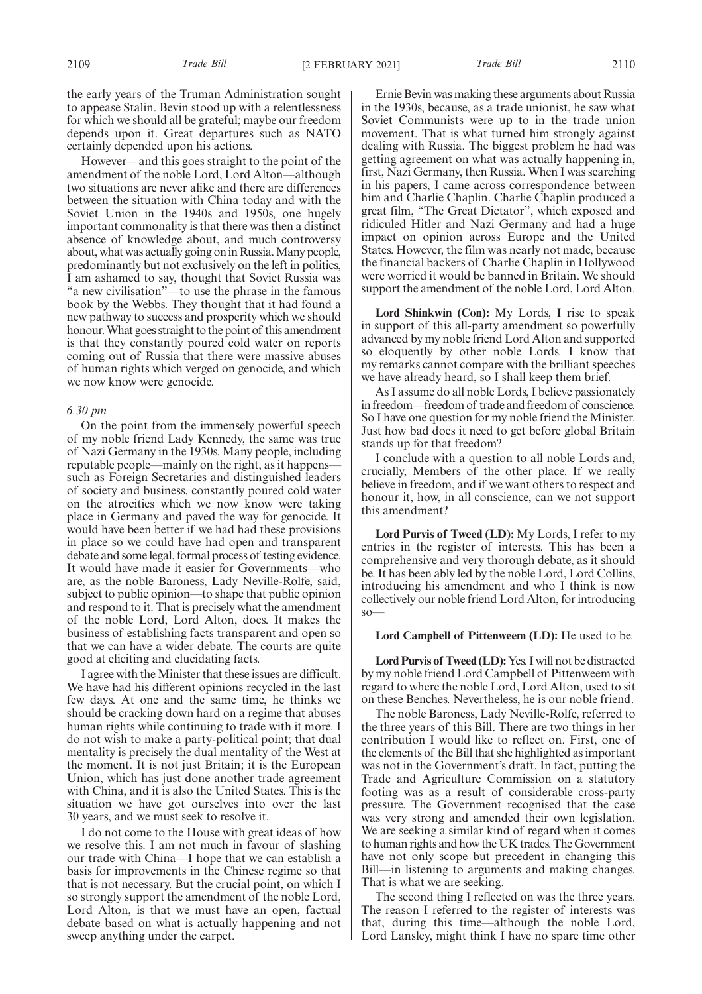the early years of the Truman Administration sought to appease Stalin. Bevin stood up with a relentlessness for which we should all be grateful; maybe our freedom depends upon it. Great departures such as NATO certainly depended upon his actions.

However—and this goes straight to the point of the amendment of the noble Lord, Lord Alton—although two situations are never alike and there are differences between the situation with China today and with the Soviet Union in the 1940s and 1950s, one hugely important commonality is that there was then a distinct absence of knowledge about, and much controversy about, what was actually going on in Russia. Many people, predominantly but not exclusively on the left in politics, I am ashamed to say, thought that Soviet Russia was "a new civilisation"—to use the phrase in the famous book by the Webbs. They thought that it had found a new pathway to success and prosperity which we should honour. What goes straight to the point of this amendment is that they constantly poured cold water on reports coming out of Russia that there were massive abuses of human rights which verged on genocide, and which we now know were genocide.

## *6.30 pm*

On the point from the immensely powerful speech of my noble friend Lady Kennedy, the same was true of Nazi Germany in the 1930s. Many people, including reputable people—mainly on the right, as it happens such as Foreign Secretaries and distinguished leaders of society and business, constantly poured cold water on the atrocities which we now know were taking place in Germany and paved the way for genocide. It would have been better if we had had these provisions in place so we could have had open and transparent debate and some legal, formal process of testing evidence. It would have made it easier for Governments—who are, as the noble Baroness, Lady Neville-Rolfe, said, subject to public opinion—to shape that public opinion and respond to it. That is precisely what the amendment of the noble Lord, Lord Alton, does. It makes the business of establishing facts transparent and open so that we can have a wider debate. The courts are quite good at eliciting and elucidating facts.

I agree with the Minister that these issues are difficult. We have had his different opinions recycled in the last few days. At one and the same time, he thinks we should be cracking down hard on a regime that abuses human rights while continuing to trade with it more. I do not wish to make a party-political point; that dual mentality is precisely the dual mentality of the West at the moment. It is not just Britain; it is the European Union, which has just done another trade agreement with China, and it is also the United States. This is the situation we have got ourselves into over the last 30 years, and we must seek to resolve it.

I do not come to the House with great ideas of how we resolve this. I am not much in favour of slashing our trade with China—I hope that we can establish a basis for improvements in the Chinese regime so that that is not necessary. But the crucial point, on which I so strongly support the amendment of the noble Lord, Lord Alton, is that we must have an open, factual debate based on what is actually happening and not sweep anything under the carpet.

Ernie Bevin was making these arguments about Russia in the 1930s, because, as a trade unionist, he saw what Soviet Communists were up to in the trade union movement. That is what turned him strongly against dealing with Russia. The biggest problem he had was getting agreement on what was actually happening in, first, Nazi Germany, then Russia. When I was searching in his papers, I came across correspondence between him and Charlie Chaplin. Charlie Chaplin produced a great film, "The Great Dictator", which exposed and ridiculed Hitler and Nazi Germany and had a huge impact on opinion across Europe and the United States. However, the film was nearly not made, because the financial backers of Charlie Chaplin in Hollywood were worried it would be banned in Britain. We should support the amendment of the noble Lord, Lord Alton.

**Lord Shinkwin (Con):** My Lords, I rise to speak in support of this all-party amendment so powerfully advanced by my noble friend Lord Alton and supported so eloquently by other noble Lords. I know that my remarks cannot compare with the brilliant speeches we have already heard, so I shall keep them brief.

As I assume do all noble Lords, I believe passionately in freedom—freedom of trade and freedom of conscience. So I have one question for my noble friend the Minister. Just how bad does it need to get before global Britain stands up for that freedom?

I conclude with a question to all noble Lords and, crucially, Members of the other place. If we really believe in freedom, and if we want others to respect and honour it, how, in all conscience, can we not support this amendment?

**Lord Purvis of Tweed (LD):** My Lords, I refer to my entries in the register of interests. This has been a comprehensive and very thorough debate, as it should be. It has been ably led by the noble Lord, Lord Collins, introducing his amendment and who I think is now collectively our noble friend Lord Alton, for introducing so—

### **Lord Campbell of Pittenweem (LD):** He used to be.

**Lord Purvis of Tweed (LD):**Yes. I will not be distracted by my noble friend Lord Campbell of Pittenweem with regard to where the noble Lord, Lord Alton, used to sit on these Benches. Nevertheless, he is our noble friend.

The noble Baroness, Lady Neville-Rolfe, referred to the three years of this Bill. There are two things in her contribution I would like to reflect on. First, one of the elements of the Bill that she highlighted as important was not in the Government's draft. In fact, putting the Trade and Agriculture Commission on a statutory footing was as a result of considerable cross-party pressure. The Government recognised that the case was very strong and amended their own legislation. We are seeking a similar kind of regard when it comes to human rights and how the UK trades. The Government have not only scope but precedent in changing this Bill—in listening to arguments and making changes. That is what we are seeking.

The second thing I reflected on was the three years. The reason I referred to the register of interests was that, during this time—although the noble Lord, Lord Lansley, might think I have no spare time other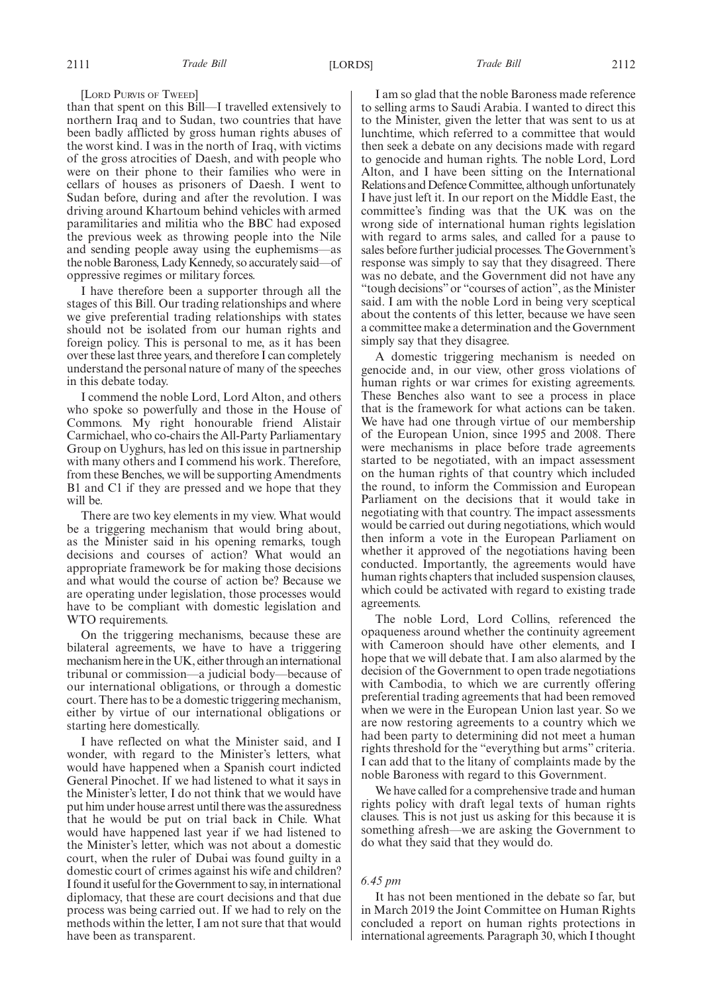[LORD PURVIS OF TWEED]

than that spent on this Bill—I travelled extensively to northern Iraq and to Sudan, two countries that have been badly afflicted by gross human rights abuses of the worst kind. I was in the north of Iraq, with victims of the gross atrocities of Daesh, and with people who were on their phone to their families who were in cellars of houses as prisoners of Daesh. I went to Sudan before, during and after the revolution. I was driving around Khartoum behind vehicles with armed paramilitaries and militia who the BBC had exposed the previous week as throwing people into the Nile and sending people away using the euphemisms—as the noble Baroness, Lady Kennedy, so accurately said—of oppressive regimes or military forces.

I have therefore been a supporter through all the stages of this Bill. Our trading relationships and where we give preferential trading relationships with states should not be isolated from our human rights and foreign policy. This is personal to me, as it has been over these last three years, and therefore I can completely understand the personal nature of many of the speeches in this debate today.

I commend the noble Lord, Lord Alton, and others who spoke so powerfully and those in the House of Commons. My right honourable friend Alistair Carmichael, who co-chairs the All-Party Parliamentary Group on Uyghurs, has led on this issue in partnership with many others and I commend his work. Therefore, from these Benches, we will be supporting Amendments B1 and C1 if they are pressed and we hope that they will be.

There are two key elements in my view. What would be a triggering mechanism that would bring about, as the Minister said in his opening remarks, tough decisions and courses of action? What would an appropriate framework be for making those decisions and what would the course of action be? Because we are operating under legislation, those processes would have to be compliant with domestic legislation and WTO requirements.

On the triggering mechanisms, because these are bilateral agreements, we have to have a triggering mechanism here in the UK, either through an international tribunal or commission—a judicial body—because of our international obligations, or through a domestic court. There has to be a domestic triggering mechanism, either by virtue of our international obligations or starting here domestically.

I have reflected on what the Minister said, and I wonder, with regard to the Minister's letters, what would have happened when a Spanish court indicted General Pinochet. If we had listened to what it says in the Minister's letter, I do not think that we would have put him under house arrest until there was the assuredness that he would be put on trial back in Chile. What would have happened last year if we had listened to the Minister's letter, which was not about a domestic court, when the ruler of Dubai was found guilty in a domestic court of crimes against his wife and children? I found it useful for the Government to say, in international diplomacy, that these are court decisions and that due process was being carried out. If we had to rely on the methods within the letter, I am not sure that that would have been as transparent.

I am so glad that the noble Baroness made reference to selling arms to Saudi Arabia. I wanted to direct this to the Minister, given the letter that was sent to us at lunchtime, which referred to a committee that would then seek a debate on any decisions made with regard to genocide and human rights. The noble Lord, Lord Alton, and I have been sitting on the International Relations and Defence Committee, although unfortunately I have just left it. In our report on the Middle East, the committee's finding was that the UK was on the wrong side of international human rights legislation with regard to arms sales, and called for a pause to sales before further judicial processes. The Government's response was simply to say that they disagreed. There was no debate, and the Government did not have any "tough decisions"or "courses of action", as the Minister said. I am with the noble Lord in being very sceptical about the contents of this letter, because we have seen a committee make a determination and the Government simply say that they disagree.

A domestic triggering mechanism is needed on genocide and, in our view, other gross violations of human rights or war crimes for existing agreements. These Benches also want to see a process in place that is the framework for what actions can be taken. We have had one through virtue of our membership of the European Union, since 1995 and 2008. There were mechanisms in place before trade agreements started to be negotiated, with an impact assessment on the human rights of that country which included the round, to inform the Commission and European Parliament on the decisions that it would take in negotiating with that country. The impact assessments would be carried out during negotiations, which would then inform a vote in the European Parliament on whether it approved of the negotiations having been conducted. Importantly, the agreements would have human rights chapters that included suspension clauses, which could be activated with regard to existing trade agreements.

The noble Lord, Lord Collins, referenced the opaqueness around whether the continuity agreement with Cameroon should have other elements, and I hope that we will debate that. I am also alarmed by the decision of the Government to open trade negotiations with Cambodia, to which we are currently offering preferential trading agreements that had been removed when we were in the European Union last year. So we are now restoring agreements to a country which we had been party to determining did not meet a human rights threshold for the "everything but arms" criteria. I can add that to the litany of complaints made by the noble Baroness with regard to this Government.

We have called for a comprehensive trade and human rights policy with draft legal texts of human rights clauses. This is not just us asking for this because it is something afresh—we are asking the Government to do what they said that they would do.

### *6.45 pm*

It has not been mentioned in the debate so far, but in March 2019 the Joint Committee on Human Rights concluded a report on human rights protections in international agreements. Paragraph 30, which I thought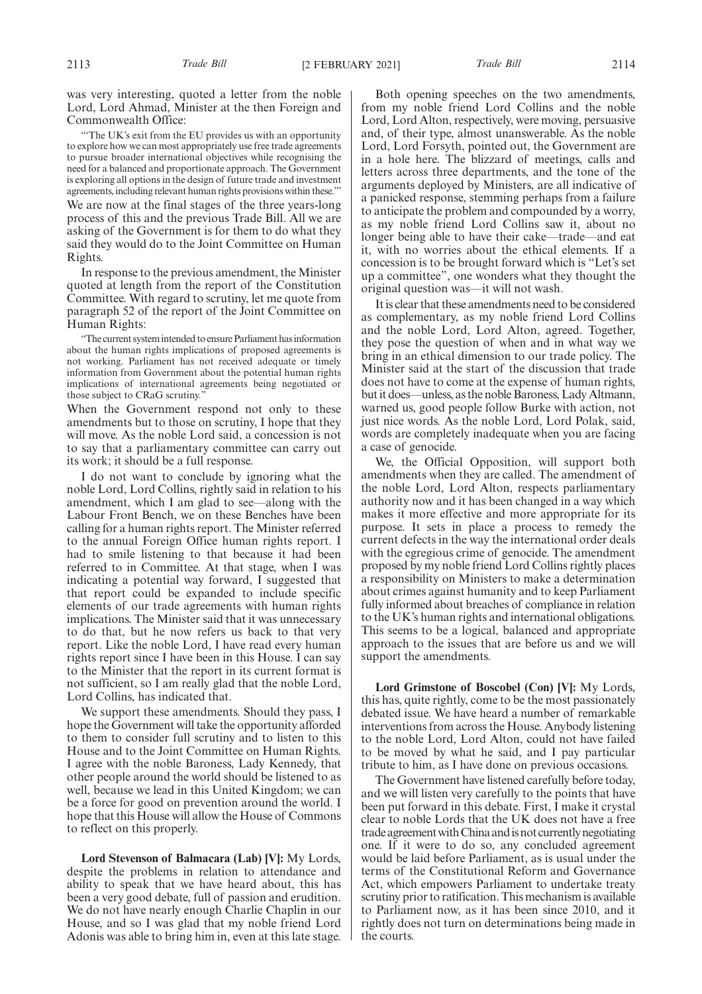was very interesting, quoted a letter from the noble Lord, Lord Ahmad, Minister at the then Foreign and Commonwealth Office:

"The UK's exit from the EU provides us with an opportunity to explore how we can most appropriately use free trade agreements to pursue broader international objectives while recognising the need for a balanced and proportionate approach. The Government is exploring all options in the design of future trade and investment agreements, including relevant human rights provisions within these.'" We are now at the final stages of the three years-long process of this and the previous Trade Bill. All we are asking of the Government is for them to do what they said they would do to the Joint Committee on Human Rights.

In response to the previous amendment, the Minister quoted at length from the report of the Constitution Committee. With regard to scrutiny, let me quote from paragraph 52 of the report of the Joint Committee on Human Rights:

"The current system intended to ensure Parliament has information about the human rights implications of proposed agreements is not working. Parliament has not received adequate or timely information from Government about the potential human rights implications of international agreements being negotiated or those subject to CRaG scrutiny."

When the Government respond not only to these amendments but to those on scrutiny, I hope that they will move. As the noble Lord said, a concession is not to say that a parliamentary committee can carry out its work; it should be a full response.

I do not want to conclude by ignoring what the noble Lord, Lord Collins, rightly said in relation to his amendment, which I am glad to see—along with the Labour Front Bench, we on these Benches have been calling for a human rights report. The Minister referred to the annual Foreign Office human rights report. I had to smile listening to that because it had been referred to in Committee. At that stage, when I was indicating a potential way forward, I suggested that that report could be expanded to include specific elements of our trade agreements with human rights implications. The Minister said that it was unnecessary to do that, but he now refers us back to that very report. Like the noble Lord, I have read every human rights report since I have been in this House. I can say to the Minister that the report in its current format is not sufficient, so I am really glad that the noble Lord, Lord Collins, has indicated that.

We support these amendments. Should they pass, I hope the Government will take the opportunity afforded to them to consider full scrutiny and to listen to this House and to the Joint Committee on Human Rights. I agree with the noble Baroness, Lady Kennedy, that other people around the world should be listened to as well, because we lead in this United Kingdom; we can be a force for good on prevention around the world. I hope that this House will allow the House of Commons to reflect on this properly.

**Lord Stevenson of Balmacara (Lab) [V]:** My Lords, despite the problems in relation to attendance and ability to speak that we have heard about, this has been a very good debate, full of passion and erudition. We do not have nearly enough Charlie Chaplin in our House, and so I was glad that my noble friend Lord Adonis was able to bring him in, even at this late stage.

Both opening speeches on the two amendments, from my noble friend Lord Collins and the noble Lord, Lord Alton, respectively, were moving, persuasive and, of their type, almost unanswerable. As the noble Lord, Lord Forsyth, pointed out, the Government are in a hole here. The blizzard of meetings, calls and letters across three departments, and the tone of the arguments deployed by Ministers, are all indicative of a panicked response, stemming perhaps from a failure to anticipate the problem and compounded by a worry, as my noble friend Lord Collins saw it, about no longer being able to have their cake—trade—and eat it, with no worries about the ethical elements. If a concession is to be brought forward which is "Let's set up a committee", one wonders what they thought the original question was—it will not wash.

It is clear that these amendments need to be considered as complementary, as my noble friend Lord Collins and the noble Lord, Lord Alton, agreed. Together, they pose the question of when and in what way we bring in an ethical dimension to our trade policy. The Minister said at the start of the discussion that trade does not have to come at the expense of human rights, but it does—unless, as the noble Baroness, Lady Altmann, warned us, good people follow Burke with action, not just nice words. As the noble Lord, Lord Polak, said, words are completely inadequate when you are facing a case of genocide.

We, the Official Opposition, will support both amendments when they are called. The amendment of the noble Lord, Lord Alton, respects parliamentary authority now and it has been changed in a way which makes it more effective and more appropriate for its purpose. It sets in place a process to remedy the current defects in the way the international order deals with the egregious crime of genocide. The amendment proposed by my noble friend Lord Collins rightly places a responsibility on Ministers to make a determination about crimes against humanity and to keep Parliament fully informed about breaches of compliance in relation to the UK's human rights and international obligations. This seems to be a logical, balanced and appropriate approach to the issues that are before us and we will support the amendments.

**Lord Grimstone of Boscobel (Con) [V]:** My Lords, this has, quite rightly, come to be the most passionately debated issue. We have heard a number of remarkable interventions from across the House. Anybody listening to the noble Lord, Lord Alton, could not have failed to be moved by what he said, and I pay particular tribute to him, as I have done on previous occasions.

The Government have listened carefully before today, and we will listen very carefully to the points that have been put forward in this debate. First, I make it crystal clear to noble Lords that the UK does not have a free trade agreement with China and is not currently negotiating one. If it were to do so, any concluded agreement would be laid before Parliament, as is usual under the terms of the Constitutional Reform and Governance Act, which empowers Parliament to undertake treaty scrutiny prior to ratification. This mechanism is available to Parliament now, as it has been since 2010, and it rightly does not turn on determinations being made in the courts.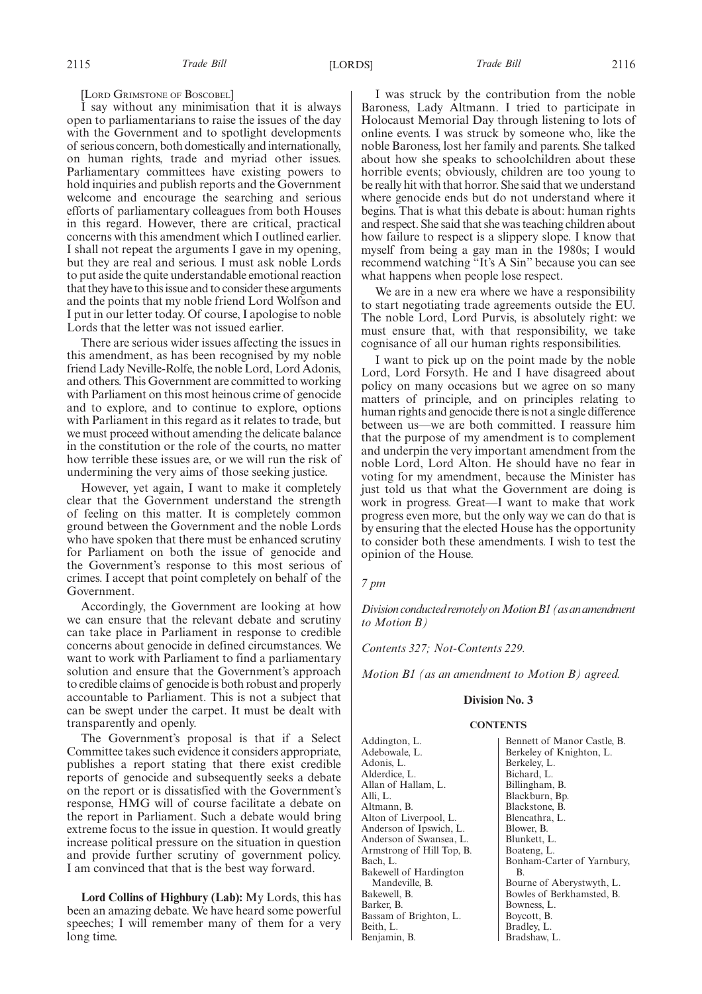[LORD GRIMSTONE OF BOSCOBEL]

I say without any minimisation that it is always open to parliamentarians to raise the issues of the day with the Government and to spotlight developments of serious concern, both domestically and internationally, on human rights, trade and myriad other issues. Parliamentary committees have existing powers to hold inquiries and publish reports and the Government welcome and encourage the searching and serious efforts of parliamentary colleagues from both Houses in this regard. However, there are critical, practical concerns with this amendment which I outlined earlier. I shall not repeat the arguments I gave in my opening, but they are real and serious. I must ask noble Lords to put aside the quite understandable emotional reaction that they have to this issue and to consider these arguments and the points that my noble friend Lord Wolfson and I put in our letter today. Of course, I apologise to noble Lords that the letter was not issued earlier.

There are serious wider issues affecting the issues in this amendment, as has been recognised by my noble friend Lady Neville-Rolfe, the noble Lord, Lord Adonis, and others. This Government are committed to working with Parliament on this most heinous crime of genocide and to explore, and to continue to explore, options with Parliament in this regard as it relates to trade, but we must proceed without amending the delicate balance in the constitution or the role of the courts, no matter how terrible these issues are, or we will run the risk of undermining the very aims of those seeking justice.

However, yet again, I want to make it completely clear that the Government understand the strength of feeling on this matter. It is completely common ground between the Government and the noble Lords who have spoken that there must be enhanced scrutiny for Parliament on both the issue of genocide and the Government's response to this most serious of crimes. I accept that point completely on behalf of the Government.

Accordingly, the Government are looking at how we can ensure that the relevant debate and scrutiny can take place in Parliament in response to credible concerns about genocide in defined circumstances. We want to work with Parliament to find a parliamentary solution and ensure that the Government's approach to credible claims of genocide is both robust and properly accountable to Parliament. This is not a subject that can be swept under the carpet. It must be dealt with transparently and openly.

The Government's proposal is that if a Select Committee takes such evidence it considers appropriate, publishes a report stating that there exist credible reports of genocide and subsequently seeks a debate on the report or is dissatisfied with the Government's response, HMG will of course facilitate a debate on the report in Parliament. Such a debate would bring extreme focus to the issue in question. It would greatly increase political pressure on the situation in question and provide further scrutiny of government policy. I am convinced that that is the best way forward.

**Lord Collins of Highbury (Lab):** My Lords, this has been an amazing debate. We have heard some powerful speeches; I will remember many of them for a very long time.

I was struck by the contribution from the noble Baroness, Lady Altmann. I tried to participate in Holocaust Memorial Day through listening to lots of online events. I was struck by someone who, like the noble Baroness, lost her family and parents. She talked about how she speaks to schoolchildren about these horrible events; obviously, children are too young to be really hit with that horror. She said that we understand where genocide ends but do not understand where it begins. That is what this debate is about: human rights and respect. She said that she was teaching children about how failure to respect is a slippery slope. I know that myself from being a gay man in the 1980s; I would recommend watching "It's A Sin" because you can see what happens when people lose respect.

We are in a new era where we have a responsibility to start negotiating trade agreements outside the EU. The noble Lord, Lord Purvis, is absolutely right: we must ensure that, with that responsibility, we take cognisance of all our human rights responsibilities.

I want to pick up on the point made by the noble Lord, Lord Forsyth. He and I have disagreed about policy on many occasions but we agree on so many matters of principle, and on principles relating to human rights and genocide there is not a single difference between us—we are both committed. I reassure him that the purpose of my amendment is to complement and underpin the very important amendment from the noble Lord, Lord Alton. He should have no fear in voting for my amendment, because the Minister has just told us that what the Government are doing is work in progress. Great—I want to make that work progress even more, but the only way we can do that is by ensuring that the elected House has the opportunity to consider both these amendments. I wish to test the opinion of the House.

### *7 pm*

*DivisionconductedremotelyonMotionB1(asanamendment to Motion B)*

*Contents 327; Not-Contents 229.*

*Motion B1 (as an amendment to Motion B) agreed.*

### **Division No. 3**

#### **CONTENTS**

Addington, L. Adebowale, L. Adonis, L. Alderdice, L. Allan of Hallam, L. Alli, L. Altmann, B. Alton of Liverpool, L. Anderson of Ipswich, L. Anderson of Swansea, L. Armstrong of Hill Top, B. Bach, L. Bakewell of Hardington Mandeville, B. Bakewell, B. Barker, B. Bassam of Brighton, L. Beith, L. Benjamin, B.

Bennett of Manor Castle, B. Berkeley of Knighton, L. Berkeley, L. Bichard, L. Billingham, B. Blackburn, Bp. Blackstone, B. Blencathra, L. Blower, B. Blunkett, L. Boateng, L. Bonham-Carter of Yarnbury, B. Bourne of Aberystwyth, L. Bowles of Berkhamsted, B. Bowness, L. Boycott, B. Bradley, L. Bradshaw, L.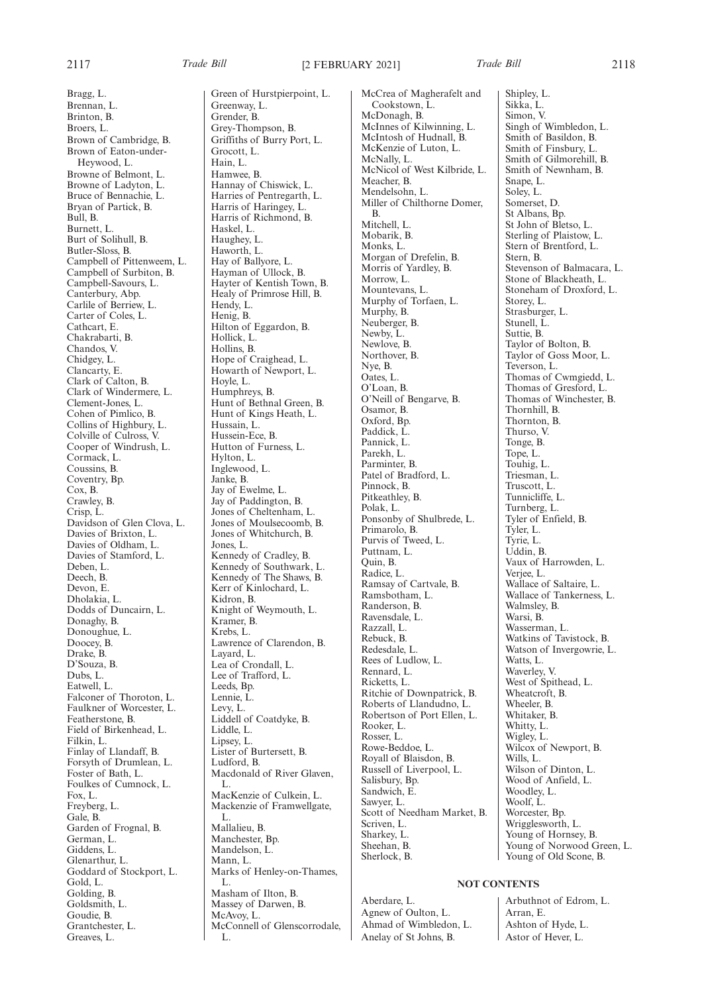Bragg, L.

Brennan, L. Brinton, B. Broers, L. Brown of Cambridge, B. Brown of Eaton-under-Heywood, L. Browne of Belmont, L. Browne of Ladyton, L. Bruce of Bennachie, L. Bryan of Partick, B. Bull, B. Burnett, L. Burt of Solihull, B. Butler-Sloss, B. Campbell of Pittenweem, L. Campbell of Surbiton, B. Campbell-Savours, L. Canterbury, Abp. Carlile of Berriew, L. Carter of Coles, L. Cathcart, E. Chakrabarti, B. Chandos, V. Chidgey, L. Clancarty, E. Clark of Calton, B. Clark of Windermere, L. Clement-Jones, L. Cohen of Pimlico, B. Collins of Highbury, L. Colville of Culross, V. Cooper of Windrush, L. Cormack, L. Coussins, B. Coventry, Bp. Cox, B. Crawley, B. Crisp, L. Davidson of Glen Clova, L. Davies of Brixton, L. Davies of Oldham, L. Davies of Stamford, L. Deben, L. Deech, B. Devon<sub>E</sub> Dholakia, L. Dodds of Duncairn, L. Donaghy, B. Donoughue, L. Doocey, B. Drake, B. D'Souza, B. Dubs, L. Eatwell, L. Falconer of Thoroton, L. Faulkner of Worcester, L. Featherstone, B. Field of Birkenhead, L. Filkin, L. Finlay of Llandaff, B. Forsyth of Drumlean, L. Foster of Bath, L. Foulkes of Cumnock, L. Fox, L. Freyberg, L. Gale, B. Garden of Frognal, B. German, L. Giddens, L. Glenarthur, L. Goddard of Stockport, L. Gold, L. Golding, B. Goldsmith, L. Goudie, B. Grantchester, L. Greaves, L.

Green of Hurstpierpoint, L. Greenway, L. Grender, B. Grey-Thompson, B. Griffiths of Burry Port, L. Grocott, L. Hain, L. Hamwee, B. Hannay of Chiswick, L. Harries of Pentregarth, L. Harris of Haringey, L. Harris of Richmond, B. Haskel, L. Haughey, L. Haworth, L. Hay of Ballyore, L. Hayman of Ullock, B. Hayter of Kentish Town, B. Healy of Primrose Hill, B. Hendy, L. Henig, B. Hilton of Eggardon, B. Hollick, L. Hollins, B. Hope of Craighead, L. Howarth of Newport, L. Hoyle, L. Humphreys, B. Hunt of Bethnal Green, B. Hunt of Kings Heath, L. Hussain, L. Hussein-Ece, B. Hutton of Furness, L. Hylton, L. Inglewood, L. Janke, B. Jay of Ewelme, L. Jay of Paddington, B. Jones of Cheltenham, L. Jones of Moulsecoomb, B. Jones of Whitchurch, B. Jones, L. Kennedy of Cradley, B. Kennedy of Southwark, L. Kennedy of The Shaws, B. Kerr of Kinlochard, L. Kidron, B. Knight of Weymouth, L. Kramer, B. Krebs, L. Lawrence of Clarendon, B. Layard, L. Lea of Crondall, L. Lee of Trafford, L. Leeds, Bp. Lennie, L. Levy, L. Liddell of Coatdyke, B. Liddle, L. Lipsey, L. Lister of Burtersett, B. Ludford, B. Macdonald of River Glaven, L. MacKenzie of Culkein, L. Mackenzie of Framwellgate, L. Mallalieu, B. Manchester, Bp. Mandelson, L. Mann, L. Marks of Henley-on-Thames, L. Masham of Ilton, B. Massey of Darwen, B. McAvoy, L. McConnell of Glenscorrodale, L.

McCrea of Magherafelt and Cookstown, L. McDonagh, B. McInnes of Kilwinning, L. McIntosh of Hudnall, B. McKenzie of Luton, L. McNally, L. McNicol of West Kilbride, L. Meacher, B. Mendelsohn, L. Miller of Chilthorne Domer, B. Mitchell, L. Mobarik, B. Monks, L. Morgan of Drefelin, B. Morris of Yardley, B. Morrow, L. Mountevans, L. Murphy of Torfaen, L. Murphy, B. Neuberger, B. Newby, L. Newlove, B. Northover, B. Nye, B. Oates, L. O'Loan, B. O'Neill of Bengarve, B. Osamor, B. Oxford, Bp. Paddick, L. Pannick, L. Parekh, L. Parminter, B. Patel of Bradford, L. Pinnock, B. Pitkeathley, B. Polak, L. Ponsonby of Shulbrede, L. Primarolo, B. Purvis of Tweed, L. Puttnam, L. Quin, B. Radice, L. Ramsay of Cartvale, B. Ramsbotham, L. Randerson, B. Ravensdale, L. Razzall, L. Rebuck, B. Redesdale, L. Rees of Ludlow, L. Rennard, L. Ricketts, L. Ritchie of Downpatrick, B. Roberts of Llandudno, L. Robertson of Port Ellen, L. Rooker, L. Rosser, L. Rowe-Beddoe, L. Royall of Blaisdon, B. Russell of Liverpool, L. Salisbury, Bp. Sandwich, E. Sawyer, L. Scott of Needham Market, B. Scriven, L. Sharkey, L. Sheehan, B. Sherlock, B.

Shipley, L. Sikka, L. Simon, V. Singh of Wimbledon, L. Smith of Basildon, B. Smith of Finsbury, L. Smith of Gilmorehill, B. Smith of Newnham, B. Snape, L. Soley, L. Somerset, D. St Albans, Bp. St John of Bletso, L. Sterling of Plaistow, L. Stern of Brentford, L. Stern, B. Stevenson of Balmacara, L. Stone of Blackheath, L. Stoneham of Droxford, L. Storey, L. Strasburger, L. Stunell, L. Suttie, B. Taylor of Bolton, B. Taylor of Goss Moor, L. Teverson, L. Thomas of Cwmgiedd, L. Thomas of Gresford, L. Thomas of Winchester, B. Thornhill, B. Thornton, B. Thurso, V. Tonge, B. Tope, L. Touhig, L. Triesman, L. Truscott, L. Tunnicliffe, L. Turnberg, L. Tyler of Enfield, B. Tyler, L. Tyrie, L. Uddin, B. Vaux of Harrowden, L. Verjee, L. Wallace of Saltaire, L. Wallace of Tankerness, L. Walmsley, B. Warsi, B. Wasserman, L. Watkins of Tavistock, B. Watson of Invergowrie, L. Watts, L. Waverley, V. West of Spithead, L. Wheatcroft, B. Wheeler, B. Whitaker, B. Whitty, L. Wigley, L. Wilcox of Newport, B. Wills, L. Wilson of Dinton, L. Wood of Anfield, L. Woodley, L. Woolf, L. Worcester, Bp. Wrigglesworth, L. Young of Hornsey, B. Young of Norwood Green, L. Young of Old Scone, B.

## **NOT CONTENTS**

Aberdare, L. Agnew of Oulton, L. Ahmad of Wimbledon, L. Anelay of St Johns, B.

Arbuthnot of Edrom, L. Arran, E. Ashton of Hyde, L. Astor of Hever, L.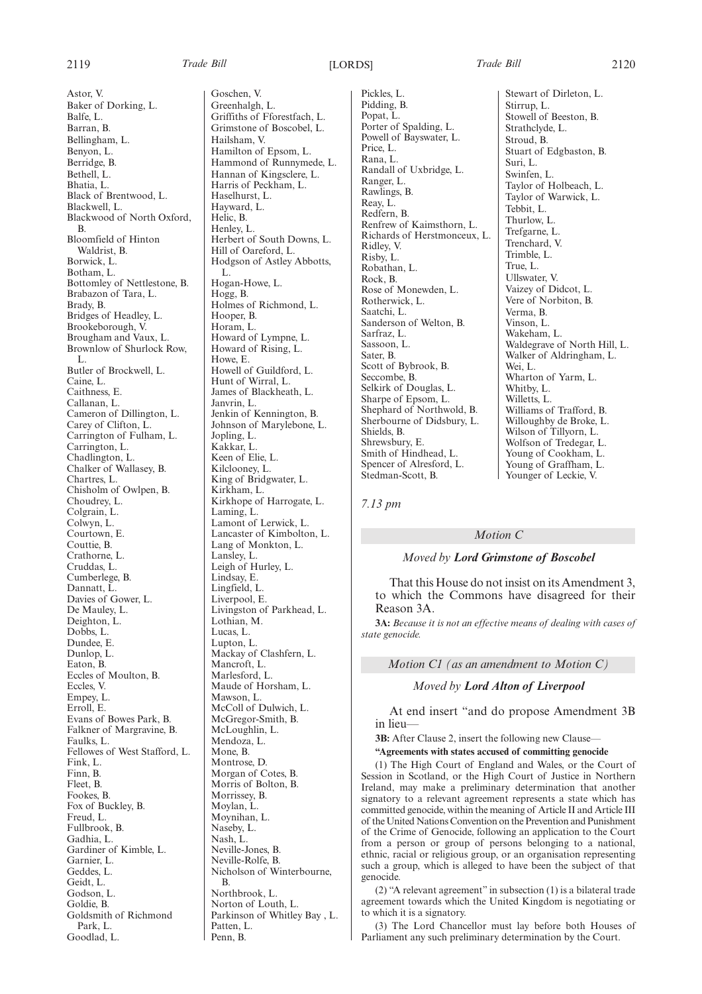Astor, V. Baker of Dorking, L. Balfe, L. Barran, B. Bellingham, L. Benyon, L. Berridge, B. Bethell, L. Bhatia, L. Black of Brentwood, L. Blackwell, L. Blackwood of North Oxford, B. Bloomfield of Hinton Waldrist, B. Borwick, L. Botham, L. Bottomley of Nettlestone, B. Brabazon of Tara, L. Brady, B. Bridges of Headley, L. Brookeborough, V. Brougham and Vaux, L. Brownlow of Shurlock Row, L. Butler of Brockwell, L. Caine, L. Caithness, E. Callanan, L. Cameron of Dillington, L. Carey of Clifton, L. Carrington of Fulham, L. Carrington, L. Chadlington, L. Chalker of Wallasey, B. Chartres, L. Chisholm of Owlpen, B. Choudrey, L. Colgrain, L. Colwyn, L. Courtown, E. Couttie, B. Crathorne, L. Cruddas, L. Cumberlege, B. Dannatt, L. Davies of Gower, L. De Mauley, L. Deighton, L. Dobbs, L. Dundee, E. Dunlop, L. Eaton, B. Eccles of Moulton, B. Eccles, V. Empey, L. Erroll, E. Evans of Bowes Park, B. Falkner of Margravine, B. Faulks, L. Fellowes of West Stafford, L. Fink, L. Finn, B. Fleet, B. Fookes, B. Fox of Buckley, B. Freud, L. Fullbrook, B. Gadhia, L. Gardiner of Kimble, L. Garnier, L. Geddes, L. Geidt, L. Godson, L. Goldie, B. Goldsmith of Richmond Park, L.

Goodlad, L.

Goschen, V. Greenhalgh, L. Griffiths of Fforestfach, L. Grimstone of Boscobel, L. Hailsham, V. Hamilton of Epsom, L. Hammond of Runnymede, L. Hannan of Kingsclere, L. Harris of Peckham, L. Haselhurst, L. Hayward, L. Helic, B. Henley, L. Herbert of South Downs, L. Hill of Oareford, L. Hodgson of Astley Abbotts, L. Hogan-Howe, L. Hogg, B. Holmes of Richmond, L. Hooper, B. Horam, L. Howard of Lympne, L. Howard of Rising, L. Howe, E. Howell of Guildford, L. Hunt of Wirral, L. James of Blackheath, L. Janvrin, L. Jenkin of Kennington, B. Johnson of Marylebone, L. Jopling, L. Kakkar, L. Keen of Elie, L. Kilclooney, L. King of Bridgwater, L. Kirkham, L. Kirkhope of Harrogate, L. Laming, L. Lamont of Lerwick, L. Lancaster of Kimbolton, L. Lang of Monkton, L. Lansley, L. Leigh of Hurley, L. Lindsay, E. Lingfield, L. Liverpool, E. Livingston of Parkhead, L. Lothian, M. Lucas, L. Lupton, L. Mackay of Clashfern, L. Mancroft, L. Marlesford, L. Maude of Horsham, L. Mawson, L. McColl of Dulwich, L. McGregor-Smith, B. McLoughlin, L. Mendoza, L. Mone, B. Montrose, D. Morgan of Cotes, B. Morris of Bolton, B. Morrissey, B. Moylan, L. Moynihan, L. Naseby, L. Nash, L. Neville-Jones, B. Neville-Rolfe, B. Nicholson of Winterbourne, B. Northbrook, L. Norton of Louth, L. Parkinson of Whitley Bay , L.

Patten, L. Penn, B.

Pickles, L. Pidding, B. Popat, L. Porter of Spalding, L. Powell of Bayswater, L. Price, L. Rana, L. Randall of Uxbridge, L. Ranger, L. Rawlings, B. Reay, L. Redfern, B. Renfrew of Kaimsthorn, L. Richards of Herstmonceux, L. Ridley, V. Risby, L. Robathan, L. Rock, B. Rose of Monewden, L. Rotherwick, L. Saatchi, L. Sanderson of Welton, B. Sarfraz, L. Sassoon, L. Sater, B. Scott of Bybrook, B. Seccombe, B. Selkirk of Douglas, L. Sharpe of Epsom, L. Shephard of Northwold, B. Sherbourne of Didsbury, L. Shields, B. Shrewsbury, E. Smith of Hindhead, L. Spencer of Alresford, L. Stedman-Scott, B.

Stewart of Dirleton, L. Stirrup, L. Stowell of Beeston, B. Strathclyde, L. Stroud, B. Stuart of Edgbaston, B. Suri, L. Swinfen, L. Taylor of Holbeach, L. Taylor of Warwick, L. Tebbit, L. Thurlow, L. Trefgarne, L. Trenchard, V. Trimble, L. True, L. Ullswater, V. Vaizey of Didcot, L. Vere of Norbiton, B. Verma, B. Vinson, L. Wakeham, L. Waldegrave of North Hill, L. Walker of Aldringham, L. Wei, L. Wharton of Yarm, L. Whitby, L. Willetts, L. Williams of Trafford, B. Willoughby de Broke, L. Wilson of Tillyorn, L. Wolfson of Tredegar, L. Young of Cookham, L. Young of Graffham, L. Younger of Leckie, V.

*7.13 pm*

## *Motion C*

## *Moved by Lord Grimstone of Boscobel*

That this House do not insist on its Amendment 3, to which the Commons have disagreed for their Reason 3A.

**3A:** *Because it is not an effective means of dealing with cases of state genocide.*

*Motion C1 (as an amendment to Motion C)*

### *Moved by Lord Alton of Liverpool*

At end insert "and do propose Amendment 3B in lieu—

**3B:** After Clause 2, insert the following new Clause—

**"Agreements with states accused of committing genocide**

(1) The High Court of England and Wales, or the Court of Session in Scotland, or the High Court of Justice in Northern Ireland, may make a preliminary determination that another signatory to a relevant agreement represents a state which has committed genocide, within the meaning of Article II and Article III of the United Nations Convention on the Prevention and Punishment of the Crime of Genocide, following an application to the Court from a person or group of persons belonging to a national, ethnic, racial or religious group, or an organisation representing such a group, which is alleged to have been the subject of that genocide.

(2) "A relevant agreement" in subsection (1) is a bilateral trade agreement towards which the United Kingdom is negotiating or to which it is a signatory.

(3) The Lord Chancellor must lay before both Houses of Parliament any such preliminary determination by the Court.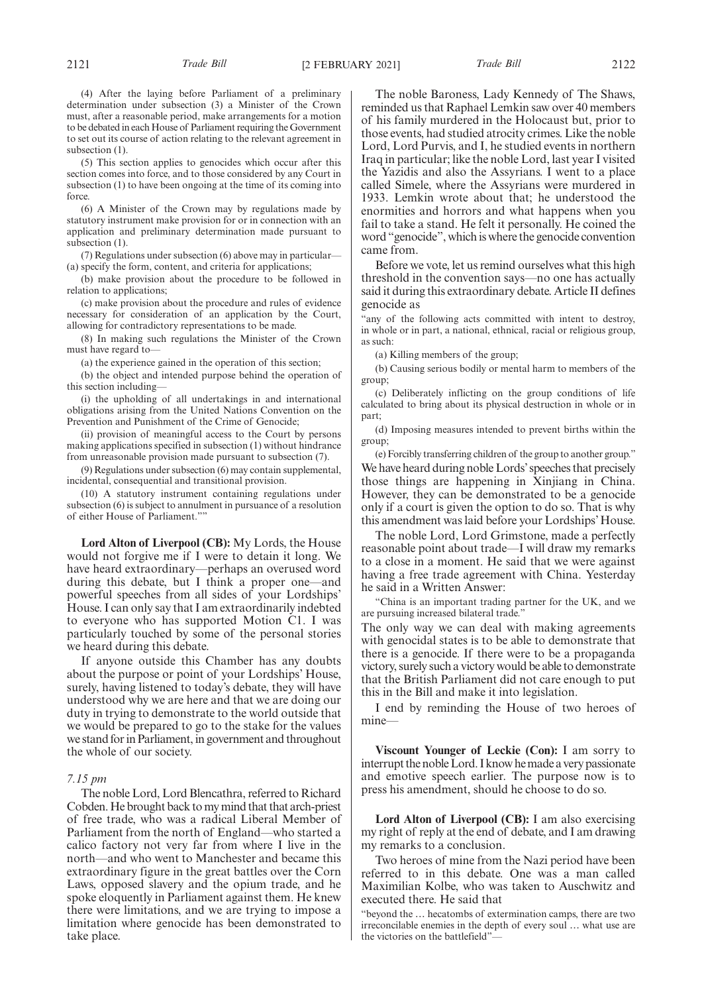(4) After the laying before Parliament of a preliminary determination under subsection (3) a Minister of the Crown must, after a reasonable period, make arrangements for a motion to be debated in each House of Parliament requiring the Government to set out its course of action relating to the relevant agreement in subsection  $(1)$ .

(5) This section applies to genocides which occur after this section comes into force, and to those considered by any Court in subsection (1) to have been ongoing at the time of its coming into force.

(6) A Minister of the Crown may by regulations made by statutory instrument make provision for or in connection with an application and preliminary determination made pursuant to subsection  $(1)$ .

(7) Regulations under subsection (6) above may in particular— (a) specify the form, content, and criteria for applications;

(b) make provision about the procedure to be followed in relation to applications;

(c) make provision about the procedure and rules of evidence necessary for consideration of an application by the Court, allowing for contradictory representations to be made.

(8) In making such regulations the Minister of the Crown must have regard to—

(a) the experience gained in the operation of this section;

(b) the object and intended purpose behind the operation of this section including—

(i) the upholding of all undertakings in and international obligations arising from the United Nations Convention on the Prevention and Punishment of the Crime of Genocide;

(ii) provision of meaningful access to the Court by persons making applications specified in subsection (1) without hindrance from unreasonable provision made pursuant to subsection (7).

(9) Regulations under subsection (6) may contain supplemental, incidental, consequential and transitional provision.

(10) A statutory instrument containing regulations under subsection (6) is subject to annulment in pursuance of a resolution of either House of Parliament.""

**Lord Alton of Liverpool (CB):** My Lords, the House would not forgive me if I were to detain it long. We have heard extraordinary—perhaps an overused word during this debate, but I think a proper one—and powerful speeches from all sides of your Lordships' House. I can only say that I am extraordinarily indebted to everyone who has supported Motion C1. I was particularly touched by some of the personal stories we heard during this debate.

If anyone outside this Chamber has any doubts about the purpose or point of your Lordships' House, surely, having listened to today's debate, they will have understood why we are here and that we are doing our duty in trying to demonstrate to the world outside that we would be prepared to go to the stake for the values we stand for in Parliament, in government and throughout the whole of our society.

## *7.15 pm*

The noble Lord, Lord Blencathra, referred to Richard Cobden. He brought back to my mind that that arch-priest of free trade, who was a radical Liberal Member of Parliament from the north of England—who started a calico factory not very far from where I live in the north—and who went to Manchester and became this extraordinary figure in the great battles over the Corn Laws, opposed slavery and the opium trade, and he spoke eloquently in Parliament against them. He knew there were limitations, and we are trying to impose a limitation where genocide has been demonstrated to take place.

The noble Baroness, Lady Kennedy of The Shaws, reminded us that Raphael Lemkin saw over 40 members of his family murdered in the Holocaust but, prior to those events, had studied atrocity crimes. Like the noble Lord, Lord Purvis, and I, he studied events in northern Iraq in particular; like the noble Lord, last year I visited the Yazidis and also the Assyrians. I went to a place called Simele, where the Assyrians were murdered in 1933. Lemkin wrote about that; he understood the enormities and horrors and what happens when you fail to take a stand. He felt it personally. He coined the word "genocide", which is where the genocide convention came from.

Before we vote, let us remind ourselves what this high threshold in the convention says—no one has actually said it during this extraordinary debate. Article II defines genocide as

"any of the following acts committed with intent to destroy, in whole or in part, a national, ethnical, racial or religious group, as such:

(a) Killing members of the group;

(b) Causing serious bodily or mental harm to members of the group;

(c) Deliberately inflicting on the group conditions of life calculated to bring about its physical destruction in whole or in part;

(d) Imposing measures intended to prevent births within the group;

(e) Forcibly transferring children of the group to another group." We have heard during noble Lords'speeches that precisely those things are happening in Xinjiang in China. However, they can be demonstrated to be a genocide only if a court is given the option to do so. That is why this amendment was laid before your Lordships' House.

The noble Lord, Lord Grimstone, made a perfectly reasonable point about trade—I will draw my remarks to a close in a moment. He said that we were against having a free trade agreement with China. Yesterday he said in a Written Answer:

"China is an important trading partner for the UK, and we are pursuing increased bilateral trade."

The only way we can deal with making agreements with genocidal states is to be able to demonstrate that there is a genocide. If there were to be a propaganda victory, surely such a victory would be able to demonstrate that the British Parliament did not care enough to put this in the Bill and make it into legislation.

I end by reminding the House of two heroes of mine—

**Viscount Younger of Leckie (Con):** I am sorry to interrupt the noble Lord. I know he made a very passionate and emotive speech earlier. The purpose now is to press his amendment, should he choose to do so.

**Lord Alton of Liverpool (CB):** I am also exercising my right of reply at the end of debate, and I am drawing my remarks to a conclusion.

Two heroes of mine from the Nazi period have been referred to in this debate. One was a man called Maximilian Kolbe, who was taken to Auschwitz and executed there. He said that

"beyond the … hecatombs of extermination camps, there are two irreconcilable enemies in the depth of every soul … what use are the victories on the battlefield"—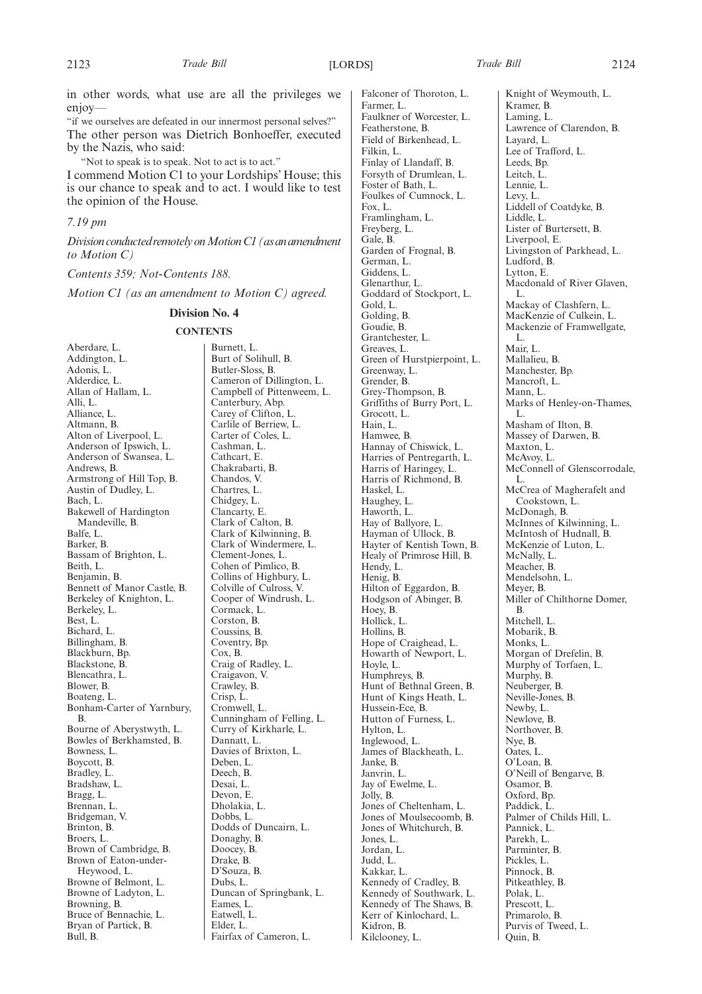in other words, what use are all the privileges we enjoy—

"if we ourselves are defeated in our innermost personal selves?" The other person was Dietrich Bonhoeffer, executed by the Nazis, who said:

"Not to speak is to speak. Not to act is to act."

I commend Motion C1 to your Lordships' House; this is our chance to speak and to act. I would like to test the opinion of the House.

## *7.19 pm*

*DivisionconductedremotelyonMotionC1(asanamendment to Motion C)*

*Contents 359; Not-Contents 188.*

*Motion C1 (as an amendment to Motion C) agreed.*

## **Division No. 4**

## **CONTENTS**

Aberdare, L. Addington, L. Adonis, L. Alderdice, L. Allan of Hallam, L. Alli, L. Alliance, L. Altmann, B. Alton of Liverpool, L. Anderson of Ipswich, L. Anderson of Swansea, L. Andrews, B. Armstrong of Hill Top, B. Austin of Dudley, L. Bach, L. Bakewell of Hardington Mandeville, B. Balfe, L. Barker, B. Bassam of Brighton, L. Beith, L. Benjamin, B. Bennett of Manor Castle, B. Berkeley of Knighton, L. Berkeley, L. Best, L. Bichard, L. Billingham, B. Blackburn, Bp. Blackstone, B. Blencathra, L. Blower, B. Boateng, L. Bonham-Carter of Yarnbury, B. Bourne of Aberystwyth, L. Bowles of Berkhamsted, B. Bowness, L. Boycott, B. Bradley, L. Bradshaw, L. Bragg, L. Brennan, L. Bridgeman, V. Brinton, B. Broers, L. Brown of Cambridge, B. Brown of Eaton-under-Heywood, L. Browne of Belmont, L. Browne of Ladyton, L. Browning, B. Bruce of Bennachie, L. Bryan of Partick, B. Bull, B.

Burnett, L. Burt of Solihull, B. Butler-Sloss, B. Cameron of Dillington, L. Campbell of Pittenweem, L. Canterbury, Abp. Carey of Clifton, L. Carlile of Berriew, L. Carter of Coles, L. Cashman, L. Cathcart, E. Chakrabarti, B. Chandos, V. Chartres, L. Chidgey, L. Clancarty, E. Clark of Calton, B. Clark of Kilwinning, B. Clark of Windermere, L. Clement-Jones, L. Cohen of Pimlico, B. Collins of Highbury, L. Colville of Culross, V. Cooper of Windrush, L. Cormack, L. Corston, B. Coussins, B. Coventry, Bp. Cox, B. Craig of Radley, L. Craigavon, V. Crawley, B. Crisp, L. Cromwell, L. Cunningham of Felling, L. Curry of Kirkharle, L. Dannatt, L. Davies of Brixton, L. Deben, L. Deech, B. Desai, L. Devon, E. Dholakia, L. Dobbs, L. Dodds of Duncairn, L. Donaghy, B. Doocey, B. Drake, B. D'Souza, B. Dubs, L. Duncan of Springbank, L. Eames, L. Eatwell, L. Elder, L. Fairfax of Cameron, L.

Falconer of Thoroton, L. Farmer, L. Faulkner of Worcester, L. Featherstone, B. Field of Birkenhead, L. Filkin, L. Finlay of Llandaff, B. Forsyth of Drumlean, L. Foster of Bath, L. Foulkes of Cumnock, L. Fox, L. Framlingham, L. Freyberg, L. Gale, B. Garden of Frognal, B. German, L. Giddens, L. Glenarthur, L. Goddard of Stockport, L. Gold, L. Golding, B. Goudie, B. Grantchester, L. Greaves, L. Green of Hurstpierpoint, L. Greenway, L. Grender, B. Grey-Thompson, B. Griffiths of Burry Port, L. Grocott, L. Hain, L. Hamwee, B. Hannay of Chiswick, L. Harries of Pentregarth, L. Harris of Haringey, L. Harris of Richmond, B. Haskel, L. Haughey, L. Haworth, L. Hay of Ballyore, L. Hayman of Ullock, B. Hayter of Kentish Town, B. Healy of Primrose Hill, B. Hendy, L. Henig, B. Hilton of Eggardon, B. Hodgson of Abinger, B. Hoey, B. Hollick, L. Hollins, B. Hope of Craighead, L. Howarth of Newport, L. Hoyle, L. Humphreys, B. Hunt of Bethnal Green, B. Hunt of Kings Heath, L. Hussein-Ece, B. Hutton of Furness, L. Hylton, L. Inglewood, L. James of Blackheath, L. Janke, B. Janvrin, L. Jay of Ewelme, L. Jolly, B. Jones of Cheltenham, L. Jones of Moulsecoomb, B. Jones of Whitchurch, B. Jones, L. Jordan, L. Judd, L. Kakkar, L. Kennedy of Cradley, B. Kennedy of Southwark, L. Kennedy of The Shaws, B. Kerr of Kinlochard, L. Kidron, B. Kilclooney, L.

Knight of Weymouth, L. Kramer, B. Laming, L. Lawrence of Clarendon, B. Layard, L. Lee of Trafford, L. Leeds, Bp. Leitch, L. Lennie, L. Levy, L. Liddell of Coatdyke, B. Liddle, L. Lister of Burtersett, B. Liverpool, E. Livingston of Parkhead, L. Ludford, B. Lytton, E. Macdonald of River Glaven, L. Mackay of Clashfern, L. MacKenzie of Culkein, L. Mackenzie of Framwellgate, L. Mair, L. Mallalieu, B. Manchester, Bp. Mancroft, L. Mann, L. Marks of Henley-on-Thames, L. Masham of Ilton, B. Massey of Darwen, B. Maxton, L. McAvoy, L. McConnell of Glenscorrodale, L. McCrea of Magherafelt and Cookstown, L. McDonagh, B. McInnes of Kilwinning, L. McIntosh of Hudnall, B. McKenzie of Luton, L. McNally, L. Meacher, B. Mendelsohn, L. Meyer, B. Miller of Chilthorne Domer, B. Mitchell, L. Mobarik, B. Monks, L. Morgan of Drefelin, B. Murphy of Torfaen, L. Murphy, B. Neuberger, B. Neville-Jones, B. Newby, L. Newlove, B. Northover, B. Nye, B. Oates, L. O'Loan, B. O'Neill of Bengarve, B. Osamor, B. Oxford, Bp. Paddick, L. Palmer of Childs Hill, L. Pannick, L. Parekh, L. Parminter, B. Pickles, L. Pinnock, B. Pitkeathley, B. Polak, L. Prescott, L. Primarolo, B. Purvis of Tweed, L.

Quin, B.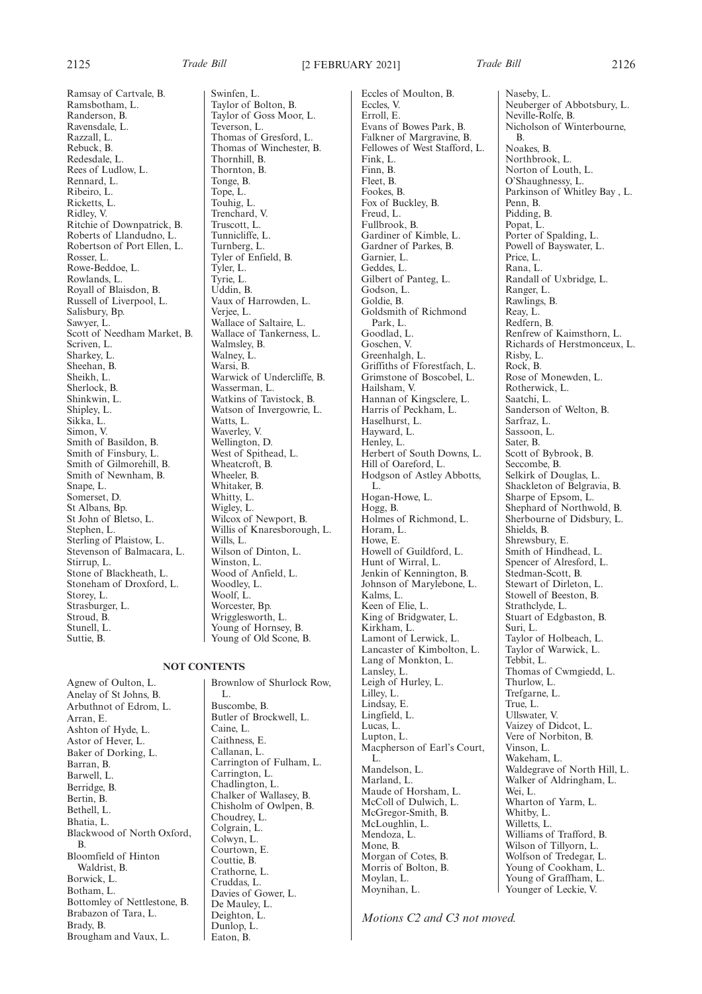Ramsay of Cartvale, B.

2125 *Trade Bill* [2 FEBRUARY 2021] *Trade Bill* 2126

Ramsbotham, L. Randerson, B. Ravensdale, L. Razzall, L. Rebuck, B. Redesdale, L. Rees of Ludlow, L. Rennard, L. Ribeiro, L. Ricketts, L. Ridley, V. Ritchie of Downpatrick, B. Roberts of Llandudno, L. Robertson of Port Ellen, L. Rosser, L. Rowe-Beddoe, L. Rowlands, L. Royall of Blaisdon, B. Russell of Liverpool, L. Salisbury, Bp. Sawyer, L. Scott of Needham Market, B. Scriven, L. Sharkey, L. Sheehan, B. Sheikh, L. Sherlock, B. Shinkwin, L. Shipley, L. Sikka, L. Simon, V. Smith of Basildon, B. Smith of Finsbury, L. Smith of Gilmorehill, B. Smith of Newnham, B. Snape, L. Somerset, D. St Albans, Bp. St John of Bletso, L. Stephen, L. Sterling of Plaistow, L. Stevenson of Balmacara, L. Stirrup, L. Stone of Blackheath, L. Stoneham of Droxford, L. Storey, L. Strasburger, L. Stroud, B. Stunell, L. Suttie, B.

Agnew of Oulton, L. Anelay of St Johns, B. Arbuthnot of Edrom, L. Arran, E. Ashton of Hyde, L. Astor of Hever, L. Baker of Dorking, L. Barran, B. Barwell, L. Berridge, B. Bertin, B. Bethell, L. Bhatia, L. Blackwood of North Oxford, B. Bloomfield of Hinton Waldrist, B. Borwick, L. Botham, L. Bottomley of Nettlestone, B. Brabazon of Tara, L. Brady, B. Brougham and Vaux, L.

Swinfen, L. Taylor of Bolton, B. Taylor of Goss Moor, L. Teverson, L. Thomas of Gresford, L. Thomas of Winchester, B. Thornhill, B. Thornton, B. Tonge, B. Tope, L. Touhig, L. Trenchard, V. Truscott, L. Tunnicliffe, L. Turnberg, L. Tyler of Enfield, B. Tyler, L. Tyrie, L. Uddin, B. Vaux of Harrowden, L. Verjee, L. Wallace of Saltaire, L. Wallace of Tankerness, L. Walmsley, B. Walney, L. Warsi, B. Warwick of Undercliffe, B. Wasserman, L. Watkins of Tavistock, B. Watson of Invergowrie, L. Watts, L. Waverley, V. Wellington, D. West of Spithead, L. Wheatcroft, B. Wheeler, B. Whitaker, B. Whitty, L. Wigley, L. Wilcox of Newport, B. Willis of Knaresborough, L. Wills, L. Wilson of Dinton, L. Winston, L. Wood of Anfield, L. Woodley, L. Woolf, L. Worcester, Bp. Wrigglesworth, L. Young of Hornsey, B. Young of Old Scone, B.

# **NOT CONTENTS**

Brownlow of Shurlock Row, L. Buscombe, B. Butler of Brockwell, L. Caine, L. Caithness, E. Callanan, L. Carrington of Fulham, L. Carrington, L. Chadlington, L. Chalker of Wallasey, B. Chisholm of Owlpen, B. Choudrey, L. Colgrain, L. Colwyn, L. Courtown, E. Couttie, B. Crathorne, L. Cruddas, L. Davies of Gower, L. De Mauley, L. Deighton, L. Dunlop, L. Eaton, B.

Naseby, L.

B. Noakes, B. Northbrook, L. Norton of Louth, L.

Neville-Rolfe, B.

Neuberger of Abbotsbury, L.

Nicholson of Winterbourne,

Eccles of Moulton, B. Eccles, V. Erroll, E. Evans of Bowes Park, B. Falkner of Margravine, B. Fellowes of West Stafford, L. Fink, L. Finn, B. Fleet, B. Fookes, B. Fox of Buckley, B. Freud, L. Fullbrook, B. Gardiner of Kimble, L. Gardner of Parkes, B. Garnier, L. Geddes, L. Gilbert of Panteg, L. Godson, L. Goldie, B. Goldsmith of Richmond Park, L. Goodlad, L. Goschen, V. Greenhalgh, L. Griffiths of Fforestfach, L. Grimstone of Boscobel, L. Hailsham, V. Hannan of Kingsclere, L. Harris of Peckham, L. Haselhurst, L. Hayward, L. Henley, L. Herbert of South Downs, L. Hill of Oareford, L. Hodgson of Astley Abbotts, L. Hogan-Howe, L. Hogg, B. Holmes of Richmond, L. Horam, L. Howe, E. Howell of Guildford, L. Hunt of Wirral, L. Jenkin of Kennington, B. Johnson of Marylebone, L. Kalms, L. Keen of Elie, L. King of Bridgwater, L. Kirkham, L. Lamont of Lerwick, L. Lancaster of Kimbolton, L. Lang of Monkton, L. Lansley, L. Leigh of Hurley, L. Lilley, L. Lindsay, E. Lingfield, L. Lucas, L. Lupton, L. Macpherson of Earl's Court, L. Mandelson, L. Marland, L. Maude of Horsham, L. McColl of Dulwich, L. McGregor-Smith, B. McLoughlin, L. Mendoza, L. Mone, B. Morgan of Cotes, B. Morris of Bolton, B. Moylan, L. Moynihan, L.

O'Shaughnessy, L. Parkinson of Whitley Bay , L. Penn, B. Pidding, B. Popat, L. Porter of Spalding, L. Powell of Bayswater, L. Price, L. Rana, L. Randall of Uxbridge, L. Ranger, L. Rawlings, B. Reay, L. Redfern, B. Renfrew of Kaimsthorn, L. Richards of Herstmonceux, L. Risby, L. Rock, B. Rose of Monewden, L. Rotherwick, L. Saatchi, L. Sanderson of Welton, B. Sarfraz, L. Sassoon, L. Sater, B. Scott of Bybrook, B. Seccombe, B. Selkirk of Douglas, L. Shackleton of Belgravia, B. Sharpe of Epsom, L. Shephard of Northwold, B. Sherbourne of Didsbury, L. Shields, B. Shrewsbury, E. Smith of Hindhead, L. Spencer of Alresford, L. Stedman-Scott, B. Stewart of Dirleton, L. Stowell of Beeston, B. Strathclyde, L. Stuart of Edgbaston, B. Suri, L. Taylor of Holbeach, L. Taylor of Warwick, L. Tebbit, L. Thomas of Cwmgiedd, L. Thurlow, L. Trefgarne, L. True, L. Ullswater, V. Vaizey of Didcot, L. Vere of Norbiton, B. Vinson, L. Wakeham, L. Waldegrave of North Hill, L.

Walker of Aldringham, L.

Wharton of Yarm, L.

Williams of Trafford, B. Wilson of Tillyorn, L. Wolfson of Tredegar, L. Young of Cookham, L. Young of Graffham, L. Younger of Leckie, V.

Wei, L.

Whitby, L. Willetts, L.

*Motions C2 and C3 not moved.*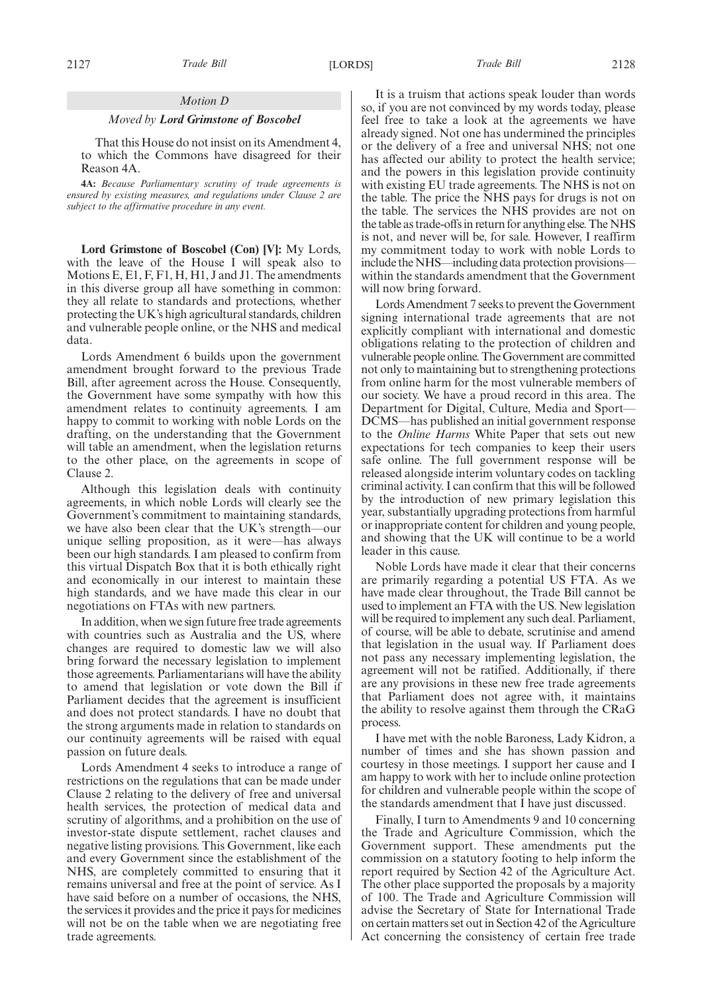## *Motion D*

### *Moved by Lord Grimstone of Boscobel*

That this House do not insist on its Amendment 4, to which the Commons have disagreed for their Reason 4A.

**4A:** *Because Parliamentary scrutiny of trade agreements is ensured by existing measures, and regulations under Clause 2 are subject to the affirmative procedure in any event.*

**Lord Grimstone of Boscobel (Con) [V]:** My Lords, with the leave of the House I will speak also to Motions E, E1, F, F1, H, H1, J and J1. The amendments in this diverse group all have something in common: they all relate to standards and protections, whether protecting the UK's high agricultural standards, children and vulnerable people online, or the NHS and medical data.

Lords Amendment 6 builds upon the government amendment brought forward to the previous Trade Bill, after agreement across the House. Consequently, the Government have some sympathy with how this amendment relates to continuity agreements. I am happy to commit to working with noble Lords on the drafting, on the understanding that the Government will table an amendment, when the legislation returns to the other place, on the agreements in scope of Clause 2.

Although this legislation deals with continuity agreements, in which noble Lords will clearly see the Government's commitment to maintaining standards, we have also been clear that the UK's strength—our unique selling proposition, as it were—has always been our high standards. I am pleased to confirm from this virtual Dispatch Box that it is both ethically right and economically in our interest to maintain these high standards, and we have made this clear in our negotiations on FTAs with new partners.

In addition, when we sign future free trade agreements with countries such as Australia and the US, where changes are required to domestic law we will also bring forward the necessary legislation to implement those agreements. Parliamentarians will have the ability to amend that legislation or vote down the Bill if Parliament decides that the agreement is insufficient and does not protect standards. I have no doubt that the strong arguments made in relation to standards on our continuity agreements will be raised with equal passion on future deals.

Lords Amendment 4 seeks to introduce a range of restrictions on the regulations that can be made under Clause 2 relating to the delivery of free and universal health services, the protection of medical data and scrutiny of algorithms, and a prohibition on the use of investor-state dispute settlement, rachet clauses and negative listing provisions. This Government, like each and every Government since the establishment of the NHS, are completely committed to ensuring that it remains universal and free at the point of service. As I have said before on a number of occasions, the NHS, the services it provides and the price it pays for medicines will not be on the table when we are negotiating free trade agreements.

It is a truism that actions speak louder than words so, if you are not convinced by my words today, please feel free to take a look at the agreements we have already signed. Not one has undermined the principles or the delivery of a free and universal NHS; not one has affected our ability to protect the health service; and the powers in this legislation provide continuity with existing EU trade agreements. The NHS is not on the table. The price the NHS pays for drugs is not on the table. The services the NHS provides are not on the table as trade-offs in return for anything else. The NHS is not, and never will be, for sale. However, I reaffirm my commitment today to work with noble Lords to include the NHS—including data protection provisions within the standards amendment that the Government will now bring forward.

Lords Amendment 7 seeks to prevent the Government signing international trade agreements that are not explicitly compliant with international and domestic obligations relating to the protection of children and vulnerable people online. The Government are committed not only to maintaining but to strengthening protections from online harm for the most vulnerable members of our society. We have a proud record in this area. The Department for Digital, Culture, Media and Sport— DCMS—has published an initial government response to the *Online Harms* White Paper that sets out new expectations for tech companies to keep their users safe online. The full government response will be released alongside interim voluntary codes on tackling criminal activity. I can confirm that this will be followed by the introduction of new primary legislation this year, substantially upgrading protections from harmful or inappropriate content for children and young people, and showing that the UK will continue to be a world leader in this cause.

Noble Lords have made it clear that their concerns are primarily regarding a potential US FTA. As we have made clear throughout, the Trade Bill cannot be used to implement an FTA with the US. New legislation will be required to implement any such deal. Parliament, of course, will be able to debate, scrutinise and amend that legislation in the usual way. If Parliament does not pass any necessary implementing legislation, the agreement will not be ratified. Additionally, if there are any provisions in these new free trade agreements that Parliament does not agree with, it maintains the ability to resolve against them through the CRaG process.

I have met with the noble Baroness, Lady Kidron, a number of times and she has shown passion and courtesy in those meetings. I support her cause and I am happy to work with her to include online protection for children and vulnerable people within the scope of the standards amendment that I have just discussed.

Finally, I turn to Amendments 9 and 10 concerning the Trade and Agriculture Commission, which the Government support. These amendments put the commission on a statutory footing to help inform the report required by Section 42 of the Agriculture Act. The other place supported the proposals by a majority of 100. The Trade and Agriculture Commission will advise the Secretary of State for International Trade on certain matters set out in Section 42 of the Agriculture Act concerning the consistency of certain free trade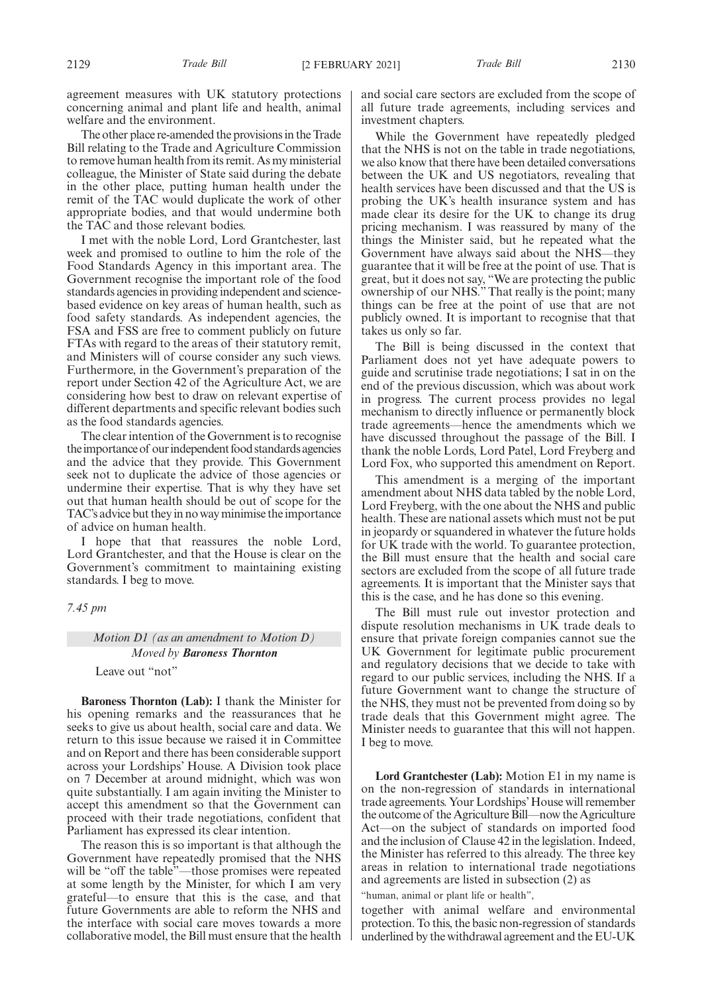agreement measures with UK statutory protections concerning animal and plant life and health, animal welfare and the environment.

The other place re-amended the provisions in the Trade Bill relating to the Trade and Agriculture Commission to remove human health from its remit. As my ministerial colleague, the Minister of State said during the debate in the other place, putting human health under the remit of the TAC would duplicate the work of other appropriate bodies, and that would undermine both the TAC and those relevant bodies.

I met with the noble Lord, Lord Grantchester, last week and promised to outline to him the role of the Food Standards Agency in this important area. The Government recognise the important role of the food standards agencies in providing independent and sciencebased evidence on key areas of human health, such as food safety standards. As independent agencies, the FSA and FSS are free to comment publicly on future FTAs with regard to the areas of their statutory remit, and Ministers will of course consider any such views. Furthermore, in the Government's preparation of the report under Section 42 of the Agriculture Act, we are considering how best to draw on relevant expertise of different departments and specific relevant bodies such as the food standards agencies.

The clear intention of the Government is to recognise the importance of our independent food standards agencies and the advice that they provide. This Government seek not to duplicate the advice of those agencies or undermine their expertise. That is why they have set out that human health should be out of scope for the TAC's advice but they in no way minimise the importance of advice on human health.

I hope that that reassures the noble Lord, Lord Grantchester, and that the House is clear on the Government's commitment to maintaining existing standards. I beg to move.

### *7.45 pm*

# *Motion D1 (as an amendment to Motion D) Moved by Baroness Thornton* Leave out "not"

**Baroness Thornton (Lab):** I thank the Minister for his opening remarks and the reassurances that he seeks to give us about health, social care and data. We return to this issue because we raised it in Committee and on Report and there has been considerable support across your Lordships' House. A Division took place on 7 December at around midnight, which was won

quite substantially. I am again inviting the Minister to accept this amendment so that the Government can proceed with their trade negotiations, confident that Parliament has expressed its clear intention. The reason this is so important is that although the

Government have repeatedly promised that the NHS will be "off the table"—those promises were repeated at some length by the Minister, for which I am very grateful—to ensure that this is the case, and that future Governments are able to reform the NHS and the interface with social care moves towards a more collaborative model, the Bill must ensure that the health and social care sectors are excluded from the scope of all future trade agreements, including services and investment chapters.

While the Government have repeatedly pledged that the NHS is not on the table in trade negotiations, we also know that there have been detailed conversations between the UK and US negotiators, revealing that health services have been discussed and that the US is probing the UK's health insurance system and has made clear its desire for the UK to change its drug pricing mechanism. I was reassured by many of the things the Minister said, but he repeated what the Government have always said about the NHS—they guarantee that it will be free at the point of use. That is great, but it does not say, "We are protecting the public ownership of our NHS." That really is the point; many things can be free at the point of use that are not publicly owned. It is important to recognise that that takes us only so far.

The Bill is being discussed in the context that Parliament does not yet have adequate powers to guide and scrutinise trade negotiations; I sat in on the end of the previous discussion, which was about work in progress. The current process provides no legal mechanism to directly influence or permanently block trade agreements—hence the amendments which we have discussed throughout the passage of the Bill. I thank the noble Lords, Lord Patel, Lord Freyberg and Lord Fox, who supported this amendment on Report.

This amendment is a merging of the important amendment about NHS data tabled by the noble Lord, Lord Freyberg, with the one about the NHS and public health. These are national assets which must not be put in jeopardy or squandered in whatever the future holds for UK trade with the world. To guarantee protection, the Bill must ensure that the health and social care sectors are excluded from the scope of all future trade agreements. It is important that the Minister says that this is the case, and he has done so this evening.

The Bill must rule out investor protection and dispute resolution mechanisms in UK trade deals to ensure that private foreign companies cannot sue the UK Government for legitimate public procurement and regulatory decisions that we decide to take with regard to our public services, including the NHS. If a future Government want to change the structure of the NHS, they must not be prevented from doing so by trade deals that this Government might agree. The Minister needs to guarantee that this will not happen. I beg to move.

**Lord Grantchester (Lab):** Motion E1 in my name is on the non-regression of standards in international trade agreements. Your Lordships'House will remember the outcome of the Agriculture Bill—now the Agriculture Act—on the subject of standards on imported food and the inclusion of Clause 42 in the legislation. Indeed, the Minister has referred to this already. The three key areas in relation to international trade negotiations and agreements are listed in subsection (2) as

"human, animal or plant life or health",

together with animal welfare and environmental protection. To this, the basic non-regression of standards underlined by the withdrawal agreement and the EU-UK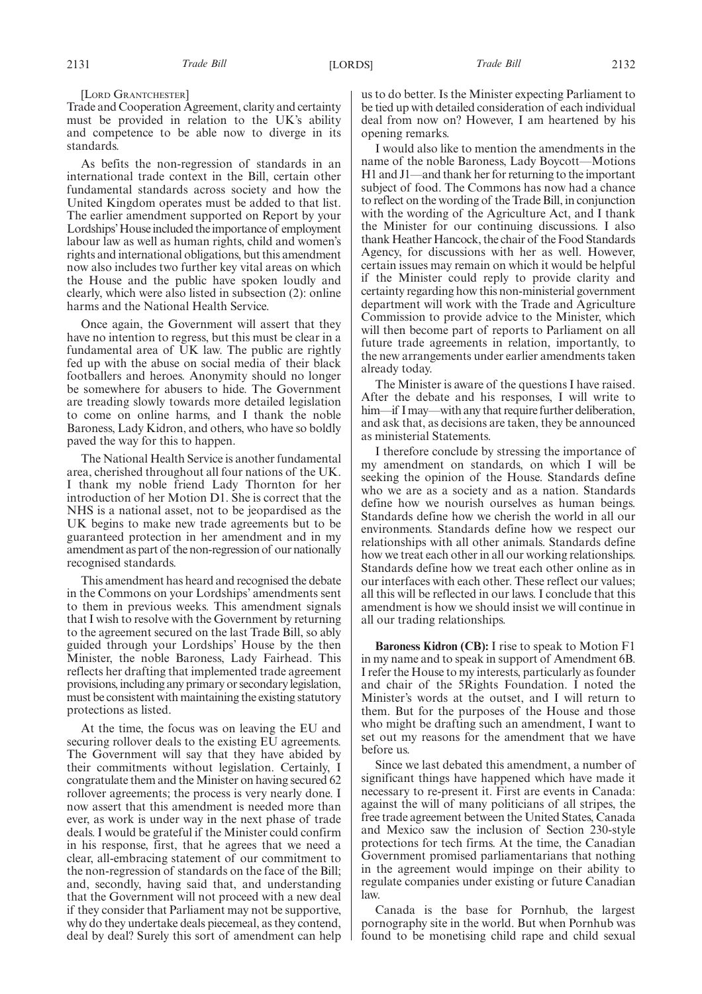Trade and Cooperation Agreement, clarity and certainty must be provided in relation to the UK's ability and competence to be able now to diverge in its standards.

As befits the non-regression of standards in an international trade context in the Bill, certain other fundamental standards across society and how the United Kingdom operates must be added to that list. The earlier amendment supported on Report by your Lordships'House included the importance of employment labour law as well as human rights, child and women's rights and international obligations, but this amendment now also includes two further key vital areas on which the House and the public have spoken loudly and clearly, which were also listed in subsection (2): online harms and the National Health Service.

Once again, the Government will assert that they have no intention to regress, but this must be clear in a fundamental area of UK law. The public are rightly fed up with the abuse on social media of their black footballers and heroes. Anonymity should no longer be somewhere for abusers to hide. The Government are treading slowly towards more detailed legislation to come on online harms, and I thank the noble Baroness, Lady Kidron, and others, who have so boldly paved the way for this to happen.

The National Health Service is another fundamental area, cherished throughout all four nations of the UK. I thank my noble friend Lady Thornton for her introduction of her Motion D1. She is correct that the NHS is a national asset, not to be jeopardised as the UK begins to make new trade agreements but to be guaranteed protection in her amendment and in my amendment as part of the non-regression of our nationally recognised standards.

This amendment has heard and recognised the debate in the Commons on your Lordships' amendments sent to them in previous weeks. This amendment signals that I wish to resolve with the Government by returning to the agreement secured on the last Trade Bill, so ably guided through your Lordships' House by the then Minister, the noble Baroness, Lady Fairhead. This reflects her drafting that implemented trade agreement provisions, including any primary or secondary legislation, must be consistent with maintaining the existing statutory protections as listed.

At the time, the focus was on leaving the EU and securing rollover deals to the existing EU agreements. The Government will say that they have abided by their commitments without legislation. Certainly, I congratulate them and the Minister on having secured 62 rollover agreements; the process is very nearly done. I now assert that this amendment is needed more than ever, as work is under way in the next phase of trade deals. I would be grateful if the Minister could confirm in his response, first, that he agrees that we need a clear, all-embracing statement of our commitment to the non-regression of standards on the face of the Bill; and, secondly, having said that, and understanding that the Government will not proceed with a new deal if they consider that Parliament may not be supportive, why do they undertake deals piecemeal, as they contend, deal by deal? Surely this sort of amendment can help us to do better. Is the Minister expecting Parliament to be tied up with detailed consideration of each individual deal from now on? However, I am heartened by his opening remarks.

I would also like to mention the amendments in the name of the noble Baroness, Lady Boycott—Motions H1 and J1—and thank her for returning to the important subject of food. The Commons has now had a chance to reflect on the wording of the Trade Bill, in conjunction with the wording of the Agriculture Act, and I thank the Minister for our continuing discussions. I also thank Heather Hancock, the chair of the Food Standards Agency, for discussions with her as well. However, certain issues may remain on which it would be helpful if the Minister could reply to provide clarity and certainty regarding how this non-ministerial government department will work with the Trade and Agriculture Commission to provide advice to the Minister, which will then become part of reports to Parliament on all future trade agreements in relation, importantly, to the new arrangements under earlier amendments taken already today.

The Minister is aware of the questions I have raised. After the debate and his responses, I will write to him—if I may—with any that require further deliberation, and ask that, as decisions are taken, they be announced as ministerial Statements.

I therefore conclude by stressing the importance of my amendment on standards, on which I will be seeking the opinion of the House. Standards define who we are as a society and as a nation. Standards define how we nourish ourselves as human beings. Standards define how we cherish the world in all our environments. Standards define how we respect our relationships with all other animals. Standards define how we treat each other in all our working relationships. Standards define how we treat each other online as in our interfaces with each other. These reflect our values; all this will be reflected in our laws. I conclude that this amendment is how we should insist we will continue in all our trading relationships.

**Baroness Kidron (CB):** I rise to speak to Motion F1 in my name and to speak in support of Amendment 6B. I refer the House to my interests, particularly as founder and chair of the 5Rights Foundation. I noted the Minister's words at the outset, and I will return to them. But for the purposes of the House and those who might be drafting such an amendment, I want to set out my reasons for the amendment that we have before us.

Since we last debated this amendment, a number of significant things have happened which have made it necessary to re-present it. First are events in Canada: against the will of many politicians of all stripes, the free trade agreement between the United States, Canada and Mexico saw the inclusion of Section 230-style protections for tech firms. At the time, the Canadian Government promised parliamentarians that nothing in the agreement would impinge on their ability to regulate companies under existing or future Canadian law.

Canada is the base for Pornhub, the largest pornography site in the world. But when Pornhub was found to be monetising child rape and child sexual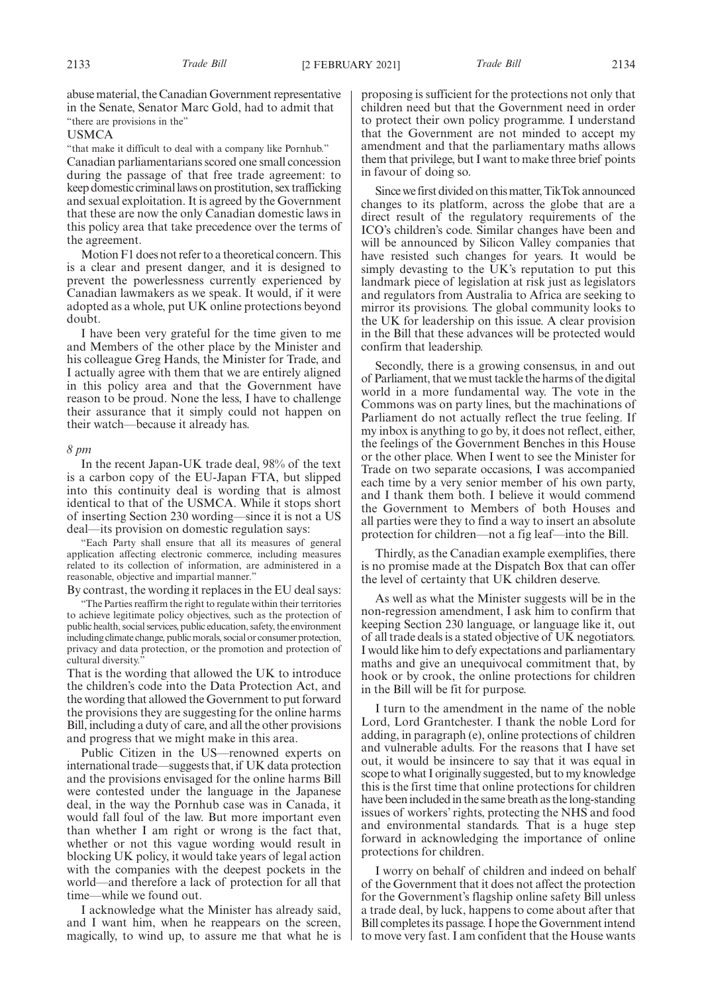abuse material, the Canadian Government representative in the Senate, Senator Marc Gold, had to admit that "there are provisions in the"

### USMCA

"that make it difficult to deal with a company like Pornhub." Canadian parliamentarians scored one small concession during the passage of that free trade agreement: to keep domestic criminal laws on prostitution, sex trafficking and sexual exploitation. It is agreed by the Government that these are now the only Canadian domestic laws in this policy area that take precedence over the terms of the agreement.

Motion F1 does not refer to a theoretical concern. This is a clear and present danger, and it is designed to prevent the powerlessness currently experienced by Canadian lawmakers as we speak. It would, if it were adopted as a whole, put UK online protections beyond doubt.

I have been very grateful for the time given to me and Members of the other place by the Minister and his colleague Greg Hands, the Minister for Trade, and I actually agree with them that we are entirely aligned in this policy area and that the Government have reason to be proud. None the less, I have to challenge their assurance that it simply could not happen on their watch—because it already has.

#### *8 pm*

In the recent Japan-UK trade deal, 98% of the text is a carbon copy of the EU-Japan FTA, but slipped into this continuity deal is wording that is almost identical to that of the USMCA. While it stops short of inserting Section 230 wording—since it is not a US deal—its provision on domestic regulation says:

"Each Party shall ensure that all its measures of general application affecting electronic commerce, including measures related to its collection of information, are administered in a reasonable, objective and impartial manner."

By contrast, the wording it replaces in the EU deal says:

"The Parties reaffirm the right to regulate within their territories to achieve legitimate policy objectives, such as the protection of public health, social services, public education, safety, the environment including climate change, public morals, social or consumer protection, privacy and data protection, or the promotion and protection of cultural diversity.

That is the wording that allowed the UK to introduce the children's code into the Data Protection Act, and the wording that allowed the Government to put forward the provisions they are suggesting for the online harms Bill, including a duty of care, and all the other provisions and progress that we might make in this area.

Public Citizen in the US—renowned experts on international trade—suggests that, if UK data protection and the provisions envisaged for the online harms Bill were contested under the language in the Japanese deal, in the way the Pornhub case was in Canada, it would fall foul of the law. But more important even than whether I am right or wrong is the fact that, whether or not this vague wording would result in blocking UK policy, it would take years of legal action with the companies with the deepest pockets in the world—and therefore a lack of protection for all that time—while we found out.

I acknowledge what the Minister has already said, and I want him, when he reappears on the screen, magically, to wind up, to assure me that what he is proposing is sufficient for the protections not only that children need but that the Government need in order to protect their own policy programme. I understand that the Government are not minded to accept my amendment and that the parliamentary maths allows them that privilege, but I want to make three brief points in favour of doing so.

Since we first divided on this matter, TikTok announced changes to its platform, across the globe that are a direct result of the regulatory requirements of the ICO's children's code. Similar changes have been and will be announced by Silicon Valley companies that have resisted such changes for years. It would be simply devasting to the  $\overline{UK}$ 's reputation to put this landmark piece of legislation at risk just as legislators and regulators from Australia to Africa are seeking to mirror its provisions. The global community looks to the UK for leadership on this issue. A clear provision in the Bill that these advances will be protected would confirm that leadership.

Secondly, there is a growing consensus, in and out of Parliament, that we must tackle the harms of the digital world in a more fundamental way. The vote in the Commons was on party lines, but the machinations of Parliament do not actually reflect the true feeling. If my inbox is anything to go by, it does not reflect, either, the feelings of the Government Benches in this House or the other place. When I went to see the Minister for Trade on two separate occasions, I was accompanied each time by a very senior member of his own party, and I thank them both. I believe it would commend the Government to Members of both Houses and all parties were they to find a way to insert an absolute protection for children—not a fig leaf—into the Bill.

Thirdly, as the Canadian example exemplifies, there is no promise made at the Dispatch Box that can offer the level of certainty that UK children deserve.

As well as what the Minister suggests will be in the non-regression amendment, I ask him to confirm that keeping Section 230 language, or language like it, out of all trade deals is a stated objective of UK negotiators. I would like him to defy expectations and parliamentary maths and give an unequivocal commitment that, by hook or by crook, the online protections for children in the Bill will be fit for purpose.

I turn to the amendment in the name of the noble Lord, Lord Grantchester. I thank the noble Lord for adding, in paragraph (e), online protections of children and vulnerable adults. For the reasons that I have set out, it would be insincere to say that it was equal in scope to what I originally suggested, but to my knowledge this is the first time that online protections for children have been included in the same breath as the long-standing issues of workers' rights, protecting the NHS and food and environmental standards. That is a huge step forward in acknowledging the importance of online protections for children.

I worry on behalf of children and indeed on behalf of the Government that it does not affect the protection for the Government's flagship online safety Bill unless a trade deal, by luck, happens to come about after that Bill completes its passage. I hope the Government intend to move very fast. I am confident that the House wants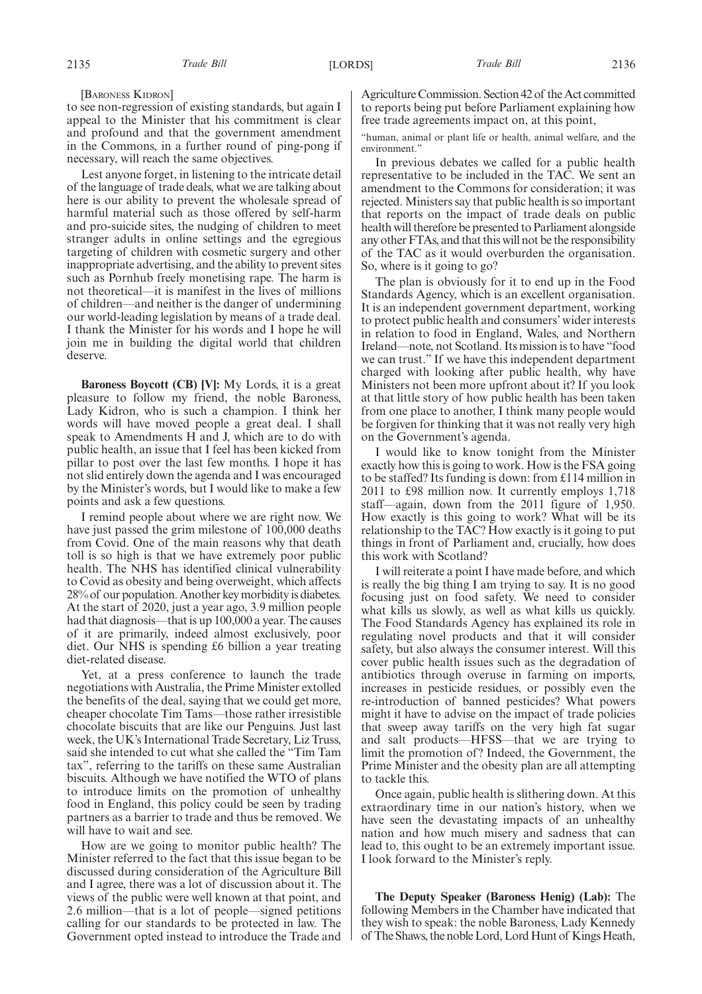[BARONESS KIDRON]

to see non-regression of existing standards, but again I appeal to the Minister that his commitment is clear and profound and that the government amendment in the Commons, in a further round of ping-pong if necessary, will reach the same objectives.

Lest anyone forget, in listening to the intricate detail of the language of trade deals, what we are talking about here is our ability to prevent the wholesale spread of harmful material such as those offered by self-harm and pro-suicide sites, the nudging of children to meet stranger adults in online settings and the egregious targeting of children with cosmetic surgery and other inappropriate advertising, and the ability to prevent sites such as Pornhub freely monetising rape. The harm is not theoretical—it is manifest in the lives of millions of children—and neither is the danger of undermining our world-leading legislation by means of a trade deal. I thank the Minister for his words and I hope he will join me in building the digital world that children deserve.

**Baroness Boycott (CB) [V]:** My Lords, it is a great pleasure to follow my friend, the noble Baroness, Lady Kidron, who is such a champion. I think her words will have moved people a great deal. I shall speak to Amendments H and J, which are to do with public health, an issue that I feel has been kicked from pillar to post over the last few months. I hope it has not slid entirely down the agenda and I was encouraged by the Minister's words, but I would like to make a few points and ask a few questions.

I remind people about where we are right now. We have just passed the grim milestone of 100,000 deaths from Covid. One of the main reasons why that death toll is so high is that we have extremely poor public health. The NHS has identified clinical vulnerability to Covid as obesity and being overweight, which affects 28% of our population. Another key morbidity is diabetes. At the start of 2020, just a year ago, 3.9 million people had that diagnosis—that is up 100,000 a year. The causes of it are primarily, indeed almost exclusively, poor diet. Our NHS is spending £6 billion a year treating diet-related disease.

Yet, at a press conference to launch the trade negotiations with Australia, the Prime Minister extolled the benefits of the deal, saying that we could get more, cheaper chocolate Tim Tams—those rather irresistible chocolate biscuits that are like our Penguins. Just last week, the UK's International Trade Secretary, Liz Truss, said she intended to cut what she called the "Tim Tam tax", referring to the tariffs on these same Australian biscuits. Although we have notified the WTO of plans to introduce limits on the promotion of unhealthy food in England, this policy could be seen by trading partners as a barrier to trade and thus be removed. We will have to wait and see.

How are we going to monitor public health? The Minister referred to the fact that this issue began to be discussed during consideration of the Agriculture Bill and I agree, there was a lot of discussion about it. The views of the public were well known at that point, and 2.6 million—that is a lot of people—signed petitions calling for our standards to be protected in law. The Government opted instead to introduce the Trade and Agriculture Commission. Section 42 of the Act committed to reports being put before Parliament explaining how free trade agreements impact on, at this point,

"human, animal or plant life or health, animal welfare, and the environment."

In previous debates we called for a public health representative to be included in the TAC. We sent an amendment to the Commons for consideration; it was rejected. Ministers say that public health is so important that reports on the impact of trade deals on public health will therefore be presented to Parliament alongside any other FTAs, and that this will not be the responsibility of the TAC as it would overburden the organisation. So, where is it going to go?

The plan is obviously for it to end up in the Food Standards Agency, which is an excellent organisation. It is an independent government department, working to protect public health and consumers' wider interests in relation to food in England, Wales, and Northern Ireland—note, not Scotland. Its mission is to have "food we can trust." If we have this independent department charged with looking after public health, why have Ministers not been more upfront about it? If you look at that little story of how public health has been taken from one place to another, I think many people would be forgiven for thinking that it was not really very high on the Government's agenda.

I would like to know tonight from the Minister exactly how this is going to work. How is the FSA going to be staffed? Its funding is down: from £114 million in 2011 to £98 million now. It currently employs 1,718 staff—again, down from the 2011 figure of 1,950. How exactly is this going to work? What will be its relationship to the TAC? How exactly is it going to put things in front of Parliament and, crucially, how does this work with Scotland?

I will reiterate a point I have made before, and which is really the big thing I am trying to say. It is no good focusing just on food safety. We need to consider what kills us slowly, as well as what kills us quickly. The Food Standards Agency has explained its role in regulating novel products and that it will consider safety, but also always the consumer interest. Will this cover public health issues such as the degradation of antibiotics through overuse in farming on imports, increases in pesticide residues, or possibly even the re-introduction of banned pesticides? What powers might it have to advise on the impact of trade policies that sweep away tariffs on the very high fat sugar and salt products—HFSS—that we are trying to limit the promotion of? Indeed, the Government, the Prime Minister and the obesity plan are all attempting to tackle this.

Once again, public health is slithering down. At this extraordinary time in our nation's history, when we have seen the devastating impacts of an unhealthy nation and how much misery and sadness that can lead to, this ought to be an extremely important issue. I look forward to the Minister's reply.

**The Deputy Speaker (Baroness Henig) (Lab):** The following Members in the Chamber have indicated that they wish to speak: the noble Baroness, Lady Kennedy of The Shaws, the noble Lord, Lord Hunt of Kings Heath,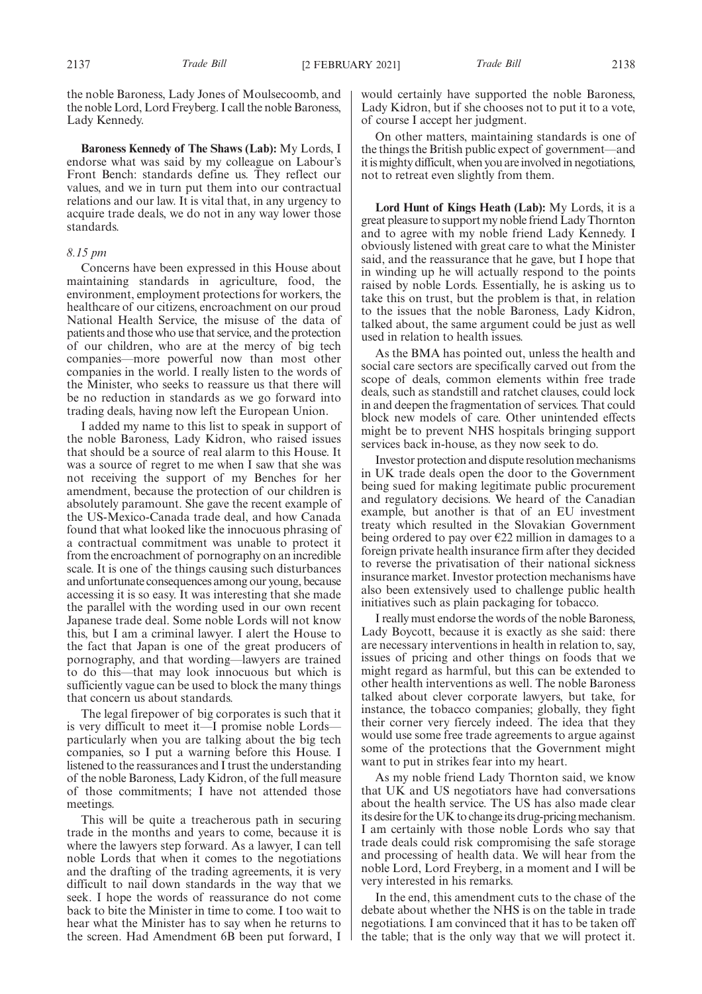the noble Baroness, Lady Jones of Moulsecoomb, and the noble Lord, Lord Freyberg. I call the noble Baroness, Lady Kennedy.

**Baroness Kennedy of The Shaws (Lab):** My Lords, I endorse what was said by my colleague on Labour's Front Bench: standards define us. They reflect our values, and we in turn put them into our contractual relations and our law. It is vital that, in any urgency to acquire trade deals, we do not in any way lower those standards.

## *8.15 pm*

Concerns have been expressed in this House about maintaining standards in agriculture, food, the environment, employment protections for workers, the healthcare of our citizens, encroachment on our proud National Health Service, the misuse of the data of patients and those who use that service, and the protection of our children, who are at the mercy of big tech companies—more powerful now than most other companies in the world. I really listen to the words of the Minister, who seeks to reassure us that there will be no reduction in standards as we go forward into trading deals, having now left the European Union.

I added my name to this list to speak in support of the noble Baroness, Lady Kidron, who raised issues that should be a source of real alarm to this House. It was a source of regret to me when I saw that she was not receiving the support of my Benches for her amendment, because the protection of our children is absolutely paramount. She gave the recent example of the US-Mexico-Canada trade deal, and how Canada found that what looked like the innocuous phrasing of a contractual commitment was unable to protect it from the encroachment of pornography on an incredible scale. It is one of the things causing such disturbances and unfortunate consequences among our young, because accessing it is so easy. It was interesting that she made the parallel with the wording used in our own recent Japanese trade deal. Some noble Lords will not know this, but I am a criminal lawyer. I alert the House to the fact that Japan is one of the great producers of pornography, and that wording—lawyers are trained to do this—that may look innocuous but which is sufficiently vague can be used to block the many things that concern us about standards.

The legal firepower of big corporates is such that it is very difficult to meet it—I promise noble Lords particularly when you are talking about the big tech companies, so I put a warning before this House. I listened to the reassurances and I trust the understanding of the noble Baroness, Lady Kidron, of the full measure of those commitments; I have not attended those meetings.

This will be quite a treacherous path in securing trade in the months and years to come, because it is where the lawyers step forward. As a lawyer, I can tell noble Lords that when it comes to the negotiations and the drafting of the trading agreements, it is very difficult to nail down standards in the way that we seek. I hope the words of reassurance do not come back to bite the Minister in time to come. I too wait to hear what the Minister has to say when he returns to the screen. Had Amendment 6B been put forward, I would certainly have supported the noble Baroness, Lady Kidron, but if she chooses not to put it to a vote, of course I accept her judgment.

On other matters, maintaining standards is one of the things the British public expect of government—and it is mighty difficult, when you are involved in negotiations, not to retreat even slightly from them.

**Lord Hunt of Kings Heath (Lab):** My Lords, it is a great pleasure to support my noble friend Lady Thornton and to agree with my noble friend Lady Kennedy. I obviously listened with great care to what the Minister said, and the reassurance that he gave, but I hope that in winding up he will actually respond to the points raised by noble Lords. Essentially, he is asking us to take this on trust, but the problem is that, in relation to the issues that the noble Baroness, Lady Kidron, talked about, the same argument could be just as well used in relation to health issues.

As the BMA has pointed out, unless the health and social care sectors are specifically carved out from the scope of deals, common elements within free trade deals, such as standstill and ratchet clauses, could lock in and deepen the fragmentation of services. That could block new models of care. Other unintended effects might be to prevent NHS hospitals bringing support services back in-house, as they now seek to do.

Investor protection and dispute resolution mechanisms in UK trade deals open the door to the Government being sued for making legitimate public procurement and regulatory decisions. We heard of the Canadian example, but another is that of an EU investment treaty which resulted in the Slovakian Government being ordered to pay over  $E22$  million in damages to a foreign private health insurance firm after they decided to reverse the privatisation of their national sickness insurance market. Investor protection mechanisms have also been extensively used to challenge public health initiatives such as plain packaging for tobacco.

I really must endorse the words of the noble Baroness, Lady Boycott, because it is exactly as she said: there are necessary interventions in health in relation to, say, issues of pricing and other things on foods that we might regard as harmful, but this can be extended to other health interventions as well. The noble Baroness talked about clever corporate lawyers, but take, for instance, the tobacco companies; globally, they fight their corner very fiercely indeed. The idea that they would use some free trade agreements to argue against some of the protections that the Government might want to put in strikes fear into my heart.

As my noble friend Lady Thornton said, we know that UK and US negotiators have had conversations about the health service. The US has also made clear its desire for the UK to change its drug-pricing mechanism. I am certainly with those noble Lords who say that trade deals could risk compromising the safe storage and processing of health data. We will hear from the noble Lord, Lord Freyberg, in a moment and I will be very interested in his remarks.

In the end, this amendment cuts to the chase of the debate about whether the NHS is on the table in trade negotiations. I am convinced that it has to be taken off the table; that is the only way that we will protect it.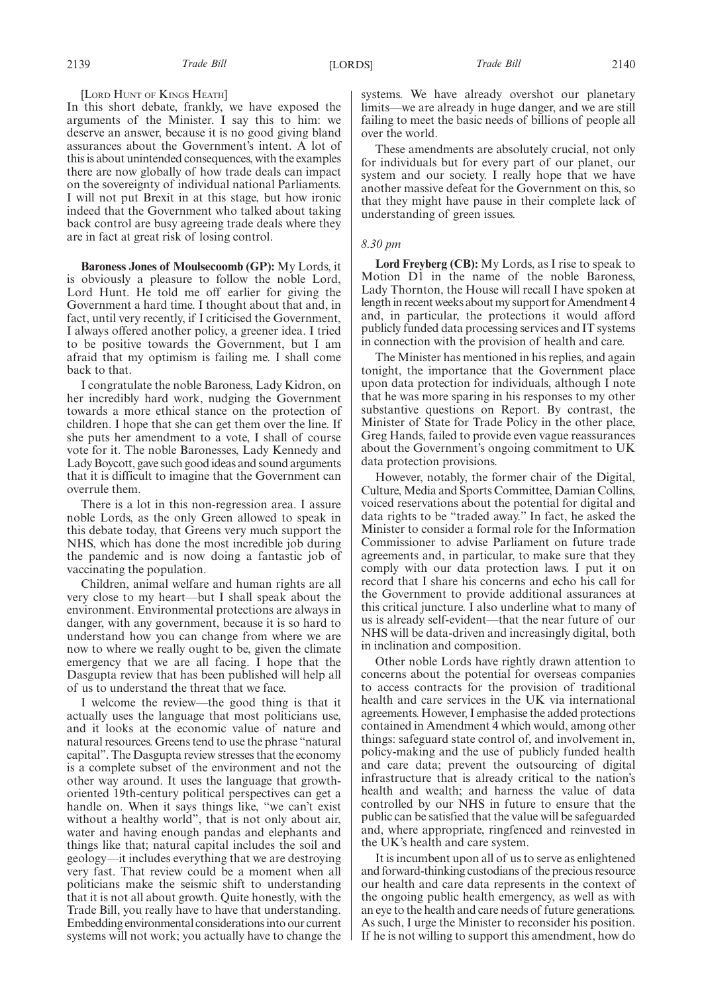### [LORD HUNT OF KINGS HEATH]

In this short debate, frankly, we have exposed the arguments of the Minister. I say this to him: we deserve an answer, because it is no good giving bland assurances about the Government's intent. A lot of this is about unintended consequences, with the examples there are now globally of how trade deals can impact on the sovereignty of individual national Parliaments. I will not put Brexit in at this stage, but how ironic indeed that the Government who talked about taking back control are busy agreeing trade deals where they are in fact at great risk of losing control.

**Baroness Jones of Moulsecoomb (GP):** My Lords, it is obviously a pleasure to follow the noble Lord, Lord Hunt. He told me off earlier for giving the Government a hard time. I thought about that and, in fact, until very recently, if I criticised the Government, I always offered another policy, a greener idea. I tried to be positive towards the Government, but I am afraid that my optimism is failing me. I shall come back to that.

I congratulate the noble Baroness, Lady Kidron, on her incredibly hard work, nudging the Government towards a more ethical stance on the protection of children. I hope that she can get them over the line. If she puts her amendment to a vote, I shall of course vote for it. The noble Baronesses, Lady Kennedy and Lady Boycott, gave such good ideas and sound arguments that it is difficult to imagine that the Government can overrule them.

There is a lot in this non-regression area. I assure noble Lords, as the only Green allowed to speak in this debate today, that Greens very much support the NHS, which has done the most incredible job during the pandemic and is now doing a fantastic job of vaccinating the population.

Children, animal welfare and human rights are all very close to my heart—but I shall speak about the environment. Environmental protections are always in danger, with any government, because it is so hard to understand how you can change from where we are now to where we really ought to be, given the climate emergency that we are all facing. I hope that the Dasgupta review that has been published will help all of us to understand the threat that we face.

I welcome the review—the good thing is that it actually uses the language that most politicians use, and it looks at the economic value of nature and natural resources. Greens tend to use the phrase "natural capital". The Dasgupta review stresses that the economy is a complete subset of the environment and not the other way around. It uses the language that growthoriented 19th-century political perspectives can get a handle on. When it says things like, "we can't exist without a healthy world", that is not only about air, water and having enough pandas and elephants and things like that; natural capital includes the soil and geology—it includes everything that we are destroying very fast. That review could be a moment when all politicians make the seismic shift to understanding that it is not all about growth. Quite honestly, with the Trade Bill, you really have to have that understanding. Embedding environmental considerations into our current systems will not work; you actually have to change the systems. We have already overshot our planetary limits—we are already in huge danger, and we are still failing to meet the basic needs of billions of people all over the world.

These amendments are absolutely crucial, not only for individuals but for every part of our planet, our system and our society. I really hope that we have another massive defeat for the Government on this, so that they might have pause in their complete lack of understanding of green issues.

### *8.30 pm*

**Lord Freyberg (CB):** My Lords, as I rise to speak to Motion D1 in the name of the noble Baroness, Lady Thornton, the House will recall I have spoken at length in recent weeks about my support for Amendment 4 and, in particular, the protections it would afford publicly funded data processing services and IT systems in connection with the provision of health and care.

The Minister has mentioned in his replies, and again tonight, the importance that the Government place upon data protection for individuals, although I note that he was more sparing in his responses to my other substantive questions on Report. By contrast, the Minister of State for Trade Policy in the other place, Greg Hands, failed to provide even vague reassurances about the Government's ongoing commitment to UK data protection provisions.

However, notably, the former chair of the Digital, Culture, Media and Sports Committee, Damian Collins, voiced reservations about the potential for digital and data rights to be "traded away." In fact, he asked the Minister to consider a formal role for the Information Commissioner to advise Parliament on future trade agreements and, in particular, to make sure that they comply with our data protection laws. I put it on record that I share his concerns and echo his call for the Government to provide additional assurances at this critical juncture. I also underline what to many of us is already self-evident—that the near future of our NHS will be data-driven and increasingly digital, both in inclination and composition.

Other noble Lords have rightly drawn attention to concerns about the potential for overseas companies to access contracts for the provision of traditional health and care services in the UK via international agreements. However, I emphasise the added protections contained in Amendment 4 which would, among other things: safeguard state control of, and involvement in, policy-making and the use of publicly funded health and care data; prevent the outsourcing of digital infrastructure that is already critical to the nation's health and wealth; and harness the value of data controlled by our NHS in future to ensure that the public can be satisfied that the value will be safeguarded and, where appropriate, ringfenced and reinvested in the UK's health and care system.

It is incumbent upon all of us to serve as enlightened and forward-thinking custodians of the precious resource our health and care data represents in the context of the ongoing public health emergency, as well as with an eye to the health and care needs of future generations. As such, I urge the Minister to reconsider his position. If he is not willing to support this amendment, how do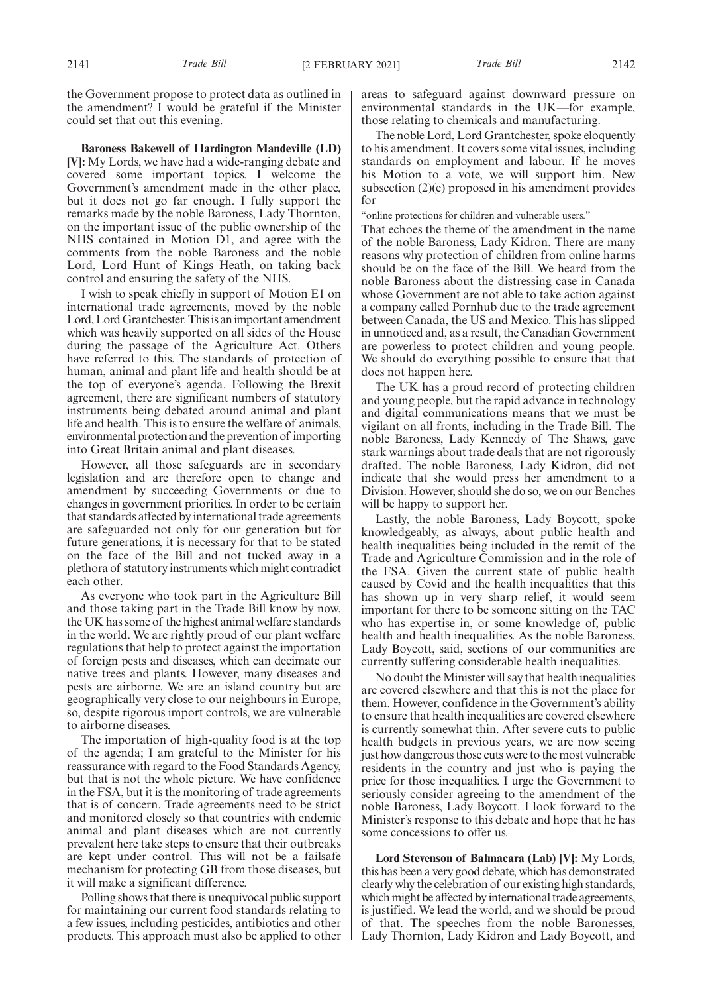the Government propose to protect data as outlined in the amendment? I would be grateful if the Minister could set that out this evening.

**Baroness Bakewell of Hardington Mandeville (LD) [V]:** My Lords, we have had a wide-ranging debate and covered some important topics. I welcome the Government's amendment made in the other place, but it does not go far enough. I fully support the remarks made by the noble Baroness, Lady Thornton, on the important issue of the public ownership of the NHS contained in Motion D1, and agree with the comments from the noble Baroness and the noble Lord, Lord Hunt of Kings Heath, on taking back control and ensuring the safety of the NHS.

I wish to speak chiefly in support of Motion E1 on international trade agreements, moved by the noble Lord, Lord Grantchester. This is an important amendment which was heavily supported on all sides of the House during the passage of the Agriculture Act. Others have referred to this. The standards of protection of human, animal and plant life and health should be at the top of everyone's agenda. Following the Brexit agreement, there are significant numbers of statutory instruments being debated around animal and plant life and health. This is to ensure the welfare of animals, environmental protection and the prevention of importing into Great Britain animal and plant diseases.

However, all those safeguards are in secondary legislation and are therefore open to change and amendment by succeeding Governments or due to changes in government priorities. In order to be certain that standards affected by international trade agreements are safeguarded not only for our generation but for future generations, it is necessary for that to be stated on the face of the Bill and not tucked away in a plethora of statutory instruments which might contradict each other.

As everyone who took part in the Agriculture Bill and those taking part in the Trade Bill know by now, the UK has some of the highest animal welfare standards in the world. We are rightly proud of our plant welfare regulations that help to protect against the importation of foreign pests and diseases, which can decimate our native trees and plants. However, many diseases and pests are airborne. We are an island country but are geographically very close to our neighbours in Europe, so, despite rigorous import controls, we are vulnerable to airborne diseases.

The importation of high-quality food is at the top of the agenda; I am grateful to the Minister for his reassurance with regard to the Food Standards Agency, but that is not the whole picture. We have confidence in the FSA, but it is the monitoring of trade agreements that is of concern. Trade agreements need to be strict and monitored closely so that countries with endemic animal and plant diseases which are not currently prevalent here take steps to ensure that their outbreaks are kept under control. This will not be a failsafe mechanism for protecting GB from those diseases, but it will make a significant difference.

Polling shows that there is unequivocal public support for maintaining our current food standards relating to a few issues, including pesticides, antibiotics and other products. This approach must also be applied to other areas to safeguard against downward pressure on environmental standards in the UK—for example, those relating to chemicals and manufacturing.

The noble Lord, Lord Grantchester, spoke eloquently to his amendment. It covers some vital issues, including standards on employment and labour. If he moves his Motion to a vote, we will support him. New subsection (2)(e) proposed in his amendment provides for

"online protections for children and vulnerable users."

That echoes the theme of the amendment in the name of the noble Baroness, Lady Kidron. There are many reasons why protection of children from online harms should be on the face of the Bill. We heard from the noble Baroness about the distressing case in Canada whose Government are not able to take action against a company called Pornhub due to the trade agreement between Canada, the US and Mexico. This has slipped in unnoticed and, as a result, the Canadian Government are powerless to protect children and young people. We should do everything possible to ensure that that does not happen here.

The UK has a proud record of protecting children and young people, but the rapid advance in technology and digital communications means that we must be vigilant on all fronts, including in the Trade Bill. The noble Baroness, Lady Kennedy of The Shaws, gave stark warnings about trade deals that are not rigorously drafted. The noble Baroness, Lady Kidron, did not indicate that she would press her amendment to a Division. However, should she do so, we on our Benches will be happy to support her.

Lastly, the noble Baroness, Lady Boycott, spoke knowledgeably, as always, about public health and health inequalities being included in the remit of the Trade and Agriculture Commission and in the role of the FSA. Given the current state of public health caused by Covid and the health inequalities that this has shown up in very sharp relief, it would seem important for there to be someone sitting on the TAC who has expertise in, or some knowledge of, public health and health inequalities. As the noble Baroness, Lady Boycott, said, sections of our communities are currently suffering considerable health inequalities.

No doubt the Minister will say that health inequalities are covered elsewhere and that this is not the place for them. However, confidence in the Government's ability to ensure that health inequalities are covered elsewhere is currently somewhat thin. After severe cuts to public health budgets in previous years, we are now seeing just how dangerous those cuts were to the most vulnerable residents in the country and just who is paying the price for those inequalities. I urge the Government to seriously consider agreeing to the amendment of the noble Baroness, Lady Boycott. I look forward to the Minister's response to this debate and hope that he has some concessions to offer us.

**Lord Stevenson of Balmacara (Lab) [V]:** My Lords, this has been a very good debate, which has demonstrated clearly why the celebration of our existing high standards, which might be affected by international trade agreements, is justified. We lead the world, and we should be proud of that. The speeches from the noble Baronesses, Lady Thornton, Lady Kidron and Lady Boycott, and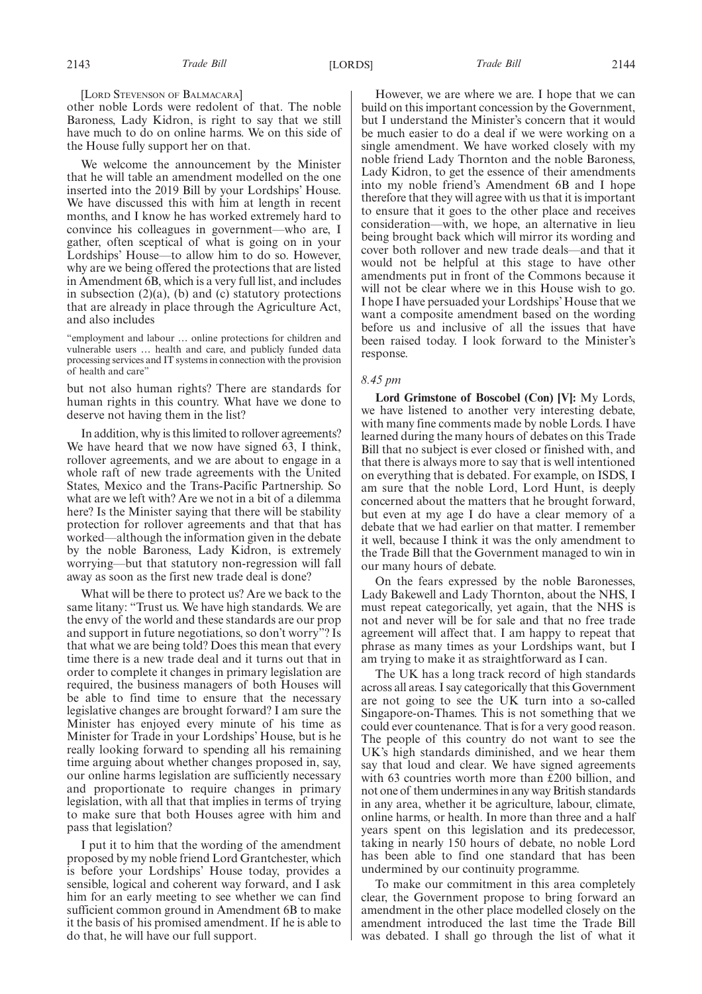[LORD STEVENSON OF BALMACARA]

other noble Lords were redolent of that. The noble Baroness, Lady Kidron, is right to say that we still have much to do on online harms. We on this side of the House fully support her on that.

We welcome the announcement by the Minister that he will table an amendment modelled on the one inserted into the 2019 Bill by your Lordships' House. We have discussed this with him at length in recent months, and I know he has worked extremely hard to convince his colleagues in government—who are, I gather, often sceptical of what is going on in your Lordships' House—to allow him to do so. However, why are we being offered the protections that are listed in Amendment 6B, which is a very full list, and includes in subsection  $(2)(a)$ ,  $(b)$  and  $(c)$  statutory protections that are already in place through the Agriculture Act, and also includes

"employment and labour … online protections for children and vulnerable users … health and care, and publicly funded data processing services and IT systems in connection with the provision of health and care"

but not also human rights? There are standards for human rights in this country. What have we done to deserve not having them in the list?

In addition, why is this limited to rollover agreements? We have heard that we now have signed 63, I think, rollover agreements, and we are about to engage in a whole raft of new trade agreements with the United States, Mexico and the Trans-Pacific Partnership. So what are we left with? Are we not in a bit of a dilemma here? Is the Minister saying that there will be stability protection for rollover agreements and that that has worked—although the information given in the debate by the noble Baroness, Lady Kidron, is extremely worrying—but that statutory non-regression will fall away as soon as the first new trade deal is done?

What will be there to protect us? Are we back to the same litany: "Trust us. We have high standards. We are the envy of the world and these standards are our prop and support in future negotiations, so don't worry"? Is that what we are being told? Does this mean that every time there is a new trade deal and it turns out that in order to complete it changes in primary legislation are required, the business managers of both Houses will be able to find time to ensure that the necessary legislative changes are brought forward? I am sure the Minister has enjoyed every minute of his time as Minister for Trade in your Lordships' House, but is he really looking forward to spending all his remaining time arguing about whether changes proposed in, say, our online harms legislation are sufficiently necessary and proportionate to require changes in primary legislation, with all that that implies in terms of trying to make sure that both Houses agree with him and pass that legislation?

I put it to him that the wording of the amendment proposed by my noble friend Lord Grantchester, which is before your Lordships' House today, provides a sensible, logical and coherent way forward, and I ask him for an early meeting to see whether we can find sufficient common ground in Amendment 6B to make it the basis of his promised amendment. If he is able to do that, he will have our full support.

However, we are where we are. I hope that we can build on this important concession by the Government, but I understand the Minister's concern that it would be much easier to do a deal if we were working on a single amendment. We have worked closely with my noble friend Lady Thornton and the noble Baroness, Lady Kidron, to get the essence of their amendments into my noble friend's Amendment 6B and I hope therefore that they will agree with us that it is important to ensure that it goes to the other place and receives consideration—with, we hope, an alternative in lieu being brought back which will mirror its wording and cover both rollover and new trade deals—and that it would not be helpful at this stage to have other amendments put in front of the Commons because it will not be clear where we in this House wish to go. I hope I have persuaded your Lordships' House that we want a composite amendment based on the wording before us and inclusive of all the issues that have been raised today. I look forward to the Minister's response.

## *8.45 pm*

**Lord Grimstone of Boscobel (Con) [V]:** My Lords, we have listened to another very interesting debate, with many fine comments made by noble Lords. I have learned during the many hours of debates on this Trade Bill that no subject is ever closed or finished with, and that there is always more to say that is well intentioned on everything that is debated. For example, on ISDS, I am sure that the noble Lord, Lord Hunt, is deeply concerned about the matters that he brought forward, but even at my age I do have a clear memory of a debate that we had earlier on that matter. I remember it well, because I think it was the only amendment to the Trade Bill that the Government managed to win in our many hours of debate.

On the fears expressed by the noble Baronesses, Lady Bakewell and Lady Thornton, about the NHS, I must repeat categorically, yet again, that the NHS is not and never will be for sale and that no free trade agreement will affect that. I am happy to repeat that phrase as many times as your Lordships want, but I am trying to make it as straightforward as I can.

The UK has a long track record of high standards across all areas. I say categorically that this Government are not going to see the UK turn into a so-called Singapore-on-Thames. This is not something that we could ever countenance. That is for a very good reason. The people of this country do not want to see the UK's high standards diminished, and we hear them say that loud and clear. We have signed agreements with 63 countries worth more than £200 billion, and not one of them undermines in any way British standards in any area, whether it be agriculture, labour, climate, online harms, or health. In more than three and a half years spent on this legislation and its predecessor, taking in nearly 150 hours of debate, no noble Lord has been able to find one standard that has been undermined by our continuity programme.

To make our commitment in this area completely clear, the Government propose to bring forward an amendment in the other place modelled closely on the amendment introduced the last time the Trade Bill was debated. I shall go through the list of what it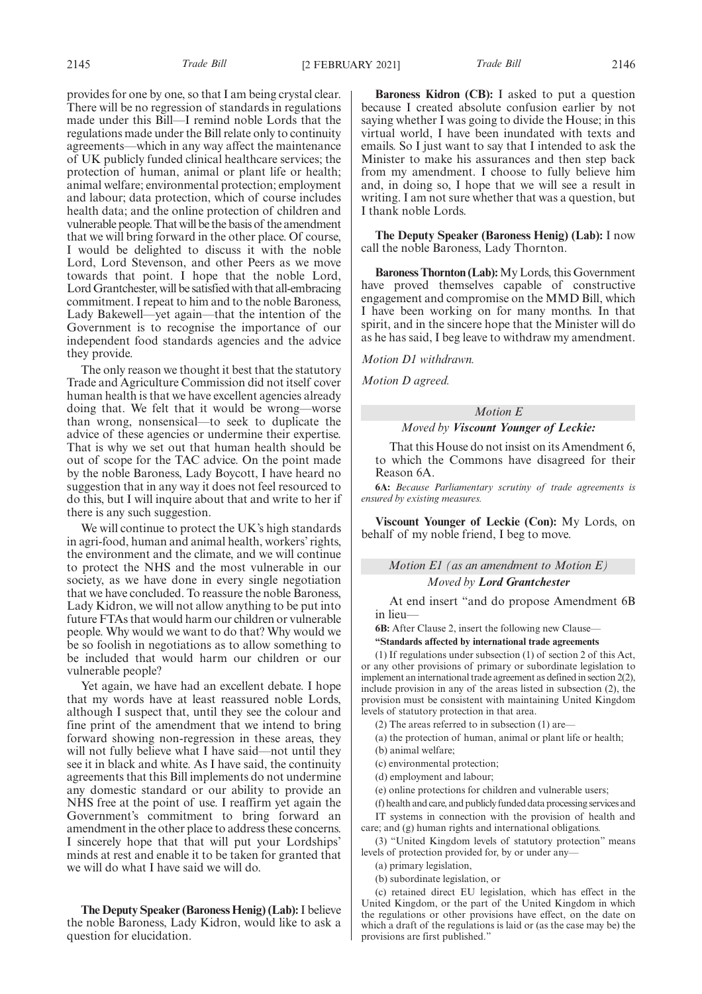2145 *Trade Bill* [2 FEBRUARY 2021] *Trade Bill* 2146

provides for one by one, so that I am being crystal clear. There will be no regression of standards in regulations made under this Bill—I remind noble Lords that the regulations made under the Bill relate only to continuity agreements—which in any way affect the maintenance of UK publicly funded clinical healthcare services; the protection of human, animal or plant life or health; animal welfare; environmental protection; employment and labour; data protection, which of course includes health data; and the online protection of children and vulnerable people. That will be the basis of the amendment that we will bring forward in the other place. Of course, I would be delighted to discuss it with the noble Lord, Lord Stevenson, and other Peers as we move towards that point. I hope that the noble Lord, Lord Grantchester, will be satisfied with that all-embracing commitment. I repeat to him and to the noble Baroness, Lady Bakewell—yet again—that the intention of the Government is to recognise the importance of our independent food standards agencies and the advice they provide.

The only reason we thought it best that the statutory Trade and Agriculture Commission did not itself cover human health is that we have excellent agencies already doing that. We felt that it would be wrong—worse than wrong, nonsensical—to seek to duplicate the advice of these agencies or undermine their expertise. That is why we set out that human health should be out of scope for the TAC advice. On the point made by the noble Baroness, Lady Boycott, I have heard no suggestion that in any way it does not feel resourced to do this, but I will inquire about that and write to her if there is any such suggestion.

We will continue to protect the UK's high standards in agri-food, human and animal health, workers' rights, the environment and the climate, and we will continue to protect the NHS and the most vulnerable in our society, as we have done in every single negotiation that we have concluded. To reassure the noble Baroness, Lady Kidron, we will not allow anything to be put into future FTAs that would harm our children or vulnerable people. Why would we want to do that? Why would we be so foolish in negotiations as to allow something to be included that would harm our children or our vulnerable people?

Yet again, we have had an excellent debate. I hope that my words have at least reassured noble Lords, although I suspect that, until they see the colour and fine print of the amendment that we intend to bring forward showing non-regression in these areas, they will not fully believe what I have said—not until they see it in black and white. As I have said, the continuity agreements that this Bill implements do not undermine any domestic standard or our ability to provide an NHS free at the point of use. I reaffirm yet again the Government's commitment to bring forward an amendment in the other place to address these concerns. I sincerely hope that that will put your Lordships' minds at rest and enable it to be taken for granted that we will do what I have said we will do.

**The Deputy Speaker (Baroness Henig) (Lab):**I believe the noble Baroness, Lady Kidron, would like to ask a question for elucidation.

**Baroness Kidron (CB):** I asked to put a question because I created absolute confusion earlier by not saying whether I was going to divide the House; in this virtual world, I have been inundated with texts and emails. So I just want to say that I intended to ask the Minister to make his assurances and then step back from my amendment. I choose to fully believe him and, in doing so, I hope that we will see a result in writing. I am not sure whether that was a question, but I thank noble Lords.

**The Deputy Speaker (Baroness Henig) (Lab):** I now call the noble Baroness, Lady Thornton.

**Baroness Thornton (Lab):**My Lords, this Government have proved themselves capable of constructive engagement and compromise on the MMD Bill, which I have been working on for many months. In that spirit, and in the sincere hope that the Minister will do as he has said, I beg leave to withdraw my amendment.

*Motion D1 withdrawn.*

*Motion D agreed.*

# *Motion E Moved by Viscount Younger of Leckie:*

That this House do not insist on its Amendment 6, to which the Commons have disagreed for their Reason 6A.

**6A:** *Because Parliamentary scrutiny of trade agreements is ensured by existing measures.*

**Viscount Younger of Leckie (Con):** My Lords, on behalf of my noble friend, I beg to move.

# *Motion E1 (as an amendment to Motion E) Moved by Lord Grantchester*

At end insert "and do propose Amendment 6B in lieu—

**6B:** After Clause 2, insert the following new Clause—

**"Standards affected by international trade agreements**

(1) If regulations under subsection (1) of section 2 of this Act, or any other provisions of primary or subordinate legislation to implement an international trade agreement as defined in section 2(2), include provision in any of the areas listed in subsection (2), the provision must be consistent with maintaining United Kingdom levels of statutory protection in that area.

(2) The areas referred to in subsection (1) are—

(a) the protection of human, animal or plant life or health;

(b) animal welfare;

(c) environmental protection;

(d) employment and labour;

(e) online protections for children and vulnerable users;

(f) health and care, and publicly funded data processing services and IT systems in connection with the provision of health and care; and (g) human rights and international obligations.

(3) "United Kingdom levels of statutory protection" means levels of protection provided for, by or under any—

(a) primary legislation,

(b) subordinate legislation, or

(c) retained direct EU legislation, which has effect in the United Kingdom, or the part of the United Kingdom in which the regulations or other provisions have effect, on the date on which a draft of the regulations is laid or (as the case may be) the provisions are first published."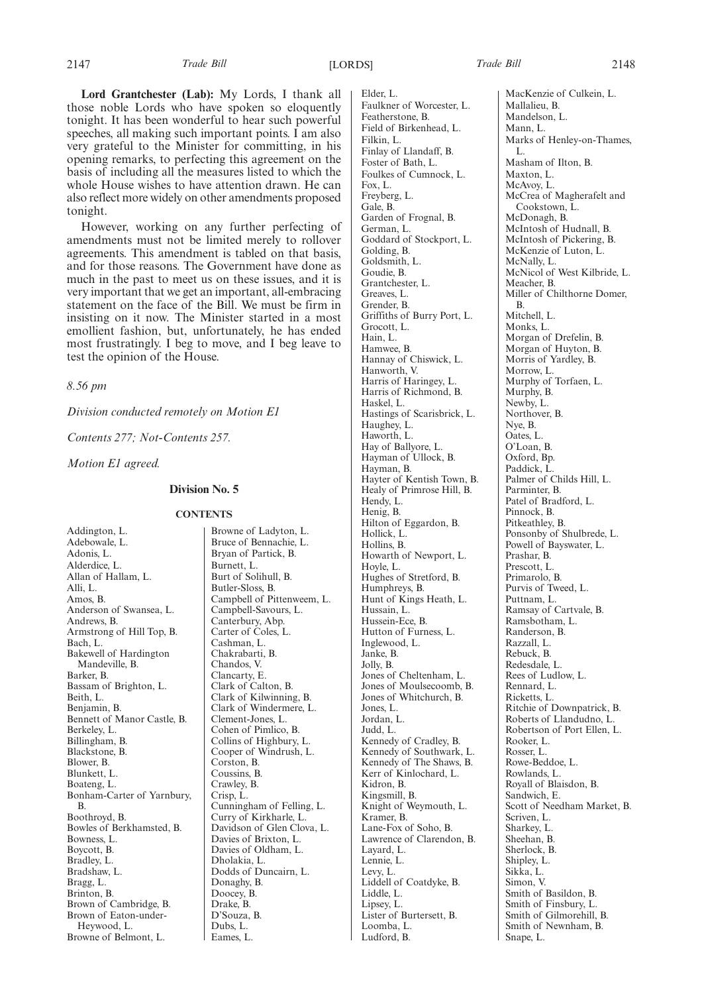**Lord Grantchester (Lab):** My Lords, I thank all those noble Lords who have spoken so eloquently tonight. It has been wonderful to hear such powerful speeches, all making such important points. I am also very grateful to the Minister for committing, in his opening remarks, to perfecting this agreement on the basis of including all the measures listed to which the whole House wishes to have attention drawn. He can also reflect more widely on other amendments proposed tonight.

However, working on any further perfecting of amendments must not be limited merely to rollover agreements. This amendment is tabled on that basis, and for those reasons. The Government have done as much in the past to meet us on these issues, and it is very important that we get an important, all-embracing statement on the face of the Bill. We must be firm in insisting on it now. The Minister started in a most emollient fashion, but, unfortunately, he has ended most frustratingly. I beg to move, and I beg leave to test the opinion of the House.

*8.56 pm*

*Division conducted remotely on Motion E1*

*Contents 277; Not-Contents 257.*

*Motion E1 agreed.*

## **Division No. 5**

#### **CONTENTS**

Addington, L. Adebowale, L. Adonis, L. Alderdice, L. Allan of Hallam, L. Alli, L. Amos, B. Anderson of Swansea, L. Andrews, B. Armstrong of Hill Top, B. Bach, L. Bakewell of Hardington Mandeville, B. Barker, B. Bassam of Brighton, L. Beith, L. Benjamin, B. Bennett of Manor Castle, B. Berkeley, L. Billingham, B. Blackstone, B. Blower, B. Blunkett, L. Boateng, L. Bonham-Carter of Yarnbury, B. Boothroyd, B. Bowles of Berkhamsted, B. Bowness, L. Boycott, B. Bradley, L. Bradshaw, L. Bragg, L. Brinton, B. Brown of Cambridge, B. Brown of Eaton-under-Heywood, L. Browne of Belmont, L.

Browne of Ladyton, L. Bruce of Bennachie, L. Bryan of Partick, B. Burnett, L. Burt of Solihull, B. Butler-Sloss, B. Campbell of Pittenweem, L. Campbell-Savours, L. Canterbury, Abp. Carter of Coles, L. Cashman, L. Chakrabarti, B. Chandos, V. Clancarty, E. Clark of Calton, B. Clark of Kilwinning, B. Clark of Windermere, L. Clement-Jones, L. Cohen of Pimlico, B. Collins of Highbury, L. Cooper of Windrush, L. Corston, B. Coussins, B. Crawley, B. Crisp, L. Cunningham of Felling, L. Curry of Kirkharle, L. Davidson of Glen Clova, L. Davies of Brixton, L. Davies of Oldham, L. Dholakia, L. Dodds of Duncairn, L. Donaghy, B. Doocey, B. Drake, B. D'Souza, B. Dubs, L. Eames, L.

Elder, L. Faulkner of Worcester, L. Featherstone, B. Field of Birkenhead, L. Filkin, L. Finlay of Llandaff, B. Foster of Bath, L. Foulkes of Cumnock, L. Fox, L. Freyberg, L. Gale, B. Garden of Frognal, B. German, L. Goddard of Stockport, L. Golding, B. Goldsmith, L. Goudie, B. Grantchester, L. Greaves, L. Grender, B. Griffiths of Burry Port, L. Grocott, L. Hain, L. Hamwee, B. Hannay of Chiswick, L. Hanworth, V. Harris of Haringey, L. Harris of Richmond, B. Haskel, L. Hastings of Scarisbrick, L. Haughey, L. Haworth, L. Hay of Ballyore, L. Hayman of Ullock, B. Hayman, B. Hayter of Kentish Town, B. Healy of Primrose Hill, B. Hendy, L. Henig, B. Hilton of Eggardon, B. Hollick, L. Hollins, B. Howarth of Newport, L. Hoyle, L. Hughes of Stretford, B. Humphreys, B. Hunt of Kings Heath, L. Hussain, L. Hussein-Ece, B. Hutton of Furness, L. Inglewood, L. Janke, B. Jolly, B. Jones of Cheltenham, L. Jones of Moulsecoomb, B. Jones of Whitchurch, B. Jones, L. Jordan, L. Judd, L. Kennedy of Cradley, B. Kennedy of Southwark, L. Kennedy of The Shaws, B. Kerr of Kinlochard, L. Kidron, B. Kingsmill, B. Knight of Weymouth, L. Kramer, B. Lane-Fox of Soho, B. Lawrence of Clarendon, B. Layard, L. Lennie, L. Levy, L. Liddell of Coatdyke, B. Liddle, L. Lipsey, L. Lister of Burtersett, B. Loomba, L. Ludford, B.

MacKenzie of Culkein, L. Mallalieu, B. Mandelson, L. Mann, L. Marks of Henley-on-Thames, L. Masham of Ilton, B. Maxton, L. McAvoy, L. McCrea of Magherafelt and Cookstown, L. McDonagh, B. McIntosh of Hudnall, B. McIntosh of Pickering, B. McKenzie of Luton, L. McNally, L. McNicol of West Kilbride, L. Meacher, B. Miller of Chilthorne Domer, B. Mitchell, L. Monks, L. Morgan of Drefelin, B. Morgan of Huyton, B. Morris of Yardley, B. Morrow, L. Murphy of Torfaen, L. Murphy, B. Newby, L. Northover, B. Nye, B. Oates, L. O'Loan, B. Oxford, Bp. Paddick, L. Palmer of Childs Hill, L. Parminter, B. Patel of Bradford, L. Pinnock, B. Pitkeathley, B. Ponsonby of Shulbrede, L. Powell of Bayswater, L. Prashar, B. Prescott, L. Primarolo, B. Purvis of Tweed, L. Puttnam, L. Ramsay of Cartvale, B. Ramsbotham, L. Randerson, B. Razzall, L. Rebuck, B. Redesdale, L. Rees of Ludlow, L. Rennard, L. Ricketts, L. Ritchie of Downpatrick, B. Roberts of Llandudno, L. Robertson of Port Ellen, L. Rooker, L. Rosser, L. Rowe-Beddoe, L. Rowlands, L. Royall of Blaisdon, B. Sandwich, E. Scott of Needham Market, B. Scriven, L. Sharkey, L. Sheehan, B. Sherlock, B. Shipley, L. Sikka, L. Simon, V. Smith of Basildon, B. Smith of Finsbury, L. Smith of Gilmorehill, B. Smith of Newnham, B. Snape, L.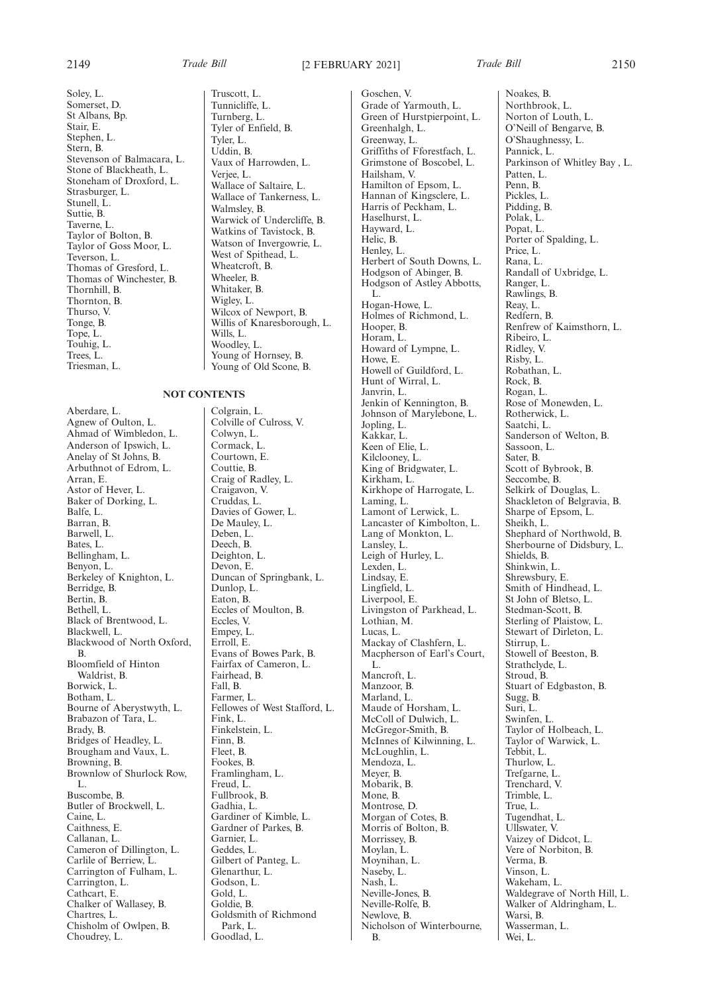Soley, L. Somerset, D. St Albans, Bp. Stair, E. Stephen, L. Stern, B. Stevenson of Balmacara, L. Stone of Blackheath, L. Stoneham of Droxford, L. Strasburger, L. Stunell, L. Suttie, B. Taverne, L. Taylor of Bolton, B. Taylor of Goss Moor, L. Teverson, L. Thomas of Gresford, L. Thomas of Winchester, B. Thornhill, B. Thornton, B. Thurso, V. Tonge, B. Tope, L. Touhig, L. Trees, L. Triesman, L.

**NOT CONTENTS**

Aberdare, L. Agnew of Oulton, L. Ahmad of Wimbledon, L. Anderson of Ipswich, L. Anelay of St Johns, B. Arbuthnot of Edrom, L. Arran, E. Astor of Hever, L. Baker of Dorking, L. Balfe, L. Barran, B. Barwell, L. Bates, L. Bellingham, L. Benyon, L. Berkeley of Knighton, L. Berridge, B. Bertin, B. Bethell, L. Black of Brentwood, L. Blackwell, L. Blackwood of North Oxford, B. Bloomfield of Hinton Waldrist, B. Borwick, L. Botham, L. Bourne of Aberystwyth, L. Brabazon of Tara, L. Brady, B. Bridges of Headley, L. Brougham and Vaux, L. Browning, B. Brownlow of Shurlock Row, L. Buscombe, B. Butler of Brockwell, L. Caine, L. Caithness, E. Callanan, L. Cameron of Dillington, L. Carlile of Berriew, L. Carrington of Fulham, L. Carrington, L. Cathcart, E. Chalker of Wallasey, B. Chartres, L. Chisholm of Owlpen, B. Choudrey, L.

Truscott, L. Tunnicliffe, L. Turnberg, L. Tyler of Enfield, B. Tyler, L. Uddin, B. Vaux of Harrowden, L. Verjee, L. Wallace of Saltaire, L. Wallace of Tankerness, L. Walmsley, B. Warwick of Undercliffe, B. Watkins of Tavistock, B. Watson of Invergowrie, L. West of Spithead, L. Wheatcroft, B. Wheeler, B. Whitaker, B. Wigley, L. Wilcox of Newport, B. Willis of Knaresborough, L. Wills, L. Woodley, L. Young of Hornsey, B. Young of Old Scone, B.

Colgrain, L. Colville of Culross, V. Colwyn, L. Cormack, L. Courtown, E. Couttie, B. Craig of Radley, L. Craigavon, V. Cruddas, L. Davies of Gower, L. De Mauley, L. Deben, L. Deech, B. Deighton, L. Devon, E. Duncan of Springbank, L. Dunlop, L. Eaton, B. Eccles of Moulton, B. Eccles, V. Empey, L. Erroll, E. Evans of Bowes Park, B. Fairfax of Cameron, L. Fairhead, B. Fall, B. Farmer, L. Fellowes of West Stafford, L. Fink, L. Finkelstein, L. Finn, B. Fleet, B. Fookes, B. Framlingham, L. Freud, L. Fullbrook, B. Gadhia, L. Gardiner of Kimble, L. Gardner of Parkes, B. Garnier, L. Geddes, L. Gilbert of Panteg, L. Glenarthur, L. Godson, L. Gold, L. Goldie, B. Goldsmith of Richmond Park, L. Goodlad, L.

Goschen, V. Grade of Yarmouth, L. Green of Hurstpierpoint, L. Greenhalgh, L. Greenway, L. Griffiths of Fforestfach, L. Grimstone of Boscobel, L. Hailsham, V. Hamilton of Epsom, L. Hannan of Kingsclere, L. Harris of Peckham, L. Haselhurst, L. Hayward, L. Helic, B. Henley, L. Herbert of South Downs, L. Hodgson of Abinger, B. Hodgson of Astley Abbotts, L. Hogan-Howe, L. Holmes of Richmond, L. Hooper, B. Horam, L. Howard of Lympne, L. Howe, E. Howell of Guildford, L. Hunt of Wirral, L. Janvrin, L. Jenkin of Kennington, B. Johnson of Marylebone, L. Jopling, L. Kakkar, L. Keen of Elie, L. Kilclooney, L. King of Bridgwater, L. Kirkham, L. Kirkhope of Harrogate, L. Laming, L. Lamont of Lerwick, L. Lancaster of Kimbolton, L. Lang of Monkton, L. Lansley, L. Leigh of Hurley, L. Lexden, L. Lindsay, E. Lingfield, L. Liverpool, E. Livingston of Parkhead, L. Lothian, M. Lucas, L. Mackay of Clashfern, L. Macpherson of Earl's Court, L. Mancroft, L. Manzoor, B. Marland, L. Maude of Horsham, L. McColl of Dulwich, L. McGregor-Smith, B. McInnes of Kilwinning, L. McLoughlin, L. Mendoza, L. Meyer, B. Mobarik, B. Mone, B. Montrose, D. Morgan of Cotes, B. Morris of Bolton, B. Morrissey, B. Moylan, L. Moynihan, L. Naseby, L. Nash, L. Neville-Jones, B. Neville-Rolfe, B. Newlove, B. Nicholson of Winterbourne, B.

Noakes, B. Northbrook, L. Norton of Louth, L. O'Neill of Bengarve, B. O'Shaughnessy, L. Pannick, L. Parkinson of Whitley Bay , L. Patten, L. Penn, B. Pickles, L. Pidding, B. Polak, L. Popat, L. Porter of Spalding, L. Price, L. Rana, L. Randall of Uxbridge, L. Ranger, L. Rawlings, B. Reay, L. Redfern, B. Renfrew of Kaimsthorn, L. Ribeiro, L. Ridley, V. Risby, L. Robathan, L. Rock, B. Rogan, L. Rose of Monewden, L. Rotherwick, L. Saatchi, L. Sanderson of Welton, B. Sassoon, L. Sater, B. Scott of Bybrook, B. Seccombe, B. Selkirk of Douglas, L. Shackleton of Belgravia, B. Sharpe of Epsom, L. Sheikh, L. Shephard of Northwold, B. Sherbourne of Didsbury, L. Shields, B. Shinkwin, L. Shrewsbury, E. Smith of Hindhead, L. St John of Bletso, L. Stedman-Scott, B. Sterling of Plaistow, L. Stewart of Dirleton, L. Stirrup, L. Stowell of Beeston, B. Strathclyde, L. Stroud, B. Stuart of Edgbaston, B. Sugg, B. Suri, L. Swinfen, L. Taylor of Holbeach, L. Taylor of Warwick, L. Tebbit, L. Thurlow, L. Trefgarne, L. Trenchard, V. Trimble, L. True, L. Tugendhat, L. Ullswater, V. Vaizey of Didcot, L. Vere of Norbiton, B. Verma, B. Vinson, L. Wakeham, L. Waldegrave of North Hill, L. Walker of Aldringham, L. Warsi, B. Wasserman, L. Wei, L.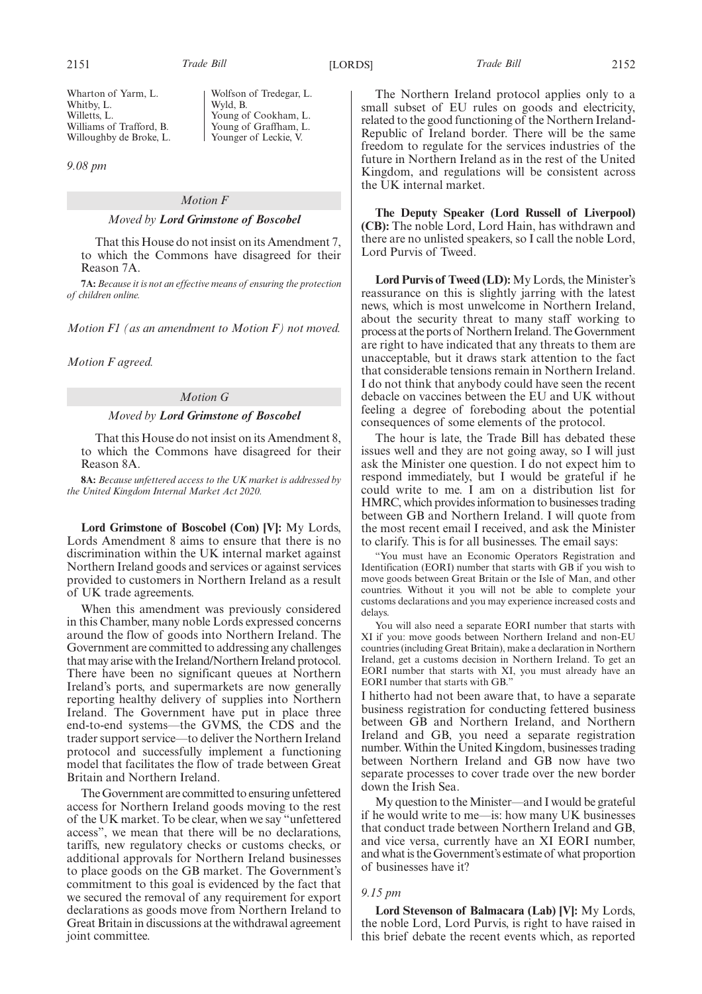Wolfson of Tredegar, L.

Young of Cookham, L. Young of Graffham, L. Younger of Leckie, V.

Wyld, B.

2151 *Trade Bill* [LORDS] *Trade Bill* 2152

*9.08 pm*

# *Motion F*

## *Moved by Lord Grimstone of Boscobel*

That this House do not insist on its Amendment 7, to which the Commons have disagreed for their Reason 7A.

**7A:** *Because it is not an effective means of ensuring the protection of children online.*

*Motion F1 (as an amendment to Motion F) not moved.*

*Motion F agreed.*

## *Motion G*

## *Moved by Lord Grimstone of Boscobel*

That this House do not insist on its Amendment 8, to which the Commons have disagreed for their Reason 8A.

**8A:** *Because unfettered access to the UK market is addressed by the United Kingdom Internal Market Act 2020.*

**Lord Grimstone of Boscobel (Con) [V]:** My Lords, Lords Amendment 8 aims to ensure that there is no discrimination within the UK internal market against Northern Ireland goods and services or against services provided to customers in Northern Ireland as a result of UK trade agreements.

When this amendment was previously considered in this Chamber, many noble Lords expressed concerns around the flow of goods into Northern Ireland. The Government are committed to addressing any challenges that may arise with the Ireland/Northern Ireland protocol. There have been no significant queues at Northern Ireland's ports, and supermarkets are now generally reporting healthy delivery of supplies into Northern Ireland. The Government have put in place three end-to-end systems—the GVMS, the CDS and the trader support service—to deliver the Northern Ireland protocol and successfully implement a functioning model that facilitates the flow of trade between Great Britain and Northern Ireland.

The Government are committed to ensuring unfettered access for Northern Ireland goods moving to the rest of the UK market. To be clear, when we say "unfettered access", we mean that there will be no declarations, tariffs, new regulatory checks or customs checks, or additional approvals for Northern Ireland businesses to place goods on the GB market. The Government's commitment to this goal is evidenced by the fact that we secured the removal of any requirement for export declarations as goods move from Northern Ireland to Great Britain in discussions at the withdrawal agreement joint committee.

The Northern Ireland protocol applies only to a small subset of EU rules on goods and electricity, related to the good functioning of the Northern Ireland-Republic of Ireland border. There will be the same freedom to regulate for the services industries of the future in Northern Ireland as in the rest of the United Kingdom, and regulations will be consistent across the UK internal market.

**The Deputy Speaker (Lord Russell of Liverpool) (CB):** The noble Lord, Lord Hain, has withdrawn and there are no unlisted speakers, so I call the noble Lord, Lord Purvis of Tweed.

**Lord Purvis of Tweed (LD):** My Lords, the Minister's reassurance on this is slightly jarring with the latest news, which is most unwelcome in Northern Ireland, about the security threat to many staff working to process at the ports of Northern Ireland. The Government are right to have indicated that any threats to them are unacceptable, but it draws stark attention to the fact that considerable tensions remain in Northern Ireland. I do not think that anybody could have seen the recent debacle on vaccines between the EU and UK without feeling a degree of foreboding about the potential consequences of some elements of the protocol.

The hour is late, the Trade Bill has debated these issues well and they are not going away, so I will just ask the Minister one question. I do not expect him to respond immediately, but I would be grateful if he could write to me. I am on a distribution list for HMRC, which provides information to businesses trading between GB and Northern Ireland. I will quote from the most recent email I received, and ask the Minister to clarify. This is for all businesses. The email says:

"You must have an Economic Operators Registration and Identification (EORI) number that starts with GB if you wish to move goods between Great Britain or the Isle of Man, and other countries. Without it you will not be able to complete your customs declarations and you may experience increased costs and delays.

You will also need a separate EORI number that starts with XI if you: move goods between Northern Ireland and non-EU countries (including Great Britain), make a declaration in Northern Ireland, get a customs decision in Northern Ireland. To get an EORI number that starts with XI, you must already have an EORI number that starts with GB."

I hitherto had not been aware that, to have a separate business registration for conducting fettered business between GB and Northern Ireland, and Northern Ireland and GB, you need a separate registration number. Within the United Kingdom, businesses trading between Northern Ireland and GB now have two separate processes to cover trade over the new border down the Irish Sea.

My question to the Minister—and I would be grateful if he would write to me—is: how many UK businesses that conduct trade between Northern Ireland and GB, and vice versa, currently have an XI EORI number, and what is the Government's estimate of what proportion of businesses have it?

### *9.15 pm*

**Lord Stevenson of Balmacara (Lab) [V]:** My Lords, the noble Lord, Lord Purvis, is right to have raised in this brief debate the recent events which, as reported